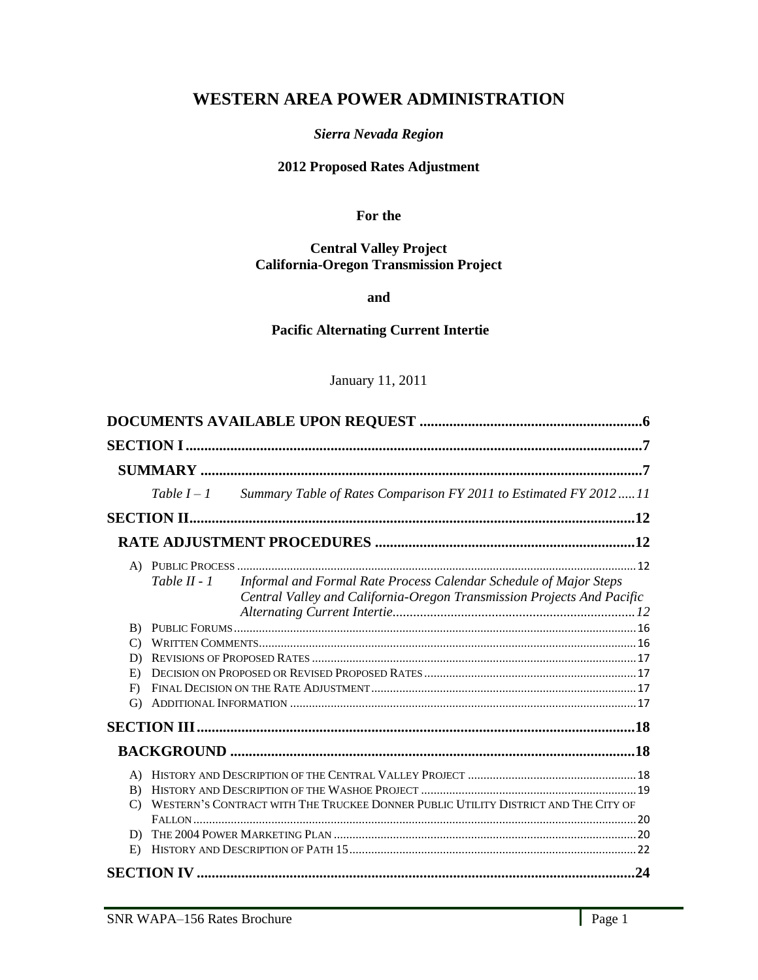# **WESTERN AREA POWER ADMINISTRATION**

### *Sierra Nevada Region*

## **2012 Proposed Rates Adjustment**

**For the**

#### **Central Valley Project California-Oregon Transmission Project**

**and** 

### **Pacific Alternating Current Intertie**

### January 11, 2011

| Summary Table of Rates Comparison FY 2011 to Estimated FY 2012  11<br>Table $I - I$                                                                           |
|---------------------------------------------------------------------------------------------------------------------------------------------------------------|
|                                                                                                                                                               |
|                                                                                                                                                               |
|                                                                                                                                                               |
| Informal and Formal Rate Process Calendar Schedule of Major Steps<br>Table $II - I$<br>Central Valley and California-Oregon Transmission Projects And Pacific |
| B)                                                                                                                                                            |
| $\mathcal{C}$                                                                                                                                                 |
| D)                                                                                                                                                            |
| E)                                                                                                                                                            |
| F)                                                                                                                                                            |
| G)                                                                                                                                                            |
|                                                                                                                                                               |
|                                                                                                                                                               |
| $\mathbf{A}$<br>B)<br>WESTERN'S CONTRACT WITH THE TRUCKEE DONNER PUBLIC UTILITY DISTRICT AND THE CITY OF<br>$\mathcal{C}$                                     |
|                                                                                                                                                               |
| D)                                                                                                                                                            |
| E)                                                                                                                                                            |
|                                                                                                                                                               |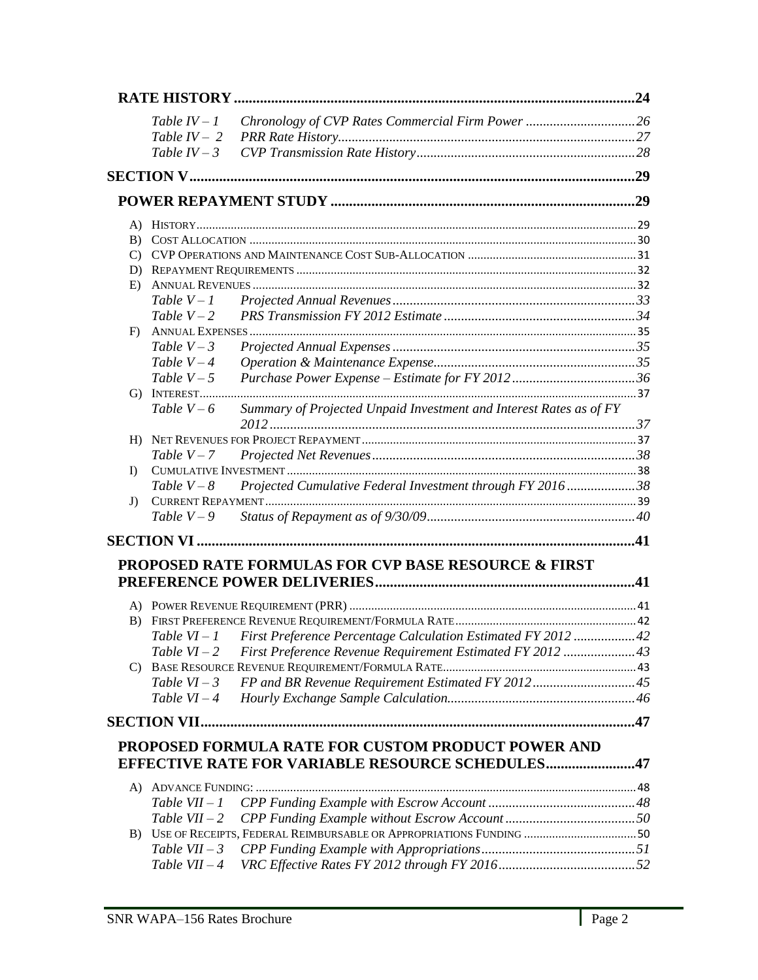|          |                     |                                                                         | .24 |
|----------|---------------------|-------------------------------------------------------------------------|-----|
|          | Table $IV-1$        |                                                                         |     |
|          | Table $IV-2$        |                                                                         |     |
|          | Table $IV-3$        |                                                                         |     |
|          |                     |                                                                         |     |
|          |                     |                                                                         |     |
|          |                     |                                                                         |     |
| B)       |                     |                                                                         |     |
| C)       |                     |                                                                         |     |
| D)       |                     |                                                                         |     |
| E)       |                     |                                                                         |     |
|          | Table $V - 1$       |                                                                         |     |
|          | Table $V - 2$       |                                                                         |     |
| F)       | Table $V - 3$       |                                                                         |     |
|          | Table $V - 4$       |                                                                         |     |
|          | Table $V - 5$       |                                                                         |     |
|          |                     |                                                                         |     |
|          | Table $V-6$         | Summary of Projected Unpaid Investment and Interest Rates as of FY      |     |
| H)       |                     |                                                                         |     |
|          | Table $V - 7$       |                                                                         |     |
| $\bf{D}$ |                     |                                                                         |     |
|          | Table $V - 8$       | Projected Cumulative Federal Investment through FY 201638               |     |
| J)       |                     |                                                                         |     |
|          | Table $V - 9$       |                                                                         |     |
|          |                     |                                                                         |     |
|          |                     | PROPOSED RATE FORMULAS FOR CVP BASE RESOURCE & FIRST                    |     |
|          |                     |                                                                         |     |
|          |                     |                                                                         |     |
|          |                     |                                                                         |     |
|          |                     | Table VI-1 First Preference Percentage Calculation Estimated FY 2012 42 |     |
|          | Table $VI-2$        | First Preference Revenue Requirement Estimated FY 2012 43               |     |
| C)       |                     |                                                                         |     |
|          | Table $VI - 3$      | FP and BR Revenue Requirement Estimated FY 201245                       |     |
|          | Table $VI-4$        |                                                                         |     |
|          | <b>SECTION VII.</b> |                                                                         |     |
|          |                     | <b>PROPOSED FORMULA RATE FOR CUSTOM PRODUCT POWER AND</b>               |     |
|          |                     | <b>EFFECTIVE RATE FOR VARIABLE RESOURCE SCHEDULES47</b>                 |     |
| A)       |                     |                                                                         |     |
|          | Table $VII - 1$     |                                                                         |     |
|          | Table $VII - 2$     |                                                                         |     |
|          |                     | B) USE OF RECEIPTS, FEDERAL REIMBURSABLE OR APPROPRIATIONS FUNDING  50  |     |
|          | Table $VII - 3$     |                                                                         |     |
|          | Table $VII-4$       |                                                                         |     |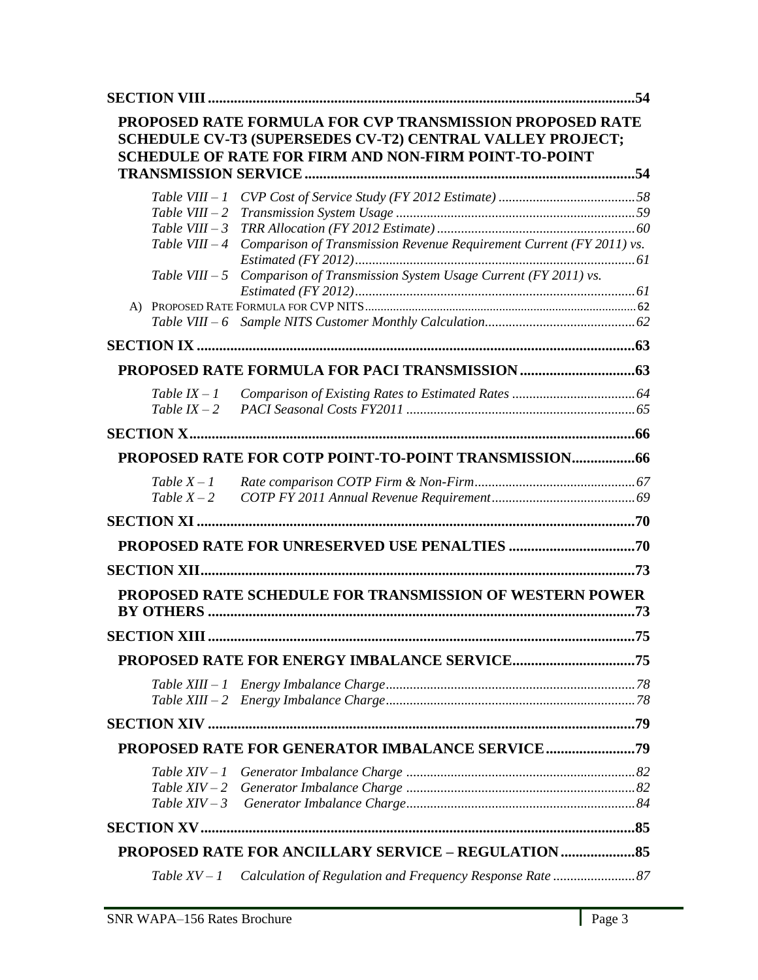|                                    | PROPOSED RATE FORMULA FOR CVP TRANSMISSION PROPOSED RATE<br><b>SCHEDULE CV-T3 (SUPERSEDES CV-T2) CENTRAL VALLEY PROJECT;</b><br><b>SCHEDULE OF RATE FOR FIRM AND NON-FIRM POINT-TO-POINT</b> |     |
|------------------------------------|----------------------------------------------------------------------------------------------------------------------------------------------------------------------------------------------|-----|
| $Table VIII - 1$                   |                                                                                                                                                                                              |     |
| Table VIII $-2$<br>Table VIII $-3$ |                                                                                                                                                                                              |     |
| Table VIII $-4$                    | Comparison of Transmission Revenue Requirement Current (FY 2011) vs.                                                                                                                         |     |
|                                    |                                                                                                                                                                                              |     |
| Table VIII $-5$                    | Comparison of Transmission System Usage Current (FY 2011) vs.                                                                                                                                |     |
|                                    |                                                                                                                                                                                              |     |
|                                    |                                                                                                                                                                                              |     |
|                                    |                                                                                                                                                                                              |     |
|                                    |                                                                                                                                                                                              |     |
| Table $IX - 1$                     |                                                                                                                                                                                              |     |
| Table $IX - 2$                     |                                                                                                                                                                                              |     |
|                                    |                                                                                                                                                                                              |     |
|                                    |                                                                                                                                                                                              |     |
| Table $X - 1$                      |                                                                                                                                                                                              |     |
| Table $X - 2$                      |                                                                                                                                                                                              |     |
|                                    |                                                                                                                                                                                              |     |
|                                    |                                                                                                                                                                                              |     |
|                                    |                                                                                                                                                                                              |     |
|                                    | PROPOSED RATE SCHEDULE FOR TRANSMISSION OF WESTERN POWER                                                                                                                                     | .73 |
| <b>SECTION XIII</b>                |                                                                                                                                                                                              | .75 |
|                                    |                                                                                                                                                                                              |     |
|                                    |                                                                                                                                                                                              |     |
|                                    |                                                                                                                                                                                              |     |
|                                    |                                                                                                                                                                                              |     |
|                                    |                                                                                                                                                                                              |     |
|                                    |                                                                                                                                                                                              |     |
|                                    |                                                                                                                                                                                              |     |
| Table $XIV-3$                      |                                                                                                                                                                                              |     |
|                                    |                                                                                                                                                                                              |     |
|                                    | PROPOSED RATE FOR ANCILLARY SERVICE - REGULATION                                                                                                                                             |     |
|                                    |                                                                                                                                                                                              |     |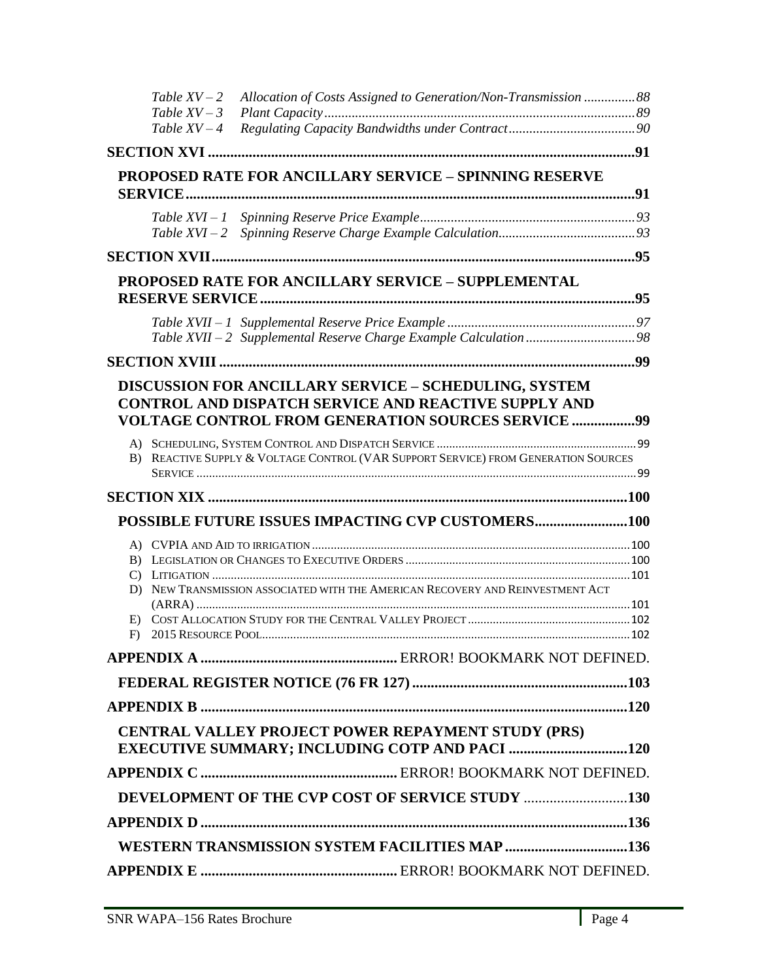|          | Table $XV - 2$<br>Table $XV - 3$ | Allocation of Costs Assigned to Generation/Non-Transmission 88                                                                                                                    |  |
|----------|----------------------------------|-----------------------------------------------------------------------------------------------------------------------------------------------------------------------------------|--|
|          | Table $XV - 4$                   |                                                                                                                                                                                   |  |
|          |                                  |                                                                                                                                                                                   |  |
|          |                                  | <b>PROPOSED RATE FOR ANCILLARY SERVICE - SPINNING RESERVE</b>                                                                                                                     |  |
|          |                                  |                                                                                                                                                                                   |  |
|          |                                  |                                                                                                                                                                                   |  |
|          |                                  |                                                                                                                                                                                   |  |
|          |                                  | <b>PROPOSED RATE FOR ANCILLARY SERVICE - SUPPLEMENTAL</b>                                                                                                                         |  |
|          |                                  |                                                                                                                                                                                   |  |
|          |                                  |                                                                                                                                                                                   |  |
|          |                                  |                                                                                                                                                                                   |  |
|          |                                  | <b>DISCUSSION FOR ANCILLARY SERVICE - SCHEDULING, SYSTEM</b><br><b>CONTROL AND DISPATCH SERVICE AND REACTIVE SUPPLY AND</b><br>VOLTAGE CONTROL FROM GENERATION SOURCES SERVICE 99 |  |
|          |                                  | B) REACTIVE SUPPLY & VOLTAGE CONTROL (VAR SUPPORT SERVICE) FROM GENERATION SOURCES                                                                                                |  |
|          |                                  |                                                                                                                                                                                   |  |
|          |                                  |                                                                                                                                                                                   |  |
|          |                                  |                                                                                                                                                                                   |  |
|          |                                  |                                                                                                                                                                                   |  |
|          |                                  |                                                                                                                                                                                   |  |
| C)<br>D) |                                  | NEW TRANSMISSION ASSOCIATED WITH THE AMERICAN RECOVERY AND REINVESTMENT ACT                                                                                                       |  |
| F)       |                                  |                                                                                                                                                                                   |  |
|          |                                  |                                                                                                                                                                                   |  |
|          |                                  |                                                                                                                                                                                   |  |
|          |                                  |                                                                                                                                                                                   |  |
|          |                                  | CENTRAL VALLEY PROJECT POWER REPAYMENT STUDY (PRS)<br><b>EXECUTIVE SUMMARY; INCLUDING COTP AND PACI 120</b>                                                                       |  |
|          |                                  |                                                                                                                                                                                   |  |
|          |                                  | DEVELOPMENT OF THE CVP COST OF SERVICE STUDY 130                                                                                                                                  |  |
|          |                                  |                                                                                                                                                                                   |  |
|          |                                  | WESTERN TRANSMISSION SYSTEM FACILITIES MAP 136                                                                                                                                    |  |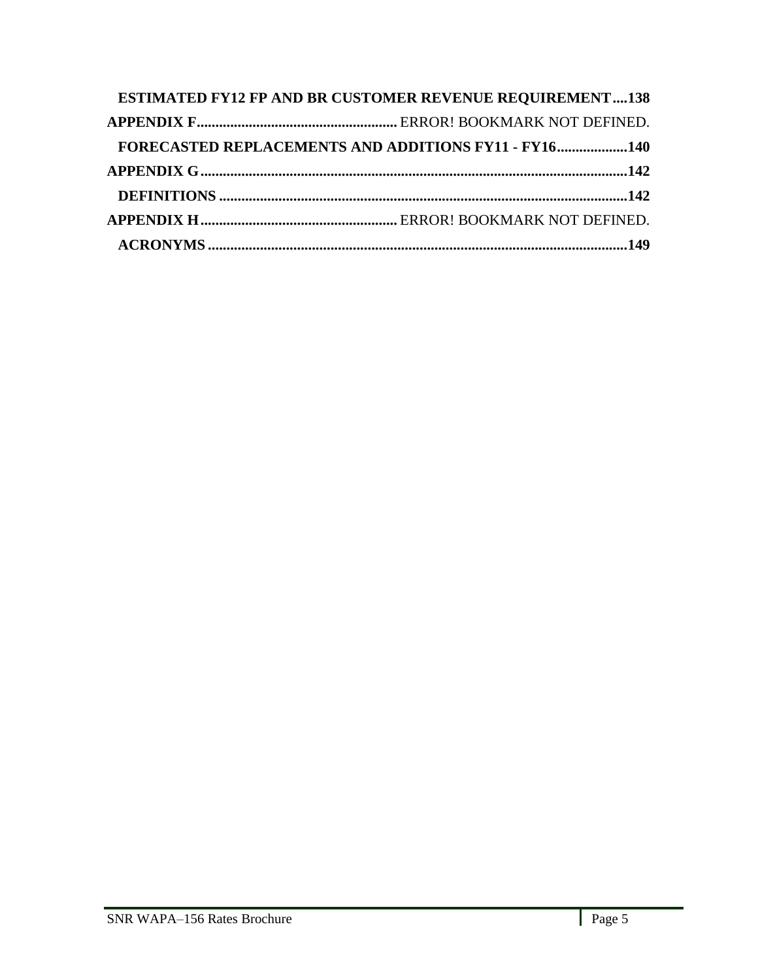| <b>ESTIMATED FY12 FP AND BR CUSTOMER REVENUE REQUIREMENT138</b> |  |
|-----------------------------------------------------------------|--|
|                                                                 |  |
| <b>FORECASTED REPLACEMENTS AND ADDITIONS FY11 - FY16140</b>     |  |
|                                                                 |  |
|                                                                 |  |
|                                                                 |  |
|                                                                 |  |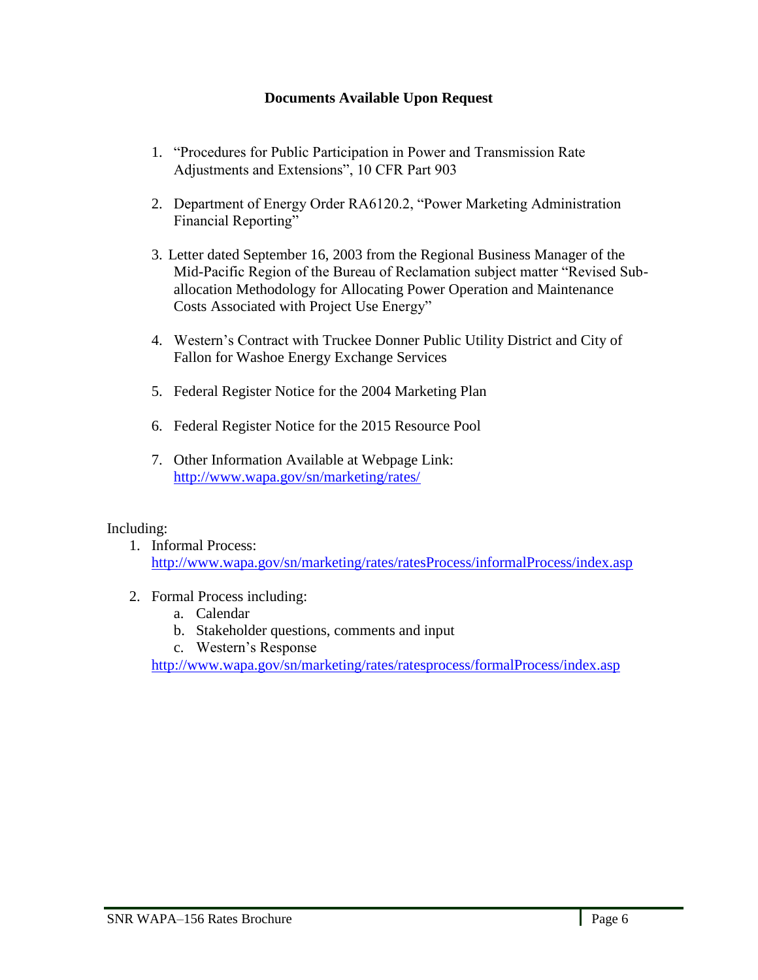## **Documents Available Upon Request**

- <span id="page-5-0"></span>1. "Procedures for Public Participation in Power and Transmission Rate Adjustments and Extensions", 10 CFR Part 903
- 2. Department of Energy Order RA6120.2, "Power Marketing Administration Financial Reporting"
- 3. Letter dated September 16, 2003 from the Regional Business Manager of the Mid-Pacific Region of the Bureau of Reclamation subject matter "Revised Suballocation Methodology for Allocating Power Operation and Maintenance Costs Associated with Project Use Energy"
- 4. Western's Contract with Truckee Donner Public Utility District and City of Fallon for Washoe Energy Exchange Services
- 5. Federal Register Notice for the 2004 Marketing Plan
- 6. Federal Register Notice for the 2015 Resource Pool
- 7. Other Information Available at Webpage Link: <http://www.wapa.gov/sn/marketing/rates/>

### Including:

- 1. Informal Process: <http://www.wapa.gov/sn/marketing/rates/ratesProcess/informalProcess/index.asp>
- 2. Formal Process including:
	- a. Calendar
	- b. Stakeholder questions, comments and input
	- c. Western's Response

<http://www.wapa.gov/sn/marketing/rates/ratesprocess/formalProcess/index.asp>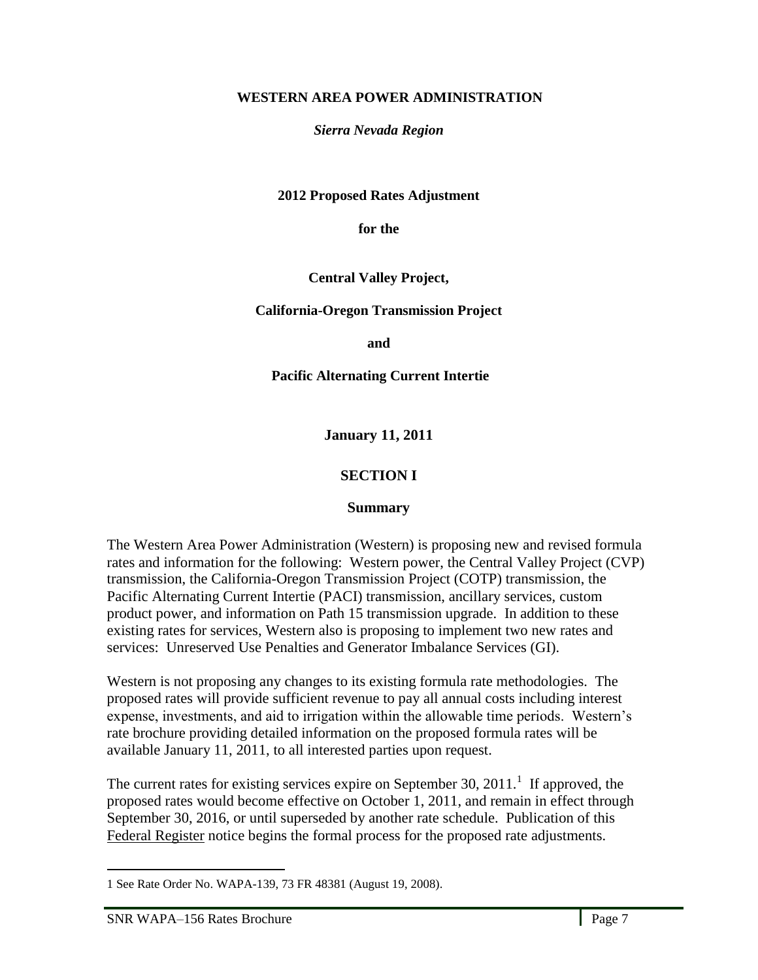### **WESTERN AREA POWER ADMINISTRATION**

*Sierra Nevada Region*

**2012 Proposed Rates Adjustment**

**for the**

**Central Valley Project,**

**California-Oregon Transmission Project**

**and** 

**Pacific Alternating Current Intertie** 

**January 11, 2011**

## **SECTION I**

#### **Summary**

<span id="page-6-1"></span><span id="page-6-0"></span>The Western Area Power Administration (Western) is proposing new and revised formula rates and information for the following: Western power, the Central Valley Project (CVP) transmission, the California-Oregon Transmission Project (COTP) transmission, the Pacific Alternating Current Intertie (PACI) transmission, ancillary services, custom product power, and information on Path 15 transmission upgrade. In addition to these existing rates for services, Western also is proposing to implement two new rates and services: Unreserved Use Penalties and Generator Imbalance Services (GI).

Western is not proposing any changes to its existing formula rate methodologies. The proposed rates will provide sufficient revenue to pay all annual costs including interest expense, investments, and aid to irrigation within the allowable time periods. Western's rate brochure providing detailed information on the proposed formula rates will be available January 11, 2011, to all interested parties upon request.

The current rates for existing services expire on September 30, 2011.<sup>1</sup> If approved, the proposed rates would become effective on October 1, 2011, and remain in effect through September 30, 2016, or until superseded by another rate schedule. Publication of this Federal Register notice begins the formal process for the proposed rate adjustments.

l,

 $\overline{a}$ 

<sup>1</sup> See Rate Order No. WAPA-139, 73 FR 48381 (August 19, 2008).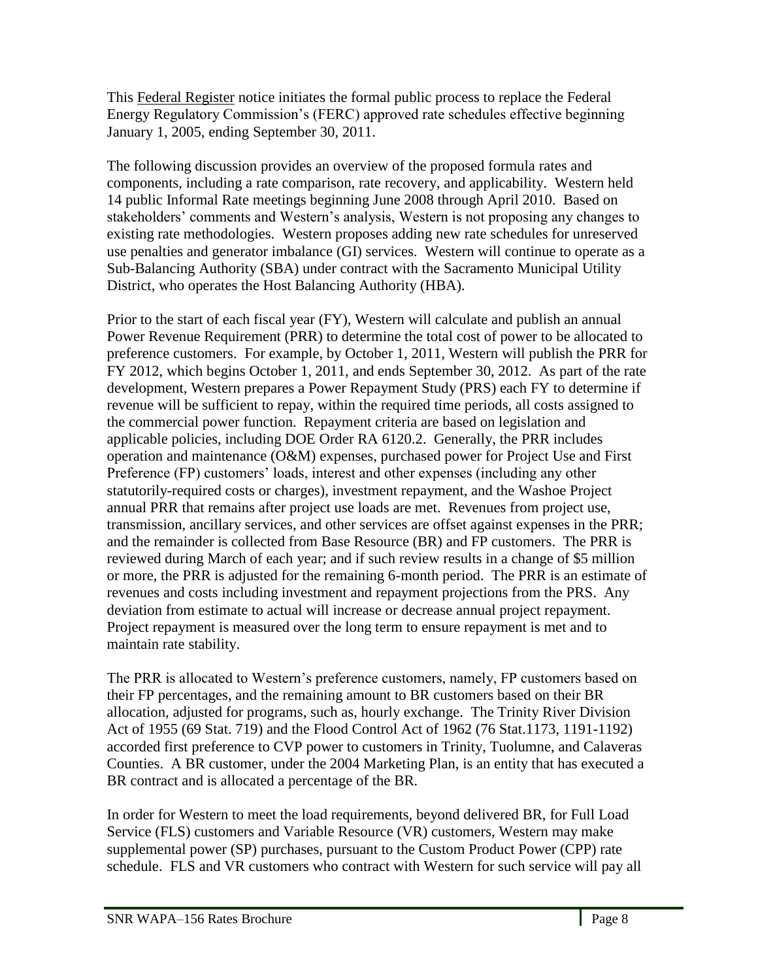This Federal Register notice initiates the formal public process to replace the Federal Energy Regulatory Commission's (FERC) approved rate schedules effective beginning January 1, 2005, ending September 30, 2011.

The following discussion provides an overview of the proposed formula rates and components, including a rate comparison, rate recovery, and applicability. Western held 14 public Informal Rate meetings beginning June 2008 through April 2010. Based on stakeholders' comments and Western's analysis, Western is not proposing any changes to existing rate methodologies. Western proposes adding new rate schedules for unreserved use penalties and generator imbalance (GI) services. Western will continue to operate as a Sub-Balancing Authority (SBA) under contract with the Sacramento Municipal Utility District, who operates the Host Balancing Authority (HBA).

Prior to the start of each fiscal year (FY), Western will calculate and publish an annual Power Revenue Requirement (PRR) to determine the total cost of power to be allocated to preference customers. For example, by October 1, 2011, Western will publish the PRR for FY 2012, which begins October 1, 2011, and ends September 30, 2012. As part of the rate development, Western prepares a Power Repayment Study (PRS) each FY to determine if revenue will be sufficient to repay, within the required time periods, all costs assigned to the commercial power function. Repayment criteria are based on legislation and applicable policies, including DOE Order RA 6120.2. Generally, the PRR includes operation and maintenance (O&M) expenses, purchased power for Project Use and First Preference (FP) customers' loads, interest and other expenses (including any other statutorily-required costs or charges), investment repayment, and the Washoe Project annual PRR that remains after project use loads are met. Revenues from project use, transmission, ancillary services, and other services are offset against expenses in the PRR; and the remainder is collected from Base Resource (BR) and FP customers. The PRR is reviewed during March of each year; and if such review results in a change of \$5 million or more, the PRR is adjusted for the remaining 6-month period. The PRR is an estimate of revenues and costs including investment and repayment projections from the PRS. Any deviation from estimate to actual will increase or decrease annual project repayment. Project repayment is measured over the long term to ensure repayment is met and to maintain rate stability.

The PRR is allocated to Western's preference customers, namely, FP customers based on their FP percentages, and the remaining amount to BR customers based on their BR allocation, adjusted for programs, such as, hourly exchange. The Trinity River Division Act of 1955 (69 Stat. 719) and the Flood Control Act of 1962 (76 Stat.1173, 1191-1192) accorded first preference to CVP power to customers in Trinity, Tuolumne, and Calaveras Counties. A BR customer, under the 2004 Marketing Plan, is an entity that has executed a BR contract and is allocated a percentage of the BR.

In order for Western to meet the load requirements, beyond delivered BR, for Full Load Service (FLS) customers and Variable Resource (VR) customers, Western may make supplemental power (SP) purchases, pursuant to the Custom Product Power (CPP) rate schedule. FLS and VR customers who contract with Western for such service will pay all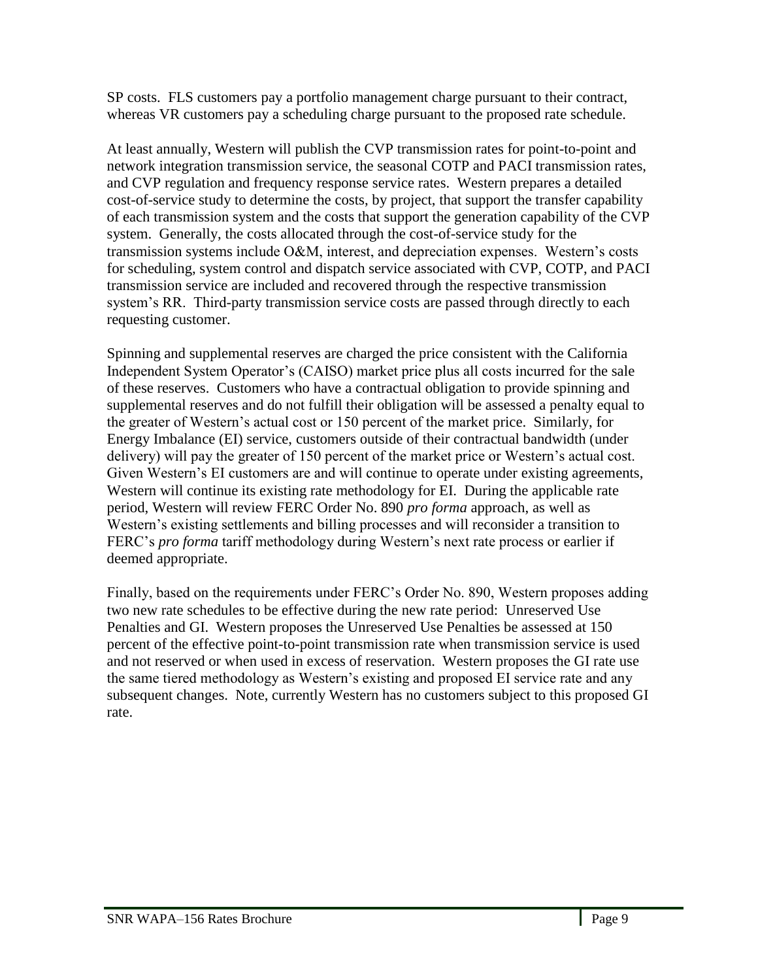SP costs. FLS customers pay a portfolio management charge pursuant to their contract, whereas VR customers pay a scheduling charge pursuant to the proposed rate schedule.

At least annually, Western will publish the CVP transmission rates for point-to-point and network integration transmission service, the seasonal COTP and PACI transmission rates, and CVP regulation and frequency response service rates. Western prepares a detailed cost-of-service study to determine the costs, by project, that support the transfer capability of each transmission system and the costs that support the generation capability of the CVP system. Generally, the costs allocated through the cost-of-service study for the transmission systems include O&M, interest, and depreciation expenses. Western's costs for scheduling, system control and dispatch service associated with CVP, COTP, and PACI transmission service are included and recovered through the respective transmission system's RR. Third-party transmission service costs are passed through directly to each requesting customer.

Spinning and supplemental reserves are charged the price consistent with the California Independent System Operator's (CAISO) market price plus all costs incurred for the sale of these reserves. Customers who have a contractual obligation to provide spinning and supplemental reserves and do not fulfill their obligation will be assessed a penalty equal to the greater of Western's actual cost or 150 percent of the market price. Similarly, for Energy Imbalance (EI) service, customers outside of their contractual bandwidth (under delivery) will pay the greater of 150 percent of the market price or Western's actual cost. Given Western's EI customers are and will continue to operate under existing agreements, Western will continue its existing rate methodology for EI. During the applicable rate period, Western will review FERC Order No. 890 *pro forma* approach, as well as Western's existing settlements and billing processes and will reconsider a transition to FERC's *pro forma* tariff methodology during Western's next rate process or earlier if deemed appropriate.

Finally, based on the requirements under FERC's Order No. 890, Western proposes adding two new rate schedules to be effective during the new rate period: Unreserved Use Penalties and GI. Western proposes the Unreserved Use Penalties be assessed at 150 percent of the effective point-to-point transmission rate when transmission service is used and not reserved or when used in excess of reservation. Western proposes the GI rate use the same tiered methodology as Western's existing and proposed EI service rate and any subsequent changes. Note, currently Western has no customers subject to this proposed GI rate.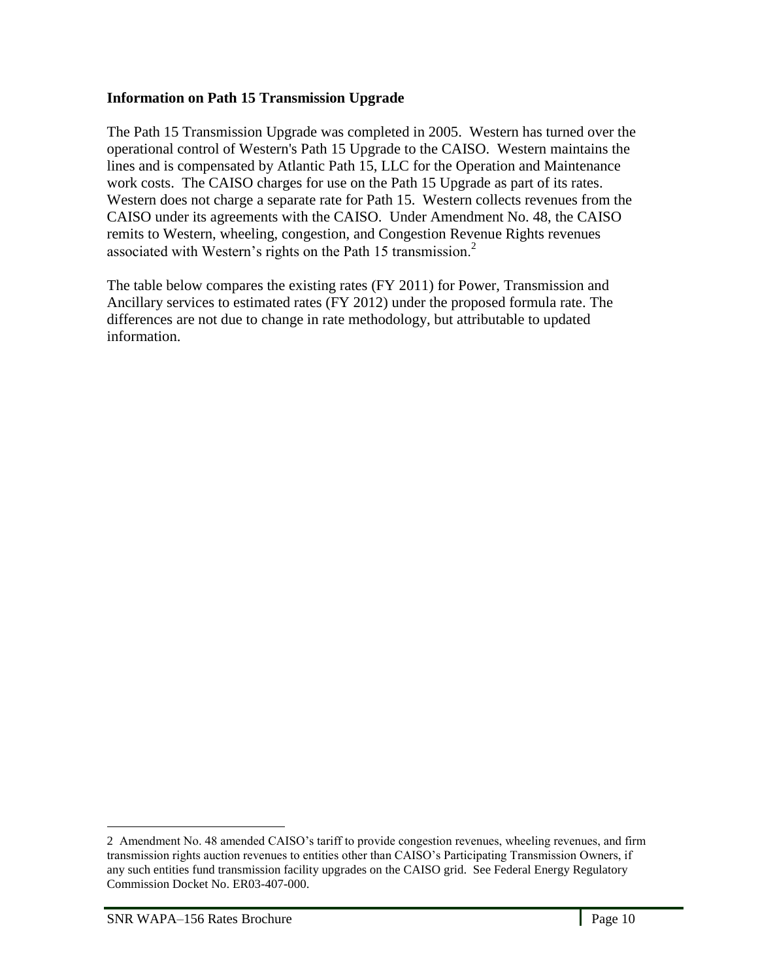### **Information on Path 15 Transmission Upgrade**

The Path 15 Transmission Upgrade was completed in 2005. Western has turned over the operational control of Western's Path 15 Upgrade to the CAISO. Western maintains the lines and is compensated by Atlantic Path 15, LLC for the Operation and Maintenance work costs. The CAISO charges for use on the Path 15 Upgrade as part of its rates. Western does not charge a separate rate for Path 15. Western collects revenues from the CAISO under its agreements with the CAISO. Under Amendment No. 48, the CAISO remits to Western, wheeling, congestion, and Congestion Revenue Rights revenues associated with Western's rights on the Path 15 transmission.<sup>2</sup>

The table below compares the existing rates (FY 2011) for Power, Transmission and Ancillary services to estimated rates (FY 2012) under the proposed formula rate. The differences are not due to change in rate methodology, but attributable to updated information.

l,

 $\overline{a}$ 

<sup>2</sup> Amendment No. 48 amended CAISO's tariff to provide congestion revenues, wheeling revenues, and firm transmission rights auction revenues to entities other than CAISO's Participating Transmission Owners, if any such entities fund transmission facility upgrades on the CAISO grid. See Federal Energy Regulatory Commission Docket No. ER03-407-000.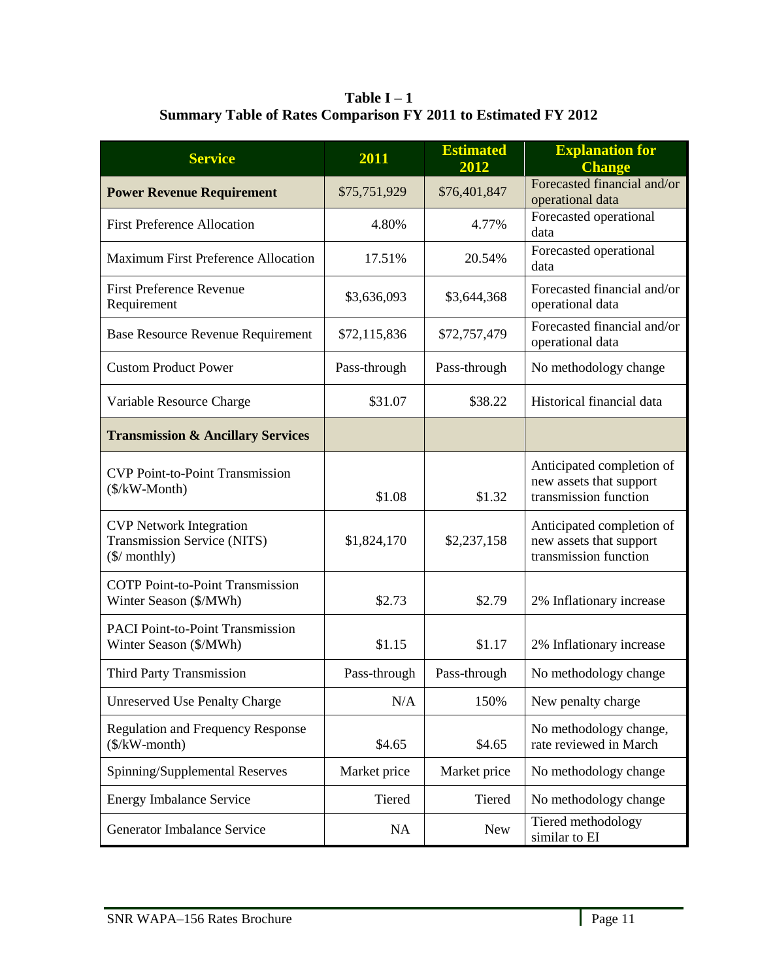**Table I – 1 Summary Table of Rates Comparison FY 2011 to Estimated FY 2012**

<span id="page-10-0"></span>

| <b>Service</b>                                                                           | 2011         | <b>Estimated</b><br>2012 | <b>Explanation for</b><br><b>Change</b>                                       |
|------------------------------------------------------------------------------------------|--------------|--------------------------|-------------------------------------------------------------------------------|
| <b>Power Revenue Requirement</b>                                                         | \$75,751,929 | \$76,401,847             | Forecasted financial and/or<br>operational data                               |
| <b>First Preference Allocation</b>                                                       | 4.80%        | 4.77%                    | Forecasted operational<br>data                                                |
| <b>Maximum First Preference Allocation</b>                                               | 17.51%       | 20.54%                   | Forecasted operational<br>data                                                |
| <b>First Preference Revenue</b><br>Requirement                                           | \$3,636,093  | \$3,644,368              | Forecasted financial and/or<br>operational data                               |
| <b>Base Resource Revenue Requirement</b>                                                 | \$72,115,836 | \$72,757,479             | Forecasted financial and/or<br>operational data                               |
| <b>Custom Product Power</b>                                                              | Pass-through | Pass-through             | No methodology change                                                         |
| Variable Resource Charge                                                                 | \$31.07      | \$38.22                  | Historical financial data                                                     |
| <b>Transmission &amp; Ancillary Services</b>                                             |              |                          |                                                                               |
| <b>CVP Point-to-Point Transmission</b><br>$($/kW\text{-Month})$                          | \$1.08       | \$1.32                   | Anticipated completion of<br>new assets that support<br>transmission function |
| <b>CVP</b> Network Integration<br>Transmission Service (NITS)<br>$(\frac{1}{2}$ monthly) | \$1,824,170  | \$2,237,158              | Anticipated completion of<br>new assets that support<br>transmission function |
| <b>COTP</b> Point-to-Point Transmission<br>Winter Season (\$/MWh)                        | \$2.73       | \$2.79                   | 2% Inflationary increase                                                      |
| <b>PACI Point-to-Point Transmission</b><br>Winter Season (\$/MWh)                        | \$1.15       | \$1.17                   | 2% Inflationary increase                                                      |
| <b>Third Party Transmission</b>                                                          | Pass-through | Pass-through             | No methodology change                                                         |
| <b>Unreserved Use Penalty Charge</b>                                                     | N/A          | 150%                     | New penalty charge                                                            |
| <b>Regulation and Frequency Response</b><br>$(\frac{1}{2}kW$ -month)                     | \$4.65       | \$4.65                   | No methodology change,<br>rate reviewed in March                              |
| Spinning/Supplemental Reserves                                                           | Market price | Market price             | No methodology change                                                         |
| <b>Energy Imbalance Service</b>                                                          | Tiered       | Tiered                   | No methodology change                                                         |
| Generator Imbalance Service                                                              | <b>NA</b>    | <b>New</b>               | Tiered methodology<br>similar to EI                                           |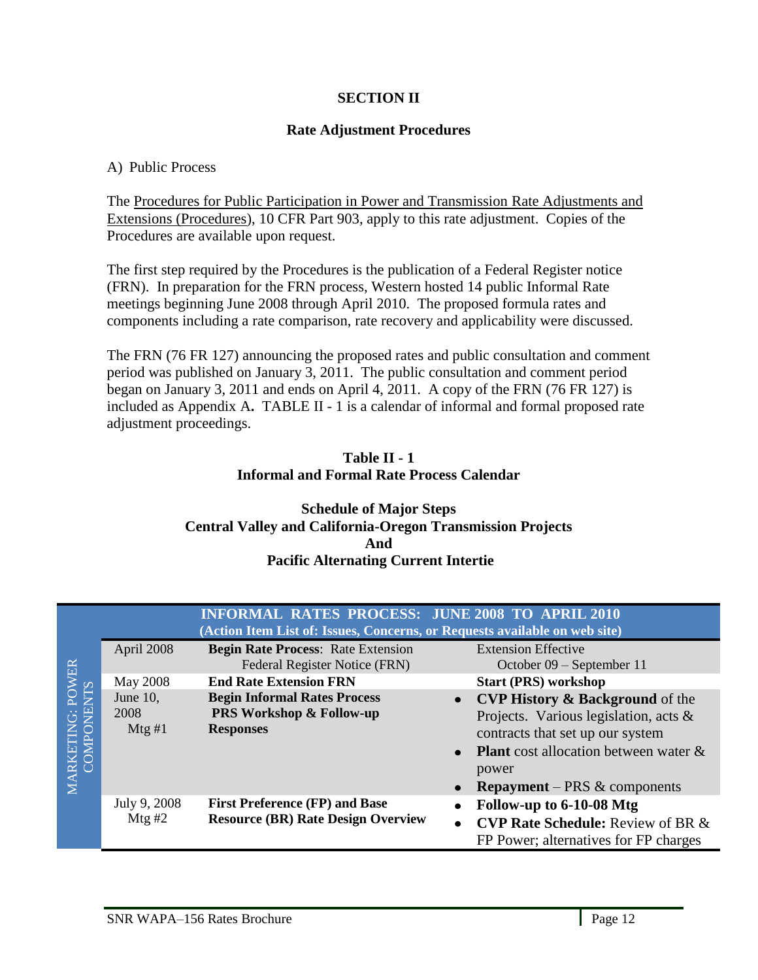## **SECTION II**

### **Rate Adjustment Procedures**

### <span id="page-11-2"></span><span id="page-11-1"></span><span id="page-11-0"></span>A) Public Process

The Procedures for Public Participation in Power and Transmission Rate Adjustments and Extensions (Procedures), 10 CFR Part 903, apply to this rate adjustment. Copies of the Procedures are available upon request.

The first step required by the Procedures is the publication of a Federal Register notice (FRN). In preparation for the FRN process, Western hosted 14 public Informal Rate meetings beginning June 2008 through April 2010. The proposed formula rates and components including a rate comparison, rate recovery and applicability were discussed.

The FRN (76 FR 127) announcing the proposed rates and public consultation and comment period was published on January 3, 2011. The public consultation and comment period began on January 3, 2011 and ends on April 4, 2011. A copy of the FRN (76 FR 127) is included as Appendix A**.** TABLE II - 1 is a calendar of informal and formal proposed rate adjustment proceedings.

### **Table II - 1 Informal and Formal Rate Process Calendar**

#### <span id="page-11-8"></span><span id="page-11-6"></span><span id="page-11-5"></span><span id="page-11-4"></span><span id="page-11-3"></span>**Schedule of Major Steps Central Valley and California-Oregon Transmission Projects And Pacific Alternating Current Intertie**

<span id="page-11-7"></span>

|                      |                            | <b>INFORMAL RATES PROCESS: JUNE 2008 TO APRIL 2010</b><br>(Action Item List of: Issues, Concerns, or Requests available on web site) |                                                                                                                                                                                                                                                         |
|----------------------|----------------------------|--------------------------------------------------------------------------------------------------------------------------------------|---------------------------------------------------------------------------------------------------------------------------------------------------------------------------------------------------------------------------------------------------------|
| ER                   | April 2008                 | <b>Begin Rate Process: Rate Extension</b><br>Federal Register Notice (FRN)                                                           | <b>Extension Effective</b><br>October 09 – September 11                                                                                                                                                                                                 |
|                      | May 2008                   | <b>End Rate Extension FRN</b>                                                                                                        | <b>Start (PRS) workshop</b>                                                                                                                                                                                                                             |
| A<br>G:<br>E<br>MARK | June 10,<br>2008<br>Mtg #1 | <b>Begin Informal Rates Process</b><br><b>PRS Workshop &amp; Follow-up</b><br><b>Responses</b>                                       | <b>CVP History &amp; Background of the</b><br>$\bullet$<br>Projects. Various legislation, acts $\&$<br>contracts that set up our system<br><b>Plant</b> cost allocation between water &<br>$\bullet$<br>power<br><b>Repayment</b> – PRS $\&$ components |
|                      | July 9, 2008<br>Mtg# $2$   | <b>First Preference (FP) and Base</b><br><b>Resource (BR) Rate Design Overview</b>                                                   | Follow-up to 6-10-08 Mtg<br>٠<br><b>CVP Rate Schedule:</b> Review of BR &<br>$\bullet$<br>FP Power; alternatives for FP charges                                                                                                                         |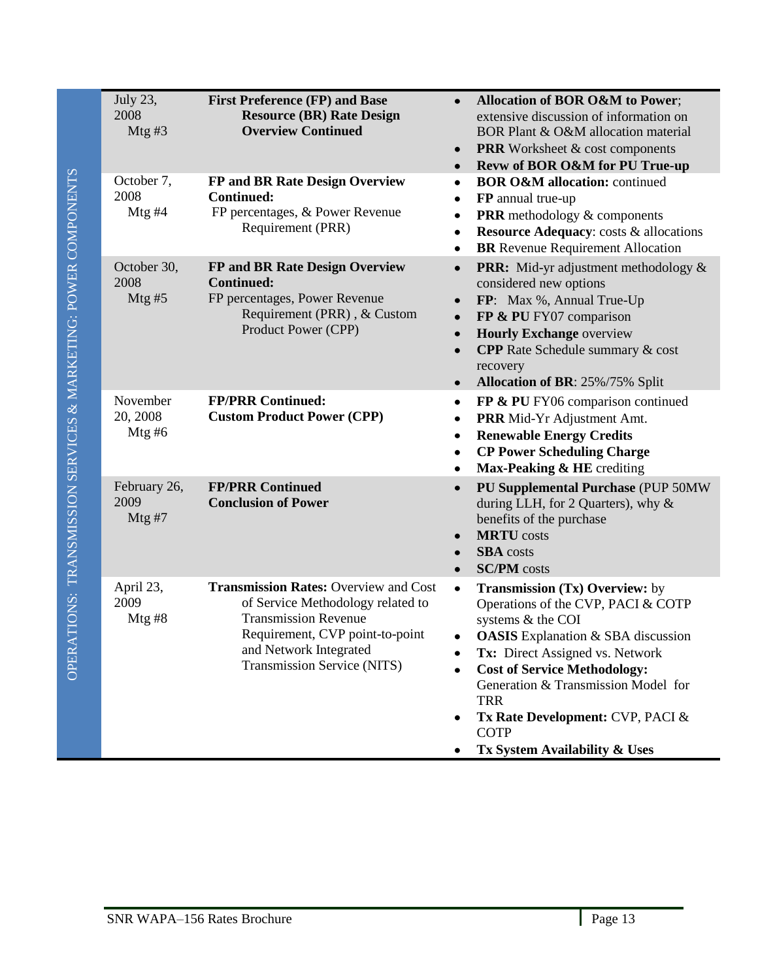| July 23,<br>2008<br>Mtg#3        | <b>First Preference (FP) and Base</b><br><b>Resource (BR) Rate Design</b><br><b>Overview Continued</b>                                                                                                       | Allocation of BOR O&M to Power;<br>$\bullet$<br>extensive discussion of information on<br>BOR Plant & O&M allocation material<br><b>PRR</b> Worksheet & cost components<br>$\bullet$<br>Revw of BOR O&M for PU True-up<br>$\bullet$                                                                                                                                                |
|----------------------------------|--------------------------------------------------------------------------------------------------------------------------------------------------------------------------------------------------------------|------------------------------------------------------------------------------------------------------------------------------------------------------------------------------------------------------------------------------------------------------------------------------------------------------------------------------------------------------------------------------------|
| October 7,<br>2008<br>Mtg#4      | FP and BR Rate Design Overview<br><b>Continued:</b><br>FP percentages, & Power Revenue<br>Requirement (PRR)                                                                                                  | <b>BOR O&amp;M allocation:</b> continued<br>$\bullet$<br>FP annual true-up<br>٠<br><b>PRR</b> methodology & components<br>٠<br><b>Resource Adequacy:</b> costs & allocations<br>$\bullet$<br><b>BR</b> Revenue Requirement Allocation<br>٠                                                                                                                                         |
| October 30,<br>2008<br>Mtg#5     | FP and BR Rate Design Overview<br><b>Continued:</b><br>FP percentages, Power Revenue<br>Requirement (PRR), & Custom<br>Product Power (CPP)                                                                   | <b>PRR:</b> Mid-yr adjustment methodology &<br>$\bullet$<br>considered new options<br>FP: Max %, Annual True-Up<br>FP & PU FY07 comparison<br>$\bullet$<br><b>Hourly Exchange overview</b><br>$\bullet$<br><b>CPP</b> Rate Schedule summary & cost<br>$\bullet$<br>recovery<br>Allocation of BR: 25%/75% Split<br>$\bullet$                                                        |
| November<br>20, 2008<br>Mtg# $6$ | <b>FP/PRR Continued:</b><br><b>Custom Product Power (CPP)</b>                                                                                                                                                | FP & PU FY06 comparison continued<br>$\bullet$<br>PRR Mid-Yr Adjustment Amt.<br>$\bullet$<br><b>Renewable Energy Credits</b><br>٠<br><b>CP Power Scheduling Charge</b><br>٠<br>Max-Peaking & HE crediting<br>٠                                                                                                                                                                     |
| February 26,<br>2009<br>Mtg #7   | <b>FP/PRR Continued</b><br><b>Conclusion of Power</b>                                                                                                                                                        | PU Supplemental Purchase (PUP 50MW<br>$\bullet$<br>during LLH, for 2 Quarters), why &<br>benefits of the purchase<br><b>MRTU</b> costs<br>$\bullet$<br><b>SBA</b> costs<br>$\bullet$<br><b>SC/PM</b> costs<br>$\bullet$                                                                                                                                                            |
| April 23,<br>2009<br>Mtg# $8$    | <b>Transmission Rates: Overview and Cost</b><br>of Service Methodology related to<br><b>Transmission Revenue</b><br>Requirement, CVP point-to-point<br>and Network Integrated<br>Transmission Service (NITS) | <b>Transmission (Tx) Overview:</b> by<br>$\bullet$<br>Operations of the CVP, PACI & COTP<br>systems & the COI<br><b>OASIS</b> Explanation & SBA discussion<br>Tx: Direct Assigned vs. Network<br><b>Cost of Service Methodology:</b><br>٠<br>Generation & Transmission Model for<br><b>TRR</b><br>Tx Rate Development: CVP, PACI &<br><b>COTP</b><br>Tx System Availability & Uses |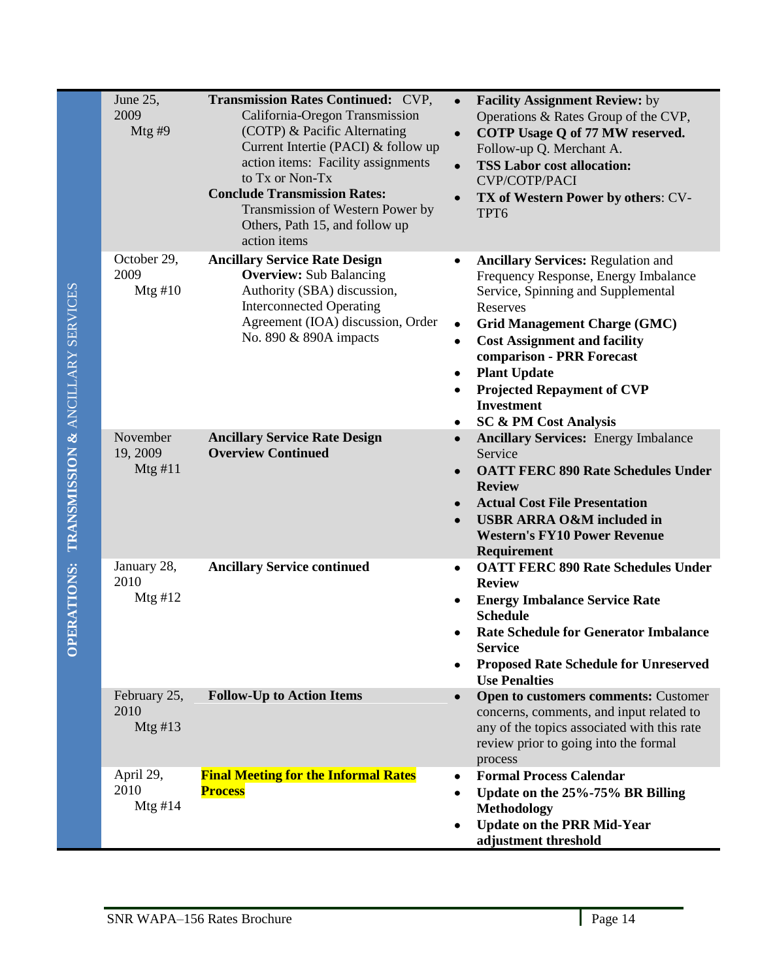| June 25,<br>2009<br>Mtg#9       | <b>Transmission Rates Continued: CVP,</b><br>California-Oregon Transmission<br>(COTP) & Pacific Alternating<br>Current Intertie (PACI) & follow up<br>action items: Facility assignments<br>to Tx or Non-Tx<br><b>Conclude Transmission Rates:</b><br>Transmission of Western Power by<br>Others, Path 15, and follow up<br>action items | $\bullet$<br>$\bullet$<br>$\bullet$              | <b>Facility Assignment Review:</b> by<br>Operations & Rates Group of the CVP,<br>COTP Usage Q of 77 MW reserved.<br>Follow-up Q. Merchant A.<br><b>TSS Labor cost allocation:</b><br><b>CVP/COTP/PACI</b><br>TX of Western Power by others: CV-<br>TPT6                                                                                                             |
|---------------------------------|------------------------------------------------------------------------------------------------------------------------------------------------------------------------------------------------------------------------------------------------------------------------------------------------------------------------------------------|--------------------------------------------------|---------------------------------------------------------------------------------------------------------------------------------------------------------------------------------------------------------------------------------------------------------------------------------------------------------------------------------------------------------------------|
| October 29,<br>2009<br>Mtg#10   | <b>Ancillary Service Rate Design</b><br><b>Overview:</b> Sub Balancing<br>Authority (SBA) discussion,<br><b>Interconnected Operating</b><br>Agreement (IOA) discussion, Order<br>No. 890 & 890A impacts                                                                                                                                  | $\bullet$<br>$\bullet$<br>٠<br>٠<br>٠            | <b>Ancillary Services: Regulation and</b><br>Frequency Response, Energy Imbalance<br>Service, Spinning and Supplemental<br>Reserves<br><b>Grid Management Charge (GMC)</b><br><b>Cost Assignment and facility</b><br>comparison - PRR Forecast<br><b>Plant Update</b><br><b>Projected Repayment of CVP</b><br><b>Investment</b><br><b>SC &amp; PM Cost Analysis</b> |
| November<br>19, 2009<br>Mtg #11 | <b>Ancillary Service Rate Design</b><br><b>Overview Continued</b>                                                                                                                                                                                                                                                                        | $\bullet$<br>$\bullet$<br>$\bullet$<br>$\bullet$ | <b>Ancillary Services: Energy Imbalance</b><br>Service<br><b>OATT FERC 890 Rate Schedules Under</b><br><b>Review</b><br><b>Actual Cost File Presentation</b><br><b>USBR ARRA O&amp;M included in</b><br><b>Western's FY10 Power Revenue</b><br>Requirement                                                                                                          |
| January 28,<br>2010<br>Mtg#12   | <b>Ancillary Service continued</b>                                                                                                                                                                                                                                                                                                       | ٠                                                | <b>OATT FERC 890 Rate Schedules Under</b><br><b>Review</b><br><b>Energy Imbalance Service Rate</b><br><b>Schedule</b><br><b>Rate Schedule for Generator Imbalance</b><br><b>Service</b><br><b>Proposed Rate Schedule for Unreserved</b><br><b>Use Penalties</b>                                                                                                     |
| February 25,<br>2010<br>Mtg#13  | <b>Follow-Up to Action Items</b>                                                                                                                                                                                                                                                                                                         | $\bullet$                                        | <b>Open to customers comments: Customer</b><br>concerns, comments, and input related to<br>any of the topics associated with this rate<br>review prior to going into the formal<br>process                                                                                                                                                                          |
| April 29,<br>2010<br>Mtg #14    | <b>Final Meeting for the Informal Rates</b><br><b>Process</b>                                                                                                                                                                                                                                                                            | ٠<br>٠<br>٠                                      | <b>Formal Process Calendar</b><br>Update on the 25%-75% BR Billing<br><b>Methodology</b><br><b>Update on the PRR Mid-Year</b><br>adjustment threshold                                                                                                                                                                                                               |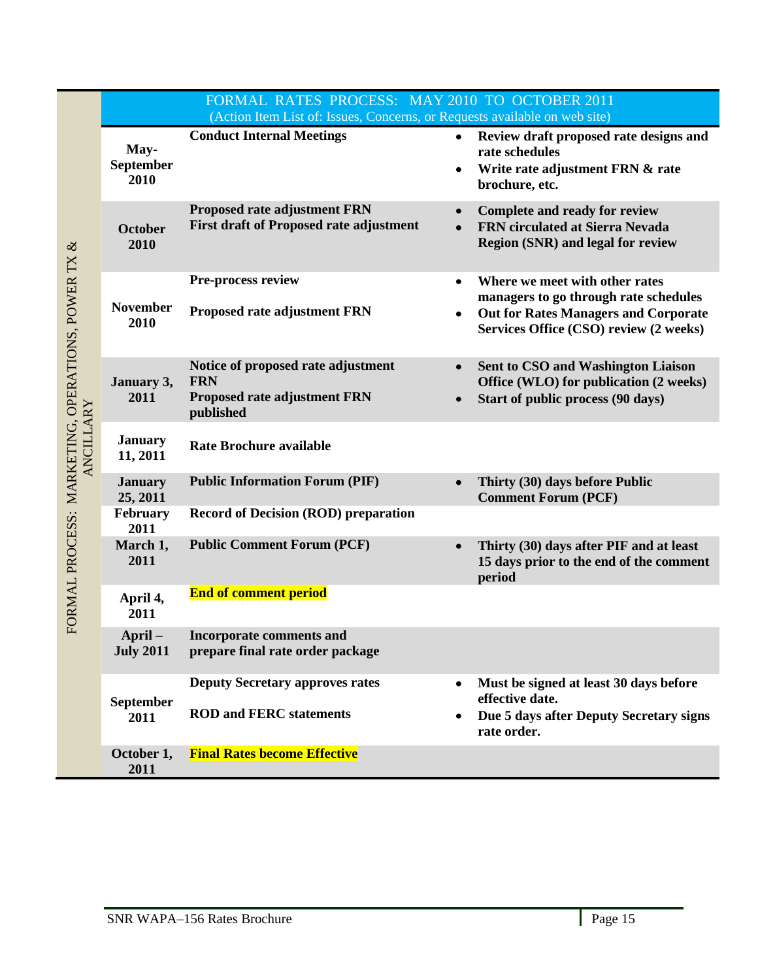|                                                             |                            | FORMAL RATES PROCESS: MAY 2010 TO OCTOBER 2011<br>(Action Item List of: Issues, Concerns, or Requests available on web site) |                                                                                                                                                                  |
|-------------------------------------------------------------|----------------------------|------------------------------------------------------------------------------------------------------------------------------|------------------------------------------------------------------------------------------------------------------------------------------------------------------|
| $\infty$<br>FORMAL PROCESS: MARKETING, OPERATIONS, POWER TX | May-<br>September<br>2010  | <b>Conduct Internal Meetings</b>                                                                                             | Review draft proposed rate designs and<br>$\bullet$<br>rate schedules<br>Write rate adjustment FRN & rate<br>brochure, etc.                                      |
|                                                             | October<br>2010            | <b>Proposed rate adjustment FRN</b><br><b>First draft of Proposed rate adjustment</b>                                        | <b>Complete and ready for review</b><br>FRN circulated at Sierra Nevada<br><b>Region (SNR) and legal for review</b>                                              |
|                                                             | <b>November</b><br>2010    | Pre-process review<br><b>Proposed rate adjustment FRN</b>                                                                    | Where we meet with other rates<br>managers to go through rate schedules<br><b>Out for Rates Managers and Corporate</b><br>Services Office (CSO) review (2 weeks) |
|                                                             | January 3,<br>2011         | Notice of proposed rate adjustment<br><b>FRN</b><br><b>Proposed rate adjustment FRN</b><br>published                         | <b>Sent to CSO and Washington Liaison</b><br>Office (WLO) for publication (2 weeks)<br>Start of public process (90 days)                                         |
| <b>ANCILLARY</b>                                            | <b>January</b><br>11, 2011 | <b>Rate Brochure available</b>                                                                                               |                                                                                                                                                                  |
|                                                             | <b>January</b><br>25, 2011 | <b>Public Information Forum (PIF)</b>                                                                                        | Thirty (30) days before Public<br><b>Comment Forum (PCF)</b>                                                                                                     |
|                                                             | February<br>2011           | <b>Record of Decision (ROD) preparation</b>                                                                                  |                                                                                                                                                                  |
|                                                             | March 1,<br>2011           | <b>Public Comment Forum (PCF)</b>                                                                                            | Thirty (30) days after PIF and at least<br>15 days prior to the end of the comment<br>period                                                                     |
|                                                             | April 4,<br>2011           | <b>End of comment period</b>                                                                                                 |                                                                                                                                                                  |
|                                                             | April-<br><b>July 2011</b> | Incorporate comments and<br>prepare final rate order package                                                                 |                                                                                                                                                                  |
|                                                             | September<br>2011          | <b>Deputy Secretary approves rates</b><br><b>ROD and FERC statements</b>                                                     | Must be signed at least 30 days before<br>effective date.<br>Due 5 days after Deputy Secretary signs<br>rate order.                                              |
|                                                             | October 1,<br>2011         | <b>Final Rates become Effective</b>                                                                                          |                                                                                                                                                                  |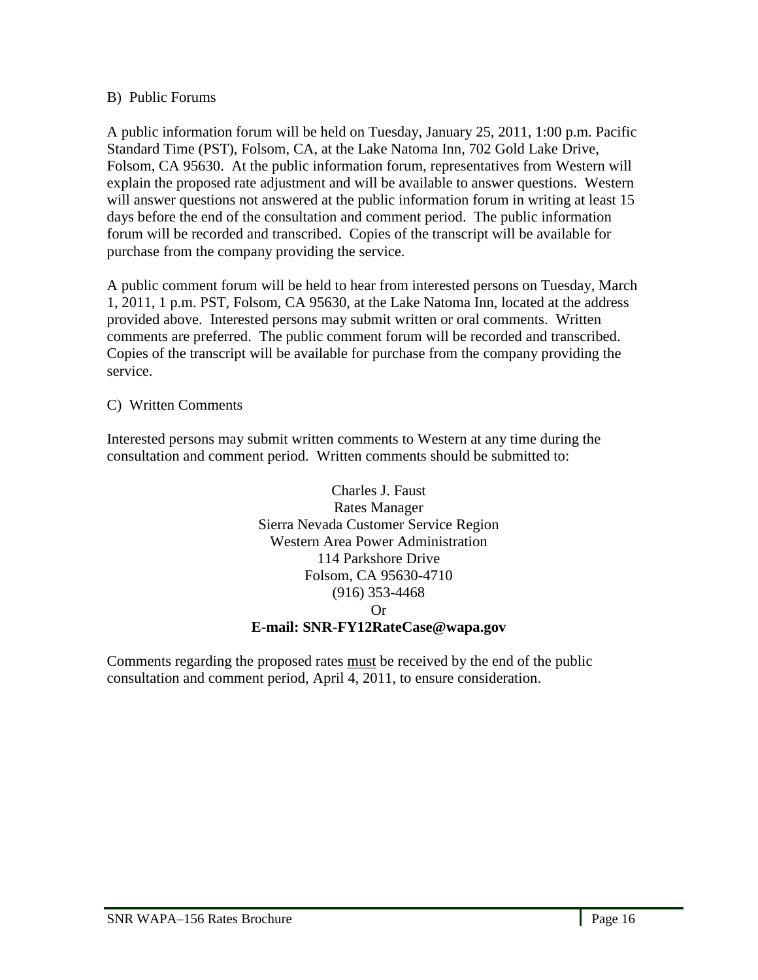### <span id="page-15-0"></span>B) Public Forums

A public information forum will be held on Tuesday, January 25, 2011, 1:00 p.m. Pacific Standard Time (PST), Folsom, CA, at the Lake Natoma Inn, 702 Gold Lake Drive, Folsom, CA 95630. At the public information forum, representatives from Western will explain the proposed rate adjustment and will be available to answer questions. Western will answer questions not answered at the public information forum in writing at least 15 days before the end of the consultation and comment period. The public information forum will be recorded and transcribed. Copies of the transcript will be available for purchase from the company providing the service.

A public comment forum will be held to hear from interested persons on Tuesday, March 1, 2011, 1 p.m. PST, Folsom, CA 95630, at the Lake Natoma Inn, located at the address provided above. Interested persons may submit written or oral comments. Written comments are preferred. The public comment forum will be recorded and transcribed. Copies of the transcript will be available for purchase from the company providing the service.

<span id="page-15-1"></span>C) Written Comments

Interested persons may submit written comments to Western at any time during the consultation and comment period. Written comments should be submitted to:



Comments regarding the proposed rates must be received by the end of the public consultation and comment period, April 4, 2011, to ensure consideration.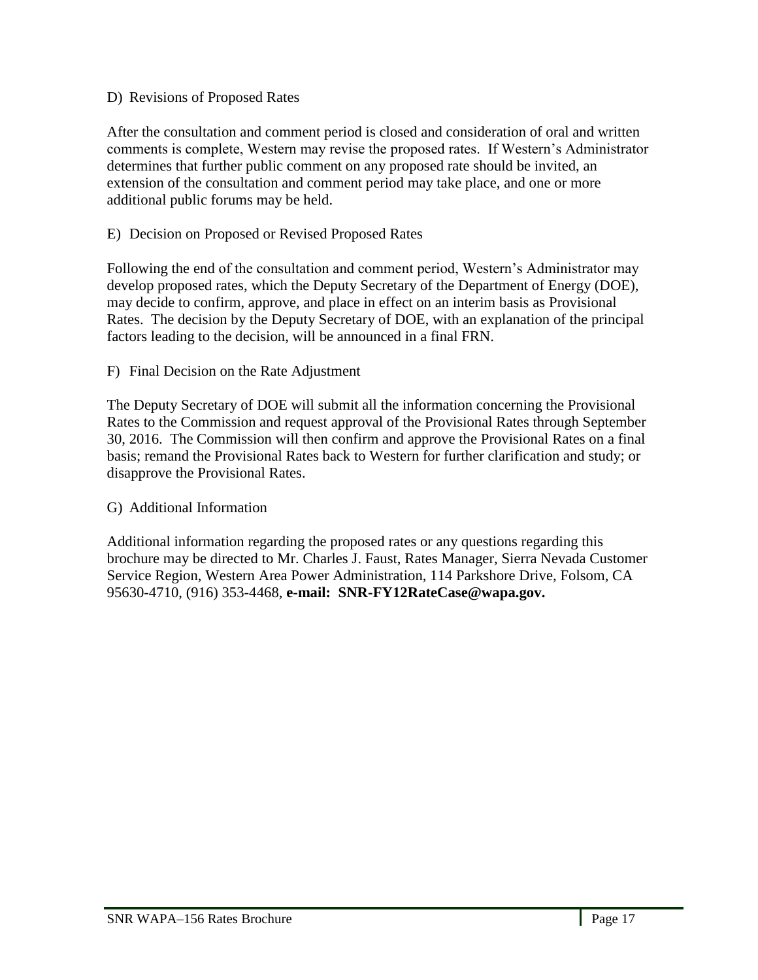## <span id="page-16-0"></span>D) Revisions of Proposed Rates

After the consultation and comment period is closed and consideration of oral and written comments is complete, Western may revise the proposed rates. If Western's Administrator determines that further public comment on any proposed rate should be invited, an extension of the consultation and comment period may take place, and one or more additional public forums may be held.

## <span id="page-16-1"></span>E) Decision on Proposed or Revised Proposed Rates

Following the end of the consultation and comment period, Western's Administrator may develop proposed rates, which the Deputy Secretary of the Department of Energy (DOE), may decide to confirm, approve, and place in effect on an interim basis as Provisional Rates. The decision by the Deputy Secretary of DOE, with an explanation of the principal factors leading to the decision, will be announced in a final FRN.

### <span id="page-16-2"></span>F) Final Decision on the Rate Adjustment

The Deputy Secretary of DOE will submit all the information concerning the Provisional Rates to the Commission and request approval of the Provisional Rates through September 30, 2016. The Commission will then confirm and approve the Provisional Rates on a final basis; remand the Provisional Rates back to Western for further clarification and study; or disapprove the Provisional Rates.

### <span id="page-16-3"></span>G) Additional Information

Additional information regarding the proposed rates or any questions regarding this brochure may be directed to Mr. Charles J. Faust, Rates Manager, Sierra Nevada Customer Service Region, Western Area Power Administration, 114 Parkshore Drive, Folsom, CA 95630-4710, (916) 353-4468, **e-mail: SNR-FY12RateCase@wapa.gov.**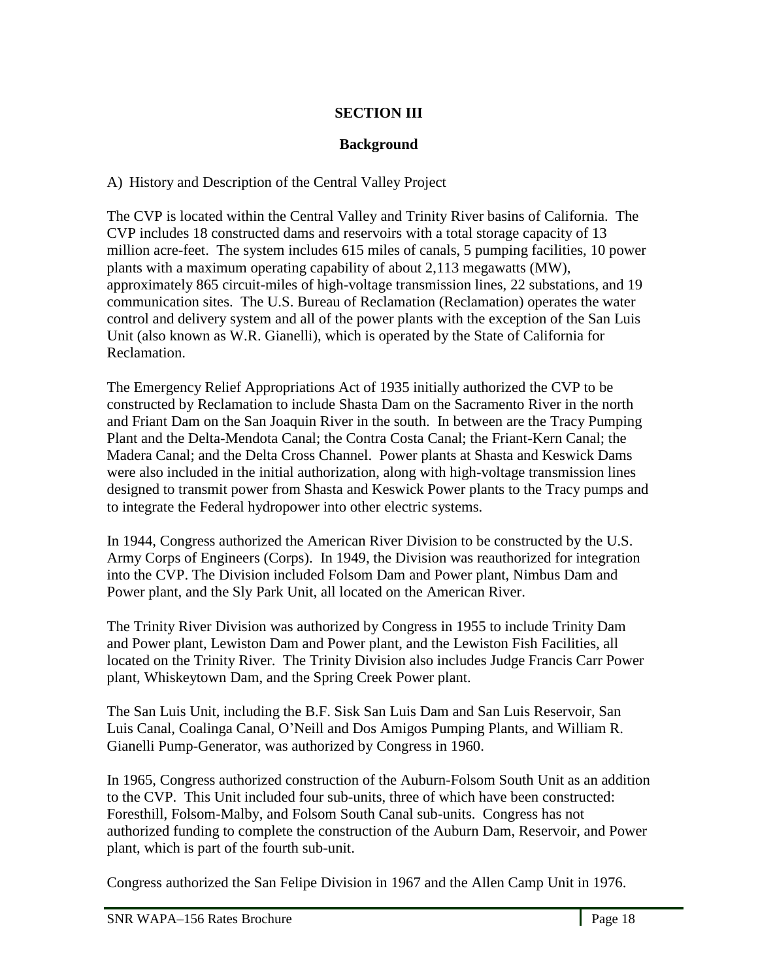## **SECTION III**

## **Background**

<span id="page-17-2"></span><span id="page-17-1"></span><span id="page-17-0"></span>A) History and Description of the Central Valley Project

The CVP is located within the Central Valley and Trinity River basins of California. The CVP includes 18 constructed dams and reservoirs with a total storage capacity of 13 million acre-feet. The system includes 615 miles of canals, 5 pumping facilities, 10 power plants with a maximum operating capability of about 2,113 megawatts (MW), approximately 865 circuit-miles of high-voltage transmission lines, 22 substations, and 19 communication sites. The U.S. Bureau of Reclamation (Reclamation) operates the water control and delivery system and all of the power plants with the exception of the San Luis Unit (also known as W.R. Gianelli), which is operated by the State of California for Reclamation.

The Emergency Relief Appropriations Act of 1935 initially authorized the CVP to be constructed by Reclamation to include Shasta Dam on the Sacramento River in the north and Friant Dam on the San Joaquin River in the south. In between are the Tracy Pumping Plant and the Delta-Mendota Canal; the Contra Costa Canal; the Friant-Kern Canal; the Madera Canal; and the Delta Cross Channel. Power plants at Shasta and Keswick Dams were also included in the initial authorization, along with high-voltage transmission lines designed to transmit power from Shasta and Keswick Power plants to the Tracy pumps and to integrate the Federal hydropower into other electric systems.

In 1944, Congress authorized the American River Division to be constructed by the U.S. Army Corps of Engineers (Corps). In 1949, the Division was reauthorized for integration into the CVP. The Division included Folsom Dam and Power plant, Nimbus Dam and Power plant, and the Sly Park Unit, all located on the American River.

The Trinity River Division was authorized by Congress in 1955 to include Trinity Dam and Power plant, Lewiston Dam and Power plant, and the Lewiston Fish Facilities, all located on the Trinity River. The Trinity Division also includes Judge Francis Carr Power plant, Whiskeytown Dam, and the Spring Creek Power plant.

The San Luis Unit, including the B.F. Sisk San Luis Dam and San Luis Reservoir, San Luis Canal, Coalinga Canal, O'Neill and Dos Amigos Pumping Plants, and William R. Gianelli Pump-Generator, was authorized by Congress in 1960.

In 1965, Congress authorized construction of the Auburn-Folsom South Unit as an addition to the CVP. This Unit included four sub-units, three of which have been constructed: Foresthill, Folsom-Malby, and Folsom South Canal sub-units. Congress has not authorized funding to complete the construction of the Auburn Dam, Reservoir, and Power plant, which is part of the fourth sub-unit.

Congress authorized the San Felipe Division in 1967 and the Allen Camp Unit in 1976.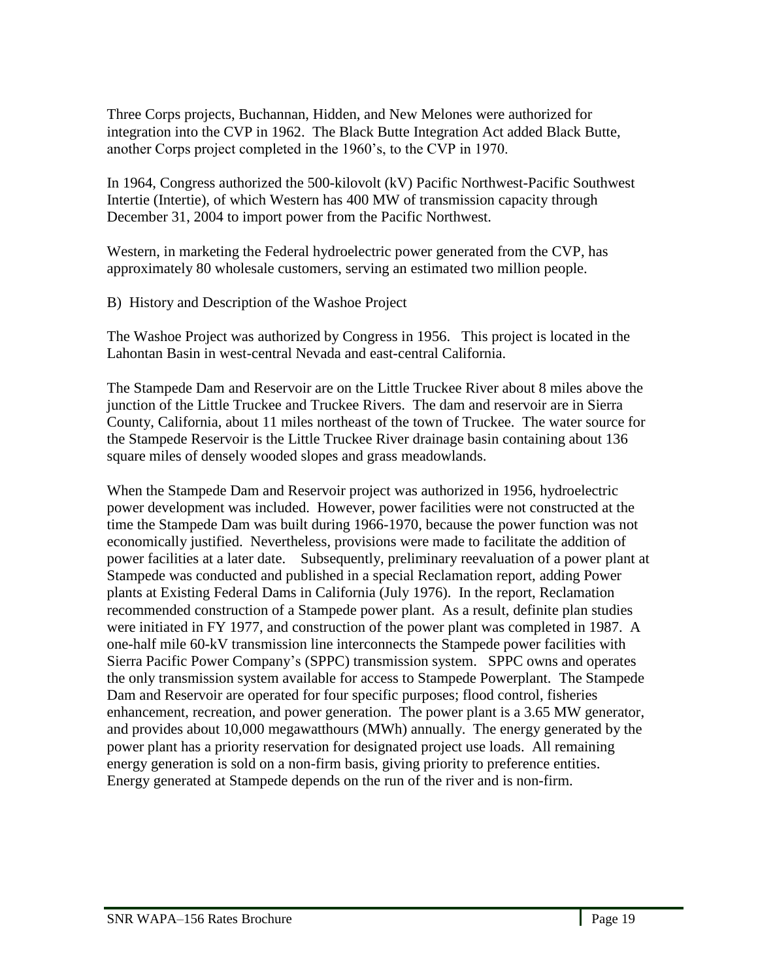Three Corps projects, Buchannan, Hidden, and New Melones were authorized for integration into the CVP in 1962. The Black Butte Integration Act added Black Butte, another Corps project completed in the 1960's, to the CVP in 1970.

In 1964, Congress authorized the 500-kilovolt (kV) Pacific Northwest-Pacific Southwest Intertie (Intertie), of which Western has 400 MW of transmission capacity through December 31, 2004 to import power from the Pacific Northwest.

Western, in marketing the Federal hydroelectric power generated from the CVP, has approximately 80 wholesale customers, serving an estimated two million people.

<span id="page-18-0"></span>B) History and Description of the Washoe Project

The Washoe Project was authorized by Congress in 1956. This project is located in the Lahontan Basin in west-central Nevada and east-central California.

The Stampede Dam and Reservoir are on the Little Truckee River about 8 miles above the junction of the Little Truckee and Truckee Rivers. The dam and reservoir are in Sierra County, California, about 11 miles northeast of the town of Truckee. The water source for the Stampede Reservoir is the Little Truckee River drainage basin containing about 136 square miles of densely wooded slopes and grass meadowlands.

When the Stampede Dam and Reservoir project was authorized in 1956, hydroelectric power development was included. However, power facilities were not constructed at the time the Stampede Dam was built during 1966-1970, because the power function was not economically justified. Nevertheless, provisions were made to facilitate the addition of power facilities at a later date. Subsequently, preliminary reevaluation of a power plant at Stampede was conducted and published in a special Reclamation report, adding Power plants at Existing Federal Dams in California (July 1976). In the report, Reclamation recommended construction of a Stampede power plant. As a result, definite plan studies were initiated in FY 1977, and construction of the power plant was completed in 1987. A one-half mile 60-kV transmission line interconnects the Stampede power facilities with Sierra Pacific Power Company's (SPPC) transmission system. SPPC owns and operates the only transmission system available for access to Stampede Powerplant. The Stampede Dam and Reservoir are operated for four specific purposes; flood control, fisheries enhancement, recreation, and power generation. The power plant is a 3.65 MW generator, and provides about 10,000 megawatthours (MWh) annually. The energy generated by the power plant has a priority reservation for designated project use loads. All remaining energy generation is sold on a non-firm basis, giving priority to preference entities. Energy generated at Stampede depends on the run of the river and is non-firm.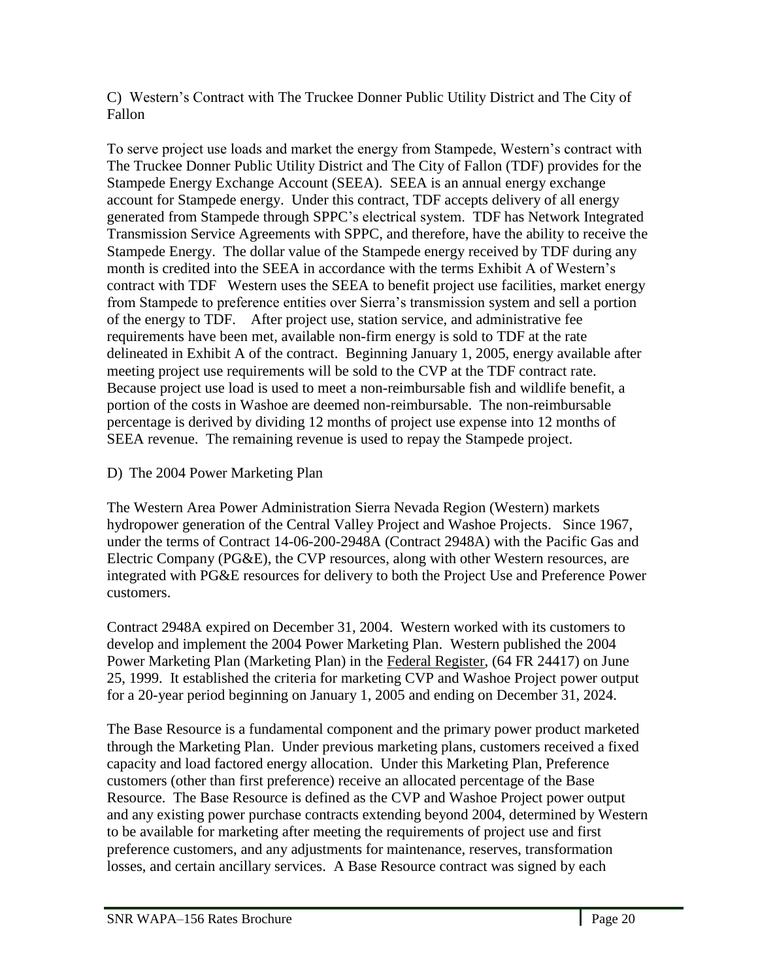<span id="page-19-0"></span>C) Western's Contract with The Truckee Donner Public Utility District and The City of Fallon

To serve project use loads and market the energy from Stampede, Western's contract with The Truckee Donner Public Utility District and The City of Fallon (TDF) provides for the Stampede Energy Exchange Account (SEEA). SEEA is an annual energy exchange account for Stampede energy. Under this contract, TDF accepts delivery of all energy generated from Stampede through SPPC's electrical system. TDF has Network Integrated Transmission Service Agreements with SPPC, and therefore, have the ability to receive the Stampede Energy. The dollar value of the Stampede energy received by TDF during any month is credited into the SEEA in accordance with the terms Exhibit A of Western's contract with TDF Western uses the SEEA to benefit project use facilities, market energy from Stampede to preference entities over Sierra's transmission system and sell a portion of the energy to TDF. After project use, station service, and administrative fee requirements have been met, available non-firm energy is sold to TDF at the rate delineated in Exhibit A of the contract. Beginning January 1, 2005, energy available after meeting project use requirements will be sold to the CVP at the TDF contract rate. Because project use load is used to meet a non-reimbursable fish and wildlife benefit, a portion of the costs in Washoe are deemed non-reimbursable. The non-reimbursable percentage is derived by dividing 12 months of project use expense into 12 months of SEEA revenue. The remaining revenue is used to repay the Stampede project.

<span id="page-19-1"></span>D) The 2004 Power Marketing Plan

The Western Area Power Administration Sierra Nevada Region (Western) markets hydropower generation of the Central Valley Project and Washoe Projects. Since 1967, under the terms of Contract 14-06-200-2948A (Contract 2948A) with the Pacific Gas and Electric Company (PG&E), the CVP resources, along with other Western resources, are integrated with PG&E resources for delivery to both the Project Use and Preference Power customers.

Contract 2948A expired on December 31, 2004. Western worked with its customers to develop and implement the 2004 Power Marketing Plan. Western published the 2004 Power Marketing Plan (Marketing Plan) in the Federal Register, (64 FR 24417) on June 25, 1999. It established the criteria for marketing CVP and Washoe Project power output for a 20-year period beginning on January 1, 2005 and ending on December 31, 2024.

The Base Resource is a fundamental component and the primary power product marketed through the Marketing Plan. Under previous marketing plans, customers received a fixed capacity and load factored energy allocation. Under this Marketing Plan, Preference customers (other than first preference) receive an allocated percentage of the Base Resource. The Base Resource is defined as the CVP and Washoe Project power output and any existing power purchase contracts extending beyond 2004, determined by Western to be available for marketing after meeting the requirements of project use and first preference customers, and any adjustments for maintenance, reserves, transformation losses, and certain ancillary services. A Base Resource contract was signed by each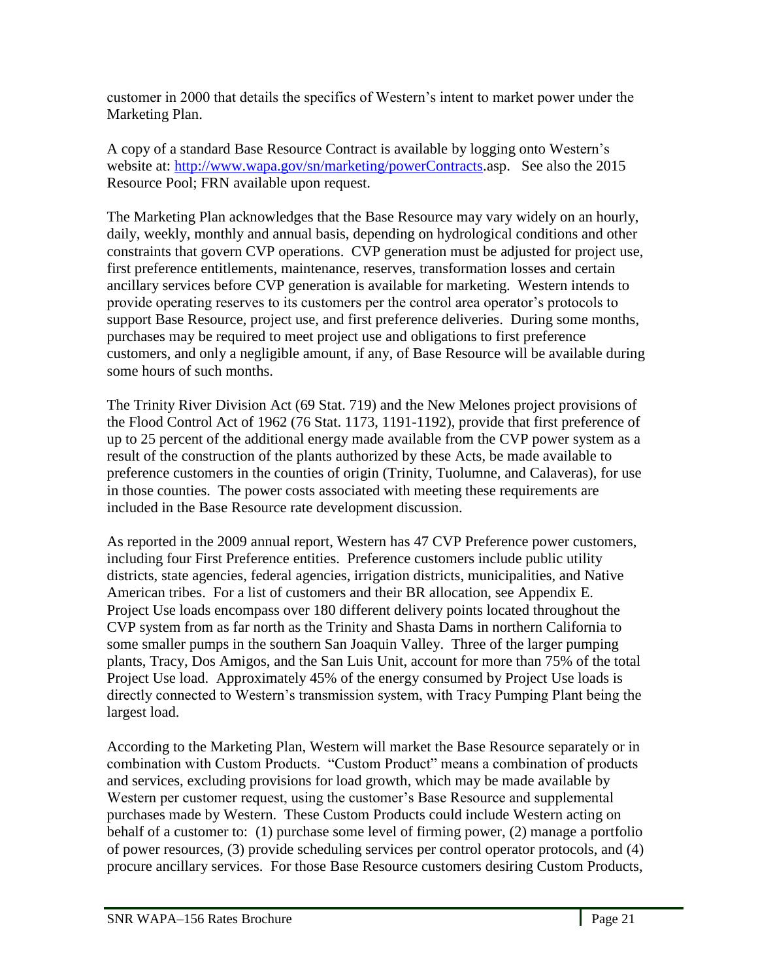customer in 2000 that details the specifics of Western's intent to market power under the Marketing Plan.

A copy of a standard Base Resource Contract is available by logging onto Western's website at: [http://www.wapa.gov/sn/marketing/powerContracts.](http://www.wapa.gov/sn/marketing/powerContracts)asp. See also the 2015 Resource Pool; FRN available upon request.

The Marketing Plan acknowledges that the Base Resource may vary widely on an hourly, daily, weekly, monthly and annual basis, depending on hydrological conditions and other constraints that govern CVP operations. CVP generation must be adjusted for project use, first preference entitlements, maintenance, reserves, transformation losses and certain ancillary services before CVP generation is available for marketing. Western intends to provide operating reserves to its customers per the control area operator's protocols to support Base Resource, project use, and first preference deliveries. During some months, purchases may be required to meet project use and obligations to first preference customers, and only a negligible amount, if any, of Base Resource will be available during some hours of such months.

The Trinity River Division Act (69 Stat. 719) and the New Melones project provisions of the Flood Control Act of 1962 (76 Stat. 1173, 1191-1192), provide that first preference of up to 25 percent of the additional energy made available from the CVP power system as a result of the construction of the plants authorized by these Acts, be made available to preference customers in the counties of origin (Trinity, Tuolumne, and Calaveras), for use in those counties. The power costs associated with meeting these requirements are included in the Base Resource rate development discussion.

As reported in the 2009 annual report, Western has 47 CVP Preference power customers, including four First Preference entities. Preference customers include public utility districts, state agencies, federal agencies, irrigation districts, municipalities, and Native American tribes. For a list of customers and their BR allocation, see Appendix E. Project Use loads encompass over 180 different delivery points located throughout the CVP system from as far north as the Trinity and Shasta Dams in northern California to some smaller pumps in the southern San Joaquin Valley. Three of the larger pumping plants, Tracy, Dos Amigos, and the San Luis Unit, account for more than 75% of the total Project Use load. Approximately 45% of the energy consumed by Project Use loads is directly connected to Western's transmission system, with Tracy Pumping Plant being the largest load.

According to the Marketing Plan, Western will market the Base Resource separately or in combination with Custom Products. "Custom Product" means a combination of products and services, excluding provisions for load growth, which may be made available by Western per customer request, using the customer's Base Resource and supplemental purchases made by Western. These Custom Products could include Western acting on behalf of a customer to: (1) purchase some level of firming power, (2) manage a portfolio of power resources, (3) provide scheduling services per control operator protocols, and (4) procure ancillary services. For those Base Resource customers desiring Custom Products,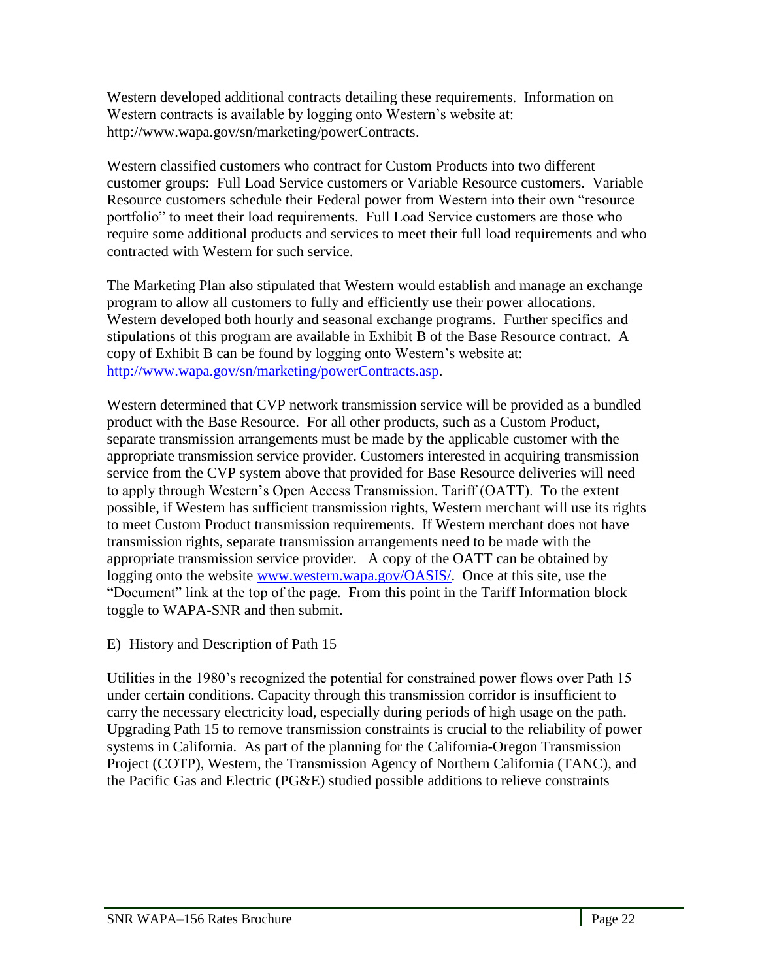Western developed additional contracts detailing these requirements. Information on Western contracts is available by logging onto Western's website at: http://www.wapa.gov/sn/marketing/powerContracts.

Western classified customers who contract for Custom Products into two different customer groups: Full Load Service customers or Variable Resource customers. Variable Resource customers schedule their Federal power from Western into their own "resource portfolio" to meet their load requirements. Full Load Service customers are those who require some additional products and services to meet their full load requirements and who contracted with Western for such service.

The Marketing Plan also stipulated that Western would establish and manage an exchange program to allow all customers to fully and efficiently use their power allocations. Western developed both hourly and seasonal exchange programs. Further specifics and stipulations of this program are available in Exhibit B of the Base Resource contract. A copy of Exhibit B can be found by logging onto Western's website at: [http://www.wapa.gov/sn/marketing/powerContracts.asp.](http://www.wapa.gov/sn/marketing/powerContracts.asp)

Western determined that CVP network transmission service will be provided as a bundled product with the Base Resource. For all other products, such as a Custom Product, separate transmission arrangements must be made by the applicable customer with the appropriate transmission service provider. Customers interested in acquiring transmission service from the CVP system above that provided for Base Resource deliveries will need to apply through Western's Open Access Transmission. Tariff (OATT). To the extent possible, if Western has sufficient transmission rights, Western merchant will use its rights to meet Custom Product transmission requirements. If Western merchant does not have transmission rights, separate transmission arrangements need to be made with the appropriate transmission service provider. A copy of the OATT can be obtained by logging onto the website [www.western.wapa.gov/OASIS/.](http://www.western.wapa.gov/OASIS/) Once at this site, use the ―Document‖ link at the top of the page. From this point in the Tariff Information block toggle to WAPA-SNR and then submit.

<span id="page-21-0"></span>E) History and Description of Path 15

Utilities in the 1980's recognized the potential for constrained power flows over Path 15 under certain conditions. Capacity through this transmission corridor is insufficient to carry the necessary electricity load, especially during periods of high usage on the path. Upgrading Path 15 to remove transmission constraints is crucial to the reliability of power systems in California. As part of the planning for the California-Oregon Transmission Project (COTP), Western, the Transmission Agency of Northern California (TANC), and the Pacific Gas and Electric (PG&E) studied possible additions to relieve constraints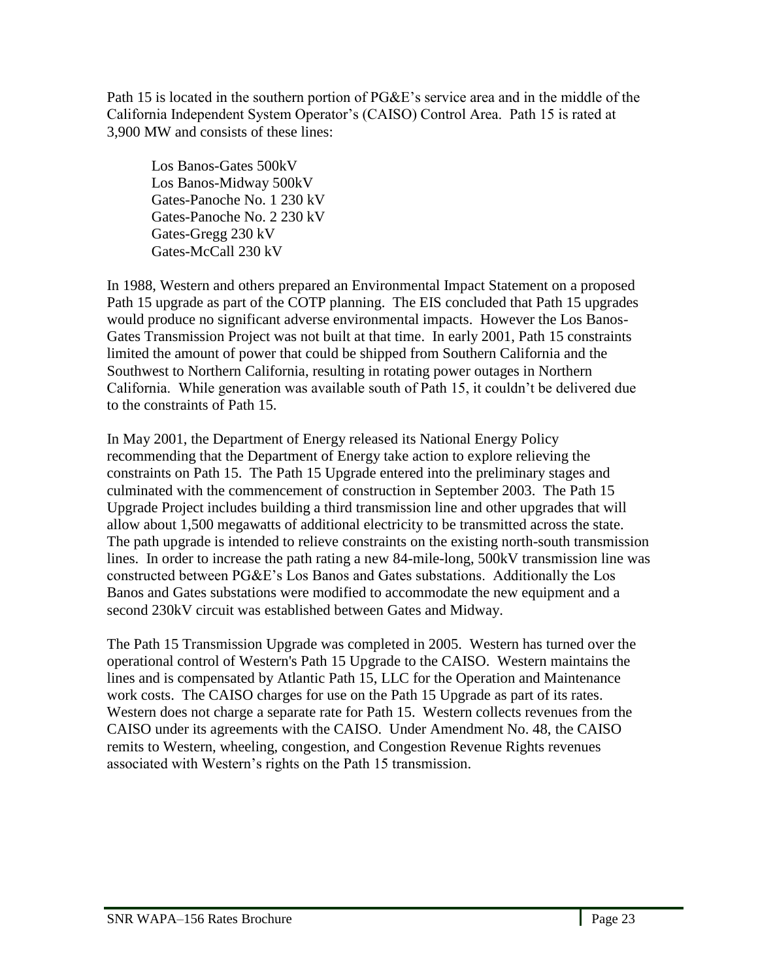Path 15 is located in the southern portion of PG&E's service area and in the middle of the California Independent System Operator's (CAISO) Control Area. Path 15 is rated at 3,900 MW and consists of these lines:

Los Banos-Gates 500kV Los Banos-Midway 500kV Gates-Panoche No. 1 230 kV Gates-Panoche No. 2 230 kV Gates-Gregg 230 kV Gates-McCall 230 kV

In 1988, Western and others prepared an Environmental Impact Statement on a proposed Path 15 upgrade as part of the COTP planning. The EIS concluded that Path 15 upgrades would produce no significant adverse environmental impacts. However the Los Banos-Gates Transmission Project was not built at that time. In early 2001, Path 15 constraints limited the amount of power that could be shipped from Southern California and the Southwest to Northern California, resulting in rotating power outages in Northern California. While generation was available south of Path 15, it couldn't be delivered due to the constraints of Path 15.

In May 2001, the Department of Energy released its National Energy Policy recommending that the Department of Energy take action to explore relieving the constraints on Path 15. The Path 15 Upgrade entered into the preliminary stages and culminated with the commencement of construction in September 2003. The Path 15 Upgrade Project includes building a third transmission line and other upgrades that will allow about 1,500 megawatts of additional electricity to be transmitted across the state. The path upgrade is intended to relieve constraints on the existing north-south transmission lines. In order to increase the path rating a new 84-mile-long, 500kV transmission line was constructed between PG&E's Los Banos and Gates substations. Additionally the Los Banos and Gates substations were modified to accommodate the new equipment and a second 230kV circuit was established between Gates and Midway.

The Path 15 Transmission Upgrade was completed in 2005. Western has turned over the operational control of Western's Path 15 Upgrade to the CAISO. Western maintains the lines and is compensated by Atlantic Path 15, LLC for the Operation and Maintenance work costs. The CAISO charges for use on the Path 15 Upgrade as part of its rates. Western does not charge a separate rate for Path 15. Western collects revenues from the CAISO under its agreements with the CAISO. Under Amendment No. 48, the CAISO remits to Western, wheeling, congestion, and Congestion Revenue Rights revenues associated with Western's rights on the Path 15 transmission.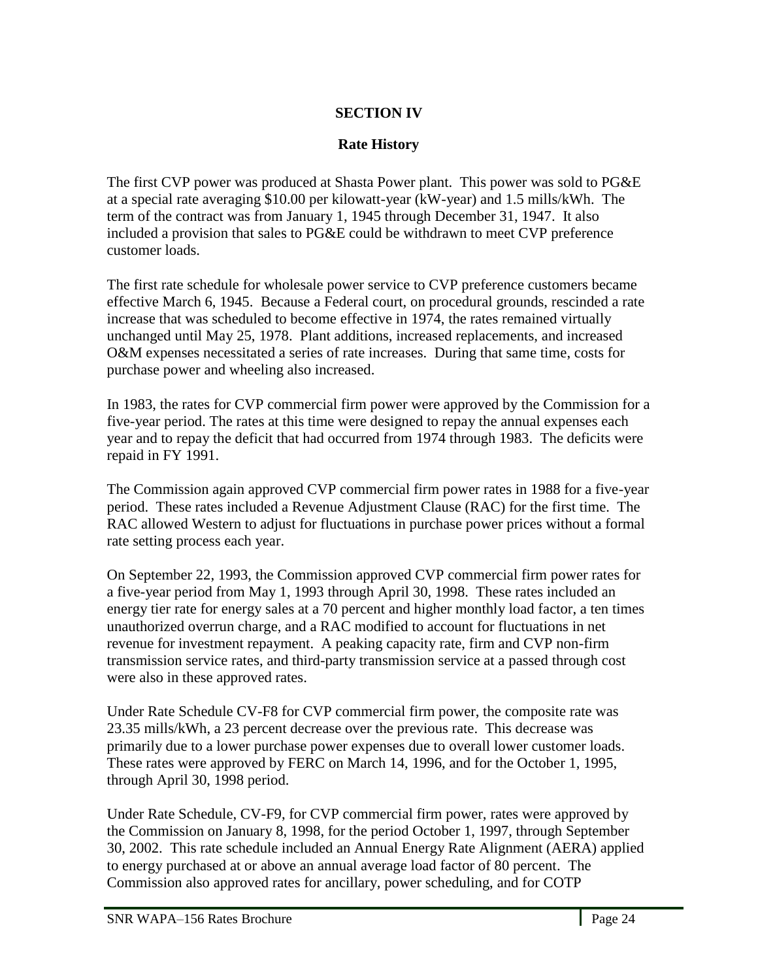## **SECTION IV**

## **Rate History**

<span id="page-23-1"></span><span id="page-23-0"></span>The first CVP power was produced at Shasta Power plant. This power was sold to PG&E at a special rate averaging \$10.00 per kilowatt-year (kW-year) and 1.5 mills/kWh. The term of the contract was from January 1, 1945 through December 31, 1947. It also included a provision that sales to PG&E could be withdrawn to meet CVP preference customer loads.

The first rate schedule for wholesale power service to CVP preference customers became effective March 6, 1945. Because a Federal court, on procedural grounds, rescinded a rate increase that was scheduled to become effective in 1974, the rates remained virtually unchanged until May 25, 1978. Plant additions, increased replacements, and increased O&M expenses necessitated a series of rate increases. During that same time, costs for purchase power and wheeling also increased.

In 1983, the rates for CVP commercial firm power were approved by the Commission for a five-year period. The rates at this time were designed to repay the annual expenses each year and to repay the deficit that had occurred from 1974 through 1983. The deficits were repaid in FY 1991.

The Commission again approved CVP commercial firm power rates in 1988 for a five-year period. These rates included a Revenue Adjustment Clause (RAC) for the first time. The RAC allowed Western to adjust for fluctuations in purchase power prices without a formal rate setting process each year.

On September 22, 1993, the Commission approved CVP commercial firm power rates for a five-year period from May 1, 1993 through April 30, 1998. These rates included an energy tier rate for energy sales at a 70 percent and higher monthly load factor, a ten times unauthorized overrun charge, and a RAC modified to account for fluctuations in net revenue for investment repayment. A peaking capacity rate, firm and CVP non-firm transmission service rates, and third-party transmission service at a passed through cost were also in these approved rates.

Under Rate Schedule CV-F8 for CVP commercial firm power, the composite rate was 23.35 mills/kWh, a 23 percent decrease over the previous rate. This decrease was primarily due to a lower purchase power expenses due to overall lower customer loads. These rates were approved by FERC on March 14, 1996, and for the October 1, 1995, through April 30, 1998 period.

Under Rate Schedule, CV-F9, for CVP commercial firm power, rates were approved by the Commission on January 8, 1998, for the period October 1, 1997, through September 30, 2002. This rate schedule included an Annual Energy Rate Alignment (AERA) applied to energy purchased at or above an annual average load factor of 80 percent. The Commission also approved rates for ancillary, power scheduling, and for COTP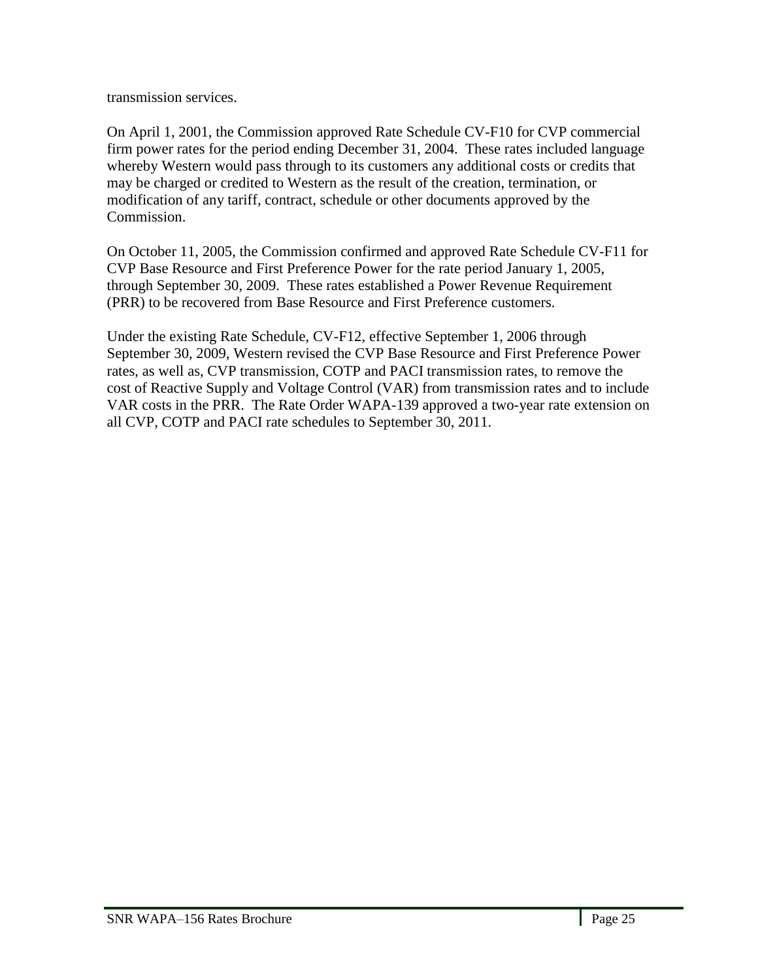transmission services.

On April 1, 2001, the Commission approved Rate Schedule CV-F10 for CVP commercial firm power rates for the period ending December 31, 2004. These rates included language whereby Western would pass through to its customers any additional costs or credits that may be charged or credited to Western as the result of the creation, termination, or modification of any tariff, contract, schedule or other documents approved by the Commission.

On October 11, 2005, the Commission confirmed and approved Rate Schedule CV-F11 for CVP Base Resource and First Preference Power for the rate period January 1, 2005, through September 30, 2009. These rates established a Power Revenue Requirement (PRR) to be recovered from Base Resource and First Preference customers.

Under the existing Rate Schedule, CV-F12, effective September 1, 2006 through September 30, 2009, Western revised the CVP Base Resource and First Preference Power rates, as well as, CVP transmission, COTP and PACI transmission rates, to remove the cost of Reactive Supply and Voltage Control (VAR) from transmission rates and to include VAR costs in the PRR. The Rate Order WAPA-139 approved a two-year rate extension on all CVP, COTP and PACI rate schedules to September 30, 2011.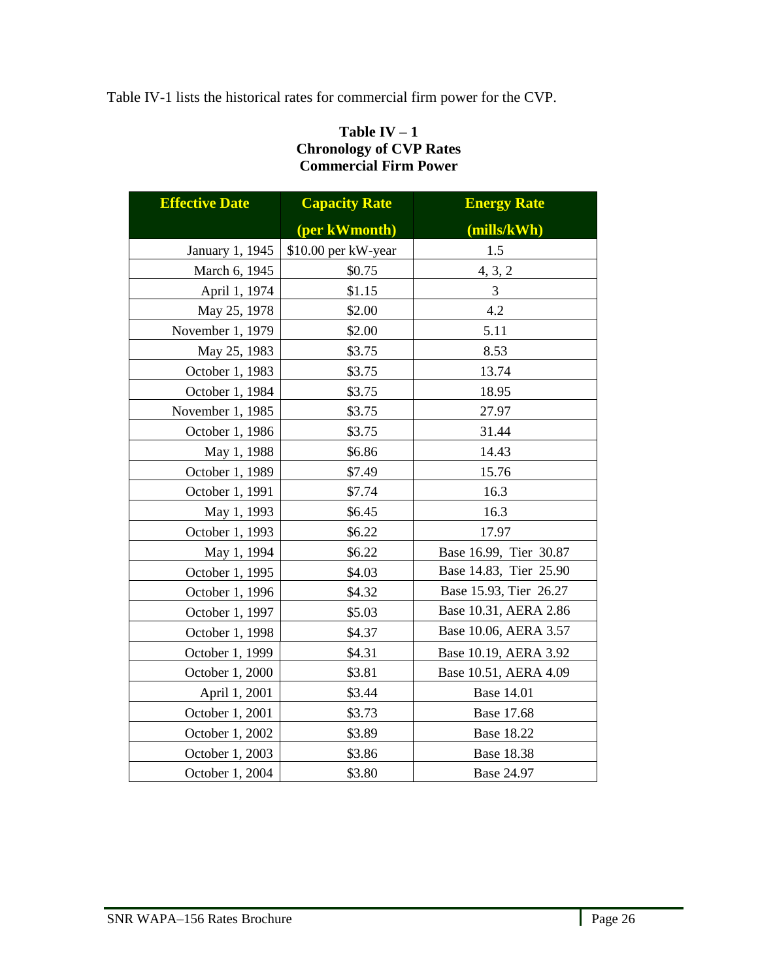<span id="page-25-0"></span>Table IV-1 lists the historical rates for commercial firm power for the CVP.

## **Table IV – 1 Chronology of CVP Rates Commercial Firm Power**

<span id="page-25-1"></span>

| <b>Effective Date</b> | <b>Capacity Rate</b> | <b>Energy Rate</b>     |
|-----------------------|----------------------|------------------------|
|                       | (per kWmonth)        | (mills/kWh)            |
| January 1, 1945       | \$10.00 per kW-year  | 1.5                    |
| March 6, 1945         | \$0.75               | 4, 3, 2                |
| April 1, 1974         | \$1.15               | 3                      |
| May 25, 1978          | \$2.00               | 4.2                    |
| November 1, 1979      | \$2.00               | 5.11                   |
| May 25, 1983          | \$3.75               | 8.53                   |
| October 1, 1983       | \$3.75               | 13.74                  |
| October 1, 1984       | \$3.75               | 18.95                  |
| November 1, 1985      | \$3.75               | 27.97                  |
| October 1, 1986       | \$3.75               | 31.44                  |
| May 1, 1988           | \$6.86               | 14.43                  |
| October 1, 1989       | \$7.49               | 15.76                  |
| October 1, 1991       | \$7.74               | 16.3                   |
| May 1, 1993           | \$6.45               | 16.3                   |
| October 1, 1993       | \$6.22               | 17.97                  |
| May 1, 1994           | \$6.22               | Base 16.99, Tier 30.87 |
| October 1, 1995       | \$4.03               | Base 14.83, Tier 25.90 |
| October 1, 1996       | \$4.32               | Base 15.93, Tier 26.27 |
| October 1, 1997       | \$5.03               | Base 10.31, AERA 2.86  |
| October 1, 1998       | \$4.37               | Base 10.06, AERA 3.57  |
| October 1, 1999       | \$4.31               | Base 10.19, AERA 3.92  |
| October 1, 2000       | \$3.81               | Base 10.51, AERA 4.09  |
| April 1, 2001         | \$3.44               | <b>Base 14.01</b>      |
| October 1, 2001       | \$3.73               | Base 17.68             |
| October 1, 2002       | \$3.89               | <b>Base 18.22</b>      |
| October 1, 2003       | \$3.86               | <b>Base 18.38</b>      |
| October 1, 2004       | \$3.80               | Base 24.97             |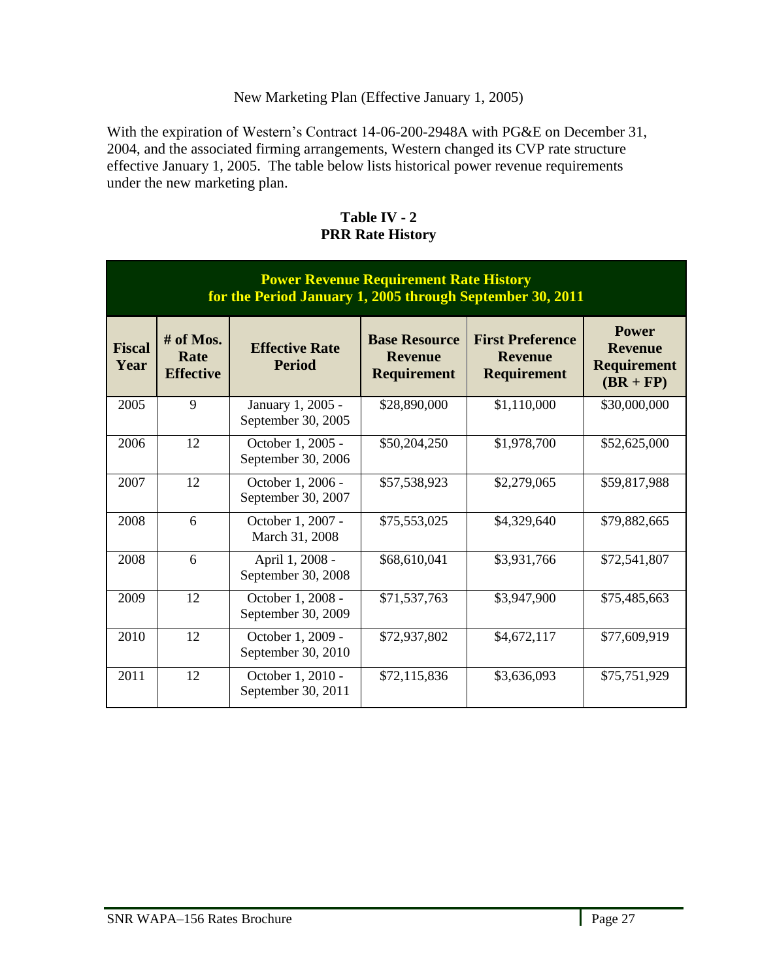### New Marketing Plan (Effective January 1, 2005)

With the expiration of Western's Contract 14-06-200-2948A with PG&E on December 31, 2004, and the associated firming arrangements, Western changed its CVP rate structure effective January 1, 2005. The table below lists historical power revenue requirements under the new marketing plan.

<span id="page-26-1"></span><span id="page-26-0"></span>

| <b>Power Revenue Requirement Rate History</b><br>for the Period January 1, 2005 through September 30, 2011 |                                         |                                         |                                                              |                                                                 |                                                                     |
|------------------------------------------------------------------------------------------------------------|-----------------------------------------|-----------------------------------------|--------------------------------------------------------------|-----------------------------------------------------------------|---------------------------------------------------------------------|
| <b>Fiscal</b><br>Year                                                                                      | $#$ of Mos.<br>Rate<br><b>Effective</b> | <b>Effective Rate</b><br><b>Period</b>  | <b>Base Resource</b><br><b>Revenue</b><br><b>Requirement</b> | <b>First Preference</b><br><b>Revenue</b><br><b>Requirement</b> | <b>Power</b><br><b>Revenue</b><br><b>Requirement</b><br>$(BR + FP)$ |
| 2005                                                                                                       | 9                                       | January 1, 2005 -<br>September 30, 2005 | \$28,890,000                                                 | \$1,110,000                                                     | \$30,000,000                                                        |
| 2006                                                                                                       | 12                                      | October 1, 2005 -<br>September 30, 2006 | \$50,204,250                                                 | \$1,978,700                                                     | \$52,625,000                                                        |
| 2007                                                                                                       | 12                                      | October 1, 2006 -<br>September 30, 2007 | \$57,538,923                                                 | \$2,279,065                                                     | \$59,817,988                                                        |
| 2008                                                                                                       | 6                                       | October 1, 2007 -<br>March 31, 2008     | \$75,553,025                                                 | \$4,329,640                                                     | \$79,882,665                                                        |
| 2008                                                                                                       | 6                                       | April 1, 2008 -<br>September 30, 2008   | \$68,610,041                                                 | \$3,931,766                                                     | \$72,541,807                                                        |
| 2009                                                                                                       | 12                                      | October 1, 2008 -<br>September 30, 2009 | \$71,537,763                                                 | \$3,947,900                                                     | \$75,485,663                                                        |
| 2010                                                                                                       | 12                                      | October 1, 2009 -<br>September 30, 2010 | \$72,937,802                                                 | \$4,672,117                                                     | \$77,609,919                                                        |
| 2011                                                                                                       | 12                                      | October 1, 2010 -<br>September 30, 2011 | \$72,115,836                                                 | \$3,636,093                                                     | \$75,751,929                                                        |

### **Table IV - 2 PRR Rate History**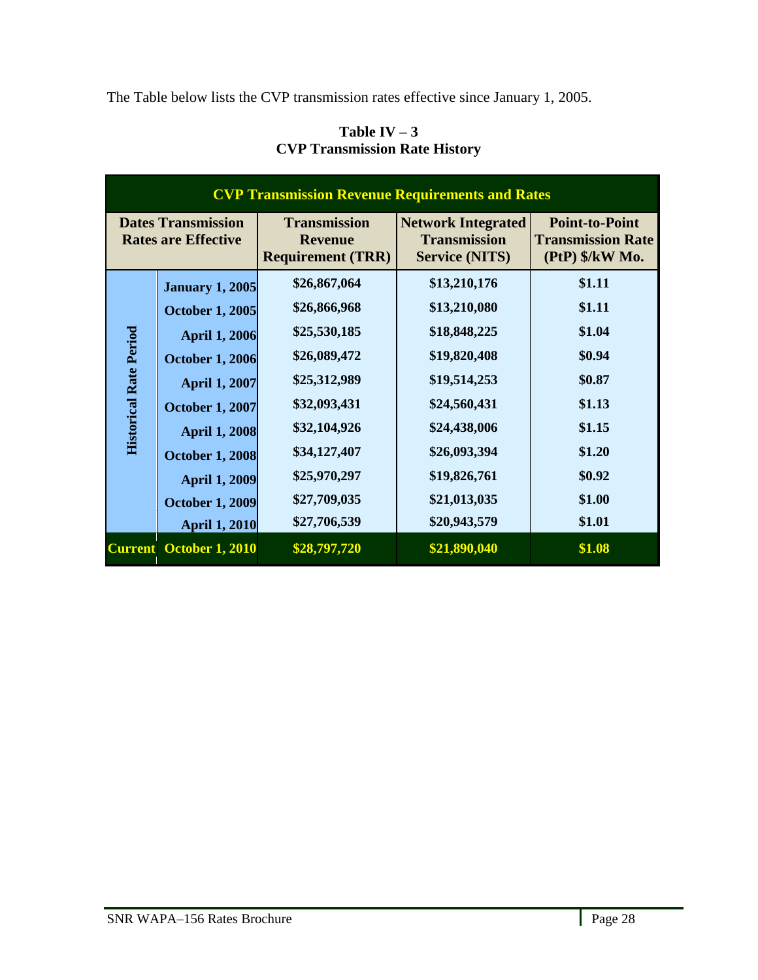<span id="page-27-0"></span>The Table below lists the CVP transmission rates effective since January 1, 2005.

| <b>CVP Transmission Revenue Requirements and Rates</b>  |                        |                                                                   |                                                                           |                                                                      |  |
|---------------------------------------------------------|------------------------|-------------------------------------------------------------------|---------------------------------------------------------------------------|----------------------------------------------------------------------|--|
| <b>Dates Transmission</b><br><b>Rates are Effective</b> |                        | <b>Transmission</b><br><b>Revenue</b><br><b>Requirement (TRR)</b> | <b>Network Integrated</b><br><b>Transmission</b><br><b>Service (NITS)</b> | <b>Point-to-Point</b><br><b>Transmission Rate</b><br>(PtP) \$/kW Mo. |  |
|                                                         | <b>January 1, 2005</b> | \$26,867,064                                                      | \$13,210,176                                                              | \$1.11                                                               |  |
|                                                         | <b>October 1, 2005</b> | \$26,866,968                                                      | \$13,210,080                                                              | \$1.11                                                               |  |
|                                                         | <b>April 1, 2006</b>   | \$25,530,185                                                      | \$18,848,225                                                              | \$1.04                                                               |  |
| <b>Historical Rate Period</b>                           | <b>October 1, 2006</b> | \$26,089,472                                                      | \$19,820,408                                                              | \$0.94                                                               |  |
|                                                         | <b>April 1, 2007</b>   | \$25,312,989                                                      | \$19,514,253                                                              | \$0.87                                                               |  |
|                                                         | <b>October 1, 2007</b> | \$32,093,431                                                      | \$24,560,431                                                              | \$1.13                                                               |  |
|                                                         | <b>April 1, 2008</b>   | \$32,104,926                                                      | \$24,438,006                                                              | \$1.15                                                               |  |
|                                                         | <b>October 1, 2008</b> | \$34,127,407                                                      | \$26,093,394                                                              | \$1.20                                                               |  |
|                                                         | <b>April 1, 2009</b>   | \$25,970,297                                                      | \$19,826,761                                                              | \$0.92                                                               |  |
|                                                         | <b>October 1, 2009</b> | \$27,709,035                                                      | \$21,013,035                                                              | \$1.00                                                               |  |
|                                                         | <b>April 1, 2010</b>   | \$27,706,539                                                      | \$20,943,579                                                              | \$1.01                                                               |  |
| <b>Current</b>                                          | <b>October 1, 2010</b> | \$28,797,720                                                      | \$21,890,040                                                              | \$1.08                                                               |  |

## **Table IV**  $-3$ **CVP Transmission Rate History**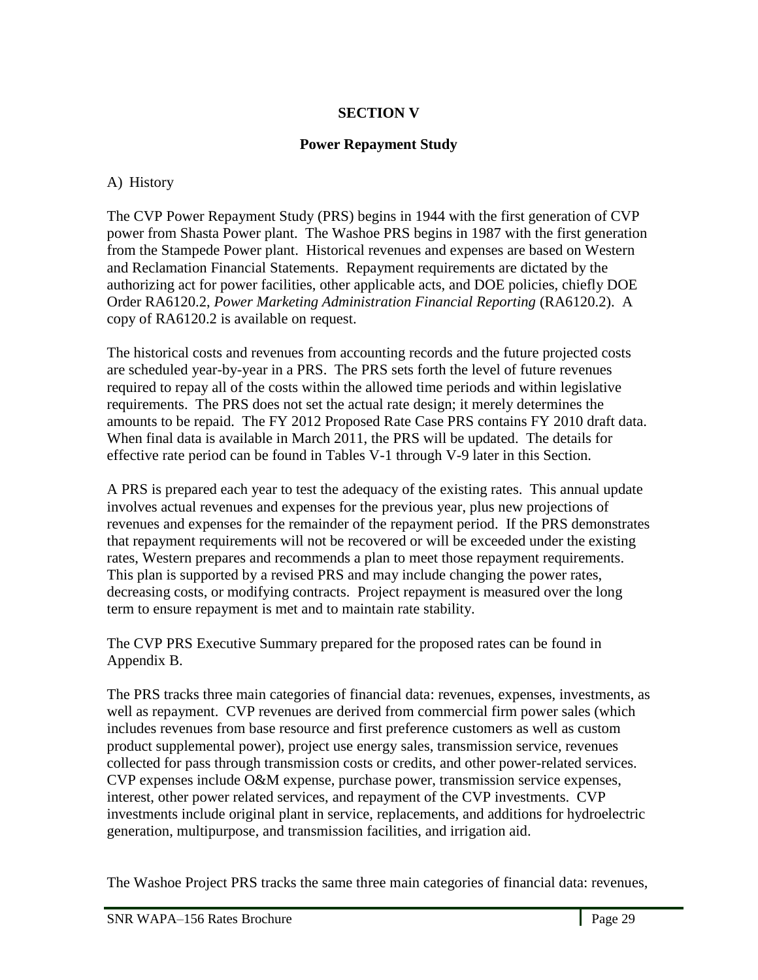## **SECTION V**

### **Power Repayment Study**

### <span id="page-28-2"></span><span id="page-28-1"></span><span id="page-28-0"></span>A) History

The CVP Power Repayment Study (PRS) begins in 1944 with the first generation of CVP power from Shasta Power plant. The Washoe PRS begins in 1987 with the first generation from the Stampede Power plant. Historical revenues and expenses are based on Western and Reclamation Financial Statements. Repayment requirements are dictated by the authorizing act for power facilities, other applicable acts, and DOE policies, chiefly DOE Order RA6120.2, *Power Marketing Administration Financial Reporting* (RA6120.2). A copy of RA6120.2 is available on request.

The historical costs and revenues from accounting records and the future projected costs are scheduled year-by-year in a PRS. The PRS sets forth the level of future revenues required to repay all of the costs within the allowed time periods and within legislative requirements. The PRS does not set the actual rate design; it merely determines the amounts to be repaid. The FY 2012 Proposed Rate Case PRS contains FY 2010 draft data. When final data is available in March 2011, the PRS will be updated. The details for effective rate period can be found in Tables V-1 through V-9 later in this Section.

A PRS is prepared each year to test the adequacy of the existing rates. This annual update involves actual revenues and expenses for the previous year, plus new projections of revenues and expenses for the remainder of the repayment period. If the PRS demonstrates that repayment requirements will not be recovered or will be exceeded under the existing rates, Western prepares and recommends a plan to meet those repayment requirements. This plan is supported by a revised PRS and may include changing the power rates, decreasing costs, or modifying contracts. Project repayment is measured over the long term to ensure repayment is met and to maintain rate stability.

The CVP PRS Executive Summary prepared for the proposed rates can be found in Appendix B.

The PRS tracks three main categories of financial data: revenues, expenses, investments, as well as repayment. CVP revenues are derived from commercial firm power sales (which includes revenues from base resource and first preference customers as well as custom product supplemental power), project use energy sales, transmission service, revenues collected for pass through transmission costs or credits, and other power-related services. CVP expenses include O&M expense, purchase power, transmission service expenses, interest, other power related services, and repayment of the CVP investments. CVP investments include original plant in service, replacements, and additions for hydroelectric generation, multipurpose, and transmission facilities, and irrigation aid.

The Washoe Project PRS tracks the same three main categories of financial data: revenues,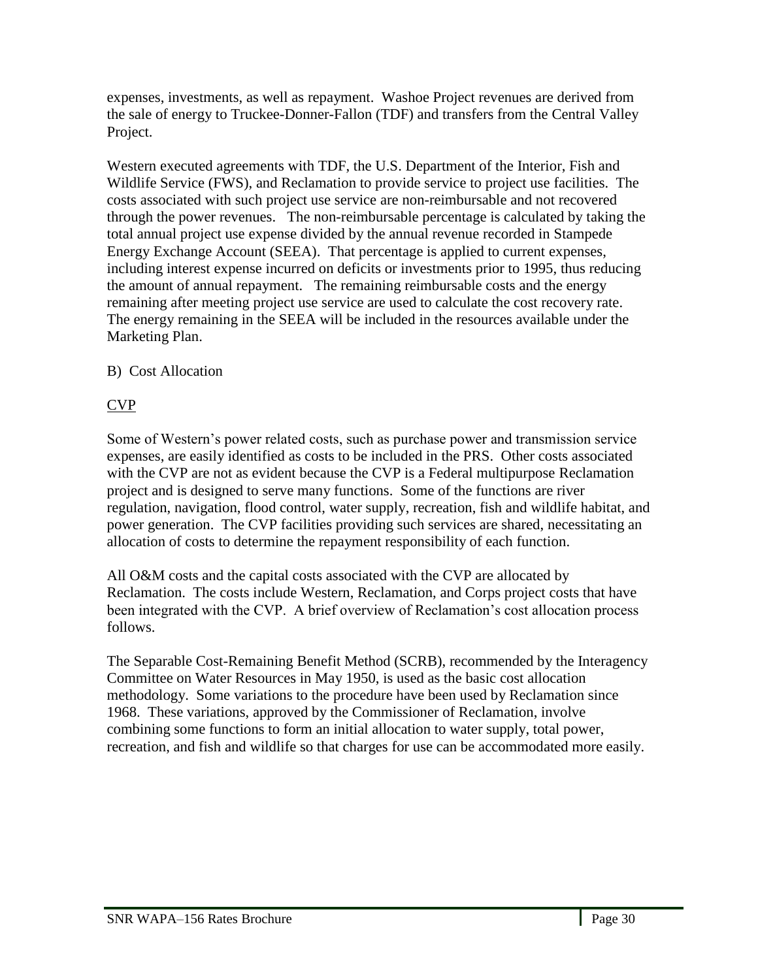expenses, investments, as well as repayment. Washoe Project revenues are derived from the sale of energy to Truckee-Donner-Fallon (TDF) and transfers from the Central Valley Project.

Western executed agreements with TDF, the U.S. Department of the Interior, Fish and Wildlife Service (FWS), and Reclamation to provide service to project use facilities. The costs associated with such project use service are non-reimbursable and not recovered through the power revenues. The non-reimbursable percentage is calculated by taking the total annual project use expense divided by the annual revenue recorded in Stampede Energy Exchange Account (SEEA). That percentage is applied to current expenses, including interest expense incurred on deficits or investments prior to 1995, thus reducing the amount of annual repayment. The remaining reimbursable costs and the energy remaining after meeting project use service are used to calculate the cost recovery rate. The energy remaining in the SEEA will be included in the resources available under the Marketing Plan.

## <span id="page-29-0"></span>B) Cost Allocation

## CVP

Some of Western's power related costs, such as purchase power and transmission service expenses, are easily identified as costs to be included in the PRS. Other costs associated with the CVP are not as evident because the CVP is a Federal multipurpose Reclamation project and is designed to serve many functions. Some of the functions are river regulation, navigation, flood control, water supply, recreation, fish and wildlife habitat, and power generation. The CVP facilities providing such services are shared, necessitating an allocation of costs to determine the repayment responsibility of each function.

All O&M costs and the capital costs associated with the CVP are allocated by Reclamation. The costs include Western, Reclamation, and Corps project costs that have been integrated with the CVP. A brief overview of Reclamation's cost allocation process follows.

The Separable Cost-Remaining Benefit Method (SCRB), recommended by the Interagency Committee on Water Resources in May 1950, is used as the basic cost allocation methodology. Some variations to the procedure have been used by Reclamation since 1968. These variations, approved by the Commissioner of Reclamation, involve combining some functions to form an initial allocation to water supply, total power, recreation, and fish and wildlife so that charges for use can be accommodated more easily.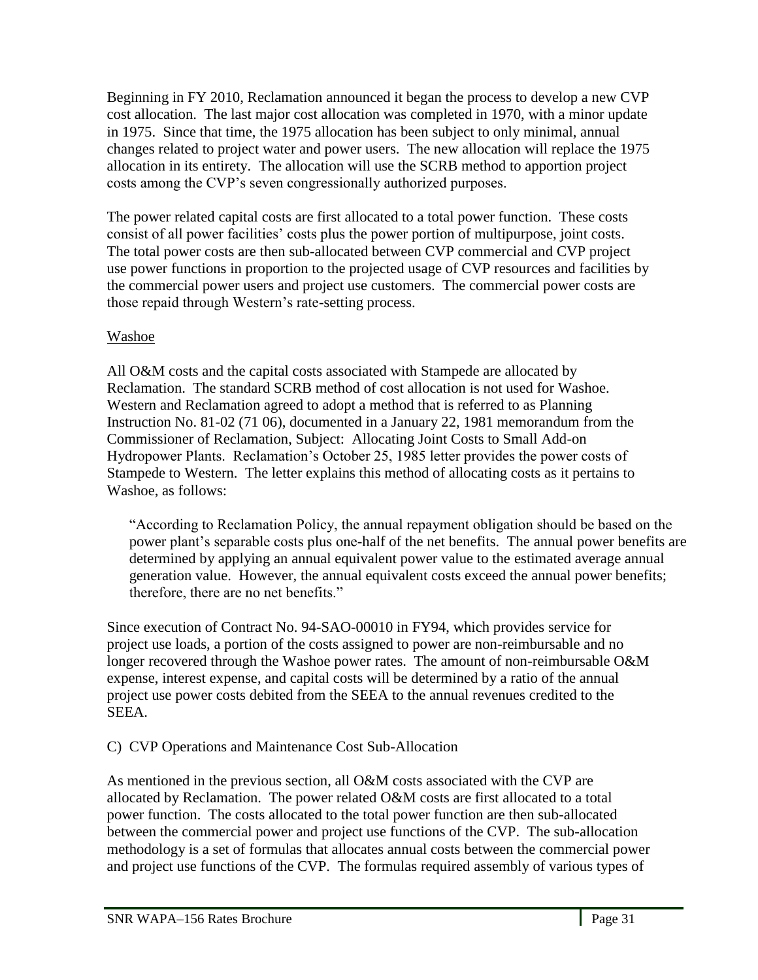Beginning in FY 2010, Reclamation announced it began the process to develop a new CVP cost allocation. The last major cost allocation was completed in 1970, with a minor update in 1975. Since that time, the 1975 allocation has been subject to only minimal, annual changes related to project water and power users. The new allocation will replace the 1975 allocation in its entirety. The allocation will use the SCRB method to apportion project costs among the CVP's seven congressionally authorized purposes.

The power related capital costs are first allocated to a total power function. These costs consist of all power facilities' costs plus the power portion of multipurpose, joint costs. The total power costs are then sub-allocated between CVP commercial and CVP project use power functions in proportion to the projected usage of CVP resources and facilities by the commercial power users and project use customers. The commercial power costs are those repaid through Western's rate-setting process.

## Washoe

All O&M costs and the capital costs associated with Stampede are allocated by Reclamation. The standard SCRB method of cost allocation is not used for Washoe. Western and Reclamation agreed to adopt a method that is referred to as Planning Instruction No. 81-02 (71 06), documented in a January 22, 1981 memorandum from the Commissioner of Reclamation, Subject: Allocating Joint Costs to Small Add-on Hydropower Plants. Reclamation's October 25, 1985 letter provides the power costs of Stampede to Western. The letter explains this method of allocating costs as it pertains to Washoe, as follows:

―According to Reclamation Policy, the annual repayment obligation should be based on the power plant's separable costs plus one-half of the net benefits. The annual power benefits are determined by applying an annual equivalent power value to the estimated average annual generation value. However, the annual equivalent costs exceed the annual power benefits; therefore, there are no net benefits."

Since execution of Contract No. 94-SAO-00010 in FY94, which provides service for project use loads, a portion of the costs assigned to power are non-reimbursable and no longer recovered through the Washoe power rates. The amount of non-reimbursable O&M expense, interest expense, and capital costs will be determined by a ratio of the annual project use power costs debited from the SEEA to the annual revenues credited to the SEEA.

# <span id="page-30-0"></span>C) CVP Operations and Maintenance Cost Sub-Allocation

As mentioned in the previous section, all O&M costs associated with the CVP are allocated by Reclamation. The power related O&M costs are first allocated to a total power function. The costs allocated to the total power function are then sub-allocated between the commercial power and project use functions of the CVP. The sub-allocation methodology is a set of formulas that allocates annual costs between the commercial power and project use functions of the CVP. The formulas required assembly of various types of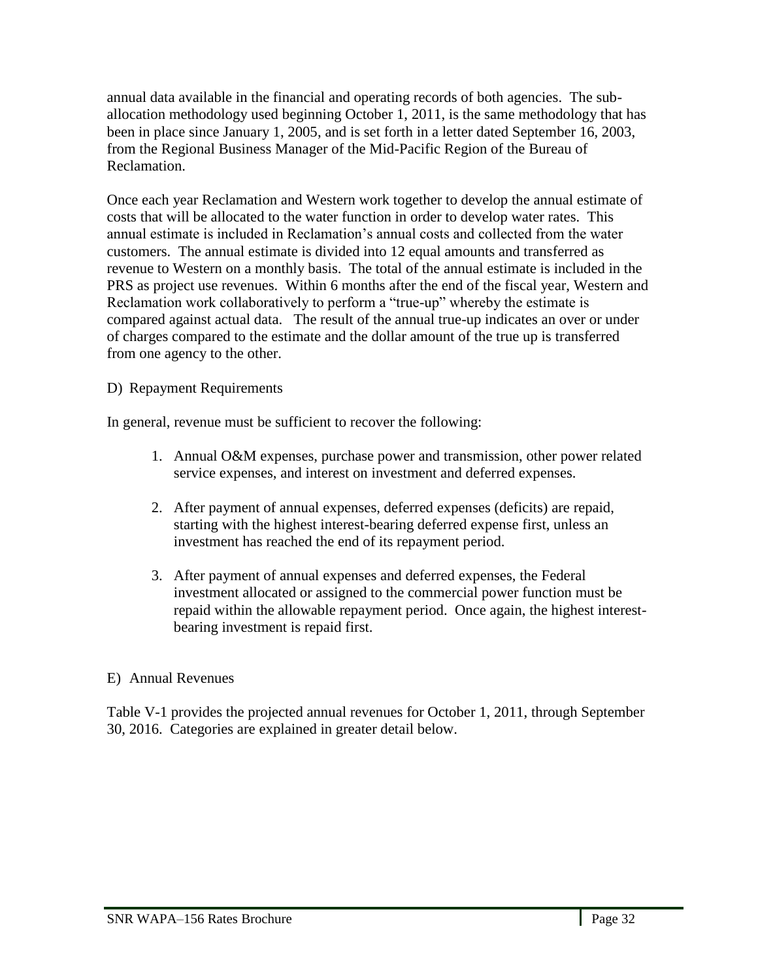annual data available in the financial and operating records of both agencies. The suballocation methodology used beginning October 1, 2011, is the same methodology that has been in place since January 1, 2005, and is set forth in a letter dated September 16, 2003, from the Regional Business Manager of the Mid-Pacific Region of the Bureau of Reclamation.

Once each year Reclamation and Western work together to develop the annual estimate of costs that will be allocated to the water function in order to develop water rates. This annual estimate is included in Reclamation's annual costs and collected from the water customers. The annual estimate is divided into 12 equal amounts and transferred as revenue to Western on a monthly basis. The total of the annual estimate is included in the PRS as project use revenues. Within 6 months after the end of the fiscal year, Western and Reclamation work collaboratively to perform a "true-up" whereby the estimate is compared against actual data. The result of the annual true-up indicates an over or under of charges compared to the estimate and the dollar amount of the true up is transferred from one agency to the other.

## <span id="page-31-0"></span>D) Repayment Requirements

In general, revenue must be sufficient to recover the following:

- 1. Annual O&M expenses, purchase power and transmission, other power related service expenses, and interest on investment and deferred expenses.
- 2. After payment of annual expenses, deferred expenses (deficits) are repaid, starting with the highest interest-bearing deferred expense first, unless an investment has reached the end of its repayment period.
- 3. After payment of annual expenses and deferred expenses, the Federal investment allocated or assigned to the commercial power function must be repaid within the allowable repayment period. Once again, the highest interestbearing investment is repaid first.

## <span id="page-31-1"></span>E) Annual Revenues

Table V-1 provides the projected annual revenues for October 1, 2011, through September 30, 2016. Categories are explained in greater detail below.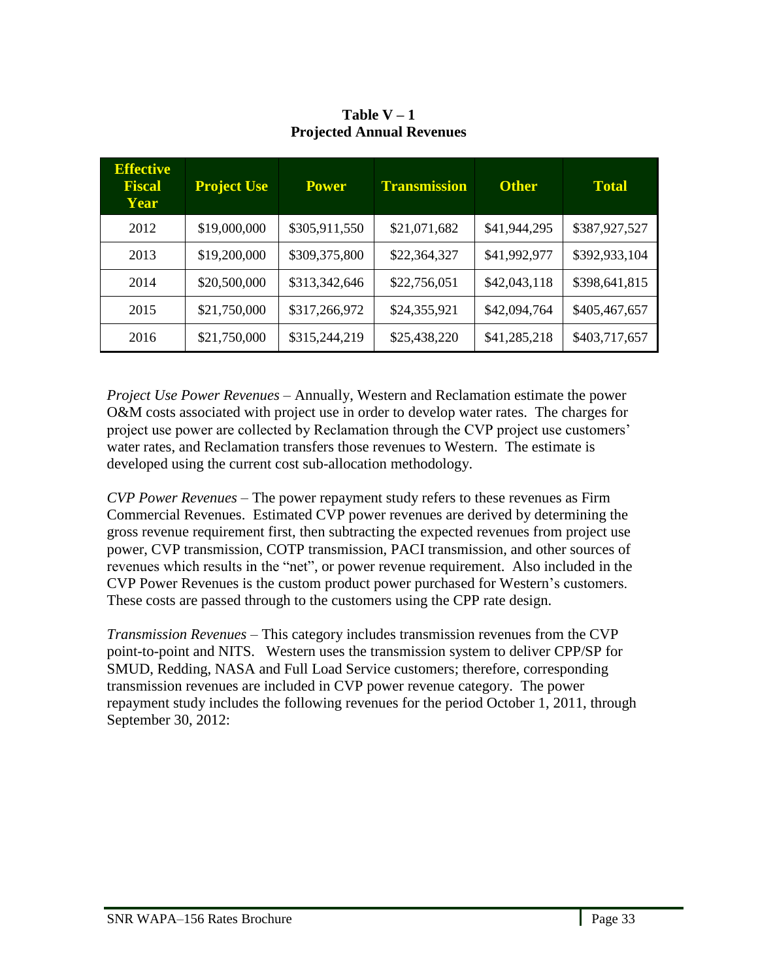<span id="page-32-0"></span>

| <b>Effective</b><br>Fiscal<br>Year | <b>Project Use</b> | <b>Power</b>  | <b>Transmission</b> | <b>Other</b> | <b>Total</b>  |
|------------------------------------|--------------------|---------------|---------------------|--------------|---------------|
| 2012                               | \$19,000,000       | \$305,911,550 | \$21,071,682        | \$41,944,295 | \$387,927,527 |
| 2013                               | \$19,200,000       | \$309,375,800 | \$22,364,327        | \$41,992,977 | \$392,933,104 |
| 2014                               | \$20,500,000       | \$313,342,646 | \$22,756,051        | \$42,043,118 | \$398,641,815 |
| 2015                               | \$21,750,000       | \$317,266,972 | \$24,355,921        | \$42,094,764 | \$405,467,657 |
| 2016                               | \$21,750,000       | \$315,244,219 | \$25,438,220        | \$41,285,218 | \$403,717,657 |

**Table V – 1 Projected Annual Revenues** 

*Project Use Power Revenues* – Annually, Western and Reclamation estimate the power O&M costs associated with project use in order to develop water rates. The charges for project use power are collected by Reclamation through the CVP project use customers' water rates, and Reclamation transfers those revenues to Western. The estimate is developed using the current cost sub-allocation methodology.

*CVP Power Revenues* – The power repayment study refers to these revenues as Firm Commercial Revenues. Estimated CVP power revenues are derived by determining the gross revenue requirement first, then subtracting the expected revenues from project use power, CVP transmission, COTP transmission, PACI transmission, and other sources of revenues which results in the "net", or power revenue requirement. Also included in the CVP Power Revenues is the custom product power purchased for Western's customers. These costs are passed through to the customers using the CPP rate design.

*Transmission Revenues* – This category includes transmission revenues from the CVP point-to-point and NITS. Western uses the transmission system to deliver CPP/SP for SMUD, Redding, NASA and Full Load Service customers; therefore, corresponding transmission revenues are included in CVP power revenue category. The power repayment study includes the following revenues for the period October 1, 2011, through September 30, 2012: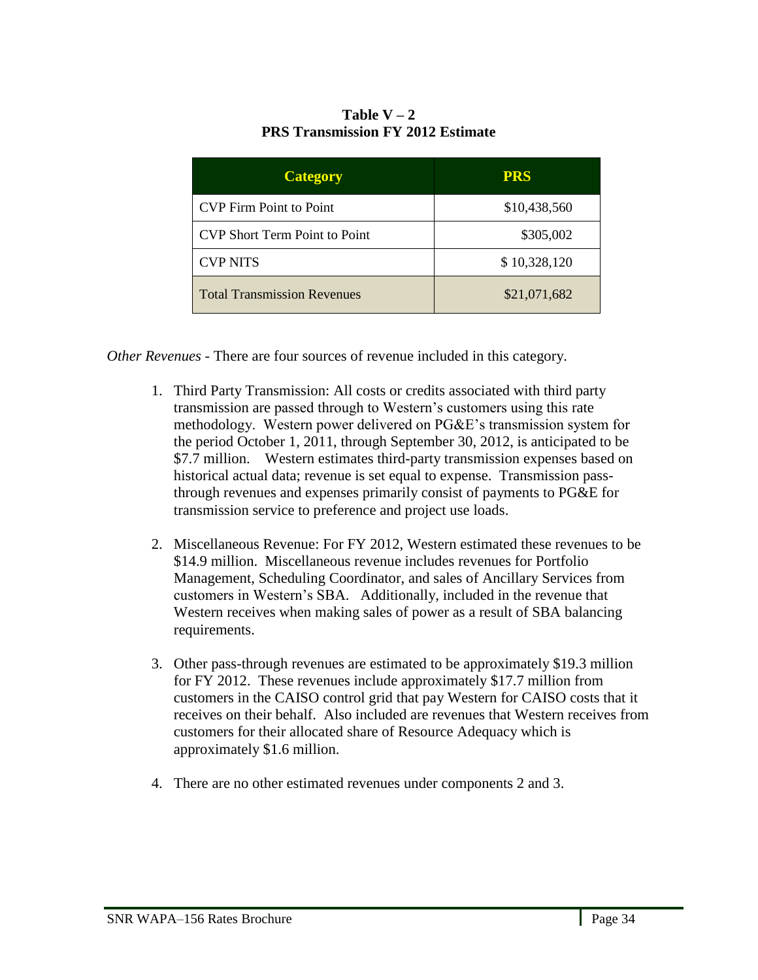### Table  $V - 2$ **PRS Transmission FY 2012 Estimate**

<span id="page-33-0"></span>

| <b>Category</b>                      | <b>PRS</b>   |
|--------------------------------------|--------------|
| <b>CVP</b> Firm Point to Point       | \$10,438,560 |
| <b>CVP Short Term Point to Point</b> | \$305,002    |
| <b>CVP NITS</b>                      | \$10,328,120 |
| <b>Total Transmission Revenues</b>   | \$21,071,682 |

*Other Revenues* - There are four sources of revenue included in this category.

- 1. Third Party Transmission: All costs or credits associated with third party transmission are passed through to Western's customers using this rate methodology. Western power delivered on PG&E's transmission system for the period October 1, 2011, through September 30, 2012, is anticipated to be \$7.7 million. Western estimates third-party transmission expenses based on historical actual data; revenue is set equal to expense. Transmission passthrough revenues and expenses primarily consist of payments to PG&E for transmission service to preference and project use loads.
- 2. Miscellaneous Revenue: For FY 2012, Western estimated these revenues to be \$14.9 million. Miscellaneous revenue includes revenues for Portfolio Management, Scheduling Coordinator, and sales of Ancillary Services from customers in Western's SBA. Additionally, included in the revenue that Western receives when making sales of power as a result of SBA balancing requirements.
- 3. Other pass-through revenues are estimated to be approximately \$19.3 million for FY 2012. These revenues include approximately \$17.7 million from customers in the CAISO control grid that pay Western for CAISO costs that it receives on their behalf. Also included are revenues that Western receives from customers for their allocated share of Resource Adequacy which is approximately \$1.6 million.
- 4. There are no other estimated revenues under components 2 and 3.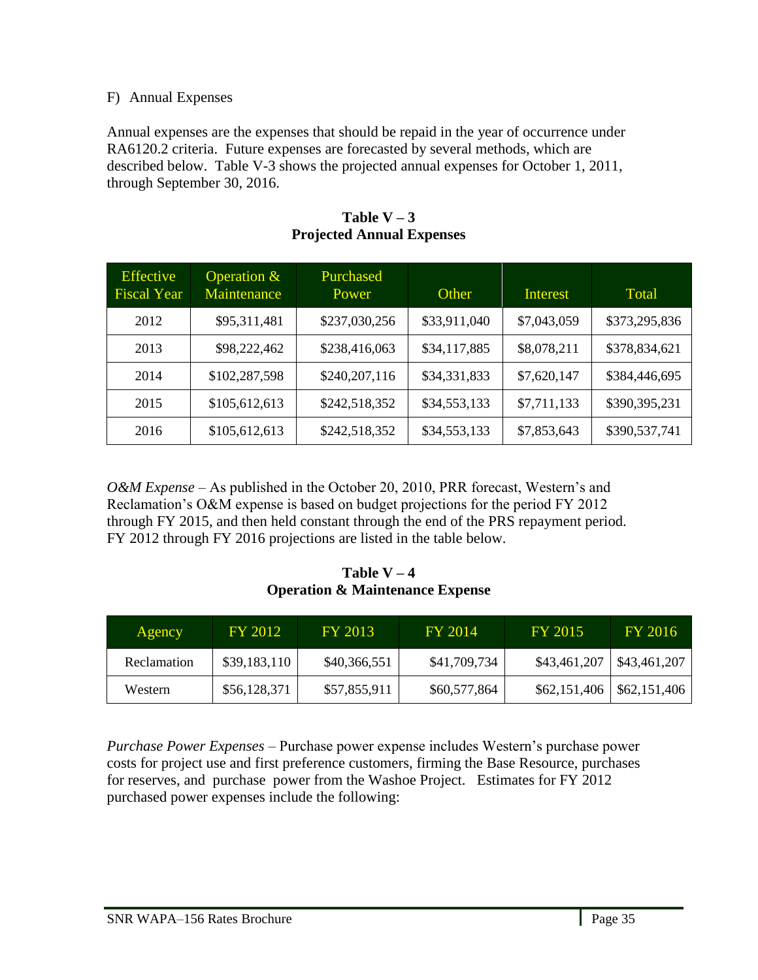## <span id="page-34-0"></span>F) Annual Expenses

Annual expenses are the expenses that should be repaid in the year of occurrence under RA6120.2 criteria. Future expenses are forecasted by several methods, which are described below. Table V-3 shows the projected annual expenses for October 1, 2011, through September 30, 2016.

<span id="page-34-1"></span>

| <b>Effective</b><br><b>Fiscal Year</b> | Operation $\&$<br>Maintenance | Purchased<br>Power | Other        | Interest    | Total         |
|----------------------------------------|-------------------------------|--------------------|--------------|-------------|---------------|
| 2012                                   | \$95,311,481                  | \$237,030,256      | \$33,911,040 | \$7,043,059 | \$373,295,836 |
| 2013                                   | \$98,222,462                  | \$238,416,063      | \$34,117,885 | \$8,078,211 | \$378,834,621 |
| 2014                                   | \$102,287,598                 | \$240,207,116      | \$34,331,833 | \$7,620,147 | \$384,446,695 |
| 2015                                   | \$105,612,613                 | \$242,518,352      | \$34,553,133 | \$7,711,133 | \$390,395,231 |
| 2016                                   | \$105,612,613                 | \$242,518,352      | \$34,553,133 | \$7,853,643 | \$390,537,741 |

Table  $V - 3$ **Projected Annual Expenses**

*O&M Expense* – As published in the October 20, 2010, PRR forecast, Western's and Reclamation's O&M expense is based on budget projections for the period FY 2012 through FY 2015, and then held constant through the end of the PRS repayment period. FY 2012 through FY 2016 projections are listed in the table below.

Table  $V - 4$ **Operation & Maintenance Expense**

<span id="page-34-2"></span>

| Agency      | FY 2012      | FY 2013      | FY 2014      | FY 2015      | FY 2016                     |
|-------------|--------------|--------------|--------------|--------------|-----------------------------|
| Reclamation | \$39,183,110 | \$40,366,551 | \$41,709,734 | \$43,461,207 | \$43,461,207                |
| Western     | \$56,128,371 | \$57,855,911 | \$60,577,864 |              | $$62,151,406$ $$62,151,406$ |

<span id="page-34-3"></span>*Purchase Power Expenses –* Purchase power expense includes Western's purchase power costs for project use and first preference customers, firming the Base Resource, purchases for reserves, and purchase power from the Washoe Project. Estimates for FY 2012 purchased power expenses include the following: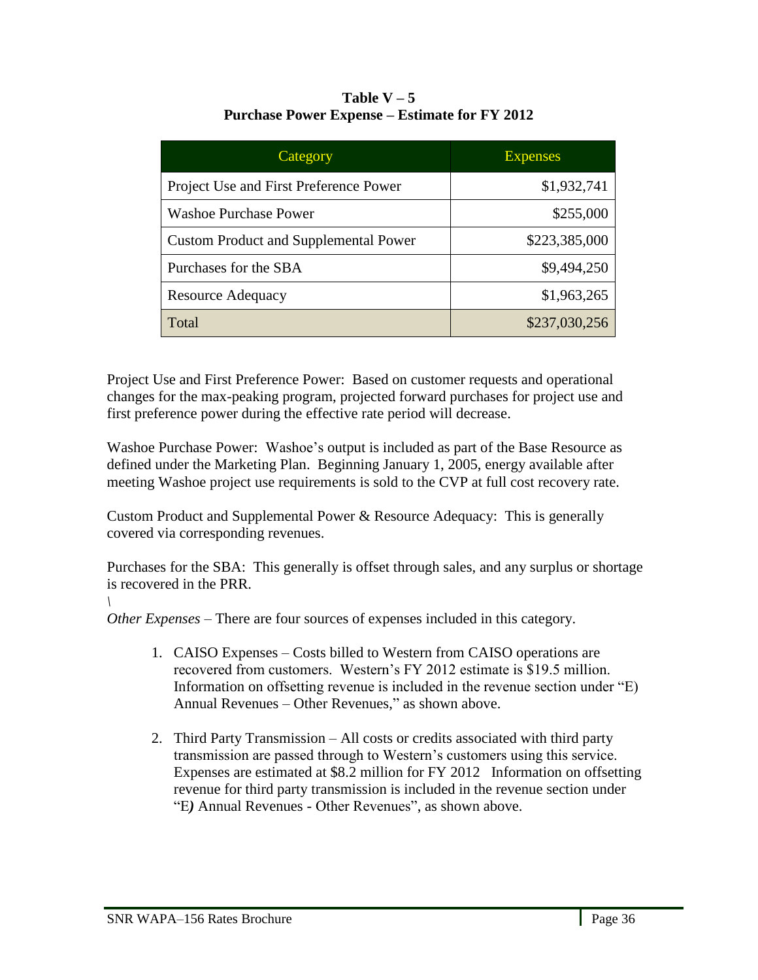| Table $V - 5$                                        |
|------------------------------------------------------|
| <b>Purchase Power Expense – Estimate for FY 2012</b> |

| Category                                     | <b>Expenses</b> |
|----------------------------------------------|-----------------|
| Project Use and First Preference Power       | \$1,932,741     |
| <b>Washoe Purchase Power</b>                 | \$255,000       |
| <b>Custom Product and Supplemental Power</b> | \$223,385,000   |
| Purchases for the SBA                        | \$9,494,250     |
| <b>Resource Adequacy</b>                     | \$1,963,265     |
| Total                                        | \$237,030,256   |

Project Use and First Preference Power: Based on customer requests and operational changes for the max-peaking program, projected forward purchases for project use and first preference power during the effective rate period will decrease.

Washoe Purchase Power: Washoe's output is included as part of the Base Resource as defined under the Marketing Plan. Beginning January 1, 2005, energy available after meeting Washoe project use requirements is sold to the CVP at full cost recovery rate.

Custom Product and Supplemental Power & Resource Adequacy: This is generally covered via corresponding revenues.

Purchases for the SBA: This generally is offset through sales, and any surplus or shortage is recovered in the PRR. *\*

*Other Expenses* – There are four sources of expenses included in this category.

- 1. CAISO Expenses Costs billed to Western from CAISO operations are recovered from customers. Western's FY 2012 estimate is \$19.5 million. Information on offsetting revenue is included in the revenue section under "E) Annual Revenues – Other Revenues," as shown above.
- 2. Third Party Transmission All costs or credits associated with third party transmission are passed through to Western's customers using this service. Expenses are estimated at \$8.2 million for FY 2012 Information on offsetting revenue for third party transmission is included in the revenue section under ―E*)* Annual Revenues - Other Revenues‖, as shown above.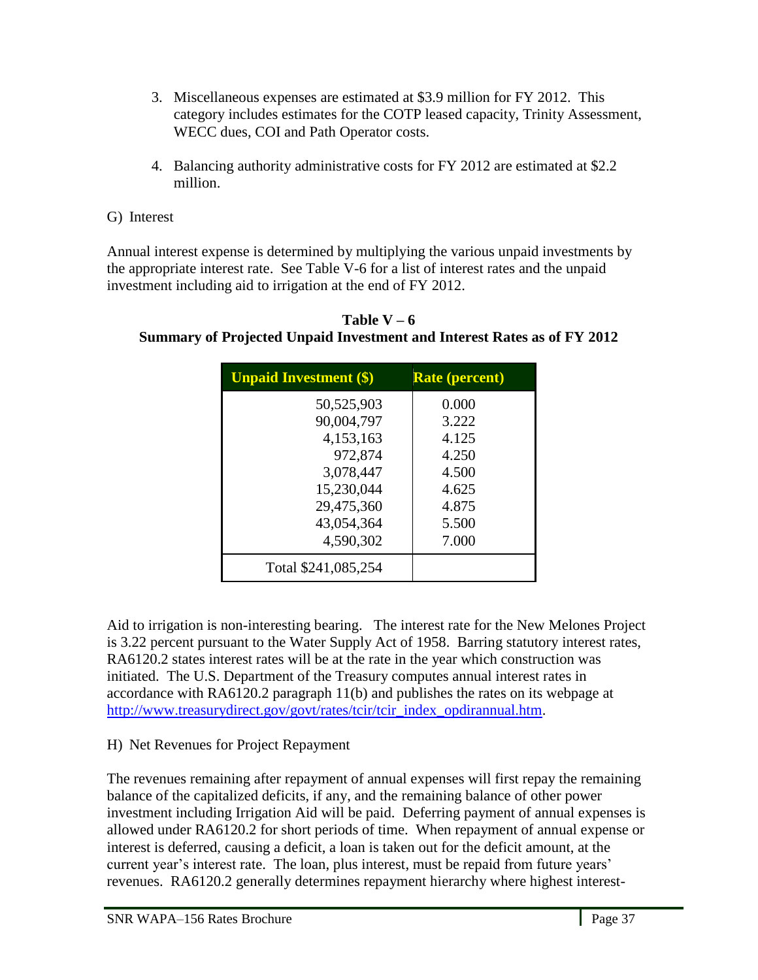- 3. Miscellaneous expenses are estimated at \$3.9 million for FY 2012. This category includes estimates for the COTP leased capacity, Trinity Assessment, WECC dues, COI and Path Operator costs.
- 4. Balancing authority administrative costs for FY 2012 are estimated at \$2.2 million.
- G) Interest

Annual interest expense is determined by multiplying the various unpaid investments by the appropriate interest rate. See Table V-6 for a list of interest rates and the unpaid investment including aid to irrigation at the end of FY 2012.

| <b>Unpaid Investment (\$)</b> | <b>Rate (percent)</b> |
|-------------------------------|-----------------------|
| 50,525,903                    | 0.000                 |
| 90,004,797                    | 3.222                 |
| 4,153,163                     | 4.125                 |
| 972,874                       | 4.250                 |
| 3,078,447                     | 4.500                 |
| 15,230,044                    | 4.625                 |
| 29,475,360                    | 4.875                 |
| 43,054,364                    | 5.500                 |
| 4,590,302                     | 7.000                 |
| Total \$241,085,254           |                       |

Table  $V - 6$ **Summary of Projected Unpaid Investment and Interest Rates as of FY 2012**

Aid to irrigation is non-interesting bearing. The interest rate for the New Melones Project is 3.22 percent pursuant to the Water Supply Act of 1958. Barring statutory interest rates, RA6120.2 states interest rates will be at the rate in the year which construction was initiated. The U.S. Department of the Treasury computes annual interest rates in accordance with RA6120.2 paragraph 11(b) and publishes the rates on its webpage at [http://www.treasurydirect.gov/govt/rates/tcir/tcir\\_index\\_opdirannual.htm.](http://www.treasurydirect.gov/govt/rates/tcir/tcir_index_opdirannual.htm)

# H) Net Revenues for Project Repayment

The revenues remaining after repayment of annual expenses will first repay the remaining balance of the capitalized deficits, if any, and the remaining balance of other power investment including Irrigation Aid will be paid. Deferring payment of annual expenses is allowed under RA6120.2 for short periods of time. When repayment of annual expense or interest is deferred, causing a deficit, a loan is taken out for the deficit amount, at the current year's interest rate. The loan, plus interest, must be repaid from future years' revenues. RA6120.2 generally determines repayment hierarchy where highest interest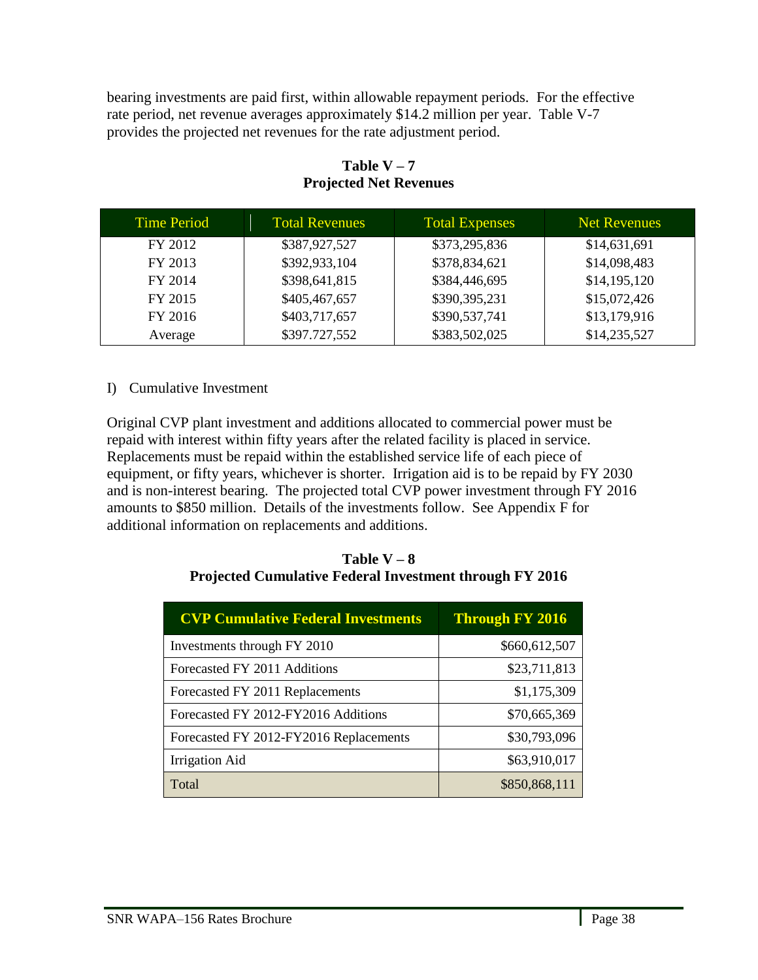bearing investments are paid first, within allowable repayment periods. For the effective rate period, net revenue averages approximately \$14.2 million per year. Table V-7 provides the projected net revenues for the rate adjustment period.

| <b>Time Period</b> | <b>Total Revenues</b> | <b>Total Expenses</b> | <b>Net Revenues</b> |
|--------------------|-----------------------|-----------------------|---------------------|
| FY 2012            | \$387,927,527         | \$373,295,836         | \$14,631,691        |
| FY 2013            | \$392,933,104         | \$378,834,621         | \$14,098,483        |
| FY 2014            | \$398,641,815         | \$384,446,695         | \$14,195,120        |
| FY 2015            | \$405,467,657         | \$390,395,231         | \$15,072,426        |
| FY 2016            | \$403,717,657         | \$390,537,741         | \$13,179,916        |
| Average            | \$397.727,552         | \$383,502,025         | \$14,235,527        |

Table  $V - 7$ **Projected Net Revenues**

## I) Cumulative Investment

Original CVP plant investment and additions allocated to commercial power must be repaid with interest within fifty years after the related facility is placed in service. Replacements must be repaid within the established service life of each piece of equipment, or fifty years, whichever is shorter. Irrigation aid is to be repaid by FY 2030 and is non-interest bearing. The projected total CVP power investment through FY 2016 amounts to \$850 million. Details of the investments follow. See Appendix F for additional information on replacements and additions.

| Table $V - 8$                                                  |  |
|----------------------------------------------------------------|--|
| <b>Projected Cumulative Federal Investment through FY 2016</b> |  |

| <b>CVP Cumulative Federal Investments</b> | <b>Through FY 2016</b> |
|-------------------------------------------|------------------------|
|                                           |                        |
| Investments through FY 2010               | \$660,612,507          |
| Forecasted FY 2011 Additions              | \$23,711,813           |
| Forecasted FY 2011 Replacements           | \$1,175,309            |
| Forecasted FY 2012-FY2016 Additions       | \$70,665,369           |
| Forecasted FY 2012-FY2016 Replacements    | \$30,793,096           |
| <b>Irrigation</b> Aid                     | \$63,910,017           |
| Total                                     | \$850,868,111          |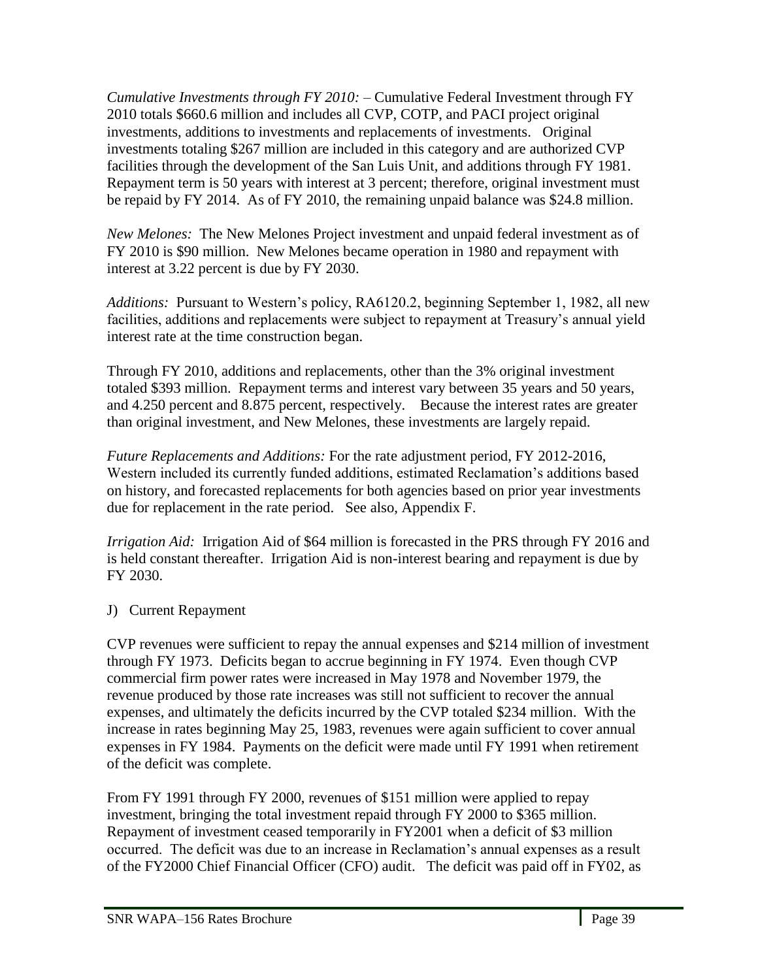*Cumulative Investments through FY 2010:* – Cumulative Federal Investment through FY 2010 totals \$660.6 million and includes all CVP, COTP, and PACI project original investments, additions to investments and replacements of investments. Original investments totaling \$267 million are included in this category and are authorized CVP facilities through the development of the San Luis Unit, and additions through FY 1981. Repayment term is 50 years with interest at 3 percent; therefore, original investment must be repaid by FY 2014. As of FY 2010, the remaining unpaid balance was \$24.8 million.

*New Melones:* The New Melones Project investment and unpaid federal investment as of FY 2010 is \$90 million. New Melones became operation in 1980 and repayment with interest at 3.22 percent is due by FY 2030.

*Additions:* Pursuant to Western's policy, RA6120.2, beginning September 1, 1982, all new facilities, additions and replacements were subject to repayment at Treasury's annual yield interest rate at the time construction began.

Through FY 2010, additions and replacements, other than the 3% original investment totaled \$393 million. Repayment terms and interest vary between 35 years and 50 years, and 4.250 percent and 8.875 percent, respectively. Because the interest rates are greater than original investment, and New Melones, these investments are largely repaid.

*Future Replacements and Additions:* For the rate adjustment period, FY 2012-2016, Western included its currently funded additions, estimated Reclamation's additions based on history, and forecasted replacements for both agencies based on prior year investments due for replacement in the rate period. See also, Appendix F.

*Irrigation Aid:* Irrigation Aid of \$64 million is forecasted in the PRS through FY 2016 and is held constant thereafter. Irrigation Aid is non-interest bearing and repayment is due by FY 2030.

J) Current Repayment

CVP revenues were sufficient to repay the annual expenses and \$214 million of investment through FY 1973. Deficits began to accrue beginning in FY 1974. Even though CVP commercial firm power rates were increased in May 1978 and November 1979, the revenue produced by those rate increases was still not sufficient to recover the annual expenses, and ultimately the deficits incurred by the CVP totaled \$234 million. With the increase in rates beginning May 25, 1983, revenues were again sufficient to cover annual expenses in FY 1984. Payments on the deficit were made until FY 1991 when retirement of the deficit was complete.

From FY 1991 through FY 2000, revenues of \$151 million were applied to repay investment, bringing the total investment repaid through FY 2000 to \$365 million. Repayment of investment ceased temporarily in FY2001 when a deficit of \$3 million occurred. The deficit was due to an increase in Reclamation's annual expenses as a result of the FY2000 Chief Financial Officer (CFO) audit. The deficit was paid off in FY02, as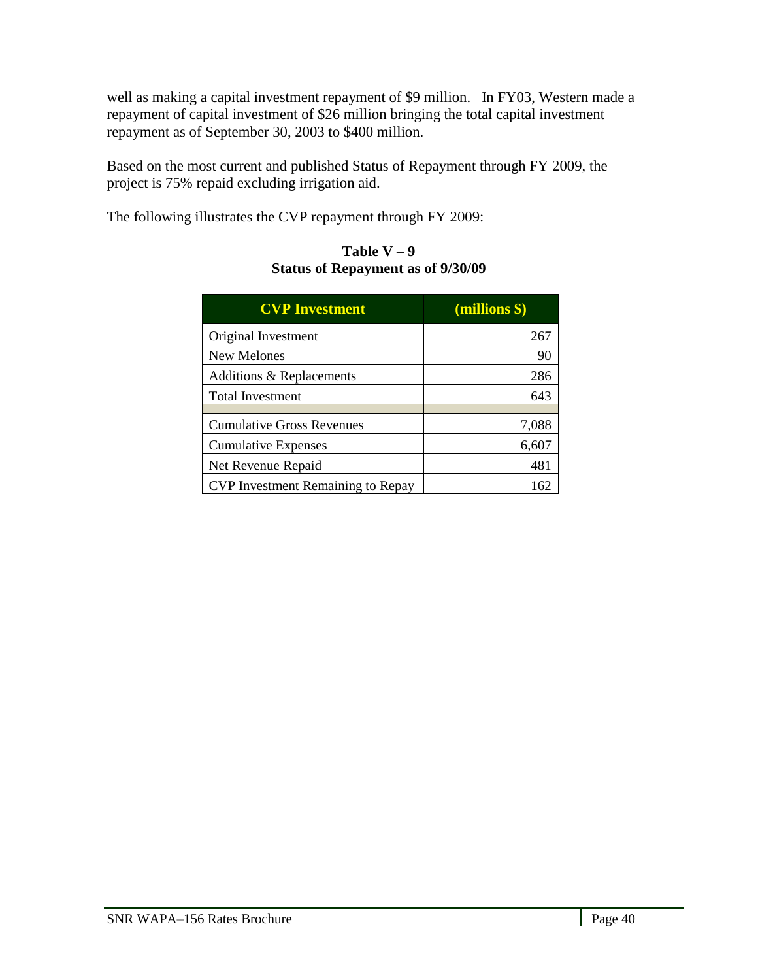well as making a capital investment repayment of \$9 million. In FY03, Western made a repayment of capital investment of \$26 million bringing the total capital investment repayment as of September 30, 2003 to \$400 million.

Based on the most current and published Status of Repayment through FY 2009, the project is 75% repaid excluding irrigation aid.

The following illustrates the CVP repayment through FY 2009:

| <b>CVP Investment</b>                    | (millions \$) |
|------------------------------------------|---------------|
| Original Investment                      | 267           |
| <b>New Melones</b>                       | 90            |
| Additions & Replacements                 | 286           |
| <b>Total Investment</b>                  | 643           |
| <b>Cumulative Gross Revenues</b>         | 7,088         |
| <b>Cumulative Expenses</b>               | 6,607         |
| Net Revenue Repaid                       | 481           |
| <b>CVP</b> Investment Remaining to Repay | 162           |

### Table  $V - 9$ **Status of Repayment as of 9/30/09**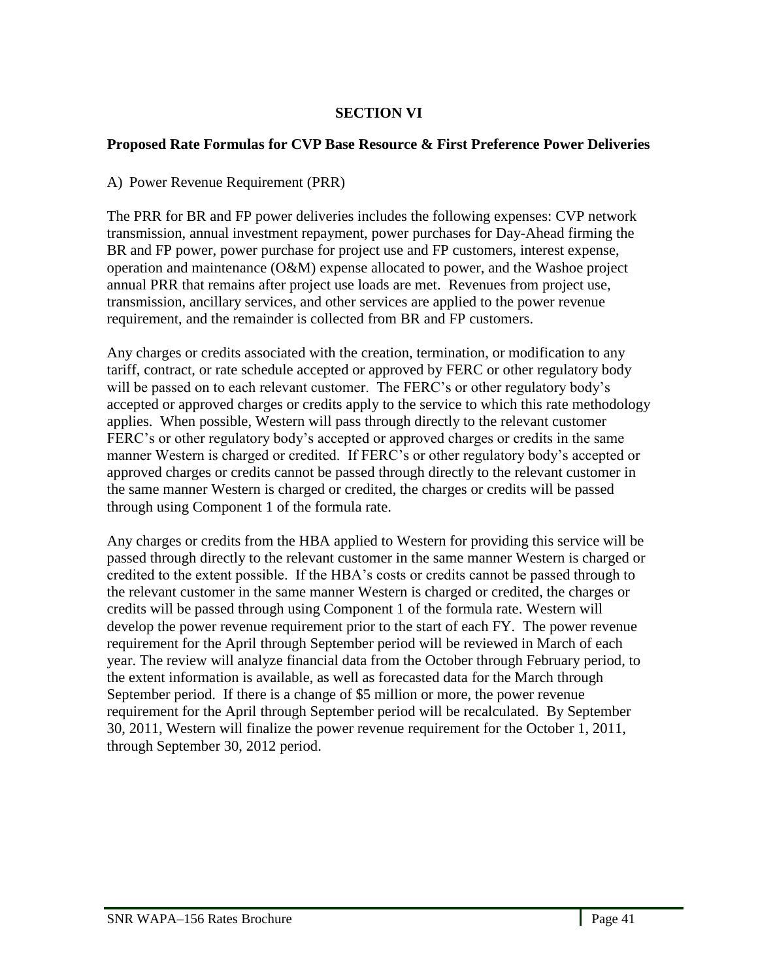## **SECTION VI**

### **Proposed Rate Formulas for CVP Base Resource & First Preference Power Deliveries**

A) Power Revenue Requirement (PRR)

The PRR for BR and FP power deliveries includes the following expenses: CVP network transmission, annual investment repayment, power purchases for Day-Ahead firming the BR and FP power, power purchase for project use and FP customers, interest expense, operation and maintenance (O&M) expense allocated to power, and the Washoe project annual PRR that remains after project use loads are met. Revenues from project use, transmission, ancillary services, and other services are applied to the power revenue requirement, and the remainder is collected from BR and FP customers.

Any charges or credits associated with the creation, termination, or modification to any tariff, contract, or rate schedule accepted or approved by FERC or other regulatory body will be passed on to each relevant customer. The FERC's or other regulatory body's accepted or approved charges or credits apply to the service to which this rate methodology applies. When possible, Western will pass through directly to the relevant customer FERC's or other regulatory body's accepted or approved charges or credits in the same manner Western is charged or credited. If FERC's or other regulatory body's accepted or approved charges or credits cannot be passed through directly to the relevant customer in the same manner Western is charged or credited, the charges or credits will be passed through using Component 1 of the formula rate.

Any charges or credits from the HBA applied to Western for providing this service will be passed through directly to the relevant customer in the same manner Western is charged or credited to the extent possible. If the HBA's costs or credits cannot be passed through to the relevant customer in the same manner Western is charged or credited, the charges or credits will be passed through using Component 1 of the formula rate. Western will develop the power revenue requirement prior to the start of each FY. The power revenue requirement for the April through September period will be reviewed in March of each year. The review will analyze financial data from the October through February period, to the extent information is available, as well as forecasted data for the March through September period. If there is a change of \$5 million or more, the power revenue requirement for the April through September period will be recalculated. By September 30, 2011, Western will finalize the power revenue requirement for the October 1, 2011, through September 30, 2012 period.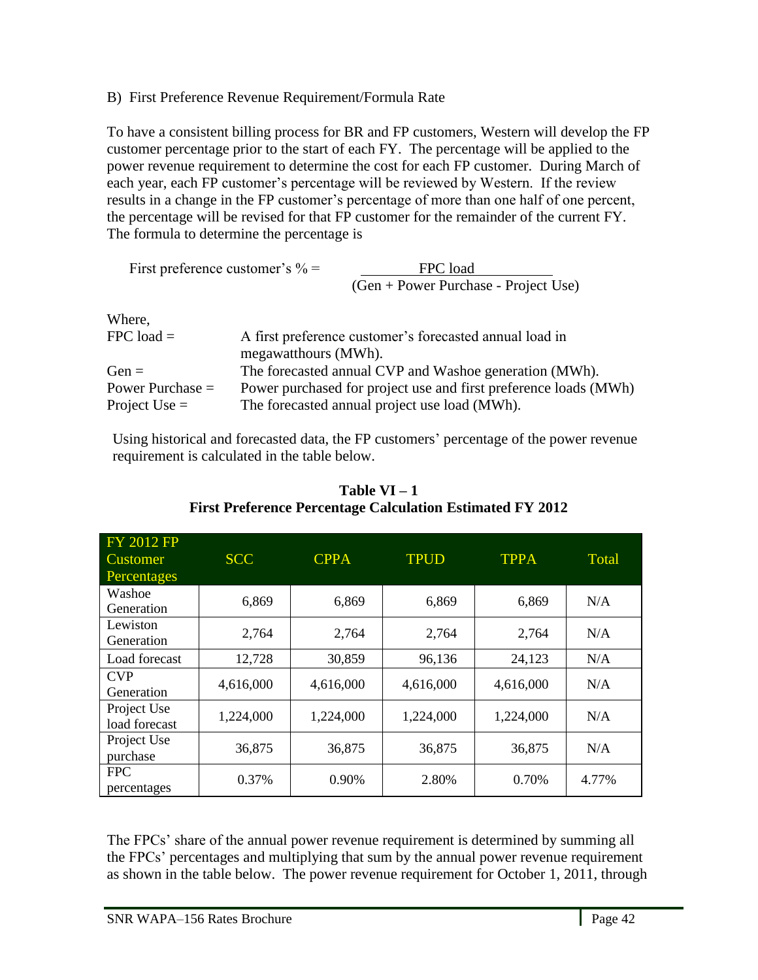## B) First Preference Revenue Requirement/Formula Rate

To have a consistent billing process for BR and FP customers, Western will develop the FP customer percentage prior to the start of each FY. The percentage will be applied to the power revenue requirement to determine the cost for each FP customer. During March of each year, each FP customer's percentage will be reviewed by Western. If the review results in a change in the FP customer's percentage of more than one half of one percent, the percentage will be revised for that FP customer for the remainder of the current FY. The formula to determine the percentage is

First preference customer's 
$$
\% =
$$
  
\n
$$
\frac{\text{FPC load}}{(\text{Gen} + \text{Power Purchase - Project Use})}
$$
\nWhere.

| $FPC$ load $=$     | A first preference customer's forecasted annual load in<br>megawatthours (MWh). |
|--------------------|---------------------------------------------------------------------------------|
| $Gen =$            | The forecasted annual CVP and Washoe generation (MWh).                          |
| Power Purchase $=$ | Power purchased for project use and first preference loads (MWh)                |
| Project Use $=$    | The forecasted annual project use load (MWh).                                   |

Using historical and forecasted data, the FP customers' percentage of the power revenue requirement is calculated in the table below.

| <b>FY 2012 FP</b><br>Customer<br>Percentages | <b>SCC</b> | <b>CPPA</b> | <b>TPUD</b> | <b>TPPA</b> | Total |
|----------------------------------------------|------------|-------------|-------------|-------------|-------|
| Washoe<br>Generation                         | 6,869      | 6,869       | 6,869       | 6,869       | N/A   |
| Lewiston<br>Generation                       | 2,764      | 2,764       | 2,764       | 2,764       | N/A   |
| Load forecast                                | 12,728     | 30,859      | 96,136      | 24,123      | N/A   |
| <b>CVP</b><br>Generation                     | 4,616,000  | 4,616,000   | 4,616,000   | 4,616,000   | N/A   |
| Project Use<br>load forecast                 | 1,224,000  | 1,224,000   | 1,224,000   | 1,224,000   | N/A   |
| Project Use<br>purchase                      | 36,875     | 36,875      | 36,875      | 36,875      | N/A   |
| <b>FPC</b><br>percentages                    | 0.37%      | 0.90%       | 2.80%       | 0.70%       | 4.77% |

**Table VI – 1 First Preference Percentage Calculation Estimated FY 2012**

The FPCs' share of the annual power revenue requirement is determined by summing all the FPCs' percentages and multiplying that sum by the annual power revenue requirement as shown in the table below. The power revenue requirement for October 1, 2011, through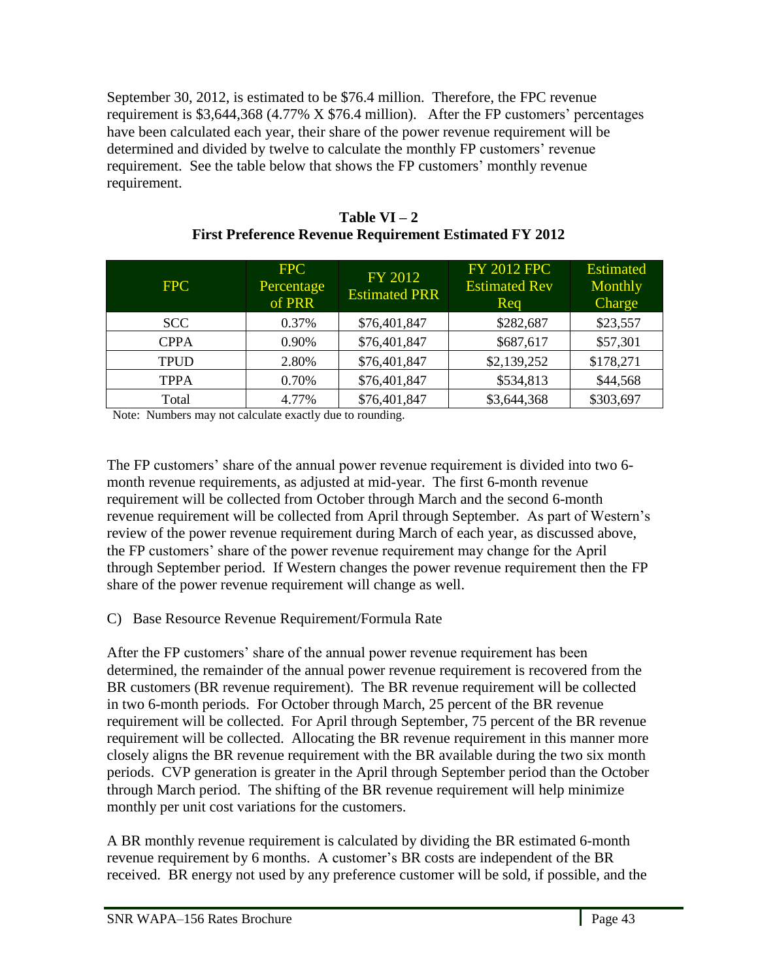September 30, 2012, is estimated to be \$76.4 million. Therefore, the FPC revenue requirement is \$3,644,368 (4.77% X \$76.4 million). After the FP customers' percentages have been calculated each year, their share of the power revenue requirement will be determined and divided by twelve to calculate the monthly FP customers' revenue requirement. See the table below that shows the FP customers' monthly revenue requirement.

| FPC         | <b>FPC</b><br>Percentage<br>of PRR | FY 2012<br><b>Estimated PRR</b> | <b>FY 2012 FPC</b><br><b>Estimated Rev</b><br>Req | <b>Estimated</b><br>Monthly<br><b>Charge</b> |
|-------------|------------------------------------|---------------------------------|---------------------------------------------------|----------------------------------------------|
| <b>SCC</b>  | 0.37%                              | \$76,401,847                    | \$282,687                                         | \$23,557                                     |
| <b>CPPA</b> | 0.90%                              | \$76,401,847                    | \$687,617                                         | \$57,301                                     |
| <b>TPUD</b> | 2.80%                              | \$76,401,847                    | \$2,139,252                                       | \$178,271                                    |
| <b>TPPA</b> | 0.70%                              | \$76,401,847                    | \$534,813                                         | \$44,568                                     |
| Total       | 4.77%                              | \$76,401,847                    | \$3,644,368                                       | \$303,697                                    |

| Table $VI - 2$                                                |
|---------------------------------------------------------------|
| <b>First Preference Revenue Requirement Estimated FY 2012</b> |

Note: Numbers may not calculate exactly due to rounding.

The FP customers' share of the annual power revenue requirement is divided into two 6 month revenue requirements, as adjusted at mid-year. The first 6-month revenue requirement will be collected from October through March and the second 6-month revenue requirement will be collected from April through September. As part of Western's review of the power revenue requirement during March of each year, as discussed above, the FP customers' share of the power revenue requirement may change for the April through September period. If Western changes the power revenue requirement then the FP share of the power revenue requirement will change as well.

## C) Base Resource Revenue Requirement/Formula Rate

After the FP customers' share of the annual power revenue requirement has been determined, the remainder of the annual power revenue requirement is recovered from the BR customers (BR revenue requirement). The BR revenue requirement will be collected in two 6-month periods. For October through March, 25 percent of the BR revenue requirement will be collected. For April through September, 75 percent of the BR revenue requirement will be collected. Allocating the BR revenue requirement in this manner more closely aligns the BR revenue requirement with the BR available during the two six month periods. CVP generation is greater in the April through September period than the October through March period. The shifting of the BR revenue requirement will help minimize monthly per unit cost variations for the customers.

A BR monthly revenue requirement is calculated by dividing the BR estimated 6-month revenue requirement by 6 months. A customer's BR costs are independent of the BR received. BR energy not used by any preference customer will be sold, if possible, and the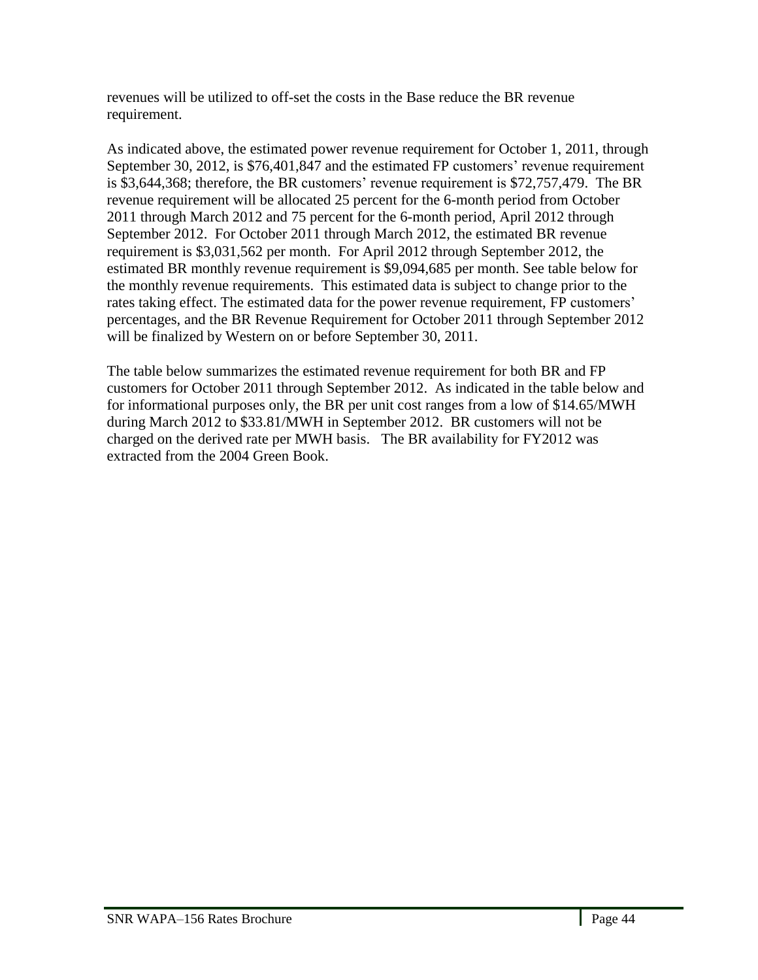revenues will be utilized to off-set the costs in the Base reduce the BR revenue requirement.

As indicated above, the estimated power revenue requirement for October 1, 2011, through September 30, 2012, is \$76,401,847 and the estimated FP customers' revenue requirement is \$3,644,368; therefore, the BR customers' revenue requirement is \$72,757,479. The BR revenue requirement will be allocated 25 percent for the 6-month period from October 2011 through March 2012 and 75 percent for the 6-month period, April 2012 through September 2012. For October 2011 through March 2012, the estimated BR revenue requirement is \$3,031,562 per month. For April 2012 through September 2012, the estimated BR monthly revenue requirement is \$9,094,685 per month. See table below for the monthly revenue requirements. This estimated data is subject to change prior to the rates taking effect. The estimated data for the power revenue requirement, FP customers' percentages, and the BR Revenue Requirement for October 2011 through September 2012 will be finalized by Western on or before September 30, 2011.

The table below summarizes the estimated revenue requirement for both BR and FP customers for October 2011 through September 2012. As indicated in the table below and for informational purposes only, the BR per unit cost ranges from a low of \$14.65/MWH during March 2012 to \$33.81/MWH in September 2012. BR customers will not be charged on the derived rate per MWH basis. The BR availability for FY2012 was extracted from the 2004 Green Book.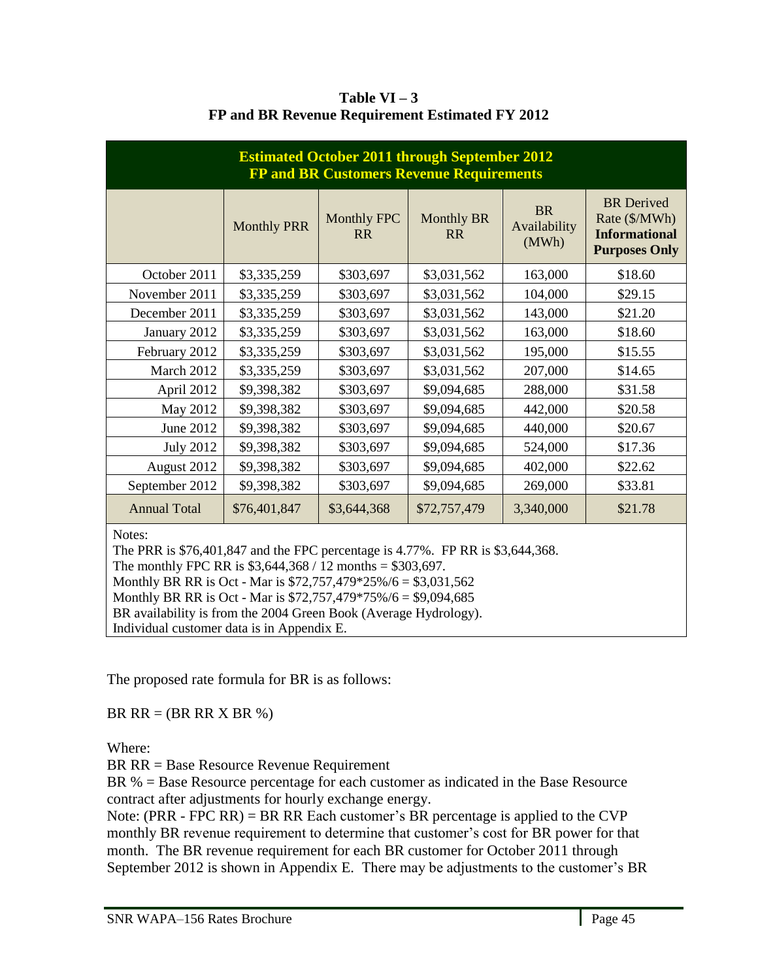| <b>Estimated October 2011 through September 2012</b><br><b>FP and BR Customers Revenue Requirements</b> |                    |                                 |                                |                                    |                                                                                    |  |  |
|---------------------------------------------------------------------------------------------------------|--------------------|---------------------------------|--------------------------------|------------------------------------|------------------------------------------------------------------------------------|--|--|
|                                                                                                         | <b>Monthly PRR</b> | <b>Monthly FPC</b><br><b>RR</b> | <b>Monthly BR</b><br><b>RR</b> | <b>BR</b><br>Availability<br>(MWh) | <b>BR</b> Derived<br>Rate (\$/MWh)<br><b>Informational</b><br><b>Purposes Only</b> |  |  |
| October 2011                                                                                            | \$3,335,259        | \$303,697                       | \$3,031,562                    | 163,000                            | \$18.60                                                                            |  |  |
| November 2011                                                                                           | \$3,335,259        | \$303,697                       | \$3,031,562                    | 104,000                            | \$29.15                                                                            |  |  |
| December 2011                                                                                           | \$3,335,259        | \$303,697                       | \$3,031,562                    | 143,000                            | \$21.20                                                                            |  |  |
| January 2012                                                                                            | \$3,335,259        | \$303,697                       | \$3,031,562                    | 163,000                            | \$18.60                                                                            |  |  |
| February 2012                                                                                           | \$3,335,259        | \$303,697                       | \$3,031,562                    | 195,000                            | \$15.55                                                                            |  |  |
| March 2012                                                                                              | \$3,335,259        | \$303,697                       | \$3,031,562                    | 207,000                            | \$14.65                                                                            |  |  |
| April 2012                                                                                              | \$9,398,382        | \$303,697                       | \$9,094,685                    | 288,000                            | \$31.58                                                                            |  |  |
| May 2012                                                                                                | \$9,398,382        | \$303,697                       | \$9,094,685                    | 442,000                            | \$20.58                                                                            |  |  |
| June 2012                                                                                               | \$9,398,382        | \$303,697                       | \$9,094,685                    | 440,000                            | \$20.67                                                                            |  |  |
| <b>July 2012</b>                                                                                        | \$9,398,382        | \$303,697                       | \$9,094,685                    | 524,000                            | \$17.36                                                                            |  |  |
| August 2012                                                                                             | \$9,398,382        | \$303,697                       | \$9,094,685                    | 402,000                            | \$22.62                                                                            |  |  |
| September 2012                                                                                          | \$9,398,382        | \$303,697                       | \$9,094,685                    | 269,000                            | \$33.81                                                                            |  |  |
| <b>Annual Total</b>                                                                                     | \$76,401,847       | \$3,644,368                     | \$72,757,479                   | 3,340,000                          | \$21.78                                                                            |  |  |
| Notes:                                                                                                  |                    |                                 |                                |                                    |                                                                                    |  |  |

Table  $VI - 3$ **FP and BR Revenue Requirement Estimated FY 2012**

The PRR is \$76,401,847 and the FPC percentage is 4.77%. FP RR is \$3,644,368.

The monthly FPC RR is  $$3,644,368 / 12$  months =  $$303,697$ .

Monthly BR RR is Oct - Mar is \$72,757,479\*25%/6 = \$3,031,562

Monthly BR RR is Oct - Mar is \$72,757,479\*75%/6 = \$9,094,685

BR availability is from the 2004 Green Book (Average Hydrology).

Individual customer data is in Appendix E.

The proposed rate formula for BR is as follows:

BR  $RR = (BR RR X BR %$ 

Where:

BR RR = Base Resource Revenue Requirement

BR % = Base Resource percentage for each customer as indicated in the Base Resource contract after adjustments for hourly exchange energy.

Note: (PRR - FPC RR) = BR RR Each customer's BR percentage is applied to the CVP monthly BR revenue requirement to determine that customer's cost for BR power for that month. The BR revenue requirement for each BR customer for October 2011 through September 2012 is shown in Appendix E. There may be adjustments to the customer's BR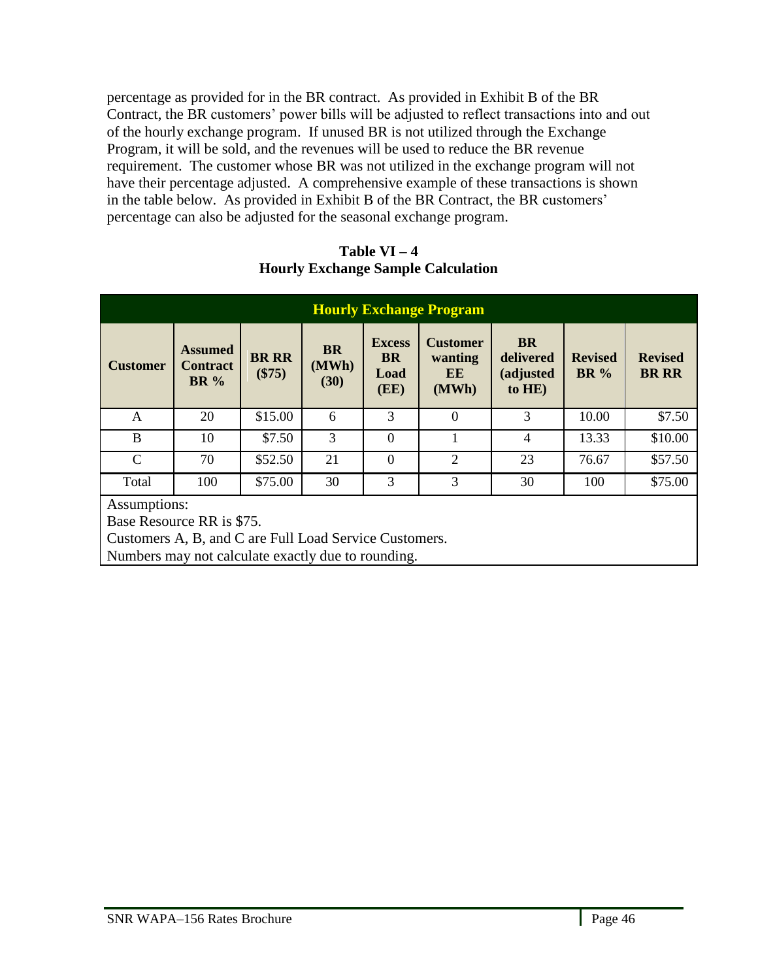percentage as provided for in the BR contract. As provided in Exhibit B of the BR Contract, the BR customers' power bills will be adjusted to reflect transactions into and out of the hourly exchange program. If unused BR is not utilized through the Exchange Program, it will be sold, and the revenues will be used to reduce the BR revenue requirement. The customer whose BR was not utilized in the exchange program will not have their percentage adjusted. A comprehensive example of these transactions is shown in the table below. As provided in Exhibit B of the BR Contract, the BR customers' percentage can also be adjusted for the seasonal exchange program.

| Table $VI - 4$                            |
|-------------------------------------------|
| <b>Hourly Exchange Sample Calculation</b> |

| <b>Hourly Exchange Program</b>                                                                      |                                                  |                          |                            |                                            |                                           |                                               |                               |                                |
|-----------------------------------------------------------------------------------------------------|--------------------------------------------------|--------------------------|----------------------------|--------------------------------------------|-------------------------------------------|-----------------------------------------------|-------------------------------|--------------------------------|
| <b>Customer</b>                                                                                     | <b>Assumed</b><br><b>Contract</b><br><b>BR</b> % | <b>BR RR</b><br>$(\$75)$ | <b>BR</b><br>(MWh)<br>(30) | <b>Excess</b><br><b>BR</b><br>Load<br>(EE) | <b>Customer</b><br>wanting<br>EE<br>(MWh) | <b>BR</b><br>delivered<br>(adjusted<br>to HE) | <b>Revised</b><br><b>BR</b> % | <b>Revised</b><br><b>BR RR</b> |
| A                                                                                                   | 20                                               | \$15.00                  | 6                          | 3                                          | $\theta$                                  | 3                                             | 10.00                         | \$7.50                         |
| B                                                                                                   | 10                                               | \$7.50                   | 3                          | $\theta$                                   |                                           | 4                                             | 13.33                         | \$10.00                        |
| $\mathcal{C}$                                                                                       | 70                                               | \$52.50                  | 21                         | $\Omega$                                   | $\overline{2}$                            | 23                                            | 76.67                         | \$57.50                        |
| Total                                                                                               | 100                                              | \$75.00                  | 30                         | 3                                          | 3                                         | 30                                            | 100                           | \$75.00                        |
| Assumptions:<br>Base Resource RR is \$75.<br>Customers A, B, and C are Full Load Service Customers. |                                                  |                          |                            |                                            |                                           |                                               |                               |                                |

Numbers may not calculate exactly due to rounding.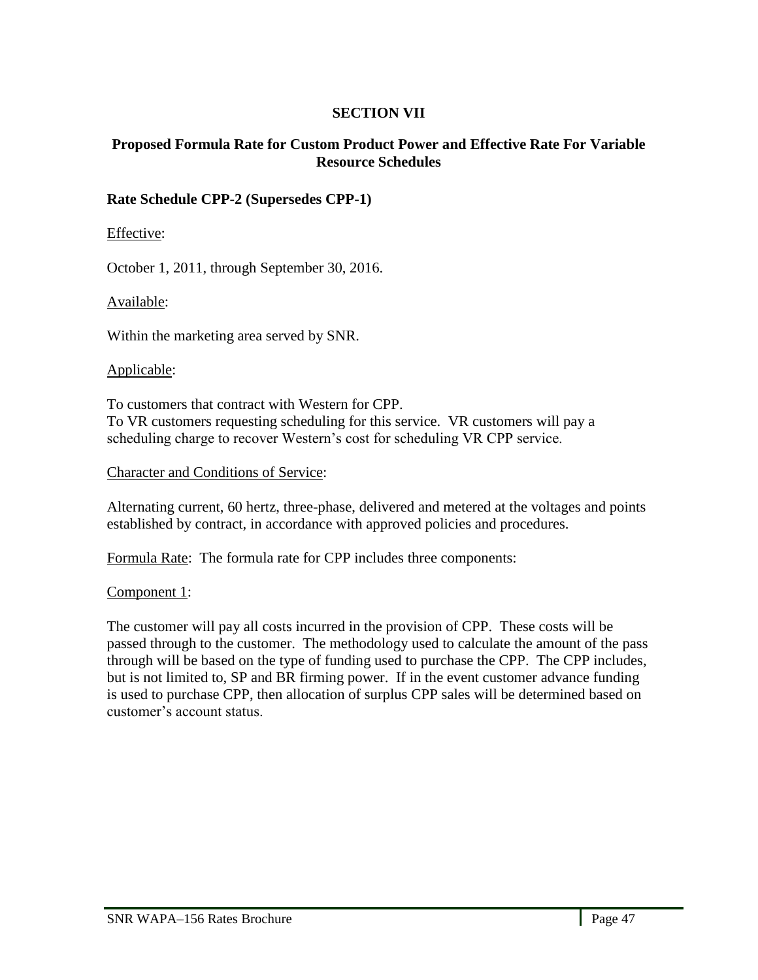## **SECTION VII**

### **Proposed Formula Rate for Custom Product Power and Effective Rate For Variable Resource Schedules**

## **Rate Schedule CPP-2 (Supersedes CPP-1)**

Effective:

October 1, 2011, through September 30, 2016.

Available:

Within the marketing area served by SNR.

#### Applicable:

To customers that contract with Western for CPP. To VR customers requesting scheduling for this service. VR customers will pay a scheduling charge to recover Western's cost for scheduling VR CPP service.

Character and Conditions of Service:

Alternating current, 60 hertz, three-phase, delivered and metered at the voltages and points established by contract, in accordance with approved policies and procedures.

Formula Rate: The formula rate for CPP includes three components:

### Component 1:

The customer will pay all costs incurred in the provision of CPP. These costs will be passed through to the customer. The methodology used to calculate the amount of the pass through will be based on the type of funding used to purchase the CPP. The CPP includes, but is not limited to, SP and BR firming power. If in the event customer advance funding is used to purchase CPP, then allocation of surplus CPP sales will be determined based on customer's account status.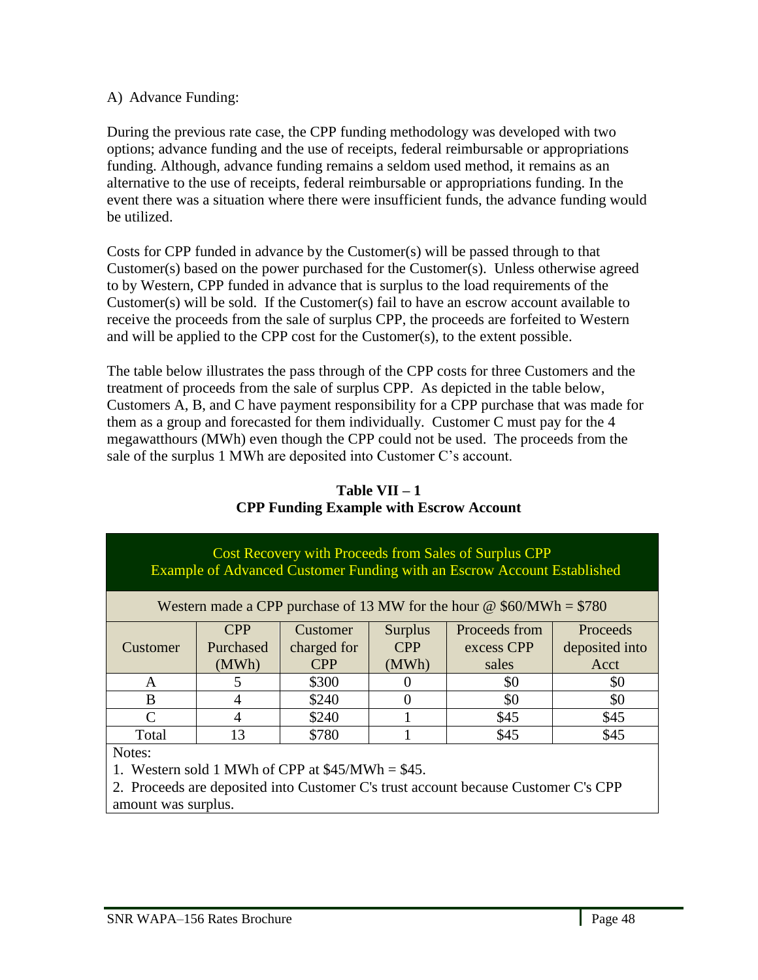### A) Advance Funding:

During the previous rate case, the CPP funding methodology was developed with two options; advance funding and the use of receipts, federal reimbursable or appropriations funding. Although, advance funding remains a seldom used method, it remains as an alternative to the use of receipts, federal reimbursable or appropriations funding. In the event there was a situation where there were insufficient funds, the advance funding would be utilized.

Costs for CPP funded in advance by the Customer(s) will be passed through to that Customer(s) based on the power purchased for the Customer(s). Unless otherwise agreed to by Western, CPP funded in advance that is surplus to the load requirements of the Customer(s) will be sold. If the Customer(s) fail to have an escrow account available to receive the proceeds from the sale of surplus CPP, the proceeds are forfeited to Western and will be applied to the CPP cost for the Customer(s), to the extent possible.

The table below illustrates the pass through of the CPP costs for three Customers and the treatment of proceeds from the sale of surplus CPP. As depicted in the table below, Customers A, B, and C have payment responsibility for a CPP purchase that was made for them as a group and forecasted for them individually. Customer C must pay for the 4 megawatthours (MWh) even though the CPP could not be used. The proceeds from the sale of the surplus 1 MWh are deposited into Customer C's account.

| Cost Recovery with Proceeds from Sales of Surplus CPP<br>Example of Advanced Customer Funding with an Escrow Account Established |            |             |                |                                                                             |                |
|----------------------------------------------------------------------------------------------------------------------------------|------------|-------------|----------------|-----------------------------------------------------------------------------|----------------|
|                                                                                                                                  |            |             |                | Western made a CPP purchase of 13 MW for the hour $\omega$ \$60/MWh = \$780 |                |
|                                                                                                                                  | <b>CPP</b> | Customer    | <b>Surplus</b> | Proceeds from                                                               | Proceeds       |
| Customer                                                                                                                         | Purchased  | charged for | <b>CPP</b>     | excess CPP                                                                  | deposited into |
|                                                                                                                                  | (MWh)      | <b>CPP</b>  | (MWh)          | sales                                                                       | Acct           |
| A                                                                                                                                | 5          | \$300       |                | \$0                                                                         | \$0            |
| B                                                                                                                                | 4          | \$240       |                | \$0                                                                         | \$0            |
| $\mathcal{C}_{\mathcal{C}}$                                                                                                      | 4          | \$240       |                | \$45                                                                        | \$45           |
| Total                                                                                                                            | 13         | \$780       |                | \$45                                                                        | \$45           |
| Notes:                                                                                                                           |            |             |                |                                                                             |                |
| 1. Western sold 1 MWh of CPP at $$45/MWh = $45$ .                                                                                |            |             |                |                                                                             |                |
| 2. Description deposited into Customer Claterate account because Customer Cla CDD                                                |            |             |                |                                                                             |                |

## **Table VII – 1 CPP Funding Example with Escrow Account**

2. Proceeds are deposited into Customer C's trust account because Customer C's CPP amount was surplus.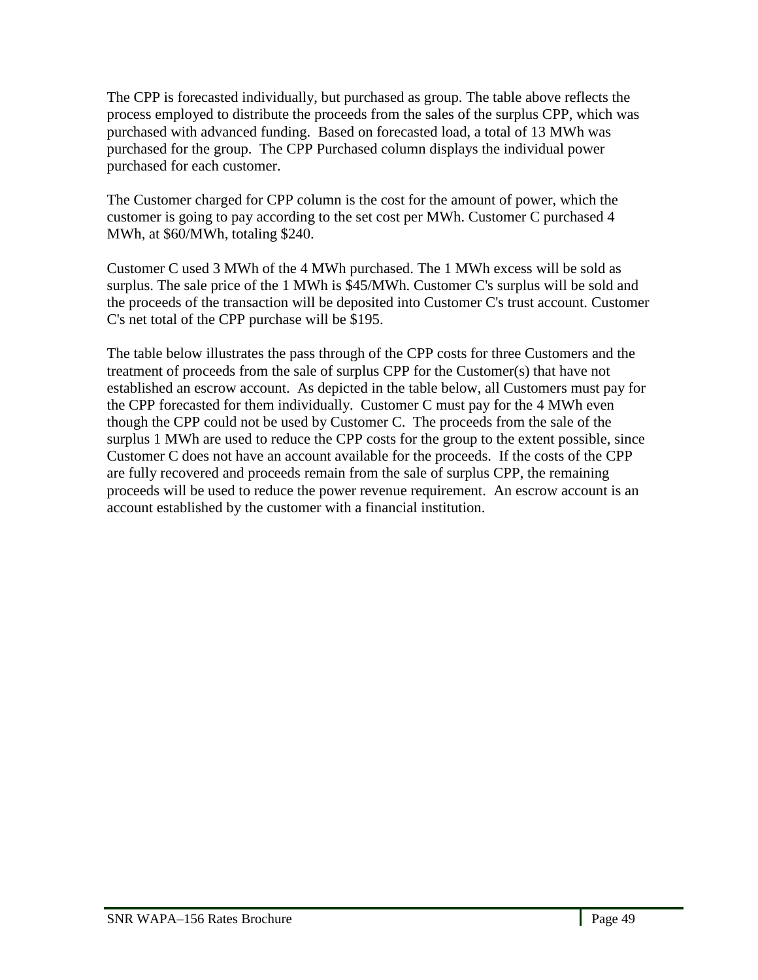The CPP is forecasted individually, but purchased as group. The table above reflects the process employed to distribute the proceeds from the sales of the surplus CPP, which was purchased with advanced funding. Based on forecasted load, a total of 13 MWh was purchased for the group. The CPP Purchased column displays the individual power purchased for each customer.

The Customer charged for CPP column is the cost for the amount of power, which the customer is going to pay according to the set cost per MWh. Customer C purchased 4 MWh, at \$60/MWh, totaling \$240.

Customer C used 3 MWh of the 4 MWh purchased. The 1 MWh excess will be sold as surplus. The sale price of the 1 MWh is \$45/MWh. Customer C's surplus will be sold and the proceeds of the transaction will be deposited into Customer C's trust account. Customer C's net total of the CPP purchase will be \$195.

The table below illustrates the pass through of the CPP costs for three Customers and the treatment of proceeds from the sale of surplus CPP for the Customer(s) that have not established an escrow account. As depicted in the table below, all Customers must pay for the CPP forecasted for them individually. Customer C must pay for the 4 MWh even though the CPP could not be used by Customer C. The proceeds from the sale of the surplus 1 MWh are used to reduce the CPP costs for the group to the extent possible, since Customer C does not have an account available for the proceeds. If the costs of the CPP are fully recovered and proceeds remain from the sale of surplus CPP, the remaining proceeds will be used to reduce the power revenue requirement. An escrow account is an account established by the customer with a financial institution.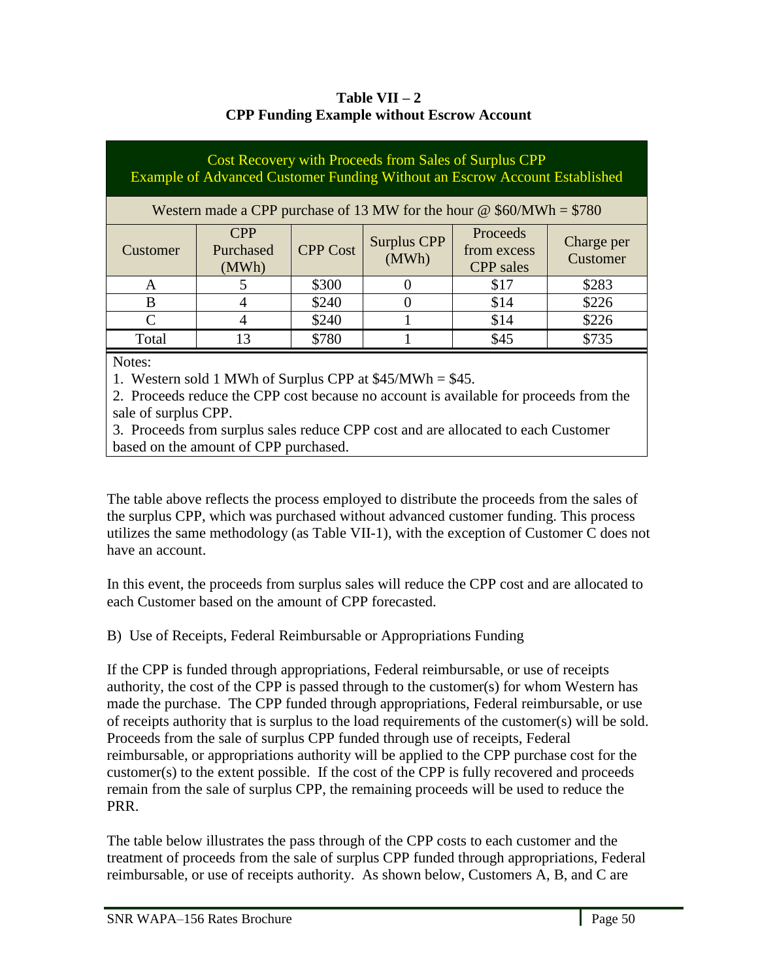| Table VII $-2$                                    |
|---------------------------------------------------|
| <b>CPP Funding Example without Escrow Account</b> |

| Cost Recovery with Proceeds from Sales of Surplus CPP<br>Example of Advanced Customer Funding Without an Escrow Account Established |                                                                             |                 |                             |                                             |                        |
|-------------------------------------------------------------------------------------------------------------------------------------|-----------------------------------------------------------------------------|-----------------|-----------------------------|---------------------------------------------|------------------------|
|                                                                                                                                     | Western made a CPP purchase of 13 MW for the hour $\omega$ \$60/MWh = \$780 |                 |                             |                                             |                        |
| Customer                                                                                                                            | <b>CPP</b><br>Purchased<br>(MWh)                                            | <b>CPP Cost</b> | <b>Surplus CPP</b><br>(MWh) | Proceeds<br>from excess<br><b>CPP</b> sales | Charge per<br>Customer |
| A                                                                                                                                   |                                                                             | \$300           |                             | \$17                                        | \$283                  |
| B                                                                                                                                   |                                                                             | \$240           |                             | \$14                                        | \$226                  |
| $\Gamma$                                                                                                                            |                                                                             | \$240           |                             | \$14                                        | \$226                  |
| Total                                                                                                                               | 13                                                                          | \$780           |                             | \$45                                        | \$735                  |
| Notes:                                                                                                                              |                                                                             |                 |                             |                                             |                        |

1. Western sold 1 MWh of Surplus CPP at \$45/MWh = \$45.

2. Proceeds reduce the CPP cost because no account is available for proceeds from the sale of surplus CPP.

3. Proceeds from surplus sales reduce CPP cost and are allocated to each Customer based on the amount of CPP purchased.

The table above reflects the process employed to distribute the proceeds from the sales of the surplus CPP, which was purchased without advanced customer funding. This process utilizes the same methodology (as Table VII-1), with the exception of Customer C does not have an account.

In this event, the proceeds from surplus sales will reduce the CPP cost and are allocated to each Customer based on the amount of CPP forecasted.

B) Use of Receipts, Federal Reimbursable or Appropriations Funding

If the CPP is funded through appropriations, Federal reimbursable, or use of receipts authority, the cost of the CPP is passed through to the customer(s) for whom Western has made the purchase. The CPP funded through appropriations, Federal reimbursable, or use of receipts authority that is surplus to the load requirements of the customer(s) will be sold. Proceeds from the sale of surplus CPP funded through use of receipts, Federal reimbursable, or appropriations authority will be applied to the CPP purchase cost for the customer(s) to the extent possible. If the cost of the CPP is fully recovered and proceeds remain from the sale of surplus CPP, the remaining proceeds will be used to reduce the PRR.

The table below illustrates the pass through of the CPP costs to each customer and the treatment of proceeds from the sale of surplus CPP funded through appropriations, Federal reimbursable, or use of receipts authority. As shown below, Customers A, B, and C are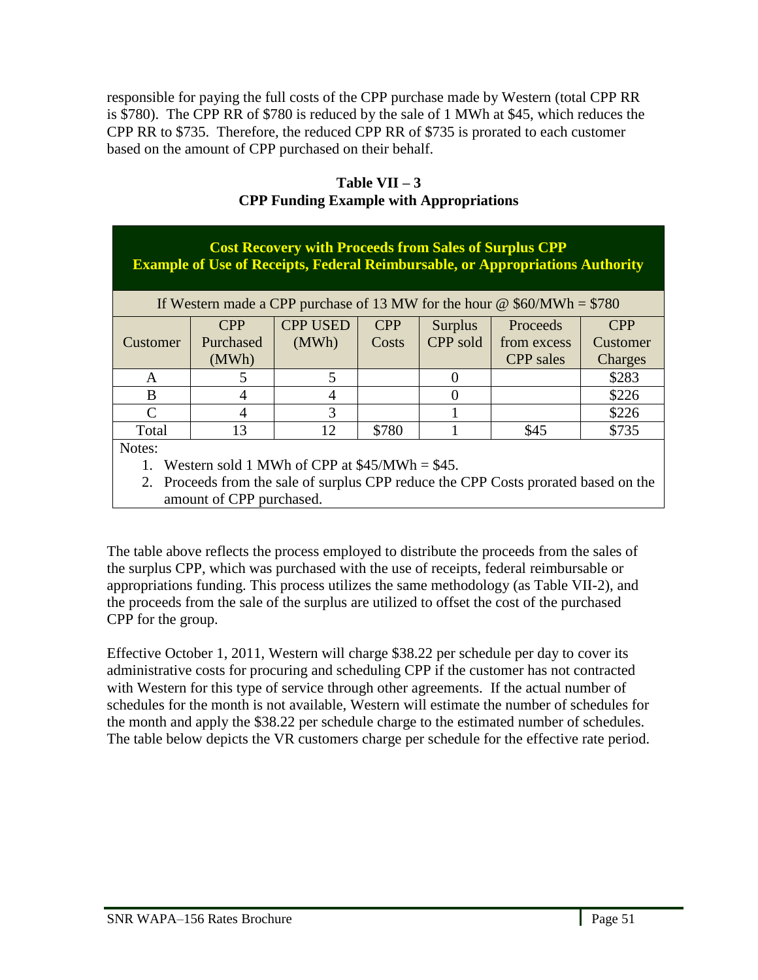responsible for paying the full costs of the CPP purchase made by Western (total CPP RR is \$780). The CPP RR of \$780 is reduced by the sale of 1 MWh at \$45, which reduces the CPP RR to \$735. Therefore, the reduced CPP RR of \$735 is prorated to each customer based on the amount of CPP purchased on their behalf.

| <b>Cost Recovery with Proceeds from Sales of Surplus CPP</b><br><b>Example of Use of Receipts, Federal Reimbursable, or Appropriations Authority</b> |            |                                                |            |                |                                                                                                                                                                                                                                                                                                                                                                                                                                                                                                                  |            |
|------------------------------------------------------------------------------------------------------------------------------------------------------|------------|------------------------------------------------|------------|----------------|------------------------------------------------------------------------------------------------------------------------------------------------------------------------------------------------------------------------------------------------------------------------------------------------------------------------------------------------------------------------------------------------------------------------------------------------------------------------------------------------------------------|------------|
|                                                                                                                                                      |            |                                                |            |                | If Western made a CPP purchase of 13 MW for the hour $\omega$ \$60/MWh = \$780                                                                                                                                                                                                                                                                                                                                                                                                                                   |            |
|                                                                                                                                                      | <b>CPP</b> | <b>CPP USED</b>                                | <b>CPP</b> | <b>Surplus</b> | Proceeds                                                                                                                                                                                                                                                                                                                                                                                                                                                                                                         | <b>CPP</b> |
| Customer                                                                                                                                             | Purchased  | (MWh)                                          | Costs      | CPP sold       | from excess                                                                                                                                                                                                                                                                                                                                                                                                                                                                                                      | Customer   |
|                                                                                                                                                      | (MWh)      |                                                |            |                | <b>CPP</b> sales                                                                                                                                                                                                                                                                                                                                                                                                                                                                                                 | Charges    |
| A                                                                                                                                                    |            | 5                                              |            |                |                                                                                                                                                                                                                                                                                                                                                                                                                                                                                                                  | \$283      |
| B                                                                                                                                                    | 4          | $\overline{4}$                                 |            | $\Omega$       |                                                                                                                                                                                                                                                                                                                                                                                                                                                                                                                  | \$226      |
| $\subset$                                                                                                                                            | 4          | 3                                              |            |                |                                                                                                                                                                                                                                                                                                                                                                                                                                                                                                                  | \$226      |
| Total                                                                                                                                                | 13         | 12                                             | \$780      |                | \$45                                                                                                                                                                                                                                                                                                                                                                                                                                                                                                             | \$735      |
| Notes:                                                                                                                                               |            |                                                |            |                |                                                                                                                                                                                                                                                                                                                                                                                                                                                                                                                  |            |
|                                                                                                                                                      |            | Western sold 1 MWh of CPP at $$45/MWh = $45$ . |            |                |                                                                                                                                                                                                                                                                                                                                                                                                                                                                                                                  |            |
|                                                                                                                                                      |            |                                                |            |                | $\mathbf{1} \times \mathbf{1} \times \mathbf{1} \times \mathbf{1} \times \mathbf{1} \times \mathbf{1} \times \mathbf{1} \times \mathbf{1} \times \mathbf{1} \times \mathbf{1} \times \mathbf{1} \times \mathbf{1} \times \mathbf{1} \times \mathbf{1} \times \mathbf{1} \times \mathbf{1} \times \mathbf{1} \times \mathbf{1} \times \mathbf{1} \times \mathbf{1} \times \mathbf{1} \times \mathbf{1} \times \mathbf{1} \times \mathbf{1} \times \mathbf{1} \times \mathbf{1} \times \mathbf{1} \times \mathbf{$ |            |

**Table VII – 3 CPP Funding Example with Appropriations**

2. Proceeds from the sale of surplus CPP reduce the CPP Costs prorated based on the amount of CPP purchased.

The table above reflects the process employed to distribute the proceeds from the sales of the surplus CPP, which was purchased with the use of receipts, federal reimbursable or appropriations funding. This process utilizes the same methodology (as Table VII-2), and the proceeds from the sale of the surplus are utilized to offset the cost of the purchased CPP for the group.

Effective October 1, 2011, Western will charge \$38.22 per schedule per day to cover its administrative costs for procuring and scheduling CPP if the customer has not contracted with Western for this type of service through other agreements. If the actual number of schedules for the month is not available, Western will estimate the number of schedules for the month and apply the \$38.22 per schedule charge to the estimated number of schedules. The table below depicts the VR customers charge per schedule for the effective rate period.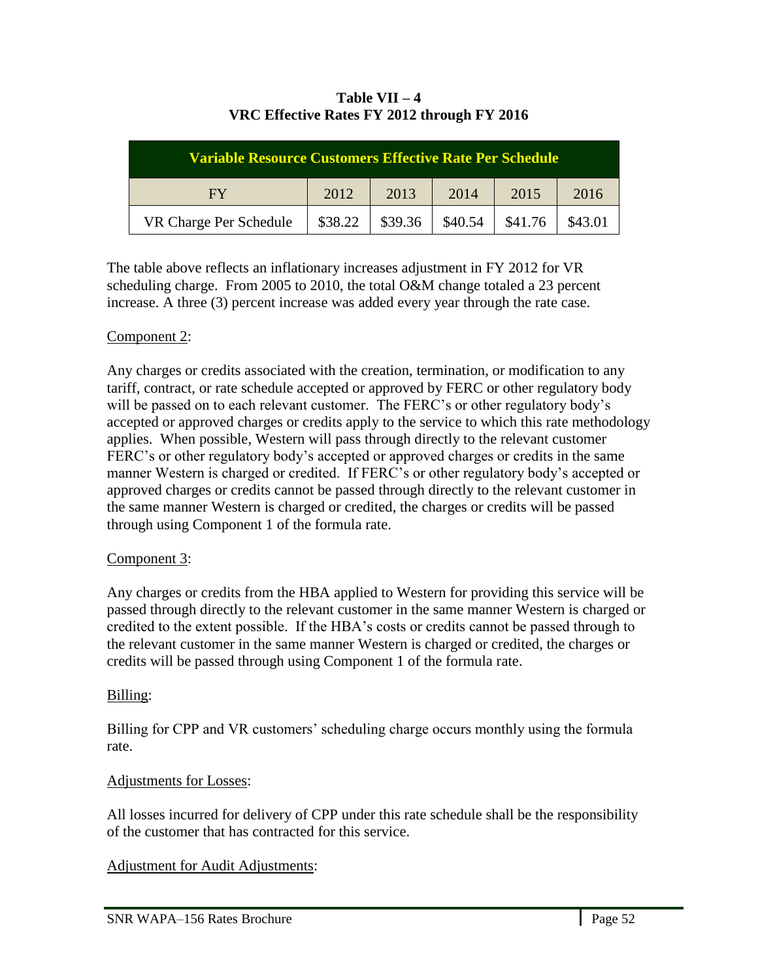| <b>Variable Resource Customers Effective Rate Per Schedule</b> |         |         |         |         |         |
|----------------------------------------------------------------|---------|---------|---------|---------|---------|
| FY                                                             | 2012    | 2013    | 2014    | 2015    | 2016    |
| VR Charge Per Schedule                                         | \$38.22 | \$39.36 | \$40.54 | \$41.76 | \$43.01 |

### **Table VII – 4 VRC Effective Rates FY 2012 through FY 2016**

The table above reflects an inflationary increases adjustment in FY 2012 for VR scheduling charge. From 2005 to 2010, the total O&M change totaled a 23 percent increase. A three (3) percent increase was added every year through the rate case.

## Component 2:

Any charges or credits associated with the creation, termination, or modification to any tariff, contract, or rate schedule accepted or approved by FERC or other regulatory body will be passed on to each relevant customer. The FERC's or other regulatory body's accepted or approved charges or credits apply to the service to which this rate methodology applies. When possible, Western will pass through directly to the relevant customer FERC's or other regulatory body's accepted or approved charges or credits in the same manner Western is charged or credited. If FERC's or other regulatory body's accepted or approved charges or credits cannot be passed through directly to the relevant customer in the same manner Western is charged or credited, the charges or credits will be passed through using Component 1 of the formula rate.

## Component 3:

Any charges or credits from the HBA applied to Western for providing this service will be passed through directly to the relevant customer in the same manner Western is charged or credited to the extent possible. If the HBA's costs or credits cannot be passed through to the relevant customer in the same manner Western is charged or credited, the charges or credits will be passed through using Component 1 of the formula rate.

### Billing:

l,

Billing for CPP and VR customers' scheduling charge occurs monthly using the formula rate.

### Adjustments for Losses:

All losses incurred for delivery of CPP under this rate schedule shall be the responsibility of the customer that has contracted for this service.

### Adjustment for Audit Adjustments: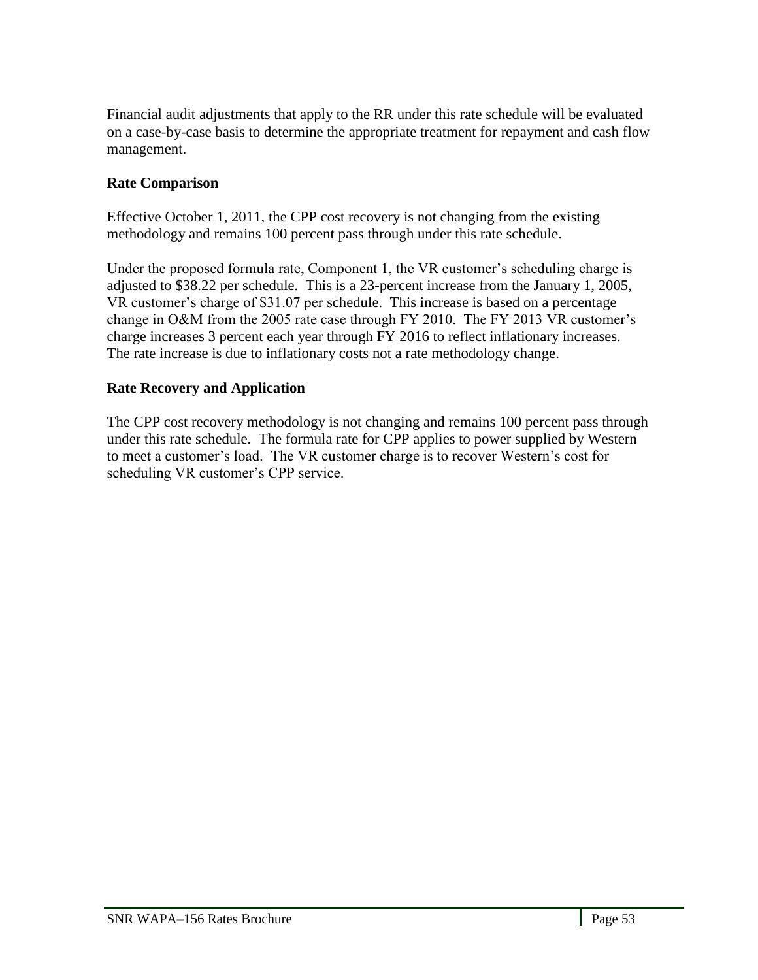Financial audit adjustments that apply to the RR under this rate schedule will be evaluated on a case-by-case basis to determine the appropriate treatment for repayment and cash flow management.

## **Rate Comparison**

Effective October 1, 2011, the CPP cost recovery is not changing from the existing methodology and remains 100 percent pass through under this rate schedule.

Under the proposed formula rate, Component 1, the VR customer's scheduling charge is adjusted to \$38.22 per schedule. This is a 23-percent increase from the January 1, 2005, VR customer's charge of \$31.07 per schedule. This increase is based on a percentage change in O&M from the 2005 rate case through FY 2010. The FY 2013 VR customer's charge increases 3 percent each year through FY 2016 to reflect inflationary increases. The rate increase is due to inflationary costs not a rate methodology change.

### **Rate Recovery and Application**

The CPP cost recovery methodology is not changing and remains 100 percent pass through under this rate schedule. The formula rate for CPP applies to power supplied by Western to meet a customer's load. The VR customer charge is to recover Western's cost for scheduling VR customer's CPP service.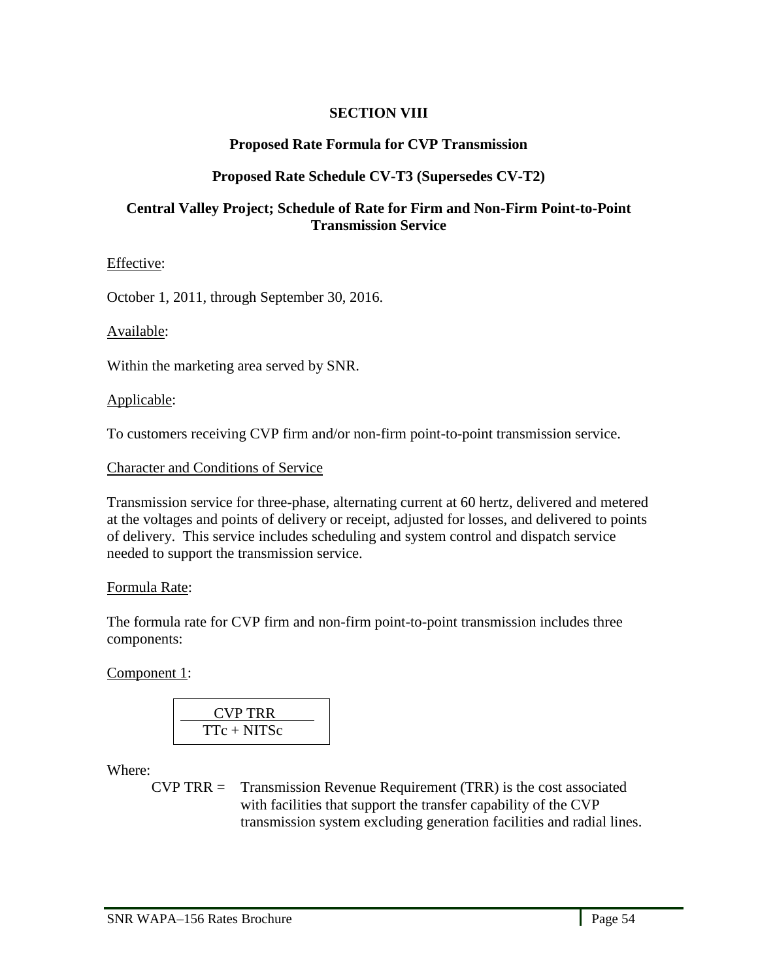### **SECTION VIII**

#### **Proposed Rate Formula for CVP Transmission**

#### **Proposed Rate Schedule CV-T3 (Supersedes CV-T2)**

#### **Central Valley Project; Schedule of Rate for Firm and Non-Firm Point-to-Point Transmission Service**

Effective:

October 1, 2011, through September 30, 2016.

Available:

Within the marketing area served by SNR.

Applicable:

To customers receiving CVP firm and/or non-firm point-to-point transmission service.

Character and Conditions of Service

Transmission service for three-phase, alternating current at 60 hertz, delivered and metered at the voltages and points of delivery or receipt, adjusted for losses, and delivered to points of delivery. This service includes scheduling and system control and dispatch service needed to support the transmission service.

#### Formula Rate:

The formula rate for CVP firm and non-firm point-to-point transmission includes three components:

Component 1:

$$
\frac{\text{CVP TRR}}{\text{TTc} + \text{NITSc}}
$$

Where:

l,

 $CVP$  TRR = Transmission Revenue Requirement (TRR) is the cost associated with facilities that support the transfer capability of the CVP transmission system excluding generation facilities and radial lines.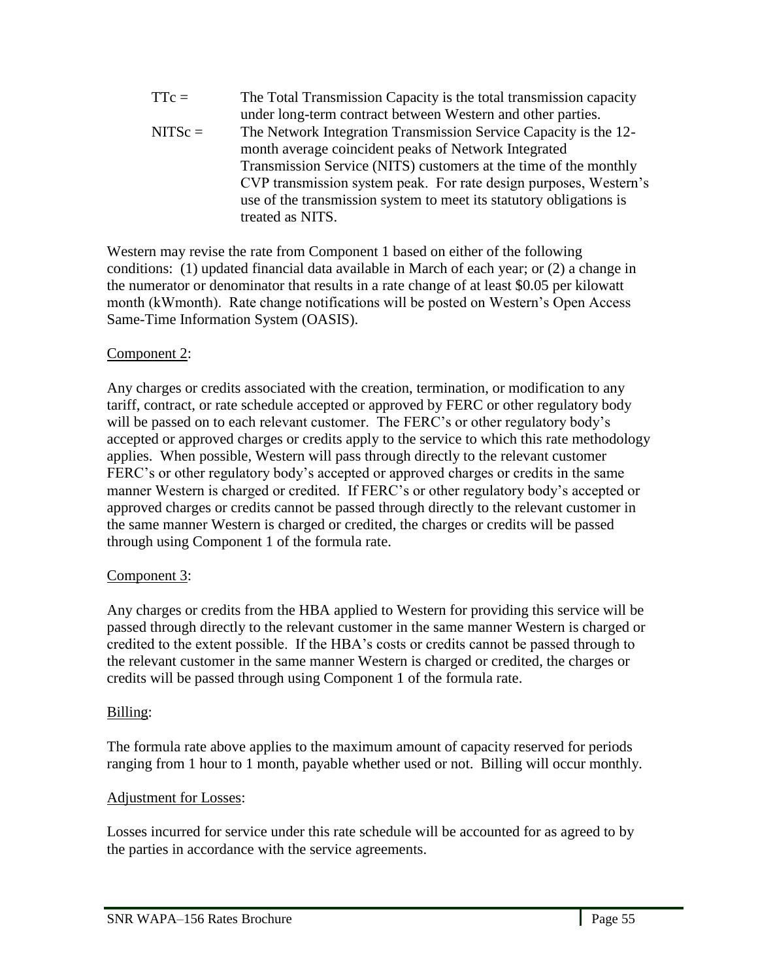TTc = The Total Transmission Capacity is the total transmission capacity under long-term contract between Western and other parties. NITSc = The Network Integration Transmission Service Capacity is the 12 month average coincident peaks of Network Integrated Transmission Service (NITS) customers at the time of the monthly CVP transmission system peak. For rate design purposes, Western's use of the transmission system to meet its statutory obligations is treated as NITS.

Western may revise the rate from Component 1 based on either of the following conditions: (1) updated financial data available in March of each year; or (2) a change in the numerator or denominator that results in a rate change of at least \$0.05 per kilowatt month (kWmonth). Rate change notifications will be posted on Western's Open Access Same-Time Information System (OASIS).

## Component 2:

Any charges or credits associated with the creation, termination, or modification to any tariff, contract, or rate schedule accepted or approved by FERC or other regulatory body will be passed on to each relevant customer. The FERC's or other regulatory body's accepted or approved charges or credits apply to the service to which this rate methodology applies. When possible, Western will pass through directly to the relevant customer FERC's or other regulatory body's accepted or approved charges or credits in the same manner Western is charged or credited. If FERC's or other regulatory body's accepted or approved charges or credits cannot be passed through directly to the relevant customer in the same manner Western is charged or credited, the charges or credits will be passed through using Component 1 of the formula rate.

## Component 3:

Any charges or credits from the HBA applied to Western for providing this service will be passed through directly to the relevant customer in the same manner Western is charged or credited to the extent possible. If the HBA's costs or credits cannot be passed through to the relevant customer in the same manner Western is charged or credited, the charges or credits will be passed through using Component 1 of the formula rate.

## Billing:

l,

The formula rate above applies to the maximum amount of capacity reserved for periods ranging from 1 hour to 1 month, payable whether used or not. Billing will occur monthly.

### Adjustment for Losses:

Losses incurred for service under this rate schedule will be accounted for as agreed to by the parties in accordance with the service agreements.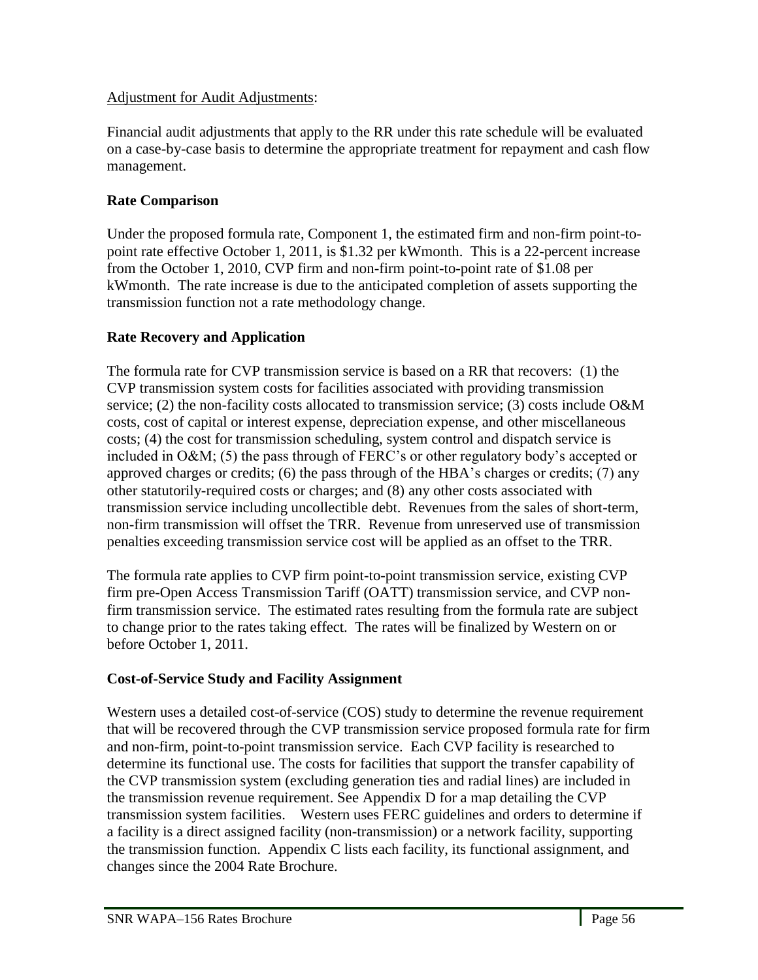### Adjustment for Audit Adjustments:

Financial audit adjustments that apply to the RR under this rate schedule will be evaluated on a case-by-case basis to determine the appropriate treatment for repayment and cash flow management.

## **Rate Comparison**

Under the proposed formula rate, Component 1, the estimated firm and non-firm point-topoint rate effective October 1, 2011, is \$1.32 per kWmonth. This is a 22-percent increase from the October 1, 2010, CVP firm and non-firm point-to-point rate of \$1.08 per kWmonth. The rate increase is due to the anticipated completion of assets supporting the transmission function not a rate methodology change.

## **Rate Recovery and Application**

The formula rate for CVP transmission service is based on a RR that recovers: (1) the CVP transmission system costs for facilities associated with providing transmission service; (2) the non-facility costs allocated to transmission service; (3) costs include O&M costs, cost of capital or interest expense, depreciation expense, and other miscellaneous costs; (4) the cost for transmission scheduling, system control and dispatch service is included in O&M; (5) the pass through of FERC's or other regulatory body's accepted or approved charges or credits; (6) the pass through of the HBA's charges or credits; (7) any other statutorily-required costs or charges; and (8) any other costs associated with transmission service including uncollectible debt. Revenues from the sales of short-term, non-firm transmission will offset the TRR. Revenue from unreserved use of transmission penalties exceeding transmission service cost will be applied as an offset to the TRR.

The formula rate applies to CVP firm point-to-point transmission service, existing CVP firm pre-Open Access Transmission Tariff (OATT) transmission service, and CVP nonfirm transmission service. The estimated rates resulting from the formula rate are subject to change prior to the rates taking effect. The rates will be finalized by Western on or before October 1, 2011.

## **Cost-of-Service Study and Facility Assignment**

Western uses a detailed cost-of-service (COS) study to determine the revenue requirement that will be recovered through the CVP transmission service proposed formula rate for firm and non-firm, point-to-point transmission service. Each CVP facility is researched to determine its functional use. The costs for facilities that support the transfer capability of the CVP transmission system (excluding generation ties and radial lines) are included in the transmission revenue requirement. See Appendix D for a map detailing the CVP transmission system facilities.Western uses FERC guidelines and orders to determine if a facility is a direct assigned facility (non-transmission) or a network facility, supporting the transmission function. Appendix C lists each facility, its functional assignment, and changes since the 2004 Rate Brochure.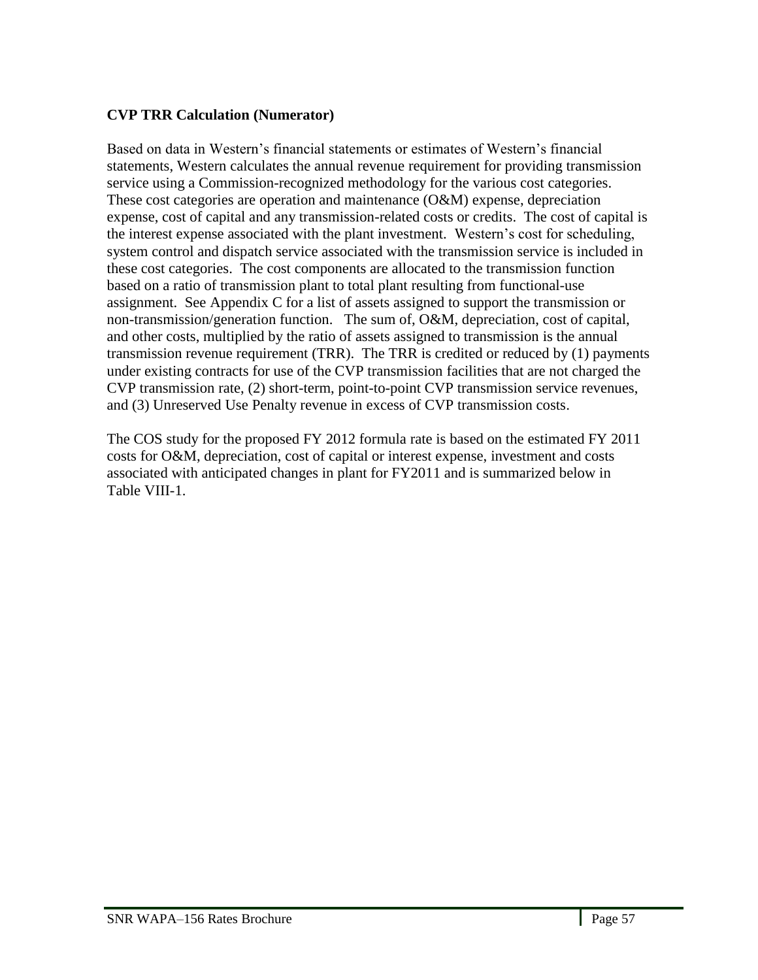## **CVP TRR Calculation (Numerator)**

Based on data in Western's financial statements or estimates of Western's financial statements, Western calculates the annual revenue requirement for providing transmission service using a Commission-recognized methodology for the various cost categories. These cost categories are operation and maintenance (O&M) expense, depreciation expense, cost of capital and any transmission-related costs or credits. The cost of capital is the interest expense associated with the plant investment. Western's cost for scheduling, system control and dispatch service associated with the transmission service is included in these cost categories. The cost components are allocated to the transmission function based on a ratio of transmission plant to total plant resulting from functional-use assignment. See Appendix C for a list of assets assigned to support the transmission or non-transmission/generation function. The sum of, O&M, depreciation, cost of capital, and other costs, multiplied by the ratio of assets assigned to transmission is the annual transmission revenue requirement (TRR). The TRR is credited or reduced by (1) payments under existing contracts for use of the CVP transmission facilities that are not charged the CVP transmission rate, (2) short-term, point-to-point CVP transmission service revenues, and (3) Unreserved Use Penalty revenue in excess of CVP transmission costs.

The COS study for the proposed FY 2012 formula rate is based on the estimated FY 2011 costs for O&M, depreciation, cost of capital or interest expense, investment and costs associated with anticipated changes in plant for FY2011 and is summarized below in Table VIII-1.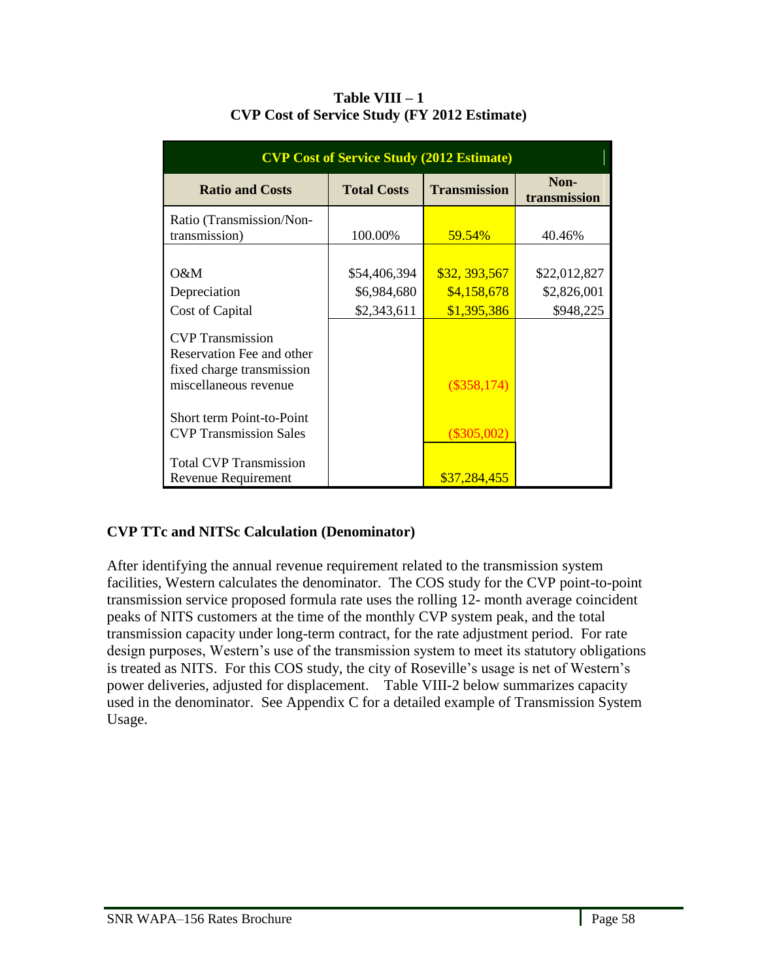| <b>CVP Cost of Service Study (2012 Estimate)</b>                                                           |                    |                     |                      |  |
|------------------------------------------------------------------------------------------------------------|--------------------|---------------------|----------------------|--|
| <b>Ratio and Costs</b>                                                                                     | <b>Total Costs</b> | <b>Transmission</b> | Non-<br>transmission |  |
| Ratio (Transmission/Non-                                                                                   |                    |                     |                      |  |
| transmission)                                                                                              | 100.00%            | 59.54%              | 40.46%               |  |
|                                                                                                            |                    |                     |                      |  |
| O&M                                                                                                        | \$54,406,394       | \$32, 393, 567      | \$22,012,827         |  |
| Depreciation                                                                                               | \$6,984,680        | \$4,158,678         | \$2,826,001          |  |
| Cost of Capital                                                                                            | \$2,343,611        | \$1,395,386         | \$948,225            |  |
| <b>CVP</b> Transmission<br>Reservation Fee and other<br>fixed charge transmission<br>miscellaneous revenue |                    | $(\$358,174)$       |                      |  |
| Short term Point-to-Point<br><b>CVP</b> Transmission Sales                                                 |                    | $(\$305,002)$       |                      |  |
| <b>Total CVP Transmission</b><br><b>Revenue Requirement</b>                                                |                    | \$37,284,455        |                      |  |

**Table VIII – 1 CVP Cost of Service Study (FY 2012 Estimate)**

## **CVP TTc and NITSc Calculation (Denominator)**

After identifying the annual revenue requirement related to the transmission system facilities, Western calculates the denominator. The COS study for the CVP point-to-point transmission service proposed formula rate uses the rolling 12- month average coincident peaks of NITS customers at the time of the monthly CVP system peak, and the total transmission capacity under long-term contract, for the rate adjustment period. For rate design purposes, Western's use of the transmission system to meet its statutory obligations is treated as NITS. For this COS study, the city of Roseville's usage is net of Western's power deliveries, adjusted for displacement. Table VIII-2 below summarizes capacity used in the denominator. See Appendix C for a detailed example of Transmission System Usage.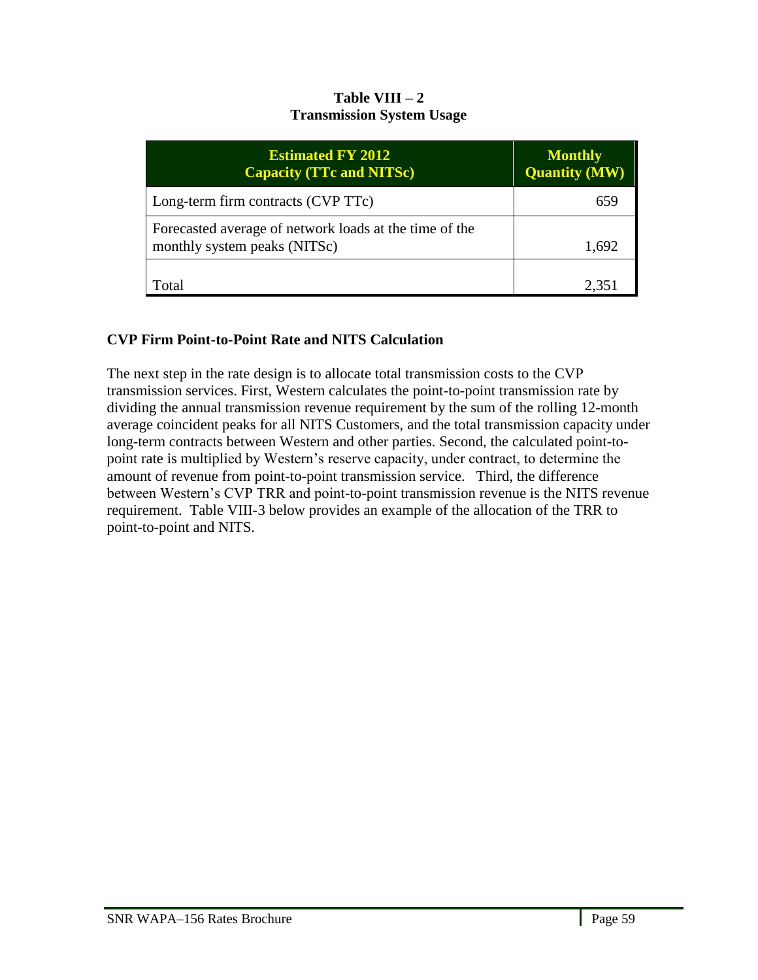### **Table VIII – 2 Transmission System Usage**

| <b>Estimated FY 2012</b><br><b>Capacity (TTc and NITSc)</b>                            | <b>Monthly</b><br><b>Quantity (MW)</b> |
|----------------------------------------------------------------------------------------|----------------------------------------|
| Long-term firm contracts (CVP TTc)                                                     | 659                                    |
| Forecasted average of network loads at the time of the<br>monthly system peaks (NITSc) | 1,692                                  |
| Fotal                                                                                  | 2,351                                  |

# **CVP Firm Point-to-Point Rate and NITS Calculation**

The next step in the rate design is to allocate total transmission costs to the CVP transmission services. First, Western calculates the point-to-point transmission rate by dividing the annual transmission revenue requirement by the sum of the rolling 12-month average coincident peaks for all NITS Customers, and the total transmission capacity under long-term contracts between Western and other parties. Second, the calculated point-topoint rate is multiplied by Western's reserve capacity, under contract, to determine the amount of revenue from point-to-point transmission service. Third, the difference between Western's CVP TRR and point-to-point transmission revenue is the NITS revenue requirement. Table VIII-3 below provides an example of the allocation of the TRR to point-to-point and NITS.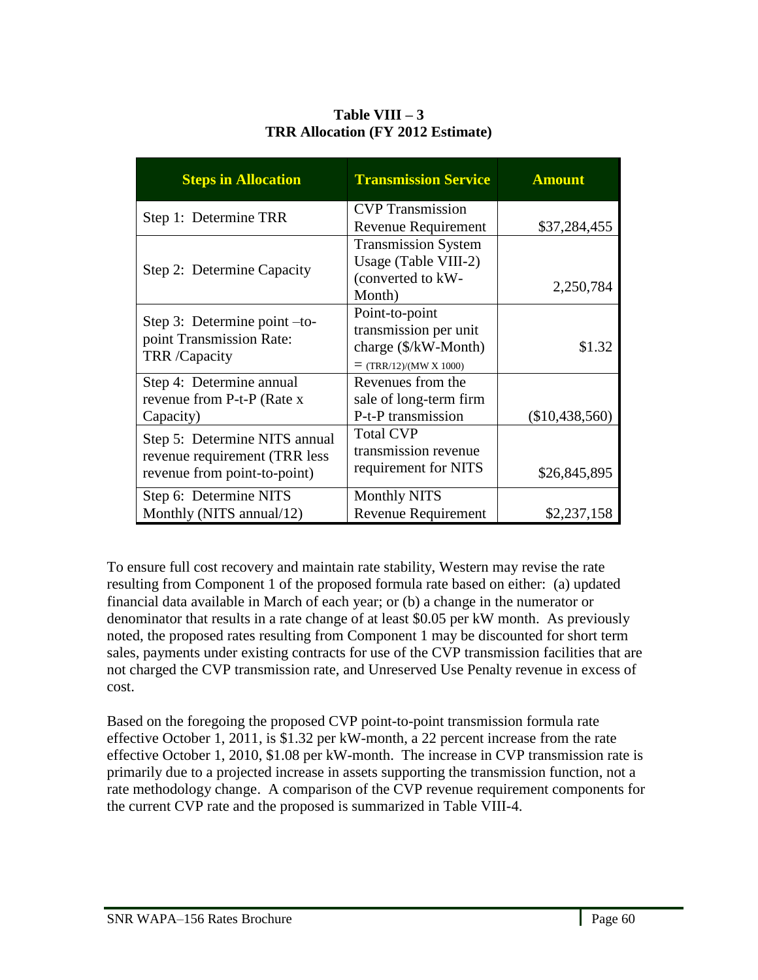| <b>Steps in Allocation</b>                                                                     | <b>Transmission Service</b>                                                                           | <b>Amount</b>    |
|------------------------------------------------------------------------------------------------|-------------------------------------------------------------------------------------------------------|------------------|
| Step 1: Determine TRR                                                                          | <b>CVP</b> Transmission<br><b>Revenue Requirement</b>                                                 | \$37,284,455     |
| Step 2: Determine Capacity                                                                     | <b>Transmission System</b><br>Usage (Table VIII-2)<br>(converted to kW-<br>Month)                     | 2,250,784        |
| Step 3: Determine point -to-<br>point Transmission Rate:<br>TRR /Capacity                      | Point-to-point<br>transmission per unit<br>charge $(\frac{C}{N}$ W-Month)<br>$=$ (TRR/12)/(MW X 1000) | \$1.32           |
| Step 4: Determine annual<br>revenue from P-t-P (Rate x<br>Capacity)                            | Revenues from the<br>sale of long-term firm<br>P-t-P transmission                                     | $(\$10,438,560)$ |
| Step 5: Determine NITS annual<br>revenue requirement (TRR less<br>revenue from point-to-point) | <b>Total CVP</b><br>transmission revenue<br>requirement for NITS                                      | \$26,845,895     |
| Step 6: Determine NITS<br>Monthly (NITS annual/12)                                             | <b>Monthly NITS</b><br><b>Revenue Requirement</b>                                                     | \$2,237,158      |

**Table VIII – 3 TRR Allocation (FY 2012 Estimate)**

To ensure full cost recovery and maintain rate stability, Western may revise the rate resulting from Component 1 of the proposed formula rate based on either: (a) updated financial data available in March of each year; or (b) a change in the numerator or denominator that results in a rate change of at least \$0.05 per kW month. As previously noted, the proposed rates resulting from Component 1 may be discounted for short term sales, payments under existing contracts for use of the CVP transmission facilities that are not charged the CVP transmission rate, and Unreserved Use Penalty revenue in excess of cost.

Based on the foregoing the proposed CVP point-to-point transmission formula rate effective October 1, 2011, is \$1.32 per kW-month, a 22 percent increase from the rate effective October 1, 2010, \$1.08 per kW-month. The increase in CVP transmission rate is primarily due to a projected increase in assets supporting the transmission function, not a rate methodology change. A comparison of the CVP revenue requirement components for the current CVP rate and the proposed is summarized in Table VIII-4.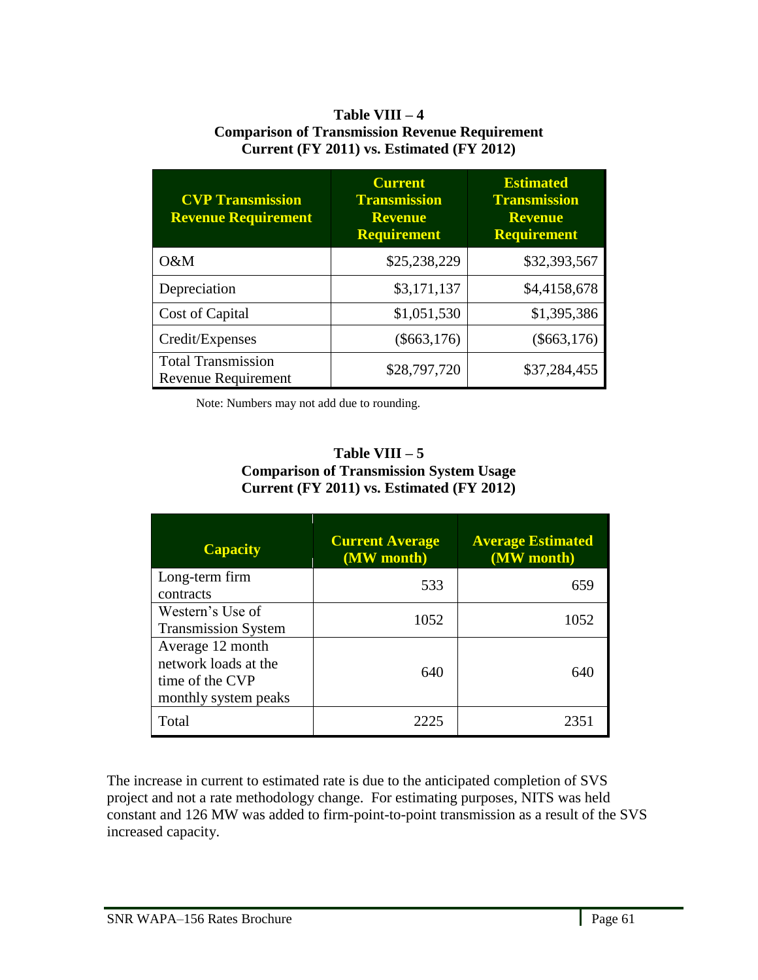### **Table VIII – 4 Comparison of Transmission Revenue Requirement Current (FY 2011) vs. Estimated (FY 2012)**

| <b>CVP Transmission</b><br><b>Revenue Requirement</b> | <b>Current</b><br><b>Transmission</b><br><b>Revenue</b><br><b>Requirement</b> | <b>Estimated</b><br><b>Transmission</b><br><b>Revenue</b><br><b>Requirement</b> |
|-------------------------------------------------------|-------------------------------------------------------------------------------|---------------------------------------------------------------------------------|
| O&M                                                   | \$25,238,229                                                                  | \$32,393,567                                                                    |
| Depreciation                                          | \$3,171,137                                                                   | \$4,4158,678                                                                    |
| Cost of Capital                                       | \$1,051,530                                                                   | \$1,395,386                                                                     |
| Credit/Expenses                                       | $(\$663,176)$                                                                 | $(\$663,176)$                                                                   |
| <b>Total Transmission</b><br>Revenue Requirement      | \$28,797,720                                                                  | \$37,284,455                                                                    |

Note: Numbers may not add due to rounding.

### **Table VIII – 5 Comparison of Transmission System Usage Current (FY 2011) vs. Estimated (FY 2012)**

| <b>Capacity</b>                                                                     | <b>Current Average</b><br>(MW month) | <b>Average Estimated</b><br>(MW month) |
|-------------------------------------------------------------------------------------|--------------------------------------|----------------------------------------|
| Long-term firm<br>contracts                                                         | 533                                  | 659                                    |
| Western's Use of<br><b>Transmission System</b>                                      | 1052                                 | 1052                                   |
| Average 12 month<br>network loads at the<br>time of the CVP<br>monthly system peaks | 640                                  | 640                                    |
| Total                                                                               | 2225                                 | 2351                                   |

The increase in current to estimated rate is due to the anticipated completion of SVS project and not a rate methodology change. For estimating purposes, NITS was held constant and 126 MW was added to firm-point-to-point transmission as a result of the SVS increased capacity.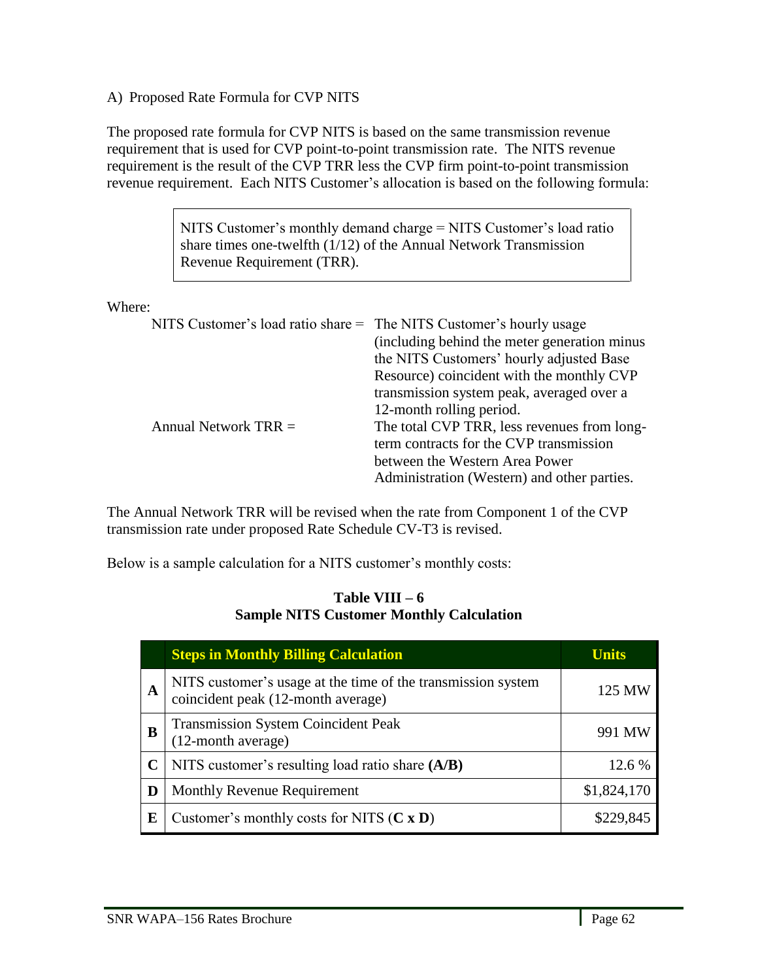A) Proposed Rate Formula for CVP NITS

The proposed rate formula for CVP NITS is based on the same transmission revenue requirement that is used for CVP point-to-point transmission rate. The NITS revenue requirement is the result of the CVP TRR less the CVP firm point-to-point transmission revenue requirement. Each NITS Customer's allocation is based on the following formula:

> NITS Customer's monthly demand charge = NITS Customer's load ratio share times one-twelfth (1/12) of the Annual Network Transmission Revenue Requirement (TRR).

Where:

|                        | NITS Customer's load ratio share = The NITS Customer's hourly usage |
|------------------------|---------------------------------------------------------------------|
|                        | (including behind the meter generation minus)                       |
|                        | the NITS Customers' hourly adjusted Base                            |
|                        | Resource) coincident with the monthly CVP                           |
|                        | transmission system peak, averaged over a                           |
|                        | 12-month rolling period.                                            |
| Annual Network $TRR =$ | The total CVP TRR, less revenues from long-                         |
|                        | term contracts for the CVP transmission                             |
|                        | between the Western Area Power                                      |
|                        | Administration (Western) and other parties.                         |
|                        |                                                                     |

The Annual Network TRR will be revised when the rate from Component 1 of the CVP transmission rate under proposed Rate Schedule CV-T3 is revised.

Below is a sample calculation for a NITS customer's monthly costs:

### **Table VIII – 6 Sample NITS Customer Monthly Calculation**

|   | <b>Steps in Monthly Billing Calculation</b>                                                        | <b>Units</b> |
|---|----------------------------------------------------------------------------------------------------|--------------|
| A | NITS customer's usage at the time of the transmission system<br>coincident peak (12-month average) | 125 MW       |
| B | <b>Transmission System Coincident Peak</b><br>(12-month average)                                   | 991 MW       |
|   | NITS customer's resulting load ratio share (A/B)                                                   | 12.6 %       |
| D | <b>Monthly Revenue Requirement</b>                                                                 | \$1,824,170  |
| E | Customer's monthly costs for NITS $(C \times D)$                                                   | \$229,845    |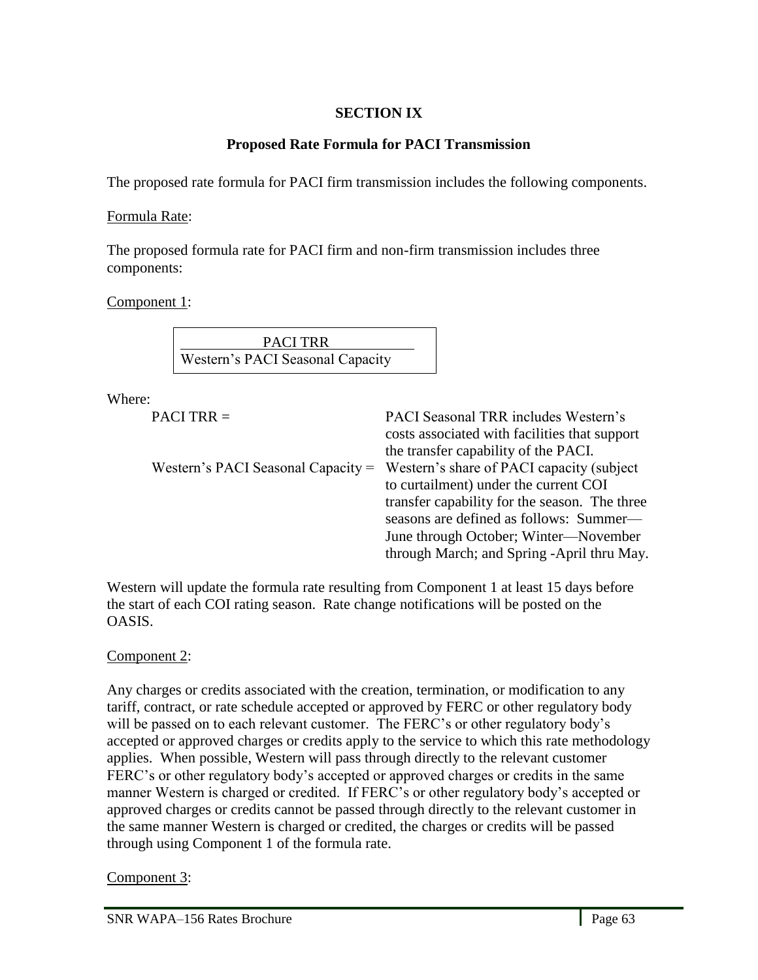## **SECTION IX**

## **Proposed Rate Formula for PACI Transmission**

The proposed rate formula for PACI firm transmission includes the following components.

### Formula Rate:

The proposed formula rate for PACI firm and non-firm transmission includes three components:

Component 1:

PACI TRR Western's PACI Seasonal Capacity

Where:

```
PACI TRR = PACI Seasonal TRR includes Western's
```

| costs associated with facilities that support |
|-----------------------------------------------|
| the transfer capability of the PACI.          |
| Western's share of PACI capacity (subject)    |
| to curtailment) under the current COI         |
| transfer capability for the season. The three |
| seasons are defined as follows: Summer—       |
| June through October; Winter—November         |
| through March; and Spring -April thru May.    |
|                                               |

Western will update the formula rate resulting from Component 1 at least 15 days before the start of each COI rating season. Rate change notifications will be posted on the OASIS.

## Component 2:

Any charges or credits associated with the creation, termination, or modification to any tariff, contract, or rate schedule accepted or approved by FERC or other regulatory body will be passed on to each relevant customer. The FERC's or other regulatory body's accepted or approved charges or credits apply to the service to which this rate methodology applies. When possible, Western will pass through directly to the relevant customer FERC's or other regulatory body's accepted or approved charges or credits in the same manner Western is charged or credited. If FERC's or other regulatory body's accepted or approved charges or credits cannot be passed through directly to the relevant customer in the same manner Western is charged or credited, the charges or credits will be passed through using Component 1 of the formula rate.

## Component 3: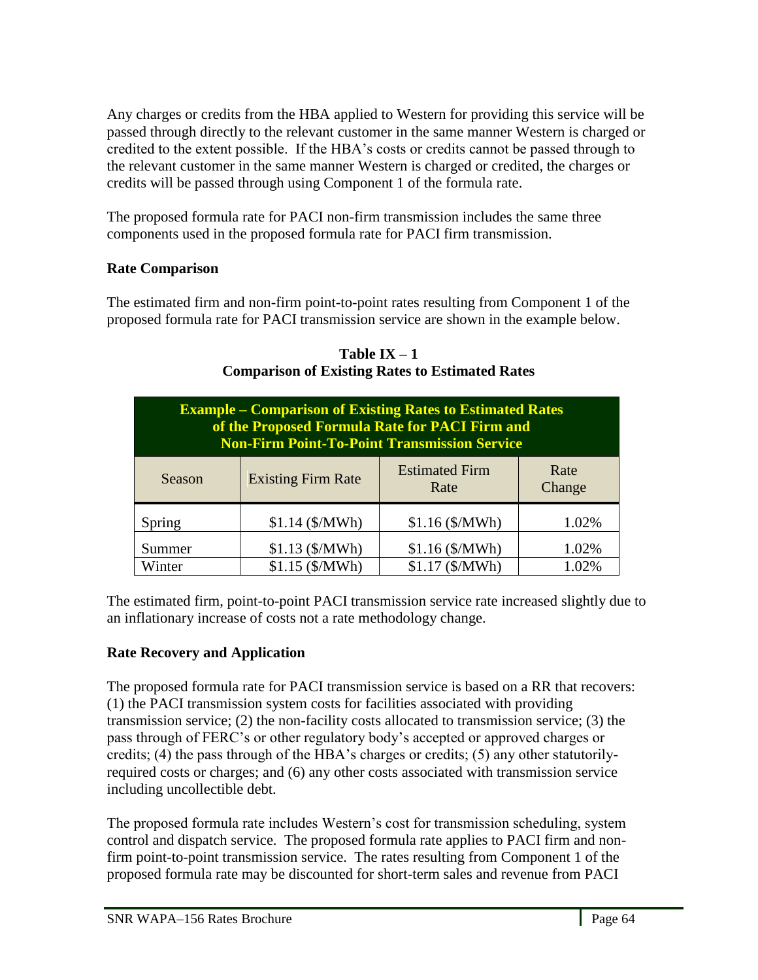Any charges or credits from the HBA applied to Western for providing this service will be passed through directly to the relevant customer in the same manner Western is charged or credited to the extent possible. If the HBA's costs or credits cannot be passed through to the relevant customer in the same manner Western is charged or credited, the charges or credits will be passed through using Component 1 of the formula rate.

The proposed formula rate for PACI non-firm transmission includes the same three components used in the proposed formula rate for PACI firm transmission.

## **Rate Comparison**

The estimated firm and non-firm point-to-point rates resulting from Component 1 of the proposed formula rate for PACI transmission service are shown in the example below.

| <b>Example – Comparison of Existing Rates to Estimated Rates</b><br>of the Proposed Formula Rate for PACI Firm and<br><b>Non-Firm Point-To-Point Transmission Service</b> |                           |                               |                |  |  |
|---------------------------------------------------------------------------------------------------------------------------------------------------------------------------|---------------------------|-------------------------------|----------------|--|--|
| Season                                                                                                                                                                    | <b>Existing Firm Rate</b> | <b>Estimated Firm</b><br>Rate | Rate<br>Change |  |  |
| Spring                                                                                                                                                                    | \$1.14(S/MWh)             | $$1.16$ (\$/MWh)              | 1.02%          |  |  |
| Summer                                                                                                                                                                    | $$1.13$ (\$/MWh)          | $$1.16$ (\$/MWh)              | 1.02%          |  |  |
| Winter                                                                                                                                                                    | \$1.15(S/MWh)             | \$1.17 (\$/MWh)               | 1.02%          |  |  |

Table  $IX - 1$ **Comparison of Existing Rates to Estimated Rates**

The estimated firm, point-to-point PACI transmission service rate increased slightly due to an inflationary increase of costs not a rate methodology change.

# **Rate Recovery and Application**

The proposed formula rate for PACI transmission service is based on a RR that recovers: (1) the PACI transmission system costs for facilities associated with providing transmission service; (2) the non-facility costs allocated to transmission service; (3) the pass through of FERC's or other regulatory body's accepted or approved charges or credits; (4) the pass through of the HBA's charges or credits; (5) any other statutorilyrequired costs or charges; and (6) any other costs associated with transmission service including uncollectible debt.

The proposed formula rate includes Western's cost for transmission scheduling, system control and dispatch service. The proposed formula rate applies to PACI firm and nonfirm point-to-point transmission service. The rates resulting from Component 1 of the proposed formula rate may be discounted for short-term sales and revenue from PACI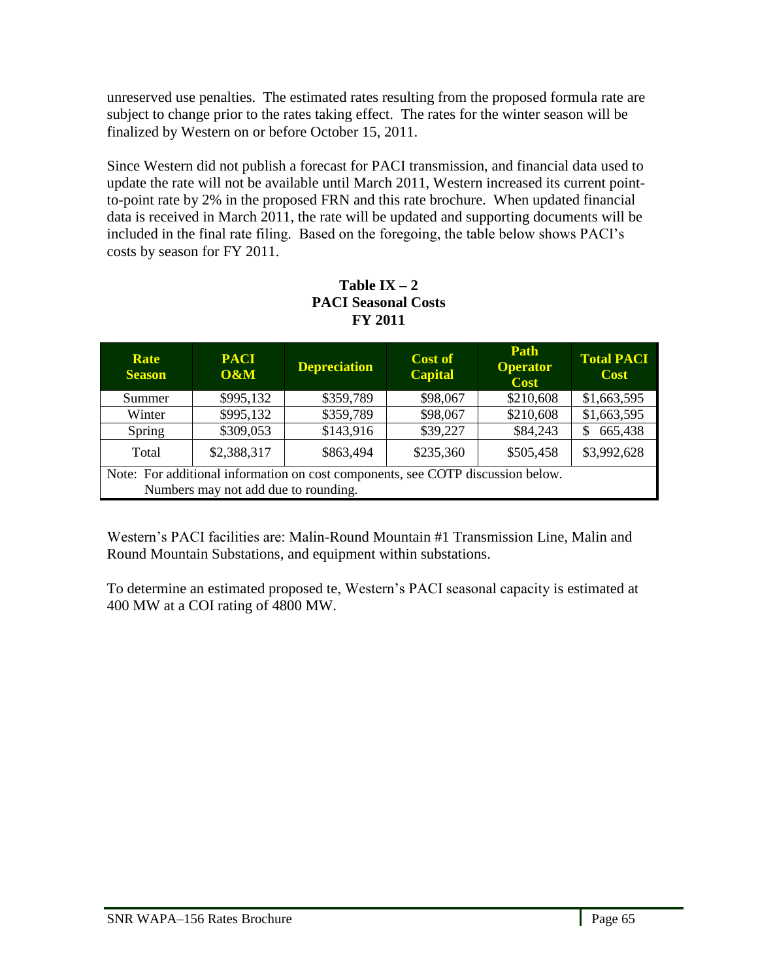unreserved use penalties. The estimated rates resulting from the proposed formula rate are subject to change prior to the rates taking effect. The rates for the winter season will be finalized by Western on or before October 15, 2011.

Since Western did not publish a forecast for PACI transmission, and financial data used to update the rate will not be available until March 2011, Western increased its current pointto-point rate by 2% in the proposed FRN and this rate brochure. When updated financial data is received in March 2011, the rate will be updated and supporting documents will be included in the final rate filing. Based on the foregoing, the table below shows PACI's costs by season for FY 2011.

| FI ZVII                                                                         |                    |                     |                                  |                                        |                                  |
|---------------------------------------------------------------------------------|--------------------|---------------------|----------------------------------|----------------------------------------|----------------------------------|
| Rate<br><b>Season</b>                                                           | <b>PACI</b><br>0&M | <b>Depreciation</b> | <b>Cost of</b><br><b>Capital</b> | Path<br><b>Operator</b><br><b>Cost</b> | <b>Total PACI</b><br><b>Cost</b> |
| Summer                                                                          | \$995,132          | \$359,789           | \$98,067                         | \$210,608                              | \$1,663,595                      |
| Winter                                                                          | \$995,132          | \$359,789           | \$98,067                         | \$210,608                              | \$1,663,595                      |
| Spring                                                                          | \$309,053          | \$143,916           | \$39,227                         | \$84,243                               | 665,438<br>\$                    |
| Total                                                                           | \$2,388,317        | \$863,494           | \$235,360                        | \$505,458                              | \$3,992,628                      |
| Note: For additional information on cost components, see COTP discussion below. |                    |                     |                                  |                                        |                                  |
| Numbers may not add due to rounding.                                            |                    |                     |                                  |                                        |                                  |

## Table  $IX - 2$ **PACI Seasonal Costs FY 2011**

Western's PACI facilities are: Malin-Round Mountain #1 Transmission Line, Malin and Round Mountain Substations, and equipment within substations.

To determine an estimated proposed te, Western's PACI seasonal capacity is estimated at 400 MW at a COI rating of 4800 MW.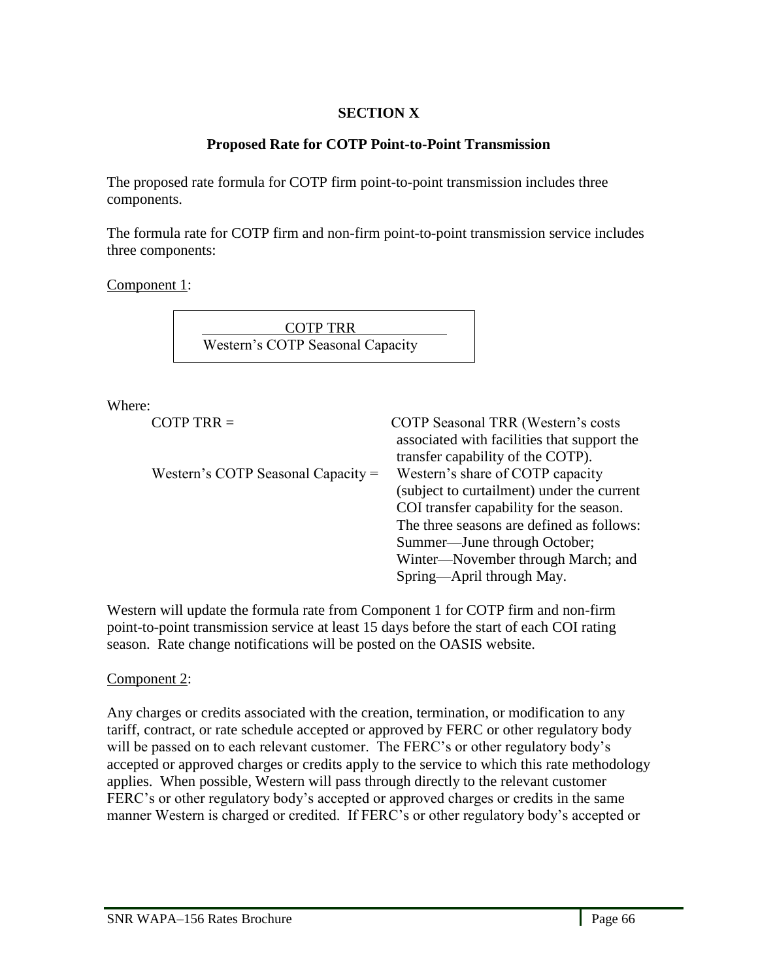## **SECTION X**

## **Proposed Rate for COTP Point-to-Point Transmission**

The proposed rate formula for COTP firm point-to-point transmission includes three components.

The formula rate for COTP firm and non-firm point-to-point transmission service includes three components:

Component 1:

COTP TRR Western's COTP Seasonal Capacity

Where:

COTP TRR = COTP Seasonal TRR (Western's costs

| $\sim$                               | $\sim$ 11 Degrad that $\sim$ $\sim$ $\sim$ $\sim$ $\sim$ $\sim$ |
|--------------------------------------|-----------------------------------------------------------------|
|                                      | associated with facilities that support the                     |
|                                      | transfer capability of the COTP).                               |
| Western's COTP Seasonal Capacity $=$ | Western's share of COTP capacity                                |
|                                      | (subject to curtailment) under the current                      |
|                                      | COI transfer capability for the season.                         |
|                                      | The three seasons are defined as follows:                       |
|                                      | Summer—June through October;                                    |
|                                      | Winter—November through March; and                              |
|                                      | Spring—April through May.                                       |
|                                      |                                                                 |

Western will update the formula rate from Component 1 for COTP firm and non-firm point-to-point transmission service at least 15 days before the start of each COI rating season. Rate change notifications will be posted on the OASIS website.

## Component 2:

l,

Any charges or credits associated with the creation, termination, or modification to any tariff, contract, or rate schedule accepted or approved by FERC or other regulatory body will be passed on to each relevant customer. The FERC's or other regulatory body's accepted or approved charges or credits apply to the service to which this rate methodology applies. When possible, Western will pass through directly to the relevant customer FERC's or other regulatory body's accepted or approved charges or credits in the same manner Western is charged or credited. If FERC's or other regulatory body's accepted or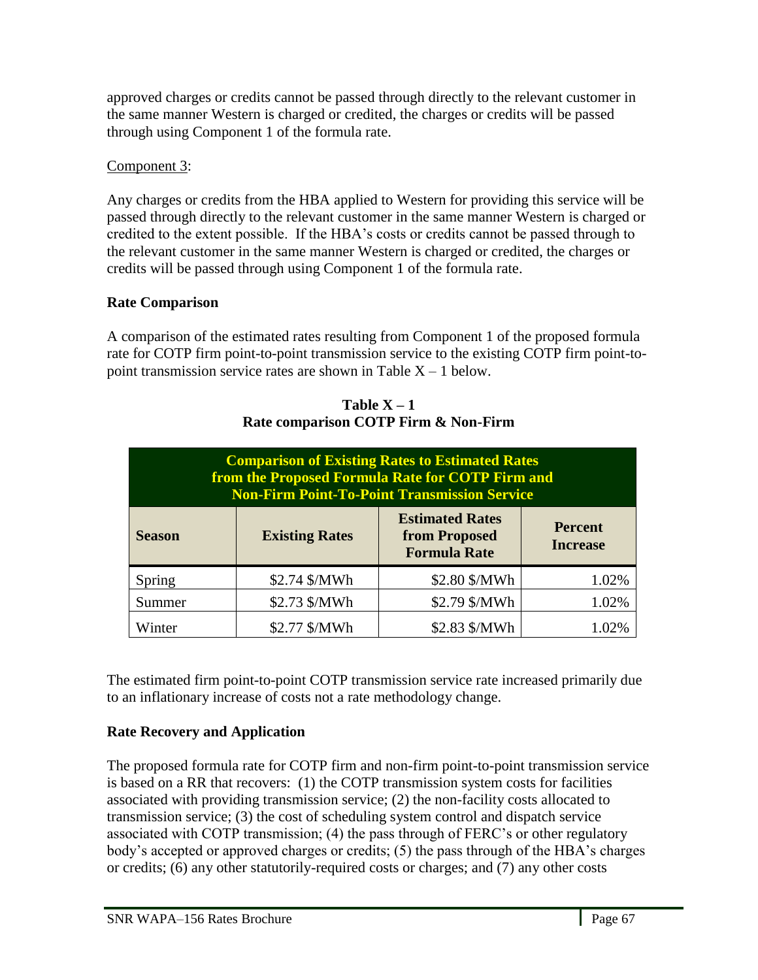approved charges or credits cannot be passed through directly to the relevant customer in the same manner Western is charged or credited, the charges or credits will be passed through using Component 1 of the formula rate.

## Component 3:

Any charges or credits from the HBA applied to Western for providing this service will be passed through directly to the relevant customer in the same manner Western is charged or credited to the extent possible. If the HBA's costs or credits cannot be passed through to the relevant customer in the same manner Western is charged or credited, the charges or credits will be passed through using Component 1 of the formula rate.

# **Rate Comparison**

A comparison of the estimated rates resulting from Component 1 of the proposed formula rate for COTP firm point-to-point transmission service to the existing COTP firm point-topoint transmission service rates are shown in Table  $X - 1$  below.

| <b>Comparison of Existing Rates to Estimated Rates</b><br>from the Proposed Formula Rate for COTP Firm and<br><b>Non-Firm Point-To-Point Transmission Service</b> |                       |                                                                |                                   |  |  |
|-------------------------------------------------------------------------------------------------------------------------------------------------------------------|-----------------------|----------------------------------------------------------------|-----------------------------------|--|--|
| <b>Season</b>                                                                                                                                                     | <b>Existing Rates</b> | <b>Estimated Rates</b><br>from Proposed<br><b>Formula Rate</b> | <b>Percent</b><br><b>Increase</b> |  |  |
| Spring                                                                                                                                                            | \$2.74 \$/MWh         | \$2.80 \$/MWh                                                  | 1.02%                             |  |  |
| Summer                                                                                                                                                            | \$2.73 \$/MWh         | \$2.79 \$/MWh                                                  | 1.02%                             |  |  |
| Winter                                                                                                                                                            | \$2.77 \$/MWh         | \$2.83 \$/MWh                                                  |                                   |  |  |

**Table X – 1 Rate comparison COTP Firm & Non-Firm**

The estimated firm point-to-point COTP transmission service rate increased primarily due to an inflationary increase of costs not a rate methodology change.

# **Rate Recovery and Application**

The proposed formula rate for COTP firm and non-firm point-to-point transmission service is based on a RR that recovers: (1) the COTP transmission system costs for facilities associated with providing transmission service; (2) the non-facility costs allocated to transmission service; (3) the cost of scheduling system control and dispatch service associated with COTP transmission; (4) the pass through of FERC's or other regulatory body's accepted or approved charges or credits; (5) the pass through of the HBA's charges or credits; (6) any other statutorily-required costs or charges; and (7) any other costs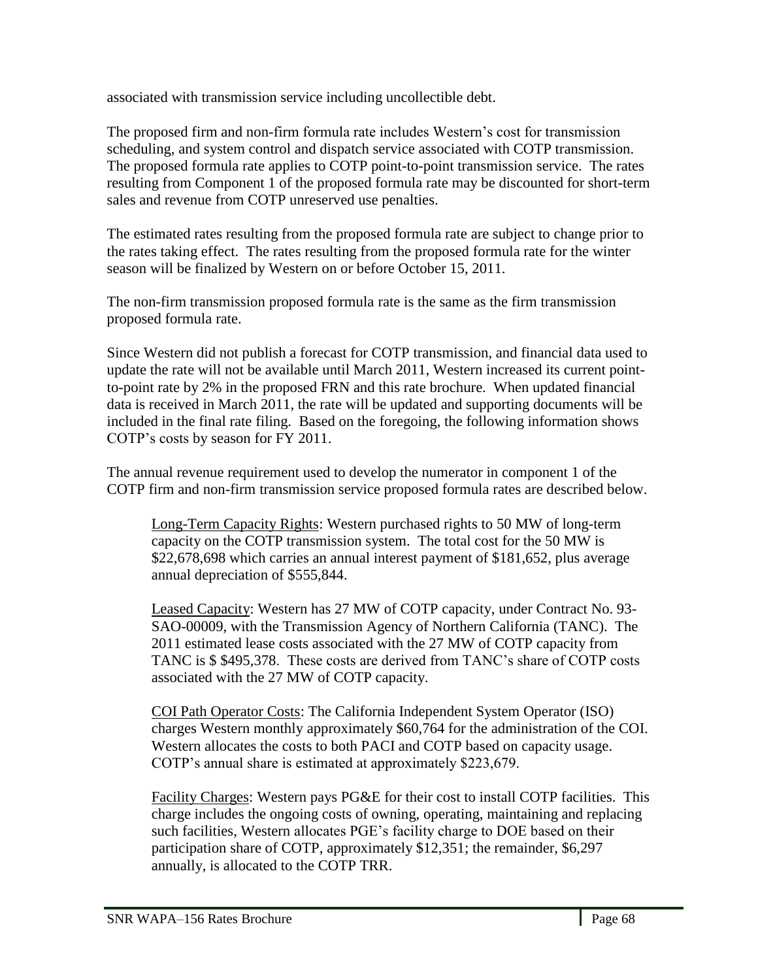associated with transmission service including uncollectible debt.

The proposed firm and non-firm formula rate includes Western's cost for transmission scheduling, and system control and dispatch service associated with COTP transmission. The proposed formula rate applies to COTP point-to-point transmission service. The rates resulting from Component 1 of the proposed formula rate may be discounted for short-term sales and revenue from COTP unreserved use penalties.

The estimated rates resulting from the proposed formula rate are subject to change prior to the rates taking effect. The rates resulting from the proposed formula rate for the winter season will be finalized by Western on or before October 15, 2011.

The non-firm transmission proposed formula rate is the same as the firm transmission proposed formula rate.

Since Western did not publish a forecast for COTP transmission, and financial data used to update the rate will not be available until March 2011, Western increased its current pointto-point rate by 2% in the proposed FRN and this rate brochure. When updated financial data is received in March 2011, the rate will be updated and supporting documents will be included in the final rate filing. Based on the foregoing, the following information shows COTP's costs by season for FY 2011.

The annual revenue requirement used to develop the numerator in component 1 of the COTP firm and non-firm transmission service proposed formula rates are described below.

Long-Term Capacity Rights: Western purchased rights to 50 MW of long-term capacity on the COTP transmission system. The total cost for the 50 MW is \$22,678,698 which carries an annual interest payment of \$181,652, plus average annual depreciation of \$555,844.

Leased Capacity: Western has 27 MW of COTP capacity, under Contract No. 93- SAO-00009, with the Transmission Agency of Northern California (TANC). The 2011 estimated lease costs associated with the 27 MW of COTP capacity from TANC is \$ \$495,378. These costs are derived from TANC's share of COTP costs associated with the 27 MW of COTP capacity.

COI Path Operator Costs: The California Independent System Operator (ISO) charges Western monthly approximately \$60,764 for the administration of the COI. Western allocates the costs to both PACI and COTP based on capacity usage. COTP's annual share is estimated at approximately \$223,679.

Facility Charges: Western pays PG&E for their cost to install COTP facilities. This charge includes the ongoing costs of owning, operating, maintaining and replacing such facilities, Western allocates PGE's facility charge to DOE based on their participation share of COTP, approximately \$12,351; the remainder, \$6,297 annually, is allocated to the COTP TRR.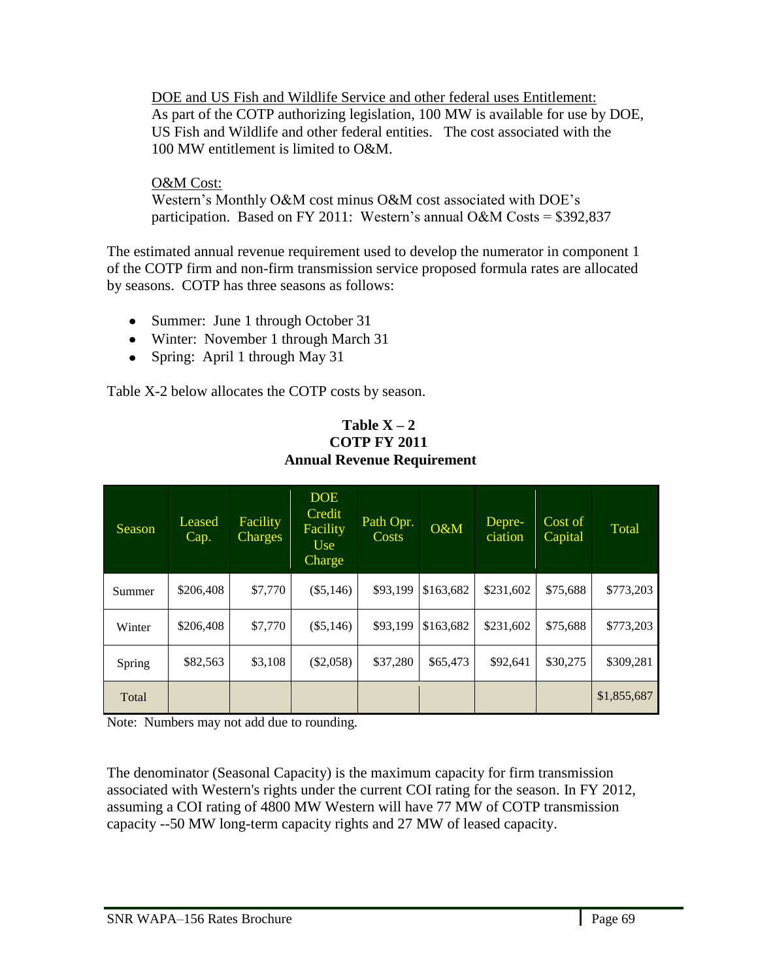DOE and US Fish and Wildlife Service and other federal uses Entitlement: As part of the COTP authorizing legislation, 100 MW is available for use by DOE, US Fish and Wildlife and other federal entities. The cost associated with the 100 MW entitlement is limited to O&M.

## O&M Cost:

Western's Monthly O&M cost minus O&M cost associated with DOE's participation. Based on FY 2011: Western's annual O&M Costs = \$392,837

The estimated annual revenue requirement used to develop the numerator in component 1 of the COTP firm and non-firm transmission service proposed formula rates are allocated by seasons. COTP has three seasons as follows:

- Summer: June 1 through October 31
- Winter: November 1 through March 31
- Spring: April 1 through May 31

Table X-2 below allocates the COTP costs by season.

| Season | Leased<br>Cap. | <b>Facility</b><br>Charges | <b>DOE</b><br>Credit<br>Facility<br>U <sub>se</sub><br>Charge | Path Opr.<br><b>Costs</b> | O&M       | Depre-<br>ciation | Cost of<br>Capital | <b>Total</b> |
|--------|----------------|----------------------------|---------------------------------------------------------------|---------------------------|-----------|-------------------|--------------------|--------------|
| Summer | \$206,408      | \$7,770                    | $(\$5,146)$                                                   | \$93,199                  | \$163,682 | \$231,602         | \$75,688           | \$773,203    |
| Winter | \$206,408      | \$7,770                    | $(\$5,146)$                                                   | \$93,199                  | \$163,682 | \$231,602         | \$75,688           | \$773,203    |
| Spring | \$82,563       | \$3,108                    | $(\$2,058)$                                                   | \$37,280                  | \$65,473  | \$92,641          | \$30,275           | \$309,281    |
| Total  |                |                            |                                                               |                           |           |                   |                    | \$1,855,687  |

**Table X – 2 COTP FY 2011 Annual Revenue Requirement**

Note: Numbers may not add due to rounding.

The denominator (Seasonal Capacity) is the maximum capacity for firm transmission associated with Western's rights under the current COI rating for the season. In FY 2012, assuming a COI rating of 4800 MW Western will have 77 MW of COTP transmission capacity --50 MW long-term capacity rights and 27 MW of leased capacity.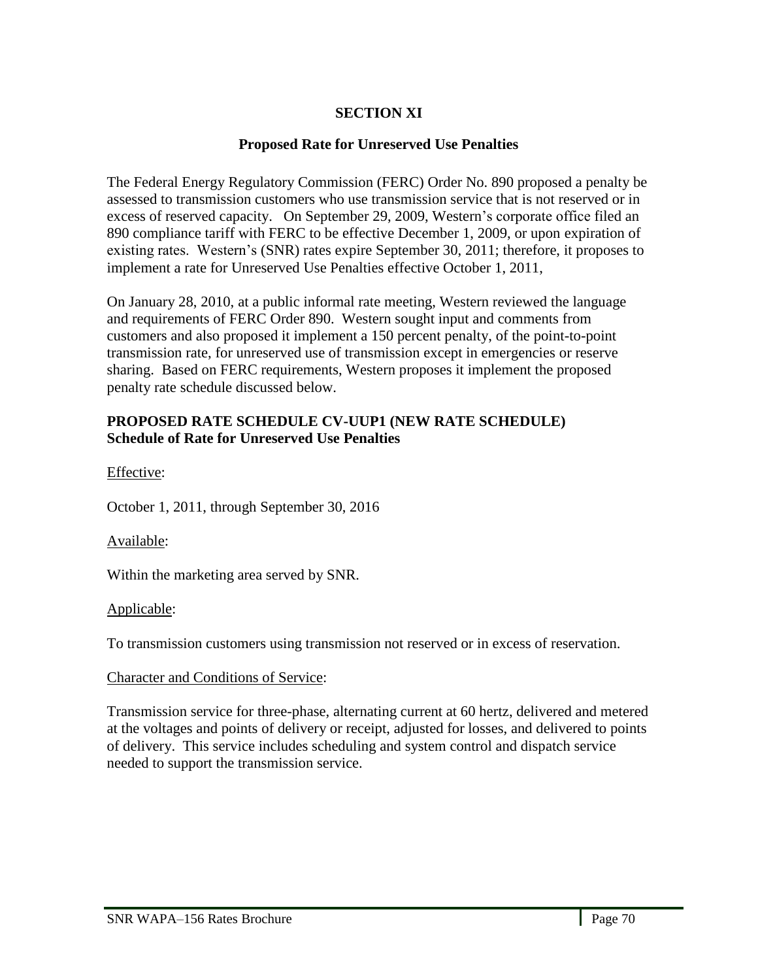## **SECTION XI**

### **Proposed Rate for Unreserved Use Penalties**

The Federal Energy Regulatory Commission (FERC) Order No. 890 proposed a penalty be assessed to transmission customers who use transmission service that is not reserved or in excess of reserved capacity. On September 29, 2009, Western's corporate office filed an 890 compliance tariff with FERC to be effective December 1, 2009, or upon expiration of existing rates. Western's (SNR) rates expire September 30, 2011; therefore, it proposes to implement a rate for Unreserved Use Penalties effective October 1, 2011,

On January 28, 2010, at a public informal rate meeting, Western reviewed the language and requirements of FERC Order 890. Western sought input and comments from customers and also proposed it implement a 150 percent penalty, of the point-to-point transmission rate, for unreserved use of transmission except in emergencies or reserve sharing. Based on FERC requirements, Western proposes it implement the proposed penalty rate schedule discussed below.

### **PROPOSED RATE SCHEDULE CV-UUP1 (NEW RATE SCHEDULE) Schedule of Rate for Unreserved Use Penalties**

Effective:

October 1, 2011, through September 30, 2016

### Available:

Within the marketing area served by SNR.

#### Applicable:

l,

To transmission customers using transmission not reserved or in excess of reservation.

### Character and Conditions of Service:

Transmission service for three-phase, alternating current at 60 hertz, delivered and metered at the voltages and points of delivery or receipt, adjusted for losses, and delivered to points of delivery. This service includes scheduling and system control and dispatch service needed to support the transmission service.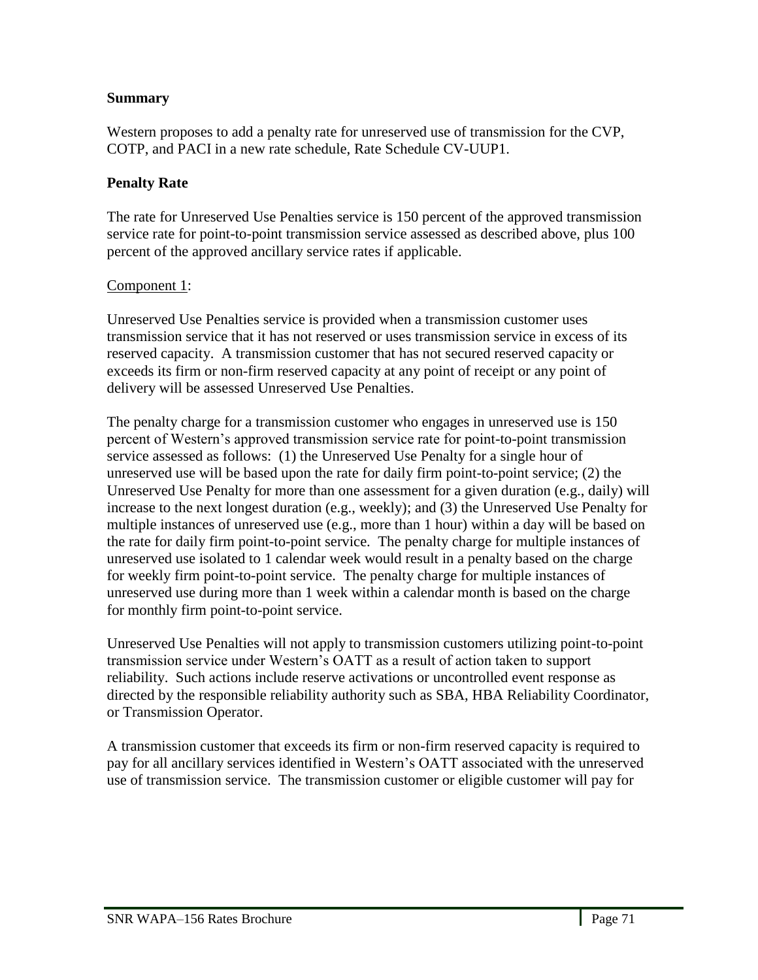### **Summary**

Western proposes to add a penalty rate for unreserved use of transmission for the CVP, COTP, and PACI in a new rate schedule, Rate Schedule CV-UUP1.

### **Penalty Rate**

The rate for Unreserved Use Penalties service is 150 percent of the approved transmission service rate for point-to-point transmission service assessed as described above, plus 100 percent of the approved ancillary service rates if applicable.

### Component 1:

Unreserved Use Penalties service is provided when a transmission customer uses transmission service that it has not reserved or uses transmission service in excess of its reserved capacity. A transmission customer that has not secured reserved capacity or exceeds its firm or non-firm reserved capacity at any point of receipt or any point of delivery will be assessed Unreserved Use Penalties.

The penalty charge for a transmission customer who engages in unreserved use is 150 percent of Western's approved transmission service rate for point-to-point transmission service assessed as follows: (1) the Unreserved Use Penalty for a single hour of unreserved use will be based upon the rate for daily firm point-to-point service; (2) the Unreserved Use Penalty for more than one assessment for a given duration (e.g., daily) will increase to the next longest duration (e.g., weekly); and (3) the Unreserved Use Penalty for multiple instances of unreserved use (e.g., more than 1 hour) within a day will be based on the rate for daily firm point-to-point service. The penalty charge for multiple instances of unreserved use isolated to 1 calendar week would result in a penalty based on the charge for weekly firm point-to-point service. The penalty charge for multiple instances of unreserved use during more than 1 week within a calendar month is based on the charge for monthly firm point-to-point service.

Unreserved Use Penalties will not apply to transmission customers utilizing point-to-point transmission service under Western's OATT as a result of action taken to support reliability. Such actions include reserve activations or uncontrolled event response as directed by the responsible reliability authority such as SBA, HBA Reliability Coordinator, or Transmission Operator.

A transmission customer that exceeds its firm or non-firm reserved capacity is required to pay for all ancillary services identified in Western's OATT associated with the unreserved use of transmission service. The transmission customer or eligible customer will pay for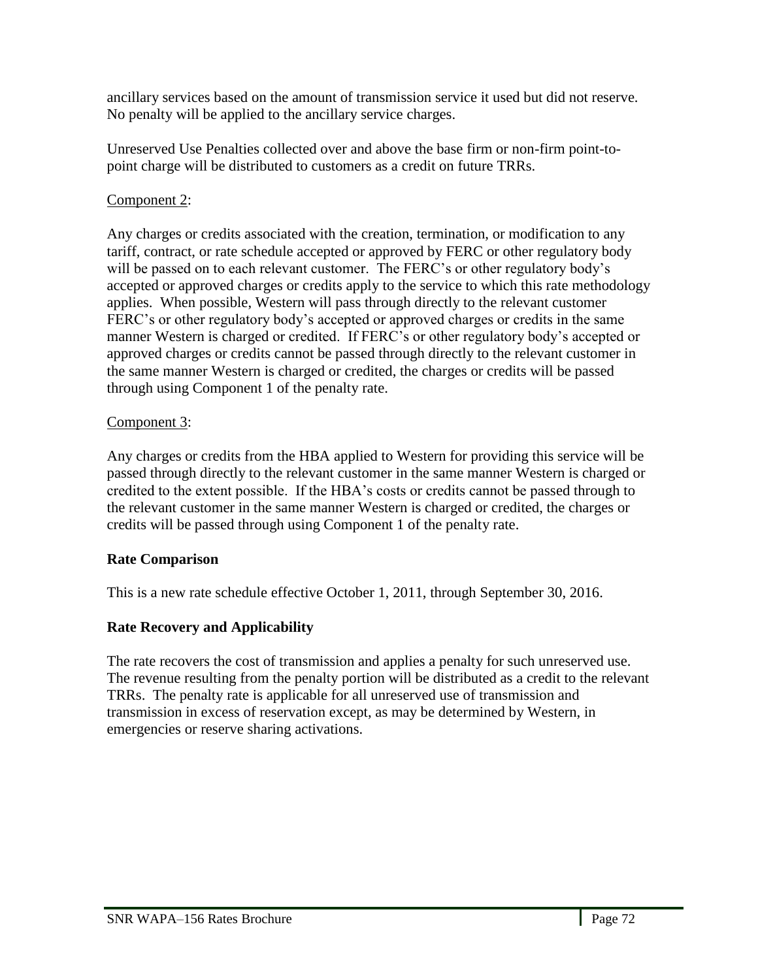ancillary services based on the amount of transmission service it used but did not reserve. No penalty will be applied to the ancillary service charges.

Unreserved Use Penalties collected over and above the base firm or non-firm point-topoint charge will be distributed to customers as a credit on future TRRs.

## Component 2:

Any charges or credits associated with the creation, termination, or modification to any tariff, contract, or rate schedule accepted or approved by FERC or other regulatory body will be passed on to each relevant customer. The FERC's or other regulatory body's accepted or approved charges or credits apply to the service to which this rate methodology applies. When possible, Western will pass through directly to the relevant customer FERC's or other regulatory body's accepted or approved charges or credits in the same manner Western is charged or credited. If FERC's or other regulatory body's accepted or approved charges or credits cannot be passed through directly to the relevant customer in the same manner Western is charged or credited, the charges or credits will be passed through using Component 1 of the penalty rate.

## Component 3:

Any charges or credits from the HBA applied to Western for providing this service will be passed through directly to the relevant customer in the same manner Western is charged or credited to the extent possible. If the HBA's costs or credits cannot be passed through to the relevant customer in the same manner Western is charged or credited, the charges or credits will be passed through using Component 1 of the penalty rate.

## **Rate Comparison**

This is a new rate schedule effective October 1, 2011, through September 30, 2016.

# **Rate Recovery and Applicability**

The rate recovers the cost of transmission and applies a penalty for such unreserved use. The revenue resulting from the penalty portion will be distributed as a credit to the relevant TRRs. The penalty rate is applicable for all unreserved use of transmission and transmission in excess of reservation except, as may be determined by Western, in emergencies or reserve sharing activations.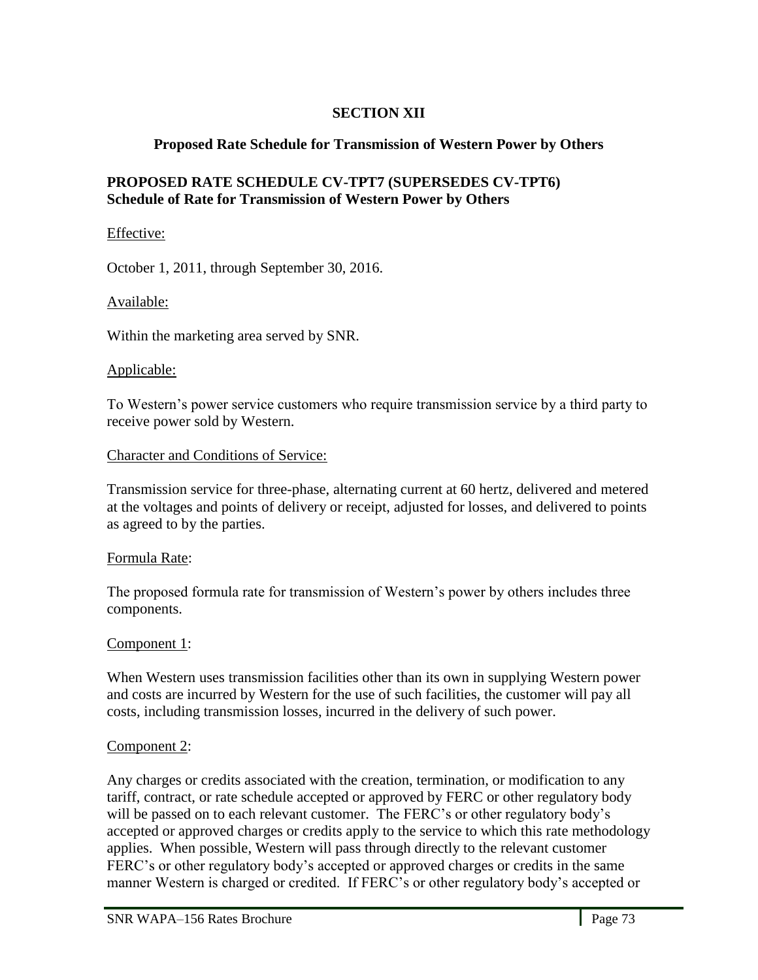# **SECTION XII**

# **Proposed Rate Schedule for Transmission of Western Power by Others**

## **PROPOSED RATE SCHEDULE CV-TPT7 (SUPERSEDES CV-TPT6) Schedule of Rate for Transmission of Western Power by Others**

## Effective:

October 1, 2011, through September 30, 2016.

## Available:

Within the marketing area served by SNR.

### Applicable:

To Western's power service customers who require transmission service by a third party to receive power sold by Western.

## Character and Conditions of Service:

Transmission service for three-phase, alternating current at 60 hertz, delivered and metered at the voltages and points of delivery or receipt, adjusted for losses, and delivered to points as agreed to by the parties.

### Formula Rate:

The proposed formula rate for transmission of Western's power by others includes three components.

# Component 1:

When Western uses transmission facilities other than its own in supplying Western power and costs are incurred by Western for the use of such facilities, the customer will pay all costs, including transmission losses, incurred in the delivery of such power.

# Component 2:

l,

Any charges or credits associated with the creation, termination, or modification to any tariff, contract, or rate schedule accepted or approved by FERC or other regulatory body will be passed on to each relevant customer. The FERC's or other regulatory body's accepted or approved charges or credits apply to the service to which this rate methodology applies. When possible, Western will pass through directly to the relevant customer FERC's or other regulatory body's accepted or approved charges or credits in the same manner Western is charged or credited. If FERC's or other regulatory body's accepted or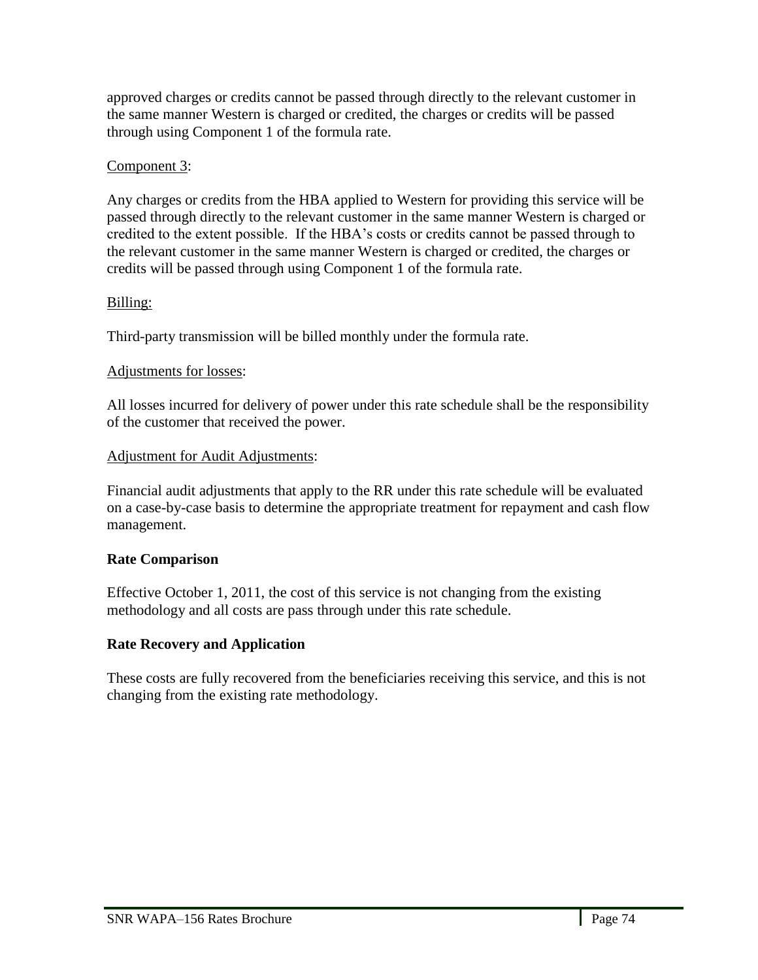approved charges or credits cannot be passed through directly to the relevant customer in the same manner Western is charged or credited, the charges or credits will be passed through using Component 1 of the formula rate.

## Component 3:

Any charges or credits from the HBA applied to Western for providing this service will be passed through directly to the relevant customer in the same manner Western is charged or credited to the extent possible. If the HBA's costs or credits cannot be passed through to the relevant customer in the same manner Western is charged or credited, the charges or credits will be passed through using Component 1 of the formula rate.

# Billing:

Third-party transmission will be billed monthly under the formula rate.

# Adjustments for losses:

All losses incurred for delivery of power under this rate schedule shall be the responsibility of the customer that received the power.

## Adjustment for Audit Adjustments:

Financial audit adjustments that apply to the RR under this rate schedule will be evaluated on a case-by-case basis to determine the appropriate treatment for repayment and cash flow management.

# **Rate Comparison**

Effective October 1, 2011, the cost of this service is not changing from the existing methodology and all costs are pass through under this rate schedule.

# **Rate Recovery and Application**

These costs are fully recovered from the beneficiaries receiving this service, and this is not changing from the existing rate methodology.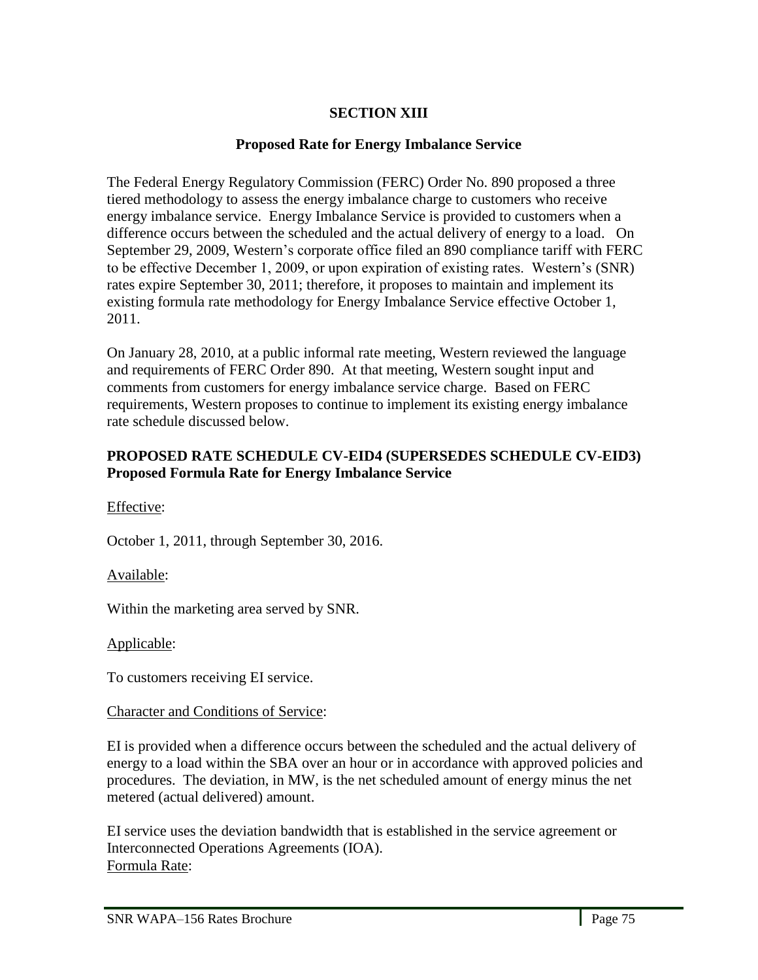# **SECTION XIII**

### **Proposed Rate for Energy Imbalance Service**

The Federal Energy Regulatory Commission (FERC) Order No. 890 proposed a three tiered methodology to assess the energy imbalance charge to customers who receive energy imbalance service. Energy Imbalance Service is provided to customers when a difference occurs between the scheduled and the actual delivery of energy to a load. On September 29, 2009, Western's corporate office filed an 890 compliance tariff with FERC to be effective December 1, 2009, or upon expiration of existing rates. Western's (SNR) rates expire September 30, 2011; therefore, it proposes to maintain and implement its existing formula rate methodology for Energy Imbalance Service effective October 1, 2011.

On January 28, 2010, at a public informal rate meeting, Western reviewed the language and requirements of FERC Order 890. At that meeting, Western sought input and comments from customers for energy imbalance service charge. Based on FERC requirements, Western proposes to continue to implement its existing energy imbalance rate schedule discussed below.

## **PROPOSED RATE SCHEDULE CV-EID4 (SUPERSEDES SCHEDULE CV-EID3) Proposed Formula Rate for Energy Imbalance Service**

Effective:

October 1, 2011, through September 30, 2016.

Available:

Within the marketing area served by SNR.

Applicable:

l,

To customers receiving EI service.

### Character and Conditions of Service:

EI is provided when a difference occurs between the scheduled and the actual delivery of energy to a load within the SBA over an hour or in accordance with approved policies and procedures. The deviation, in MW, is the net scheduled amount of energy minus the net metered (actual delivered) amount.

EI service uses the deviation bandwidth that is established in the service agreement or Interconnected Operations Agreements (IOA). Formula Rate: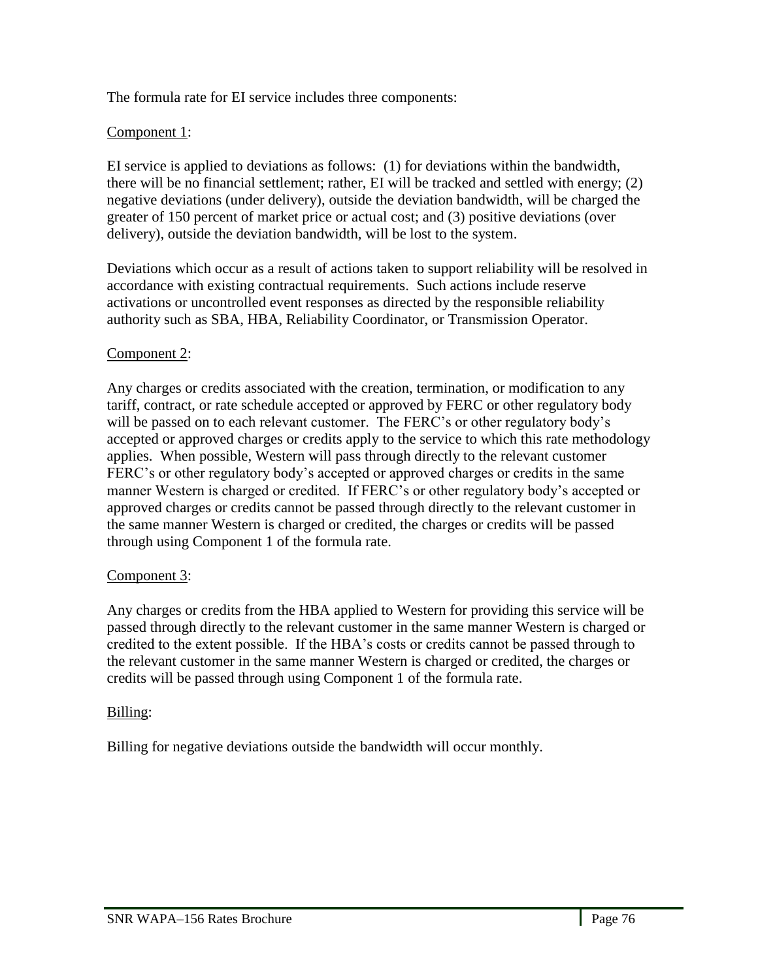The formula rate for EI service includes three components:

# Component 1:

EI service is applied to deviations as follows: (1) for deviations within the bandwidth, there will be no financial settlement; rather, EI will be tracked and settled with energy; (2) negative deviations (under delivery), outside the deviation bandwidth, will be charged the greater of 150 percent of market price or actual cost; and (3) positive deviations (over delivery), outside the deviation bandwidth, will be lost to the system.

Deviations which occur as a result of actions taken to support reliability will be resolved in accordance with existing contractual requirements. Such actions include reserve activations or uncontrolled event responses as directed by the responsible reliability authority such as SBA, HBA, Reliability Coordinator, or Transmission Operator.

# Component 2:

Any charges or credits associated with the creation, termination, or modification to any tariff, contract, or rate schedule accepted or approved by FERC or other regulatory body will be passed on to each relevant customer. The FERC's or other regulatory body's accepted or approved charges or credits apply to the service to which this rate methodology applies. When possible, Western will pass through directly to the relevant customer FERC's or other regulatory body's accepted or approved charges or credits in the same manner Western is charged or credited. If FERC's or other regulatory body's accepted or approved charges or credits cannot be passed through directly to the relevant customer in the same manner Western is charged or credited, the charges or credits will be passed through using Component 1 of the formula rate.

### Component 3:

Any charges or credits from the HBA applied to Western for providing this service will be passed through directly to the relevant customer in the same manner Western is charged or credited to the extent possible. If the HBA's costs or credits cannot be passed through to the relevant customer in the same manner Western is charged or credited, the charges or credits will be passed through using Component 1 of the formula rate.

### Billing:

l,

Billing for negative deviations outside the bandwidth will occur monthly.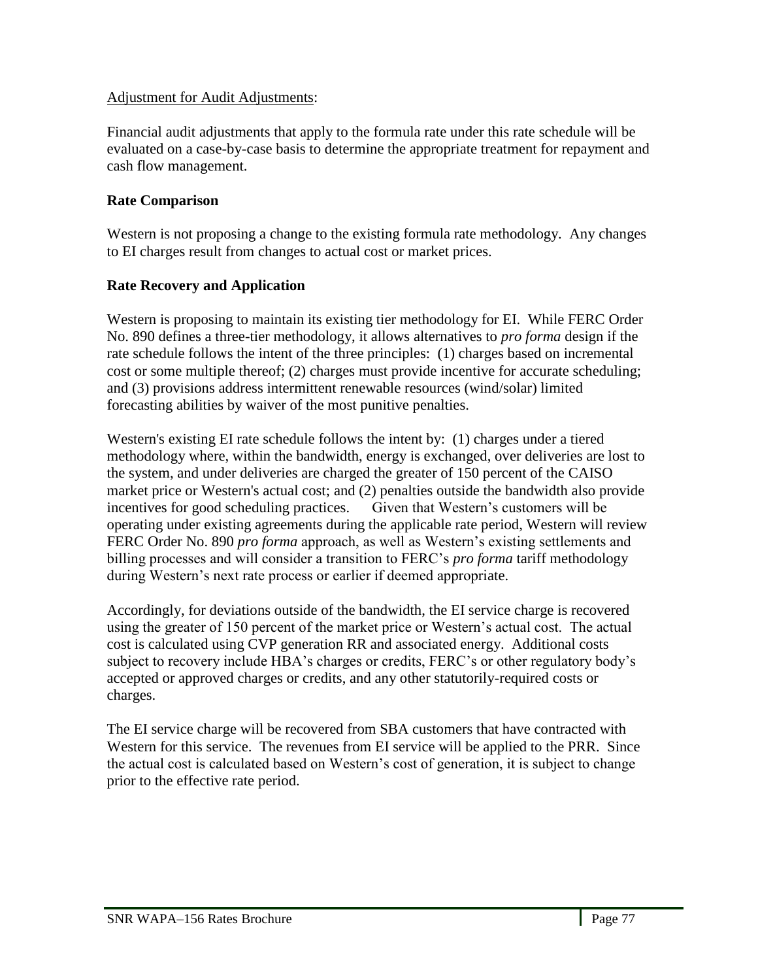### Adjustment for Audit Adjustments:

Financial audit adjustments that apply to the formula rate under this rate schedule will be evaluated on a case-by-case basis to determine the appropriate treatment for repayment and cash flow management.

# **Rate Comparison**

Western is not proposing a change to the existing formula rate methodology. Any changes to EI charges result from changes to actual cost or market prices.

# **Rate Recovery and Application**

Western is proposing to maintain its existing tier methodology for EI. While FERC Order No. 890 defines a three-tier methodology, it allows alternatives to *pro forma* design if the rate schedule follows the intent of the three principles: (1) charges based on incremental cost or some multiple thereof; (2) charges must provide incentive for accurate scheduling; and (3) provisions address intermittent renewable resources (wind/solar) limited forecasting abilities by waiver of the most punitive penalties.

Western's existing EI rate schedule follows the intent by: (1) charges under a tiered methodology where, within the bandwidth, energy is exchanged, over deliveries are lost to the system, and under deliveries are charged the greater of 150 percent of the CAISO market price or Western's actual cost; and (2) penalties outside the bandwidth also provide incentives for good scheduling practices. Given that Western's customers will be operating under existing agreements during the applicable rate period, Western will review FERC Order No. 890 *pro forma* approach, as well as Western's existing settlements and billing processes and will consider a transition to FERC's *pro forma* tariff methodology during Western's next rate process or earlier if deemed appropriate.

Accordingly, for deviations outside of the bandwidth, the EI service charge is recovered using the greater of 150 percent of the market price or Western's actual cost. The actual cost is calculated using CVP generation RR and associated energy. Additional costs subject to recovery include HBA's charges or credits, FERC's or other regulatory body's accepted or approved charges or credits, and any other statutorily-required costs or charges.

The EI service charge will be recovered from SBA customers that have contracted with Western for this service. The revenues from EI service will be applied to the PRR. Since the actual cost is calculated based on Western's cost of generation, it is subject to change prior to the effective rate period.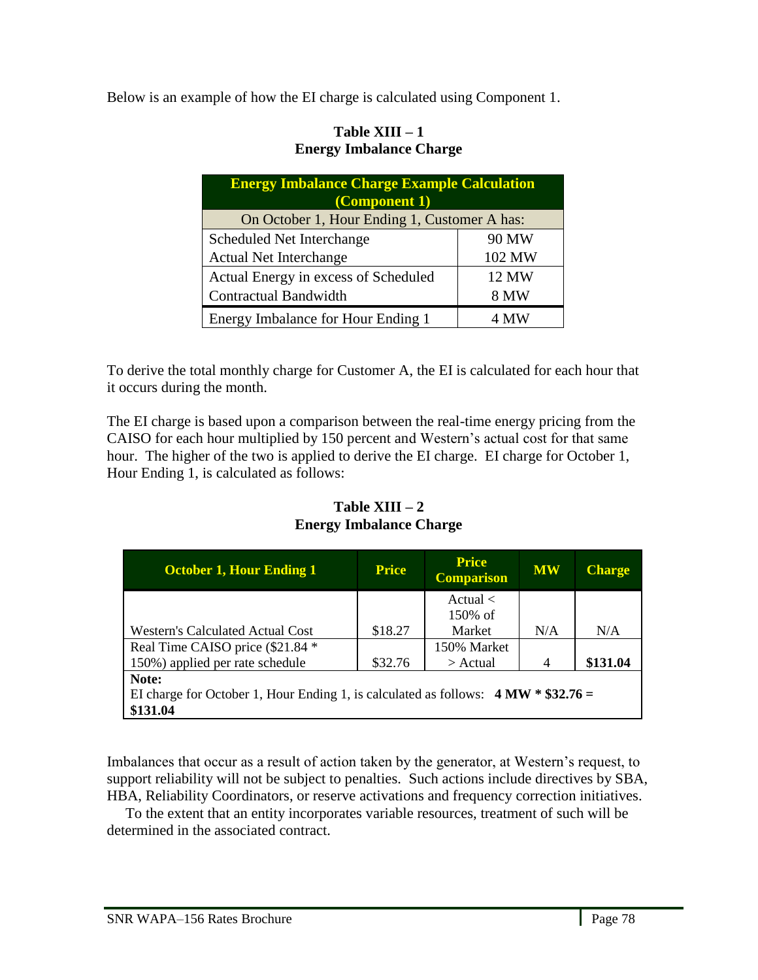Below is an example of how the EI charge is calculated using Component 1.

## **Table XIII – 1 Energy Imbalance Charge**

| <b>Energy Imbalance Charge Example Calculation</b><br>(Component 1) |             |  |  |
|---------------------------------------------------------------------|-------------|--|--|
| On October 1, Hour Ending 1, Customer A has:                        |             |  |  |
| Scheduled Net Interchange                                           | 90 MW       |  |  |
| <b>Actual Net Interchange</b>                                       | 102 MW      |  |  |
| Actual Energy in excess of Scheduled                                | 12 MW       |  |  |
| Contractual Bandwidth                                               | <b>8 MW</b> |  |  |
| Energy Imbalance for Hour Ending 1                                  | 4 MW        |  |  |

To derive the total monthly charge for Customer A, the EI is calculated for each hour that it occurs during the month.

The EI charge is based upon a comparison between the real-time energy pricing from the CAISO for each hour multiplied by 150 percent and Western's actual cost for that same hour. The higher of the two is applied to derive the EI charge. EI charge for October 1, Hour Ending 1, is calculated as follows:

| <b>October 1, Hour Ending 1</b>                                                     | <b>Price</b> | <b>Price</b><br><b>Comparison</b> | <b>MW</b>      | <b>Charge</b> |
|-------------------------------------------------------------------------------------|--------------|-----------------------------------|----------------|---------------|
|                                                                                     |              | Actual $\langle$                  |                |               |
|                                                                                     |              | $150\%$ of                        |                |               |
| <b>Western's Calculated Actual Cost</b>                                             | \$18.27      | Market                            | N/A            | N/A           |
| Real Time CAISO price (\$21.84 *                                                    |              | 150% Market                       |                |               |
| 150%) applied per rate schedule                                                     | \$32.76      | $>$ Actual                        | $\overline{4}$ | \$131.04      |
| Note:                                                                               |              |                                   |                |               |
| EI charge for October 1, Hour Ending 1, is calculated as follows: $4 MW * $32.76 =$ |              |                                   |                |               |
| \$131.04                                                                            |              |                                   |                |               |

**Table XIII – 2 Energy Imbalance Charge**

Imbalances that occur as a result of action taken by the generator, at Western's request, to support reliability will not be subject to penalties. Such actions include directives by SBA, HBA, Reliability Coordinators, or reserve activations and frequency correction initiatives.

 To the extent that an entity incorporates variable resources, treatment of such will be determined in the associated contract.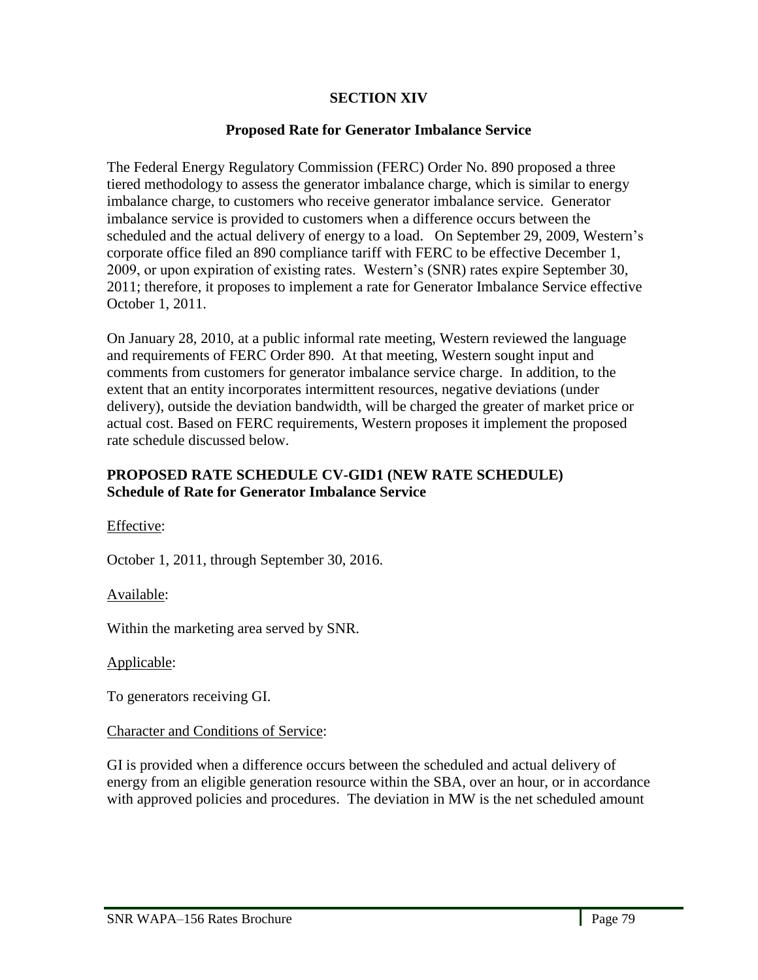## **SECTION XIV**

### **Proposed Rate for Generator Imbalance Service**

The Federal Energy Regulatory Commission (FERC) Order No. 890 proposed a three tiered methodology to assess the generator imbalance charge, which is similar to energy imbalance charge, to customers who receive generator imbalance service. Generator imbalance service is provided to customers when a difference occurs between the scheduled and the actual delivery of energy to a load. On September 29, 2009, Western's corporate office filed an 890 compliance tariff with FERC to be effective December 1, 2009, or upon expiration of existing rates. Western's (SNR) rates expire September 30, 2011; therefore, it proposes to implement a rate for Generator Imbalance Service effective October 1, 2011.

On January 28, 2010, at a public informal rate meeting, Western reviewed the language and requirements of FERC Order 890. At that meeting, Western sought input and comments from customers for generator imbalance service charge. In addition, to the extent that an entity incorporates intermittent resources, negative deviations (under delivery), outside the deviation bandwidth, will be charged the greater of market price or actual cost. Based on FERC requirements, Western proposes it implement the proposed rate schedule discussed below.

### **PROPOSED RATE SCHEDULE CV-GID1 (NEW RATE SCHEDULE) Schedule of Rate for Generator Imbalance Service**

Effective:

October 1, 2011, through September 30, 2016.

Available:

Within the marketing area served by SNR.

Applicable:

l,

To generators receiving GI.

### Character and Conditions of Service:

GI is provided when a difference occurs between the scheduled and actual delivery of energy from an eligible generation resource within the SBA, over an hour, or in accordance with approved policies and procedures. The deviation in MW is the net scheduled amount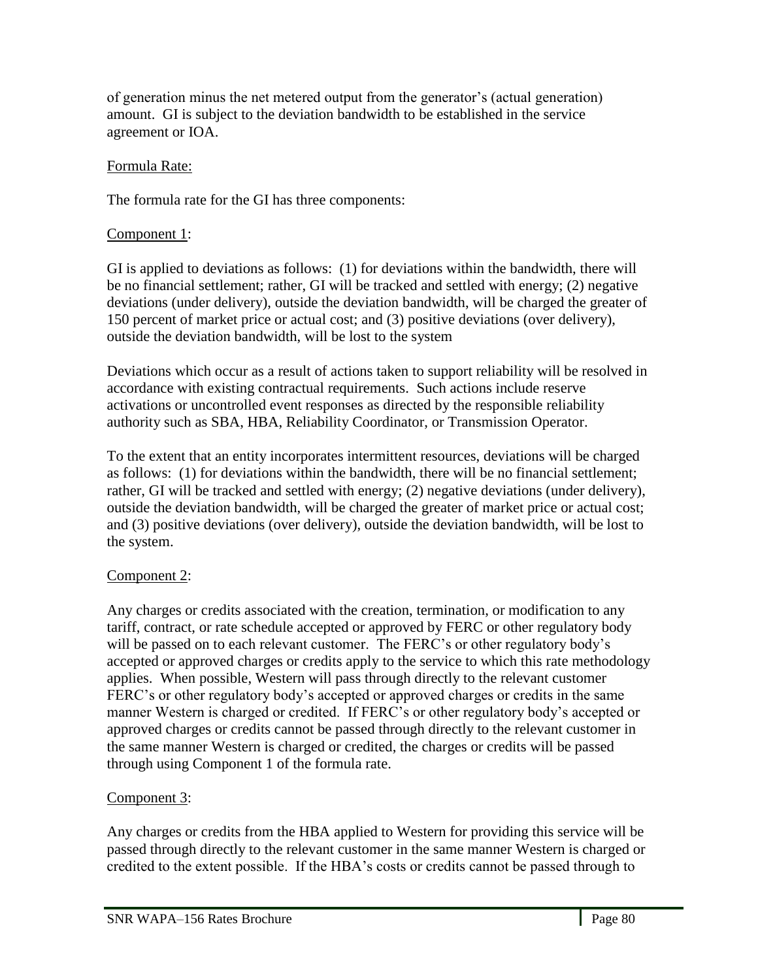of generation minus the net metered output from the generator's (actual generation) amount. GI is subject to the deviation bandwidth to be established in the service agreement or IOA.

# Formula Rate:

The formula rate for the GI has three components:

# Component 1:

GI is applied to deviations as follows: (1) for deviations within the bandwidth, there will be no financial settlement; rather, GI will be tracked and settled with energy; (2) negative deviations (under delivery), outside the deviation bandwidth, will be charged the greater of 150 percent of market price or actual cost; and (3) positive deviations (over delivery), outside the deviation bandwidth, will be lost to the system

Deviations which occur as a result of actions taken to support reliability will be resolved in accordance with existing contractual requirements. Such actions include reserve activations or uncontrolled event responses as directed by the responsible reliability authority such as SBA, HBA, Reliability Coordinator, or Transmission Operator.

To the extent that an entity incorporates intermittent resources, deviations will be charged as follows: (1) for deviations within the bandwidth, there will be no financial settlement; rather, GI will be tracked and settled with energy; (2) negative deviations (under delivery), outside the deviation bandwidth, will be charged the greater of market price or actual cost; and (3) positive deviations (over delivery), outside the deviation bandwidth, will be lost to the system.

# Component 2:

Any charges or credits associated with the creation, termination, or modification to any tariff, contract, or rate schedule accepted or approved by FERC or other regulatory body will be passed on to each relevant customer. The FERC's or other regulatory body's accepted or approved charges or credits apply to the service to which this rate methodology applies. When possible, Western will pass through directly to the relevant customer FERC's or other regulatory body's accepted or approved charges or credits in the same manner Western is charged or credited. If FERC's or other regulatory body's accepted or approved charges or credits cannot be passed through directly to the relevant customer in the same manner Western is charged or credited, the charges or credits will be passed through using Component 1 of the formula rate.

# Component 3:

Any charges or credits from the HBA applied to Western for providing this service will be passed through directly to the relevant customer in the same manner Western is charged or credited to the extent possible. If the HBA's costs or credits cannot be passed through to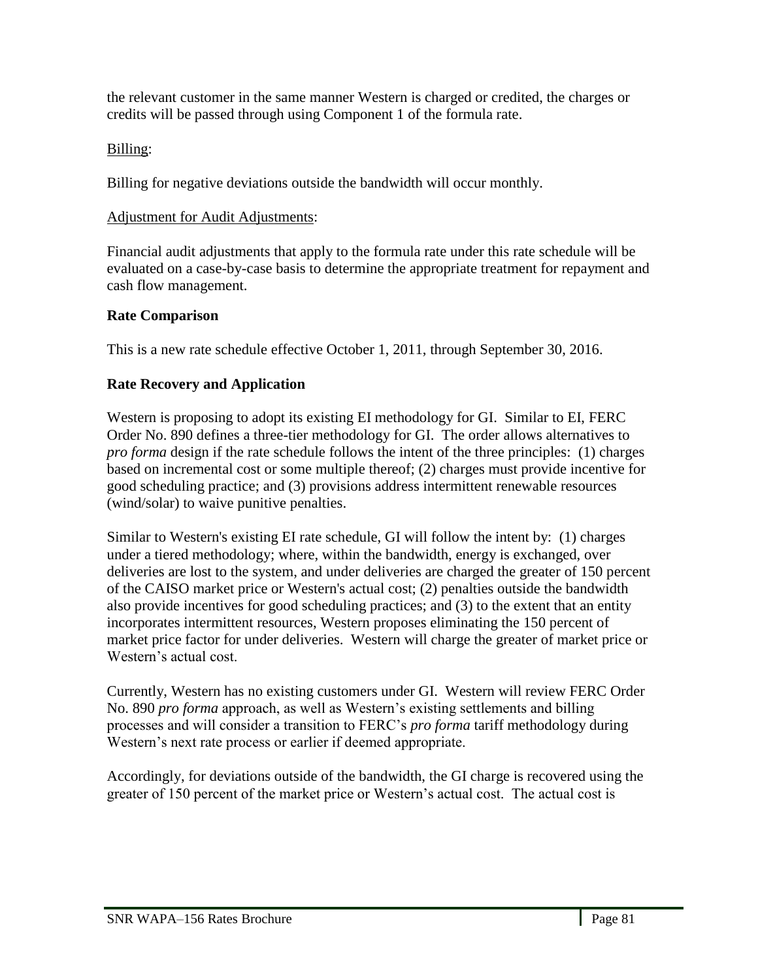the relevant customer in the same manner Western is charged or credited, the charges or credits will be passed through using Component 1 of the formula rate.

# Billing:

Billing for negative deviations outside the bandwidth will occur monthly.

# Adjustment for Audit Adjustments:

Financial audit adjustments that apply to the formula rate under this rate schedule will be evaluated on a case-by-case basis to determine the appropriate treatment for repayment and cash flow management.

# **Rate Comparison**

This is a new rate schedule effective October 1, 2011, through September 30, 2016.

# **Rate Recovery and Application**

Western is proposing to adopt its existing EI methodology for GI. Similar to EI, FERC Order No. 890 defines a three-tier methodology for GI. The order allows alternatives to *pro forma* design if the rate schedule follows the intent of the three principles: (1) charges based on incremental cost or some multiple thereof; (2) charges must provide incentive for good scheduling practice; and (3) provisions address intermittent renewable resources (wind/solar) to waive punitive penalties.

Similar to Western's existing EI rate schedule, GI will follow the intent by: (1) charges under a tiered methodology; where, within the bandwidth, energy is exchanged, over deliveries are lost to the system, and under deliveries are charged the greater of 150 percent of the CAISO market price or Western's actual cost; (2) penalties outside the bandwidth also provide incentives for good scheduling practices; and (3) to the extent that an entity incorporates intermittent resources, Western proposes eliminating the 150 percent of market price factor for under deliveries. Western will charge the greater of market price or Western's actual cost.

Currently, Western has no existing customers under GI. Western will review FERC Order No. 890 *pro forma* approach, as well as Western's existing settlements and billing processes and will consider a transition to FERC's *pro forma* tariff methodology during Western's next rate process or earlier if deemed appropriate.

Accordingly, for deviations outside of the bandwidth, the GI charge is recovered using the greater of 150 percent of the market price or Western's actual cost. The actual cost is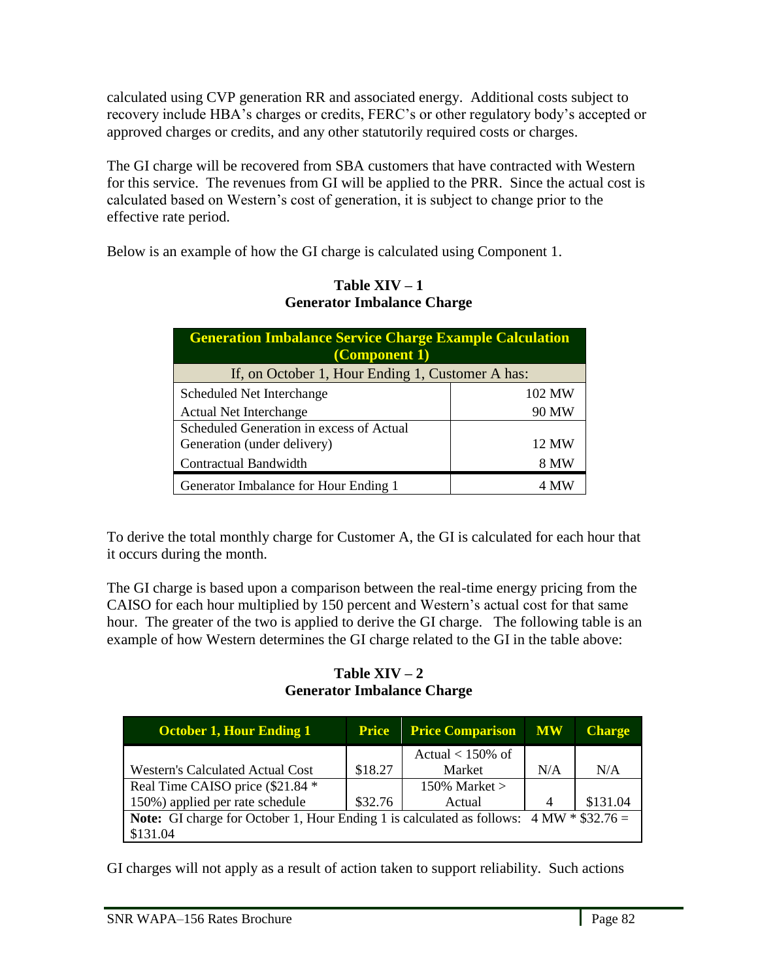calculated using CVP generation RR and associated energy. Additional costs subject to recovery include HBA's charges or credits, FERC's or other regulatory body's accepted or approved charges or credits, and any other statutorily required costs or charges.

The GI charge will be recovered from SBA customers that have contracted with Western for this service. The revenues from GI will be applied to the PRR. Since the actual cost is calculated based on Western's cost of generation, it is subject to change prior to the effective rate period.

Below is an example of how the GI charge is calculated using Component 1.

| <b>Generation Imbalance Service Charge Example Calculation</b><br>(Component 1) |        |  |  |
|---------------------------------------------------------------------------------|--------|--|--|
| If, on October 1, Hour Ending 1, Customer A has:                                |        |  |  |
| Scheduled Net Interchange                                                       | 102 MW |  |  |
| <b>Actual Net Interchange</b>                                                   | 90 MW  |  |  |
| Scheduled Generation in excess of Actual                                        |        |  |  |
| Generation (under delivery)                                                     | 12 MW  |  |  |
| Contractual Bandwidth                                                           | 8 MW   |  |  |
| Generator Imbalance for Hour Ending 1                                           |        |  |  |

### Table  $XIV - 1$ **Generator Imbalance Charge**

To derive the total monthly charge for Customer A, the GI is calculated for each hour that it occurs during the month.

The GI charge is based upon a comparison between the real-time energy pricing from the CAISO for each hour multiplied by 150 percent and Western's actual cost for that same hour. The greater of the two is applied to derive the GI charge. The following table is an example of how Western determines the GI charge related to the GI in the table above:

## Table  $XIV - 2$ **Generator Imbalance Charge**

| <b>October 1, Hour Ending 1</b>                                                                 | <b>Price</b> | <b>Price Comparison</b> | <b>MW</b> | <b>Charge</b> |
|-------------------------------------------------------------------------------------------------|--------------|-------------------------|-----------|---------------|
|                                                                                                 |              | Actual $< 150\%$ of     |           |               |
| Western's Calculated Actual Cost                                                                | \$18.27      | Market                  | N/A       | N/A           |
| Real Time CAISO price (\$21.84 *                                                                |              | 150% Market $>$         |           |               |
| 150%) applied per rate schedule                                                                 | \$32.76      | Actual                  | 4         | \$131.04      |
| <b>Note:</b> GI charge for October 1, Hour Ending 1 is calculated as follows: $4 MW * $32.76 =$ |              |                         |           |               |
| \$131.04                                                                                        |              |                         |           |               |

GI charges will not apply as a result of action taken to support reliability. Such actions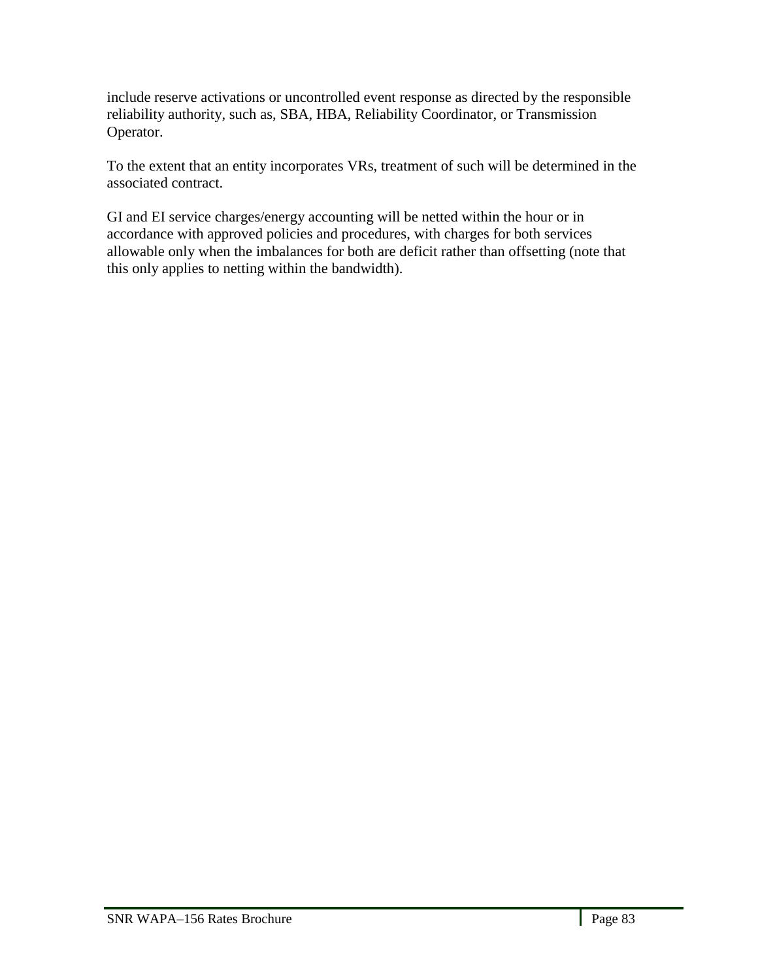include reserve activations or uncontrolled event response as directed by the responsible reliability authority, such as, SBA, HBA, Reliability Coordinator, or Transmission Operator.

To the extent that an entity incorporates VRs, treatment of such will be determined in the associated contract.

GI and EI service charges/energy accounting will be netted within the hour or in accordance with approved policies and procedures, with charges for both services allowable only when the imbalances for both are deficit rather than offsetting (note that this only applies to netting within the bandwidth).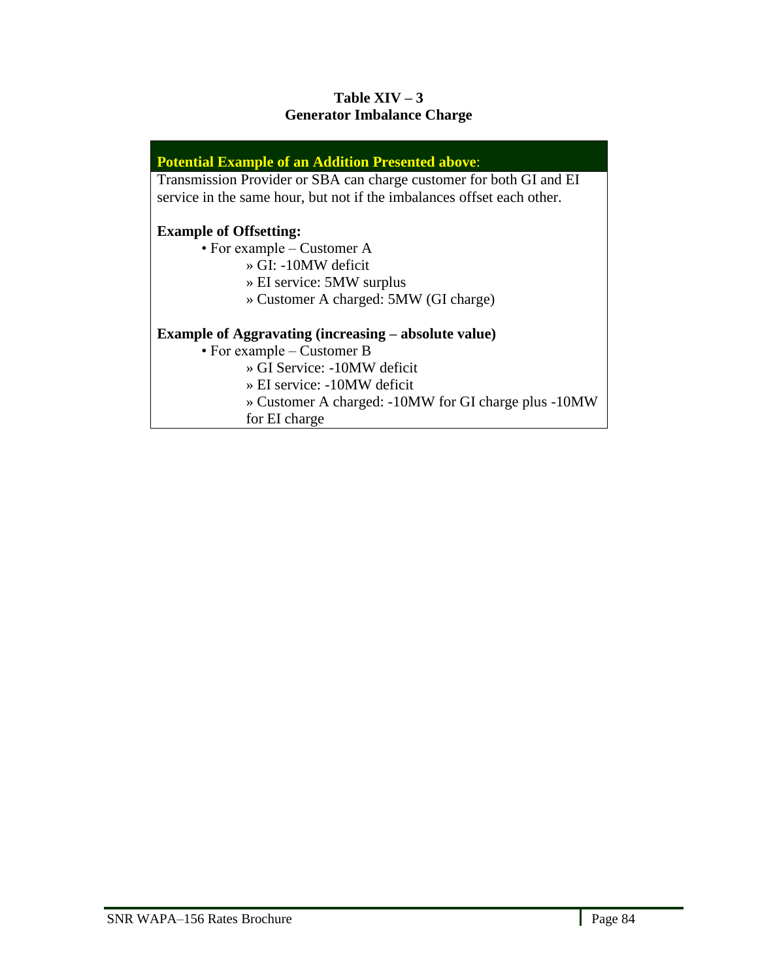# Table  $XIV - 3$ **Generator Imbalance Charge**

### **Potential Example of an Addition Presented above**:

Transmission Provider or SBA can charge customer for both GI and EI service in the same hour, but not if the imbalances offset each other.

## **Example of Offsetting:**

• For example – Customer A

- » GI: -10MW deficit
- » EI service: 5MW surplus
- » Customer A charged: 5MW (GI charge)

### **Example of Aggravating (increasing – absolute value)**

• For example – Customer B

» GI Service: -10MW deficit

» EI service: -10MW deficit

» Customer A charged: -10MW for GI charge plus -10MW

for EI charge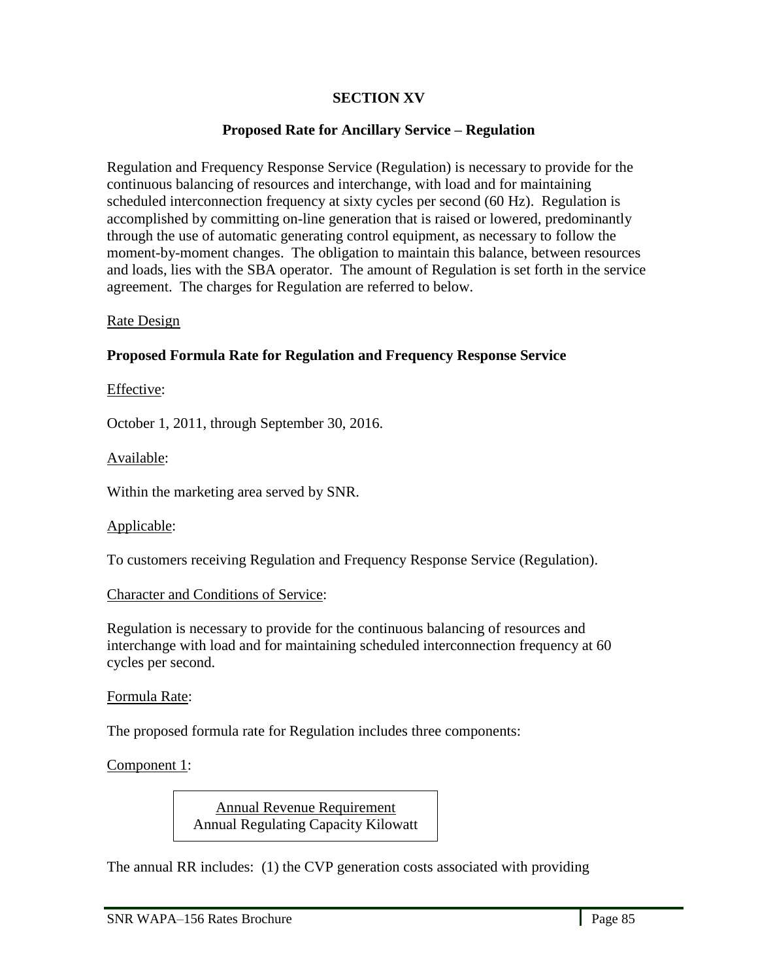# **SECTION XV**

### **Proposed Rate for Ancillary Service – Regulation**

Regulation and Frequency Response Service (Regulation) is necessary to provide for the continuous balancing of resources and interchange, with load and for maintaining scheduled interconnection frequency at sixty cycles per second (60 Hz). Regulation is accomplished by committing on-line generation that is raised or lowered, predominantly through the use of automatic generating control equipment, as necessary to follow the moment-by-moment changes. The obligation to maintain this balance, between resources and loads, lies with the SBA operator. The amount of Regulation is set forth in the service agreement. The charges for Regulation are referred to below.

#### Rate Design

#### **Proposed Formula Rate for Regulation and Frequency Response Service**

#### Effective:

October 1, 2011, through September 30, 2016.

#### Available:

Within the marketing area served by SNR.

#### Applicable:

To customers receiving Regulation and Frequency Response Service (Regulation).

#### Character and Conditions of Service:

Regulation is necessary to provide for the continuous balancing of resources and interchange with load and for maintaining scheduled interconnection frequency at 60 cycles per second.

#### Formula Rate:

The proposed formula rate for Regulation includes three components:

Component 1:

l,

Annual Revenue Requirement Annual Regulating Capacity Kilowatt

The annual RR includes: (1) the CVP generation costs associated with providing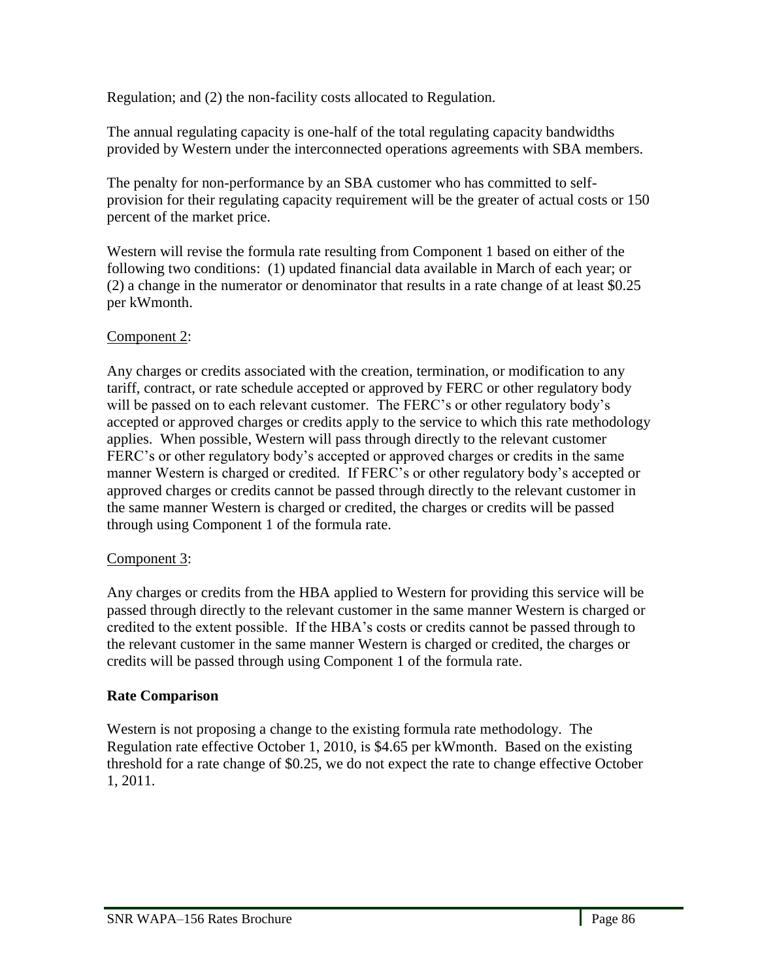Regulation; and (2) the non-facility costs allocated to Regulation.

The annual regulating capacity is one-half of the total regulating capacity bandwidths provided by Western under the interconnected operations agreements with SBA members.

The penalty for non-performance by an SBA customer who has committed to selfprovision for their regulating capacity requirement will be the greater of actual costs or 150 percent of the market price.

Western will revise the formula rate resulting from Component 1 based on either of the following two conditions: (1) updated financial data available in March of each year; or (2) a change in the numerator or denominator that results in a rate change of at least \$0.25 per kWmonth.

# Component 2:

Any charges or credits associated with the creation, termination, or modification to any tariff, contract, or rate schedule accepted or approved by FERC or other regulatory body will be passed on to each relevant customer. The FERC's or other regulatory body's accepted or approved charges or credits apply to the service to which this rate methodology applies. When possible, Western will pass through directly to the relevant customer FERC's or other regulatory body's accepted or approved charges or credits in the same manner Western is charged or credited. If FERC's or other regulatory body's accepted or approved charges or credits cannot be passed through directly to the relevant customer in the same manner Western is charged or credited, the charges or credits will be passed through using Component 1 of the formula rate.

# Component 3:

Any charges or credits from the HBA applied to Western for providing this service will be passed through directly to the relevant customer in the same manner Western is charged or credited to the extent possible. If the HBA's costs or credits cannot be passed through to the relevant customer in the same manner Western is charged or credited, the charges or credits will be passed through using Component 1 of the formula rate.

# **Rate Comparison**

Western is not proposing a change to the existing formula rate methodology. The Regulation rate effective October 1, 2010, is \$4.65 per kWmonth. Based on the existing threshold for a rate change of \$0.25, we do not expect the rate to change effective October 1, 2011.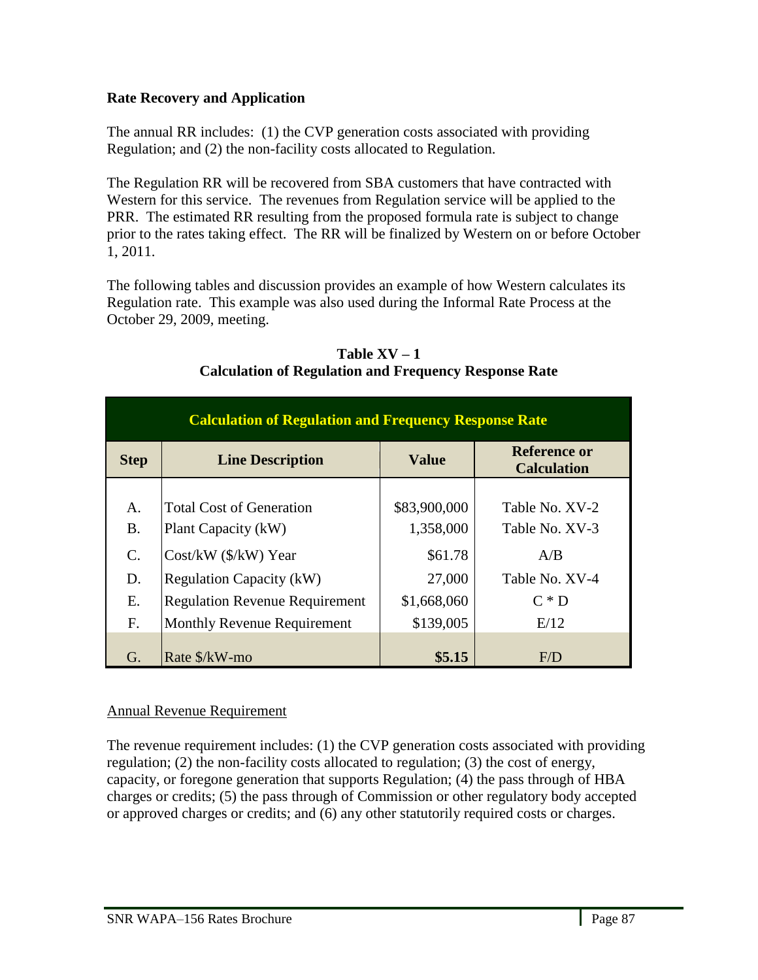# **Rate Recovery and Application**

The annual RR includes: (1) the CVP generation costs associated with providing Regulation; and (2) the non-facility costs allocated to Regulation.

The Regulation RR will be recovered from SBA customers that have contracted with Western for this service. The revenues from Regulation service will be applied to the PRR. The estimated RR resulting from the proposed formula rate is subject to change prior to the rates taking effect. The RR will be finalized by Western on or before October 1, 2011.

The following tables and discussion provides an example of how Western calculates its Regulation rate. This example was also used during the Informal Rate Process at the October 29, 2009, meeting.

| <b>Calculation of Regulation and Frequency Response Rate</b> |                                       |              |                                           |  |  |
|--------------------------------------------------------------|---------------------------------------|--------------|-------------------------------------------|--|--|
| <b>Step</b>                                                  | <b>Line Description</b>               | <b>Value</b> | <b>Reference or</b><br><b>Calculation</b> |  |  |
|                                                              |                                       |              |                                           |  |  |
| A.                                                           | <b>Total Cost of Generation</b>       | \$83,900,000 | Table No. XV-2                            |  |  |
| <b>B.</b>                                                    | Plant Capacity (kW)                   | 1,358,000    | Table No. XV-3                            |  |  |
| $\mathcal{C}$ .                                              | $Cost/kW$ ( $\frac{K}{W}$ ) Year      | \$61.78      | A/B                                       |  |  |
| D.                                                           | <b>Regulation Capacity (kW)</b>       | 27,000       | Table No. XV-4                            |  |  |
| Ε.                                                           | <b>Regulation Revenue Requirement</b> | \$1,668,060  | $C \ast D$                                |  |  |
| F.                                                           | <b>Monthly Revenue Requirement</b>    | \$139,005    | E/12                                      |  |  |
| G.                                                           | Rate \$/kW-mo                         | \$5.15       | F/D                                       |  |  |

### Table  $XV - 1$ **Calculation of Regulation and Frequency Response Rate**

# Annual Revenue Requirement

The revenue requirement includes: (1) the CVP generation costs associated with providing regulation; (2) the non-facility costs allocated to regulation; (3) the cost of energy, capacity, or foregone generation that supports Regulation; (4) the pass through of HBA charges or credits; (5) the pass through of Commission or other regulatory body accepted or approved charges or credits; and (6) any other statutorily required costs or charges.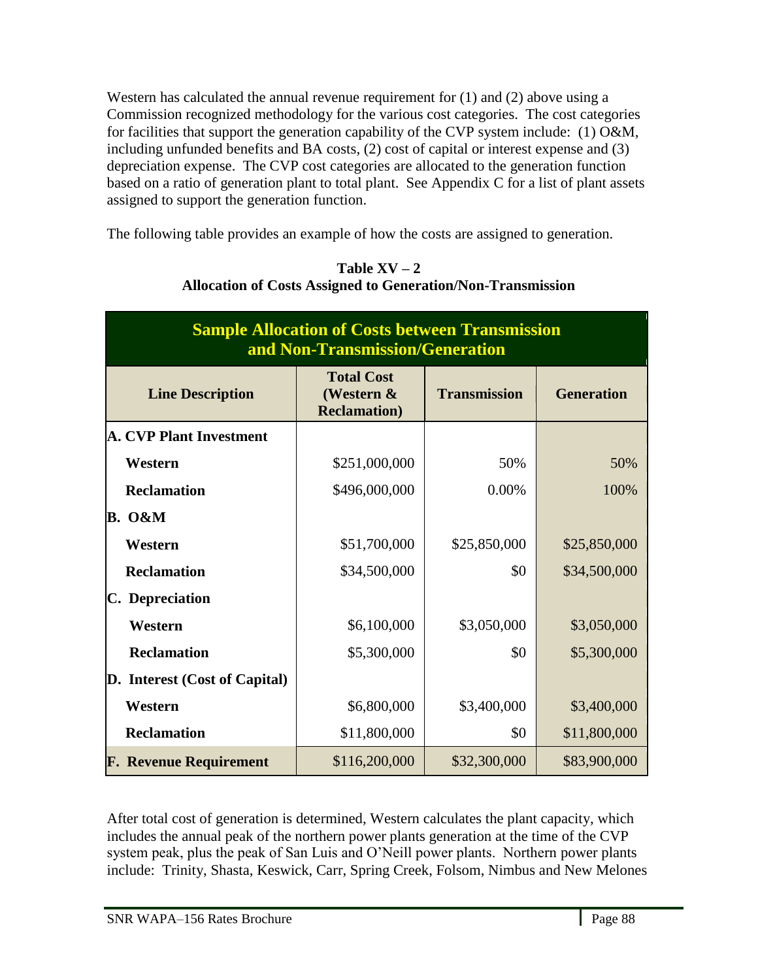Western has calculated the annual revenue requirement for (1) and (2) above using a Commission recognized methodology for the various cost categories. The cost categories for facilities that support the generation capability of the CVP system include: (1) O&M, including unfunded benefits and BA costs, (2) cost of capital or interest expense and (3) depreciation expense. The CVP cost categories are allocated to the generation function based on a ratio of generation plant to total plant. See Appendix C for a list of plant assets assigned to support the generation function.

The following table provides an example of how the costs are assigned to generation.

| <b>Sample Allocation of Costs between Transmission</b><br>and Non-Transmission/Generation |                                                         |                     |                   |  |
|-------------------------------------------------------------------------------------------|---------------------------------------------------------|---------------------|-------------------|--|
| <b>Line Description</b>                                                                   | <b>Total Cost</b><br>(Western &<br><b>Reclamation</b> ) | <b>Transmission</b> | <b>Generation</b> |  |
| <b>A. CVP Plant Investment</b>                                                            |                                                         |                     |                   |  |
| Western                                                                                   | \$251,000,000                                           | 50%                 | 50%               |  |
| <b>Reclamation</b>                                                                        | \$496,000,000                                           | 0.00%               | 100%              |  |
| <b>B.</b> O&M                                                                             |                                                         |                     |                   |  |
| Western                                                                                   | \$51,700,000                                            | \$25,850,000        | \$25,850,000      |  |
| <b>Reclamation</b>                                                                        | \$34,500,000                                            | \$0                 | \$34,500,000      |  |
| C. Depreciation                                                                           |                                                         |                     |                   |  |
| Western                                                                                   | \$6,100,000                                             | \$3,050,000         | \$3,050,000       |  |
| <b>Reclamation</b>                                                                        | \$5,300,000                                             | \$0                 | \$5,300,000       |  |
| D. Interest (Cost of Capital)                                                             |                                                         |                     |                   |  |
| Western                                                                                   | \$6,800,000                                             | \$3,400,000         | \$3,400,000       |  |
| <b>Reclamation</b>                                                                        | \$11,800,000                                            | \$0                 | \$11,800,000      |  |
| <b>F. Revenue Requirement</b>                                                             | \$116,200,000                                           | \$32,300,000        | \$83,900,000      |  |

Table  $XV - 2$ **Allocation of Costs Assigned to Generation/Non-Transmission**

After total cost of generation is determined, Western calculates the plant capacity, which includes the annual peak of the northern power plants generation at the time of the CVP system peak, plus the peak of San Luis and O'Neill power plants. Northern power plants include: Trinity, Shasta, Keswick, Carr, Spring Creek, Folsom, Nimbus and New Melones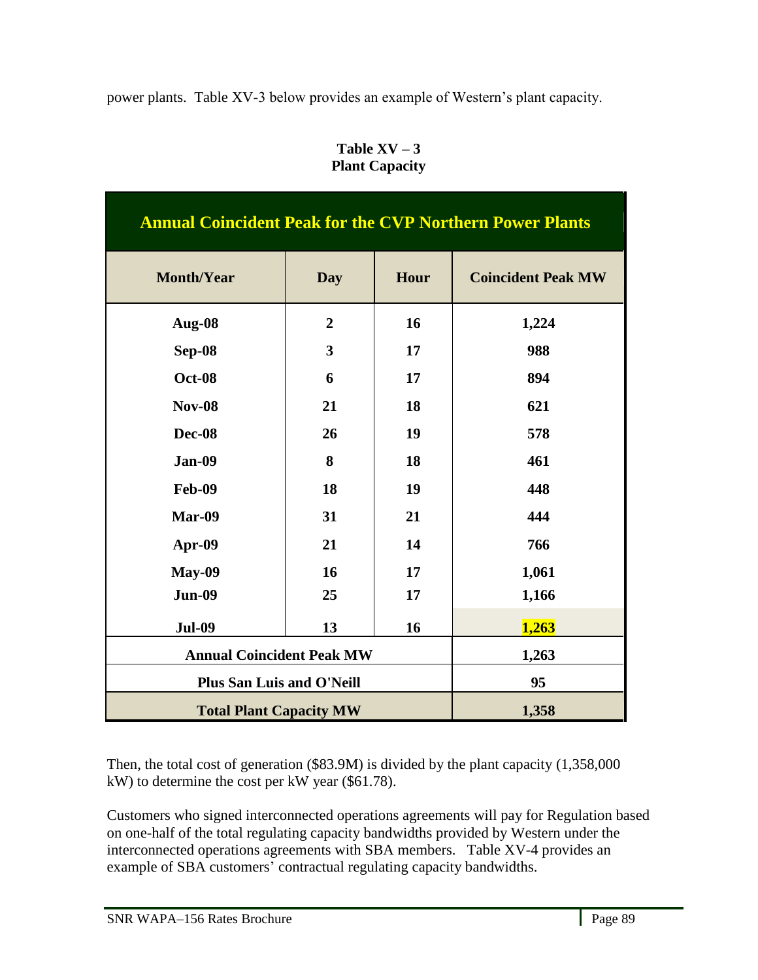power plants. Table XV-3 below provides an example of Western's plant capacity.

| <b>Annual Coincident Peak for the CVP Northern Power Plants</b> |                                  |      |                           |  |
|-----------------------------------------------------------------|----------------------------------|------|---------------------------|--|
| <b>Month/Year</b>                                               | <b>Day</b>                       | Hour | <b>Coincident Peak MW</b> |  |
| Aug-08                                                          | $\overline{2}$                   | 16   | 1,224                     |  |
| <b>Sep-08</b>                                                   | $\overline{\mathbf{3}}$          | 17   | 988                       |  |
| <b>Oct-08</b>                                                   | 6                                | 17   | 894                       |  |
| <b>Nov-08</b>                                                   | 21                               | 18   | 621                       |  |
| Dec-08                                                          | 26                               | 19   | 578                       |  |
| <b>Jan-09</b>                                                   | 8                                | 18   | 461                       |  |
| <b>Feb-09</b>                                                   | 18                               | 19   | 448                       |  |
| Mar-09                                                          | 31                               | 21   | 444                       |  |
| Apr-09                                                          | 21                               | 14   | 766                       |  |
| <b>May-09</b>                                                   | 16                               | 17   | 1,061                     |  |
| <b>Jun-09</b>                                                   | 25                               | 17   | 1,166                     |  |
| <b>Jul-09</b>                                                   | 13                               | 16   | 1,263                     |  |
|                                                                 | <b>Annual Coincident Peak MW</b> |      | 1,263                     |  |
| <b>Plus San Luis and O'Neill</b>                                |                                  |      | 95                        |  |
|                                                                 | <b>Total Plant Capacity MW</b>   |      | 1,358                     |  |

Table  $XV - 3$ **Plant Capacity**

Then, the total cost of generation (\$83.9M) is divided by the plant capacity (1,358,000 kW) to determine the cost per kW year (\$61.78).

Customers who signed interconnected operations agreements will pay for Regulation based on one-half of the total regulating capacity bandwidths provided by Western under the interconnected operations agreements with SBA members. Table XV-4 provides an example of SBA customers' contractual regulating capacity bandwidths.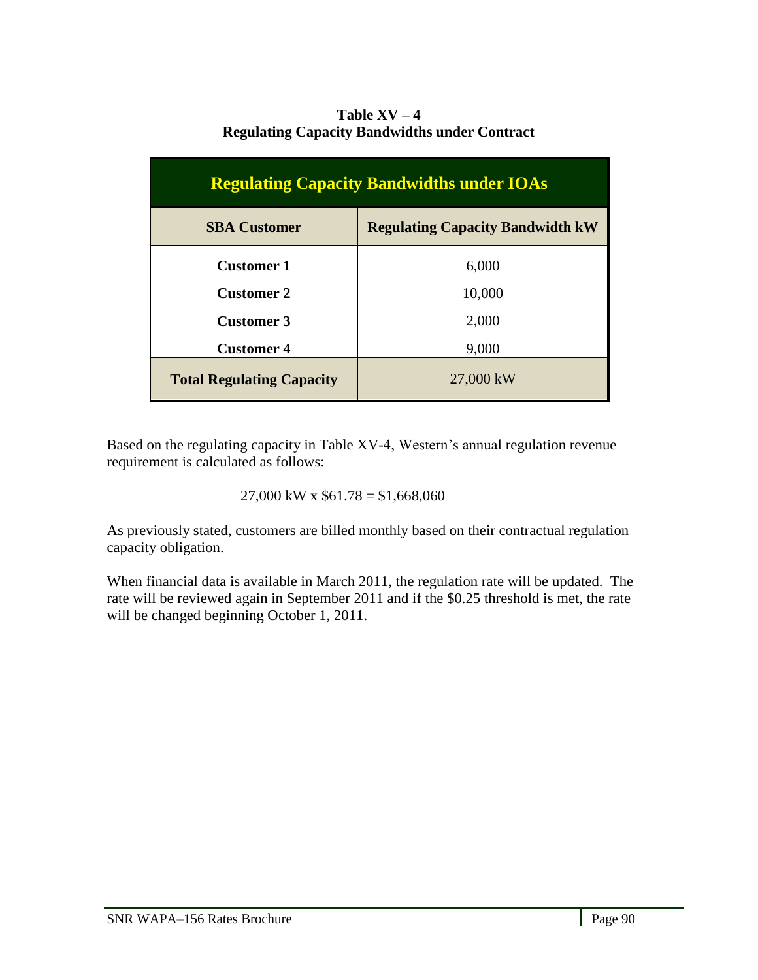# Table  $XV - 4$ **Regulating Capacity Bandwidths under Contract**

| <b>Regulating Capacity Bandwidths under IOAs</b> |                                         |  |  |  |
|--------------------------------------------------|-----------------------------------------|--|--|--|
| <b>SBA Customer</b>                              | <b>Regulating Capacity Bandwidth kW</b> |  |  |  |
| <b>Customer 1</b>                                | 6,000                                   |  |  |  |
| <b>Customer 2</b>                                | 10,000                                  |  |  |  |
| <b>Customer 3</b>                                | 2,000                                   |  |  |  |
| <b>Customer 4</b>                                | 9,000                                   |  |  |  |
| <b>Total Regulating Capacity</b>                 | 27,000 kW                               |  |  |  |

Based on the regulating capacity in Table XV-4, Western's annual regulation revenue requirement is calculated as follows:

 $27,000$  kW x  $$61.78 = $1,668,060$ 

As previously stated, customers are billed monthly based on their contractual regulation capacity obligation.

When financial data is available in March 2011, the regulation rate will be updated. The rate will be reviewed again in September 2011 and if the \$0.25 threshold is met, the rate will be changed beginning October 1, 2011.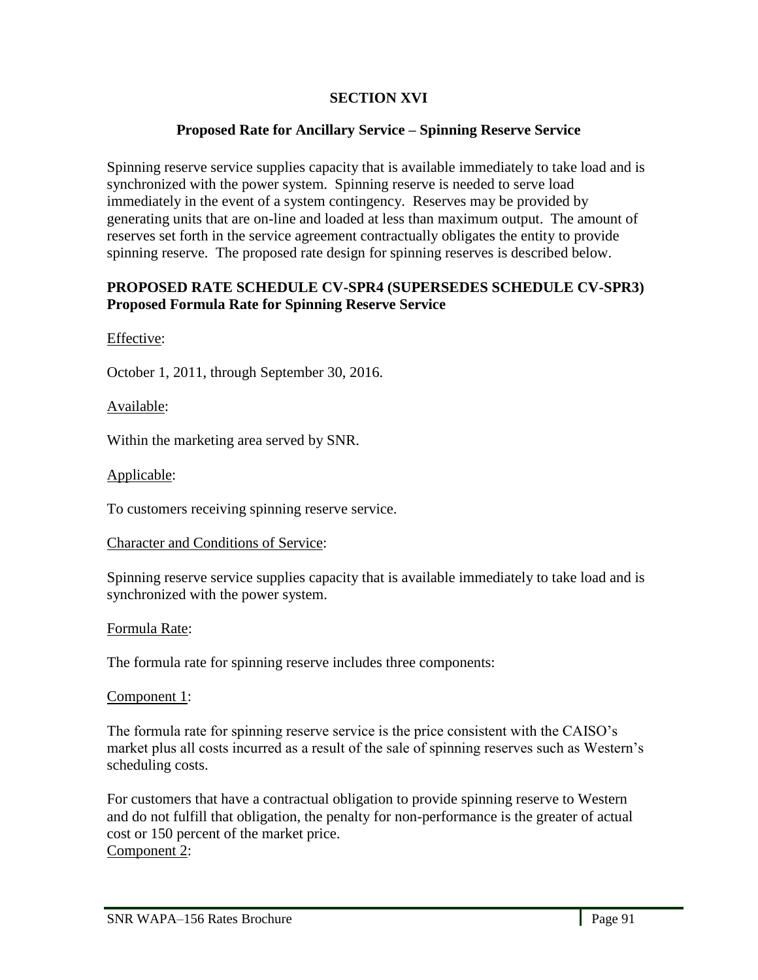# **SECTION XVI**

# **Proposed Rate for Ancillary Service – Spinning Reserve Service**

Spinning reserve service supplies capacity that is available immediately to take load and is synchronized with the power system. Spinning reserve is needed to serve load immediately in the event of a system contingency. Reserves may be provided by generating units that are on-line and loaded at less than maximum output. The amount of reserves set forth in the service agreement contractually obligates the entity to provide spinning reserve. The proposed rate design for spinning reserves is described below.

## **PROPOSED RATE SCHEDULE CV-SPR4 (SUPERSEDES SCHEDULE CV-SPR3) Proposed Formula Rate for Spinning Reserve Service**

Effective:

October 1, 2011, through September 30, 2016.

Available:

Within the marketing area served by SNR.

Applicable:

To customers receiving spinning reserve service.

Character and Conditions of Service:

Spinning reserve service supplies capacity that is available immediately to take load and is synchronized with the power system.

# Formula Rate:

The formula rate for spinning reserve includes three components:

Component 1:

l,

The formula rate for spinning reserve service is the price consistent with the CAISO's market plus all costs incurred as a result of the sale of spinning reserves such as Western's scheduling costs.

For customers that have a contractual obligation to provide spinning reserve to Western and do not fulfill that obligation, the penalty for non-performance is the greater of actual cost or 150 percent of the market price. Component 2: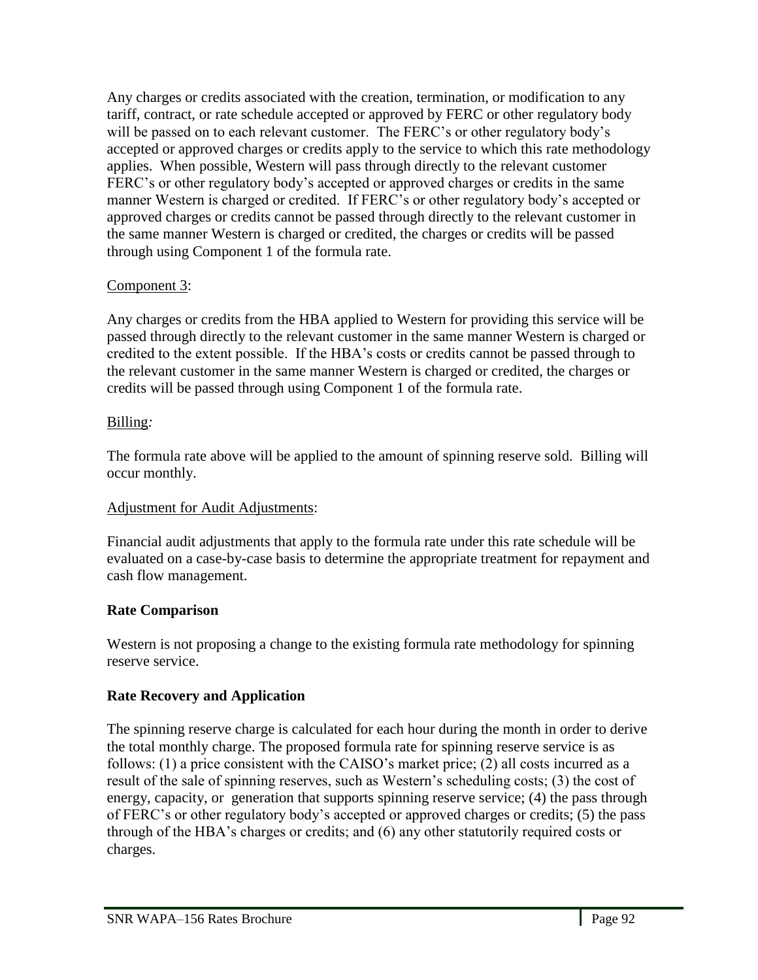Any charges or credits associated with the creation, termination, or modification to any tariff, contract, or rate schedule accepted or approved by FERC or other regulatory body will be passed on to each relevant customer. The FERC's or other regulatory body's accepted or approved charges or credits apply to the service to which this rate methodology applies. When possible, Western will pass through directly to the relevant customer FERC's or other regulatory body's accepted or approved charges or credits in the same manner Western is charged or credited. If FERC's or other regulatory body's accepted or approved charges or credits cannot be passed through directly to the relevant customer in the same manner Western is charged or credited, the charges or credits will be passed through using Component 1 of the formula rate.

# Component 3:

Any charges or credits from the HBA applied to Western for providing this service will be passed through directly to the relevant customer in the same manner Western is charged or credited to the extent possible. If the HBA's costs or credits cannot be passed through to the relevant customer in the same manner Western is charged or credited, the charges or credits will be passed through using Component 1 of the formula rate.

# Billing*:*

The formula rate above will be applied to the amount of spinning reserve sold. Billing will occur monthly.

# Adjustment for Audit Adjustments:

Financial audit adjustments that apply to the formula rate under this rate schedule will be evaluated on a case-by-case basis to determine the appropriate treatment for repayment and cash flow management.

# **Rate Comparison**

Western is not proposing a change to the existing formula rate methodology for spinning reserve service.

# **Rate Recovery and Application**

The spinning reserve charge is calculated for each hour during the month in order to derive the total monthly charge. The proposed formula rate for spinning reserve service is as follows: (1) a price consistent with the CAISO's market price; (2) all costs incurred as a result of the sale of spinning reserves, such as Western's scheduling costs; (3) the cost of energy, capacity, or generation that supports spinning reserve service; (4) the pass through of FERC's or other regulatory body's accepted or approved charges or credits; (5) the pass through of the HBA's charges or credits; and (6) any other statutorily required costs or charges.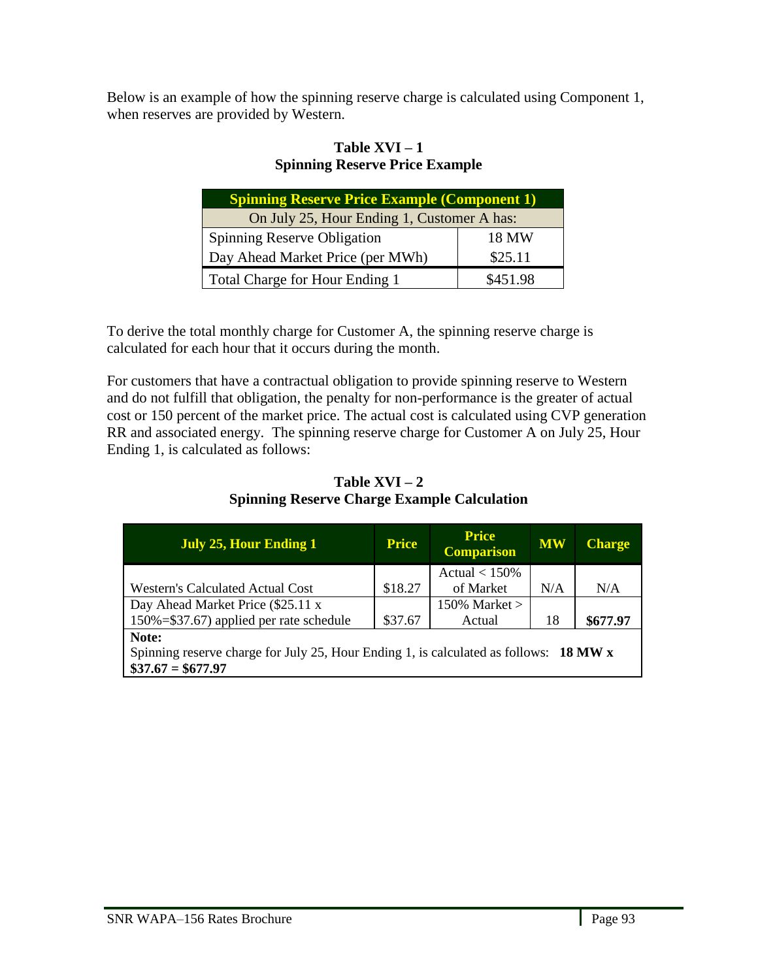Below is an example of how the spinning reserve charge is calculated using Component 1, when reserves are provided by Western.

# **Table XVI – 1 Spinning Reserve Price Example**

| <b>Spinning Reserve Price Example (Component 1)</b> |          |  |  |  |
|-----------------------------------------------------|----------|--|--|--|
| On July 25, Hour Ending 1, Customer A has:          |          |  |  |  |
| <b>Spinning Reserve Obligation</b>                  | 18 MW    |  |  |  |
| Day Ahead Market Price (per MWh)                    | \$25.11  |  |  |  |
| Total Charge for Hour Ending 1                      | \$451.98 |  |  |  |

To derive the total monthly charge for Customer A, the spinning reserve charge is calculated for each hour that it occurs during the month.

For customers that have a contractual obligation to provide spinning reserve to Western and do not fulfill that obligation, the penalty for non-performance is the greater of actual cost or 150 percent of the market price. The actual cost is calculated using CVP generation RR and associated energy. The spinning reserve charge for Customer A on July 25, Hour Ending 1, is calculated as follows:

Table  $XVI - 2$ **Spinning Reserve Charge Example Calculation**

| <b>July 25, Hour Ending 1</b>                                                         | <b>Price</b> | <b>Price</b><br><b>Comparison</b> | <b>MW</b> | <b>Charge</b> |
|---------------------------------------------------------------------------------------|--------------|-----------------------------------|-----------|---------------|
|                                                                                       |              | Actual $< 150\%$                  |           |               |
| <b>Western's Calculated Actual Cost</b>                                               | \$18.27      | of Market                         | N/A       | N/A           |
| Day Ahead Market Price (\$25.11 x                                                     |              | 150% Market $>$                   |           |               |
| 150%=\$37.67) applied per rate schedule                                               | \$37.67      | Actual                            | 18        | \$677.97      |
| Note:                                                                                 |              |                                   |           |               |
| Spinning reserve charge for July 25, Hour Ending 1, is calculated as follows: 18 MW x |              |                                   |           |               |
| $\$37.67 = \$677.97$                                                                  |              |                                   |           |               |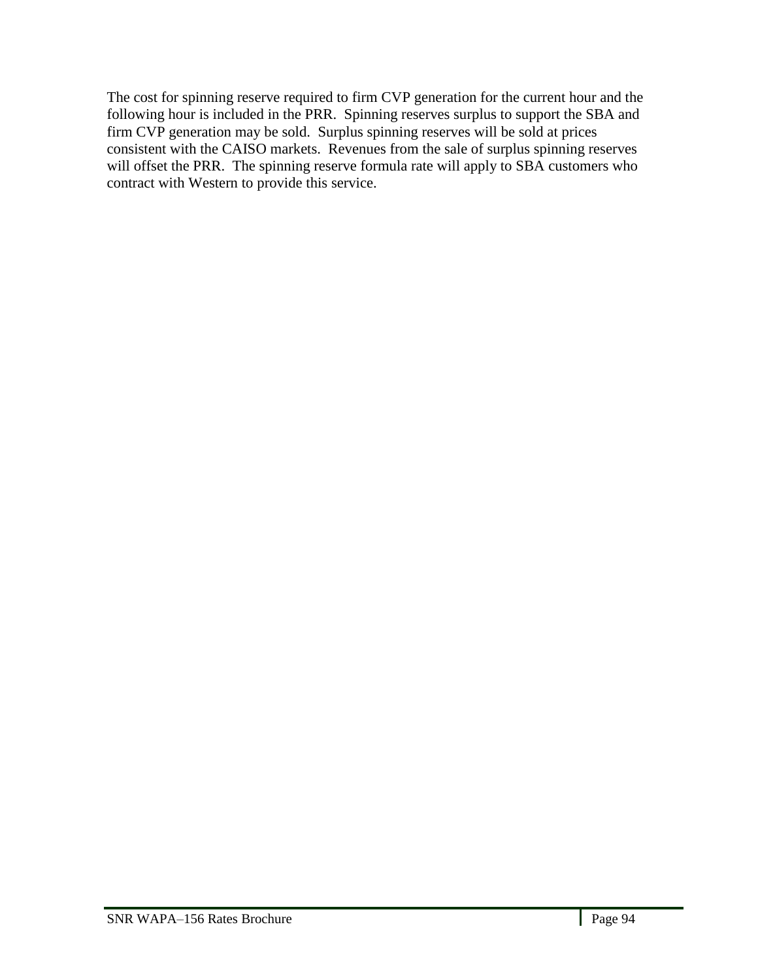The cost for spinning reserve required to firm CVP generation for the current hour and the following hour is included in the PRR. Spinning reserves surplus to support the SBA and firm CVP generation may be sold. Surplus spinning reserves will be sold at prices consistent with the CAISO markets. Revenues from the sale of surplus spinning reserves will offset the PRR. The spinning reserve formula rate will apply to SBA customers who contract with Western to provide this service.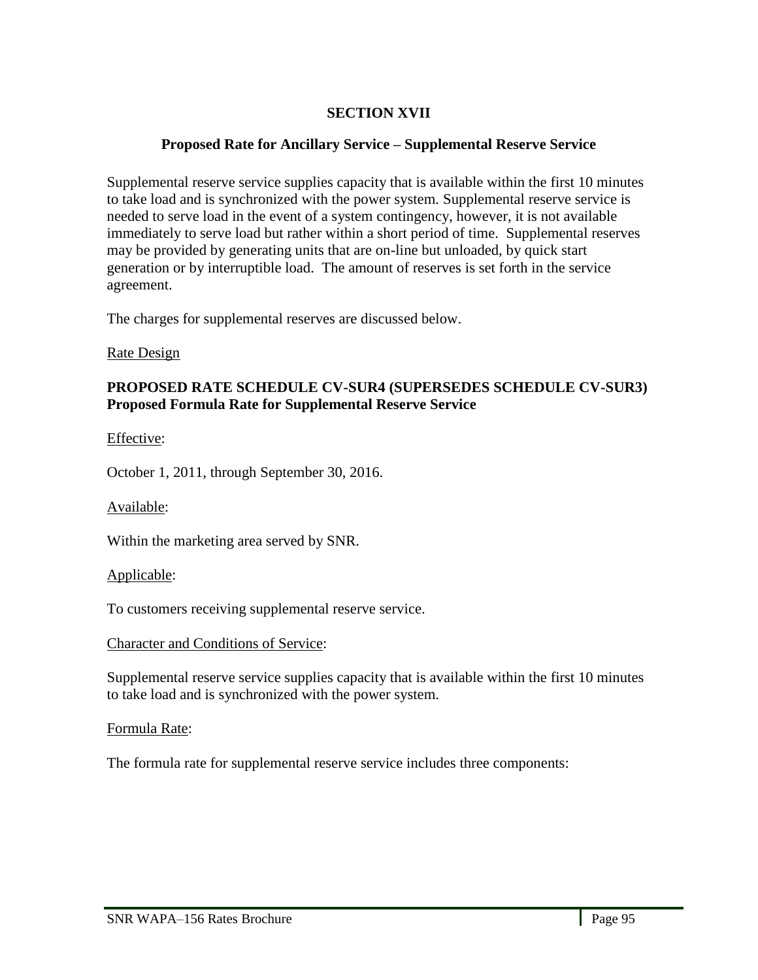# **SECTION XVII**

# **Proposed Rate for Ancillary Service – Supplemental Reserve Service**

Supplemental reserve service supplies capacity that is available within the first 10 minutes to take load and is synchronized with the power system. Supplemental reserve service is needed to serve load in the event of a system contingency, however, it is not available immediately to serve load but rather within a short period of time. Supplemental reserves may be provided by generating units that are on-line but unloaded, by quick start generation or by interruptible load. The amount of reserves is set forth in the service agreement.

The charges for supplemental reserves are discussed below.

#### Rate Design

### **PROPOSED RATE SCHEDULE CV-SUR4 (SUPERSEDES SCHEDULE CV-SUR3) Proposed Formula Rate for Supplemental Reserve Service**

Effective:

October 1, 2011, through September 30, 2016.

Available:

Within the marketing area served by SNR.

Applicable:

To customers receiving supplemental reserve service.

### Character and Conditions of Service:

Supplemental reserve service supplies capacity that is available within the first 10 minutes to take load and is synchronized with the power system.

### Formula Rate:

l,

The formula rate for supplemental reserve service includes three components: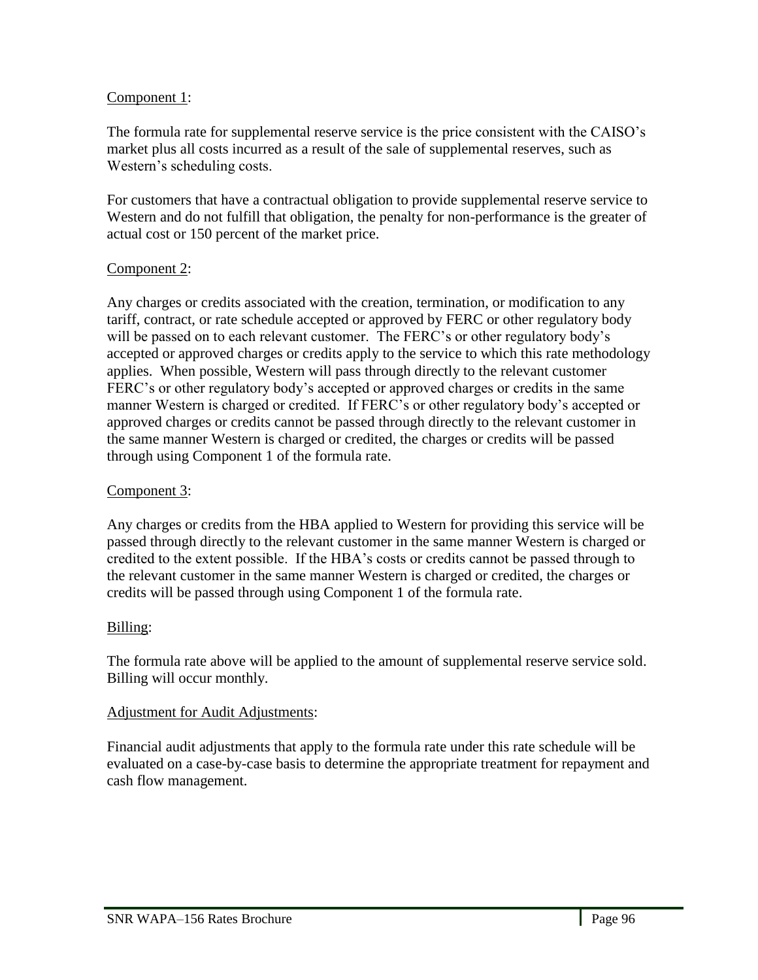### Component 1:

The formula rate for supplemental reserve service is the price consistent with the CAISO's market plus all costs incurred as a result of the sale of supplemental reserves, such as Western's scheduling costs.

For customers that have a contractual obligation to provide supplemental reserve service to Western and do not fulfill that obligation, the penalty for non-performance is the greater of actual cost or 150 percent of the market price.

#### Component 2:

Any charges or credits associated with the creation, termination, or modification to any tariff, contract, or rate schedule accepted or approved by FERC or other regulatory body will be passed on to each relevant customer. The FERC's or other regulatory body's accepted or approved charges or credits apply to the service to which this rate methodology applies. When possible, Western will pass through directly to the relevant customer FERC's or other regulatory body's accepted or approved charges or credits in the same manner Western is charged or credited. If FERC's or other regulatory body's accepted or approved charges or credits cannot be passed through directly to the relevant customer in the same manner Western is charged or credited, the charges or credits will be passed through using Component 1 of the formula rate.

#### Component 3:

Any charges or credits from the HBA applied to Western for providing this service will be passed through directly to the relevant customer in the same manner Western is charged or credited to the extent possible. If the HBA's costs or credits cannot be passed through to the relevant customer in the same manner Western is charged or credited, the charges or credits will be passed through using Component 1 of the formula rate.

### Billing:

l,

The formula rate above will be applied to the amount of supplemental reserve service sold. Billing will occur monthly.

#### Adjustment for Audit Adjustments:

Financial audit adjustments that apply to the formula rate under this rate schedule will be evaluated on a case-by-case basis to determine the appropriate treatment for repayment and cash flow management.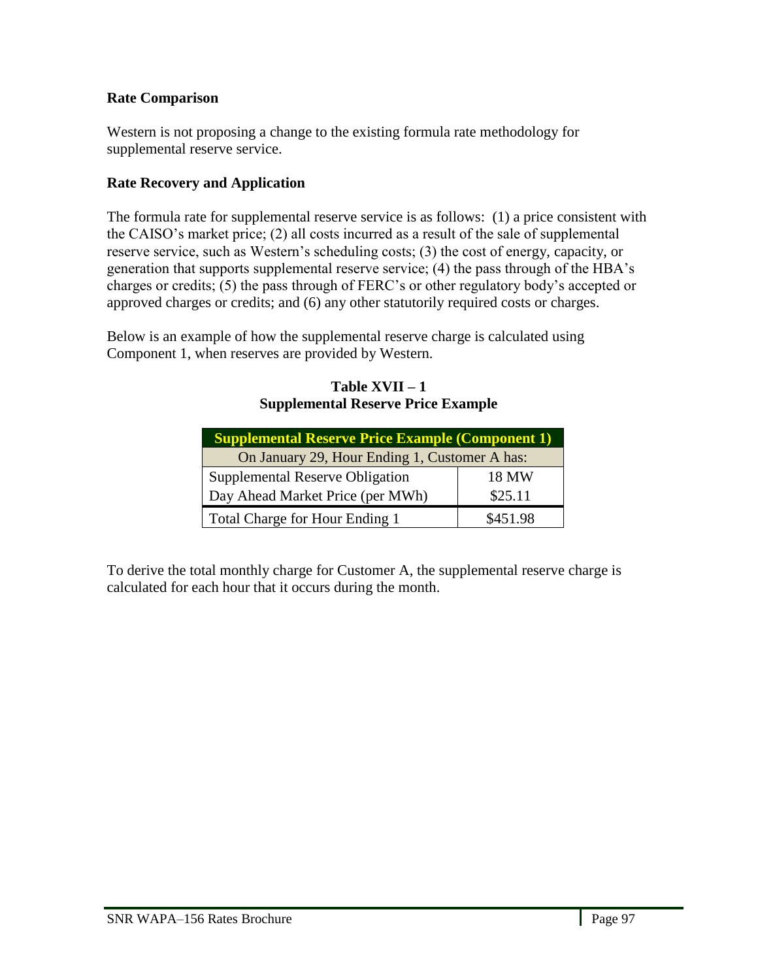## **Rate Comparison**

Western is not proposing a change to the existing formula rate methodology for supplemental reserve service.

# **Rate Recovery and Application**

The formula rate for supplemental reserve service is as follows: (1) a price consistent with the CAISO's market price; (2) all costs incurred as a result of the sale of supplemental reserve service, such as Western's scheduling costs; (3) the cost of energy, capacity, or generation that supports supplemental reserve service; (4) the pass through of the HBA's charges or credits; (5) the pass through of FERC's or other regulatory body's accepted or approved charges or credits; and (6) any other statutorily required costs or charges.

Below is an example of how the supplemental reserve charge is calculated using Component 1, when reserves are provided by Western.

| <b>Supplemental Reserve Price Example (Component 1)</b> |          |  |  |  |
|---------------------------------------------------------|----------|--|--|--|
| On January 29, Hour Ending 1, Customer A has:           |          |  |  |  |
| Supplemental Reserve Obligation                         | 18 MW    |  |  |  |
| Day Ahead Market Price (per MWh)                        | \$25.11  |  |  |  |
| Total Charge for Hour Ending 1                          | \$451.98 |  |  |  |

### **Table XVII – 1 Supplemental Reserve Price Example**

To derive the total monthly charge for Customer A, the supplemental reserve charge is calculated for each hour that it occurs during the month.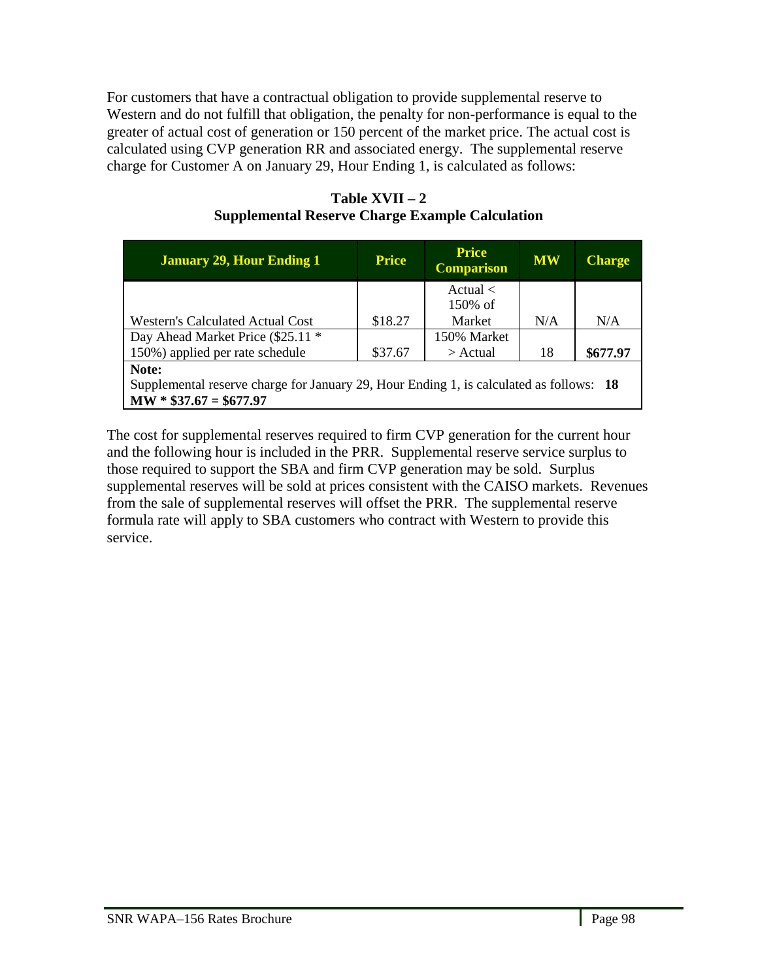For customers that have a contractual obligation to provide supplemental reserve to Western and do not fulfill that obligation, the penalty for non-performance is equal to the greater of actual cost of generation or 150 percent of the market price. The actual cost is calculated using CVP generation RR and associated energy. The supplemental reserve charge for Customer A on January 29, Hour Ending 1, is calculated as follows:

| <b>January 29, Hour Ending 1</b>                                                                                            | <b>Price</b> | <b>Price</b><br><b>Comparison</b> | <b>MW</b> | <b>Charge</b> |
|-----------------------------------------------------------------------------------------------------------------------------|--------------|-----------------------------------|-----------|---------------|
|                                                                                                                             |              | Actual $\lt$<br>$150\%$ of        |           |               |
| <b>Western's Calculated Actual Cost</b>                                                                                     | \$18.27      | Market                            | N/A       | N/A           |
|                                                                                                                             |              |                                   |           |               |
| Day Ahead Market Price (\$25.11 *                                                                                           |              | 150% Market                       |           |               |
| 150%) applied per rate schedule                                                                                             | \$37.67      | $>$ Actual                        | 18        | \$677.97      |
| Note:<br>Supplemental reserve charge for January 29, Hour Ending 1, is calculated as follows: 18<br>$MW * $37.67 = $677.97$ |              |                                   |           |               |

### **Table XVII – 2 Supplemental Reserve Charge Example Calculation**

The cost for supplemental reserves required to firm CVP generation for the current hour and the following hour is included in the PRR. Supplemental reserve service surplus to those required to support the SBA and firm CVP generation may be sold. Surplus supplemental reserves will be sold at prices consistent with the CAISO markets. Revenues from the sale of supplemental reserves will offset the PRR. The supplemental reserve formula rate will apply to SBA customers who contract with Western to provide this service.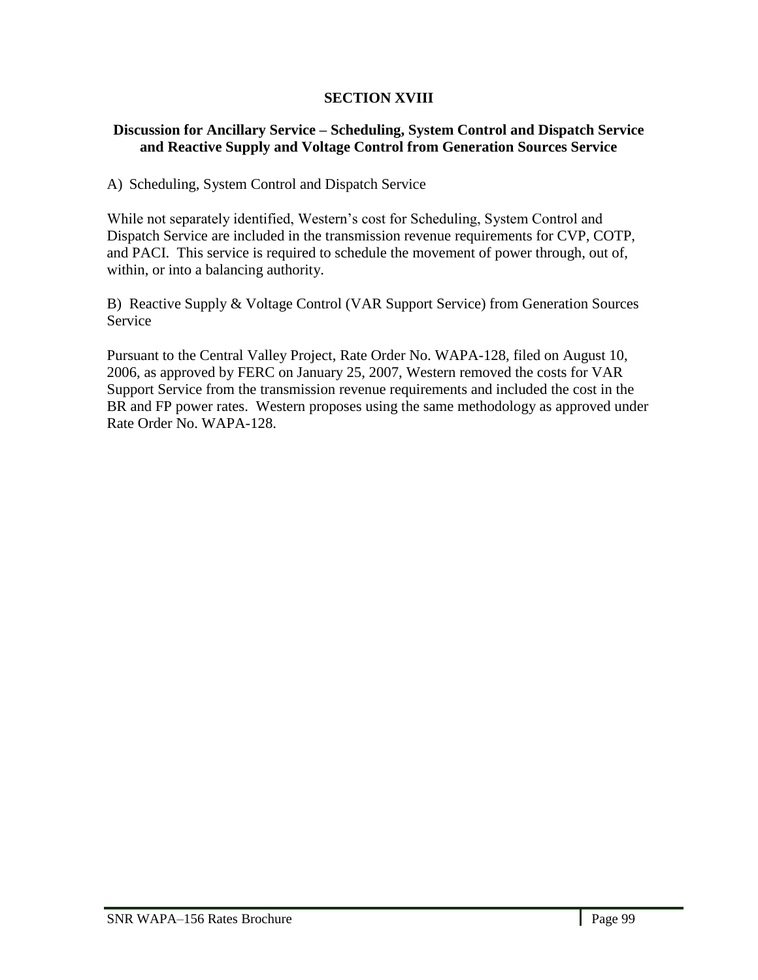# **SECTION XVIII**

## **Discussion for Ancillary Service – Scheduling, System Control and Dispatch Service and Reactive Supply and Voltage Control from Generation Sources Service**

## A) Scheduling, System Control and Dispatch Service

While not separately identified, Western's cost for Scheduling, System Control and Dispatch Service are included in the transmission revenue requirements for CVP, COTP, and PACI. This service is required to schedule the movement of power through, out of, within, or into a balancing authority.

B) Reactive Supply & Voltage Control (VAR Support Service) from Generation Sources Service

Pursuant to the Central Valley Project, Rate Order No. WAPA-128, filed on August 10, 2006, as approved by FERC on January 25, 2007, Western removed the costs for VAR Support Service from the transmission revenue requirements and included the cost in the BR and FP power rates. Western proposes using the same methodology as approved under Rate Order No. WAPA-128.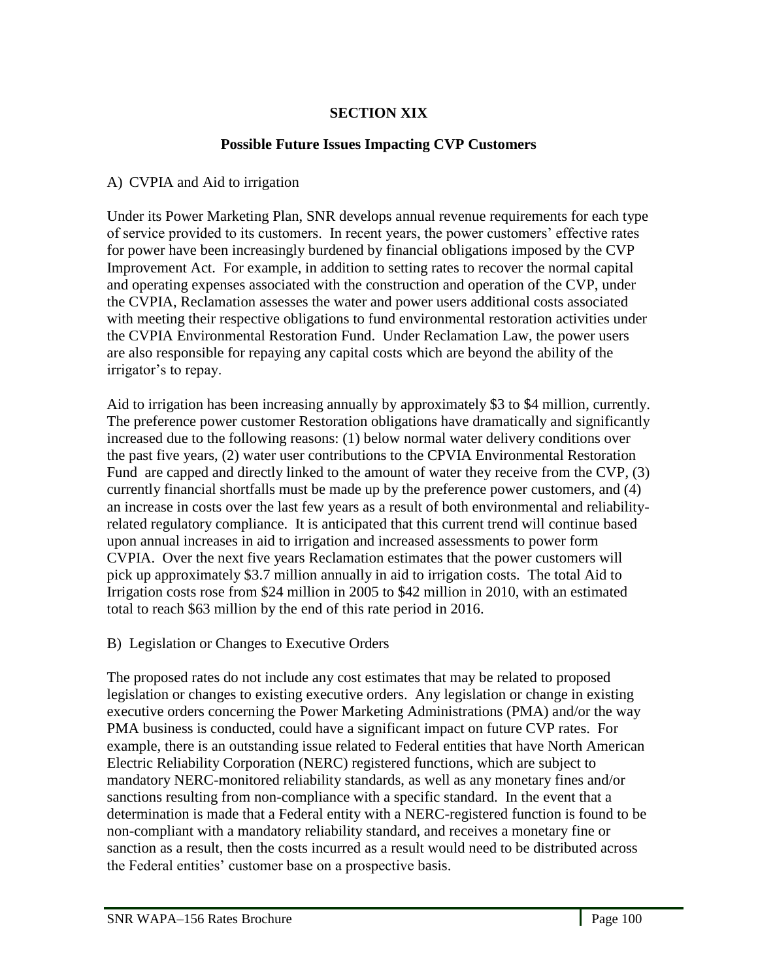# **SECTION XIX**

# **Possible Future Issues Impacting CVP Customers**

### A) CVPIA and Aid to irrigation

Under its Power Marketing Plan, SNR develops annual revenue requirements for each type of service provided to its customers. In recent years, the power customers' effective rates for power have been increasingly burdened by financial obligations imposed by the CVP Improvement Act. For example, in addition to setting rates to recover the normal capital and operating expenses associated with the construction and operation of the CVP, under the CVPIA, Reclamation assesses the water and power users additional costs associated with meeting their respective obligations to fund environmental restoration activities under the CVPIA Environmental Restoration Fund. Under Reclamation Law, the power users are also responsible for repaying any capital costs which are beyond the ability of the irrigator's to repay.

Aid to irrigation has been increasing annually by approximately \$3 to \$4 million, currently. The preference power customer Restoration obligations have dramatically and significantly increased due to the following reasons: (1) below normal water delivery conditions over the past five years, (2) water user contributions to the CPVIA Environmental Restoration Fund are capped and directly linked to the amount of water they receive from the CVP, (3) currently financial shortfalls must be made up by the preference power customers, and (4) an increase in costs over the last few years as a result of both environmental and reliabilityrelated regulatory compliance. It is anticipated that this current trend will continue based upon annual increases in aid to irrigation and increased assessments to power form CVPIA. Over the next five years Reclamation estimates that the power customers will pick up approximately \$3.7 million annually in aid to irrigation costs. The total Aid to Irrigation costs rose from \$24 million in 2005 to \$42 million in 2010, with an estimated total to reach \$63 million by the end of this rate period in 2016.

### B) Legislation or Changes to Executive Orders

The proposed rates do not include any cost estimates that may be related to proposed legislation or changes to existing executive orders. Any legislation or change in existing executive orders concerning the Power Marketing Administrations (PMA) and/or the way PMA business is conducted, could have a significant impact on future CVP rates. For example, there is an outstanding issue related to Federal entities that have North American Electric Reliability Corporation (NERC) registered functions, which are subject to mandatory NERC-monitored reliability standards, as well as any monetary fines and/or sanctions resulting from non-compliance with a specific standard. In the event that a determination is made that a Federal entity with a NERC-registered function is found to be non-compliant with a mandatory reliability standard, and receives a monetary fine or sanction as a result, then the costs incurred as a result would need to be distributed across the Federal entities' customer base on a prospective basis.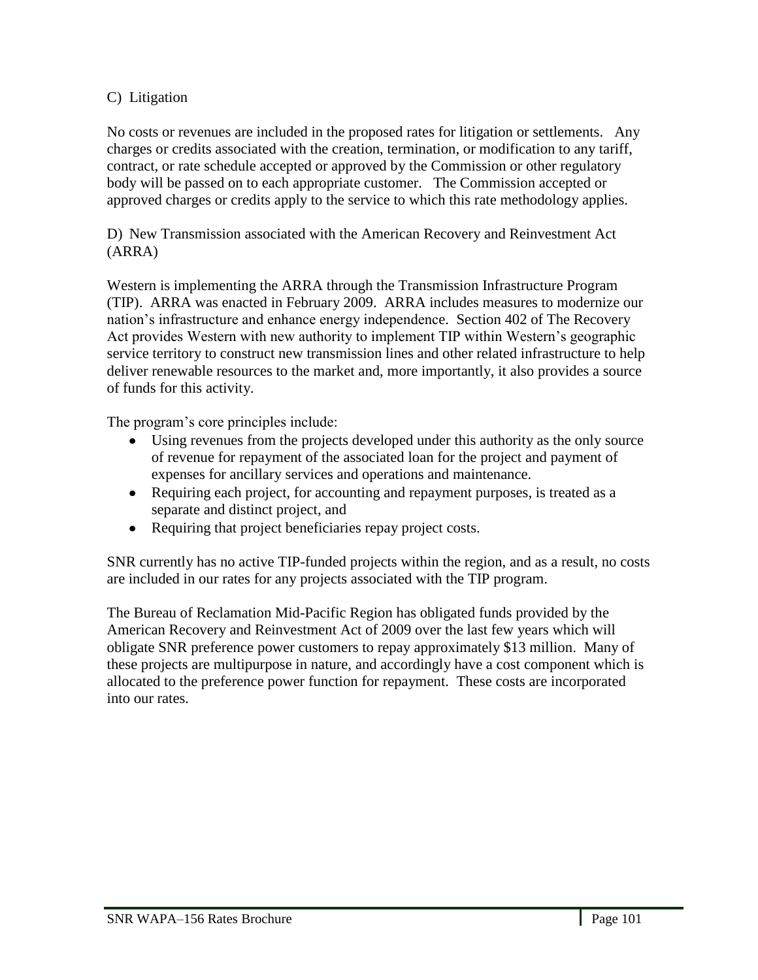# C) Litigation

No costs or revenues are included in the proposed rates for litigation or settlements. Any charges or credits associated with the creation, termination, or modification to any tariff, contract, or rate schedule accepted or approved by the Commission or other regulatory body will be passed on to each appropriate customer. The Commission accepted or approved charges or credits apply to the service to which this rate methodology applies.

D) New Transmission associated with the American Recovery and Reinvestment Act (ARRA)

Western is implementing the ARRA through the Transmission Infrastructure Program (TIP). ARRA was enacted in February 2009. ARRA includes measures to modernize our nation's infrastructure and enhance energy independence. Section 402 of The Recovery Act provides Western with new authority to implement TIP within Western's geographic service territory to construct new transmission lines and other related infrastructure to help deliver renewable resources to the market and, more importantly, it also provides a source of funds for this activity.

The program's core principles include:

- Using revenues from the projects developed under this authority as the only source of revenue for repayment of the associated loan for the project and payment of expenses for ancillary services and operations and maintenance.
- Requiring each project, for accounting and repayment purposes, is treated as a separate and distinct project, and
- Requiring that project beneficiaries repay project costs.

SNR currently has no active TIP-funded projects within the region, and as a result, no costs are included in our rates for any projects associated with the TIP program.

The Bureau of Reclamation Mid-Pacific Region has obligated funds provided by the American Recovery and Reinvestment Act of 2009 over the last few years which will obligate SNR preference power customers to repay approximately \$13 million. Many of these projects are multipurpose in nature, and accordingly have a cost component which is allocated to the preference power function for repayment. These costs are incorporated into our rates.